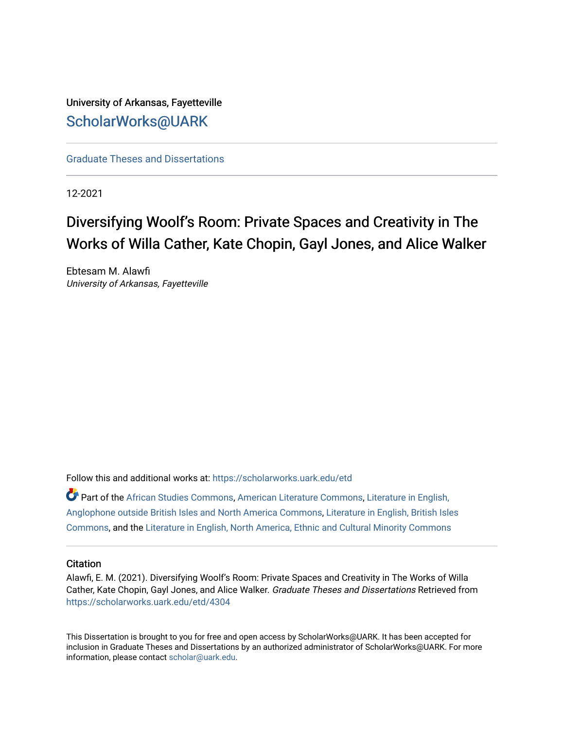University of Arkansas, Fayetteville [ScholarWorks@UARK](https://scholarworks.uark.edu/) 

[Graduate Theses and Dissertations](https://scholarworks.uark.edu/etd) 

12-2021

# Diversifying Woolf's Room: Private Spaces and Creativity in The Works of Willa Cather, Kate Chopin, Gayl Jones, and Alice Walker

Ebtesam M. Alawfi University of Arkansas, Fayetteville

Follow this and additional works at: [https://scholarworks.uark.edu/etd](https://scholarworks.uark.edu/etd?utm_source=scholarworks.uark.edu%2Fetd%2F4304&utm_medium=PDF&utm_campaign=PDFCoverPages)

Part of the [African Studies Commons,](http://network.bepress.com/hgg/discipline/1043?utm_source=scholarworks.uark.edu%2Fetd%2F4304&utm_medium=PDF&utm_campaign=PDFCoverPages) [American Literature Commons](http://network.bepress.com/hgg/discipline/441?utm_source=scholarworks.uark.edu%2Fetd%2F4304&utm_medium=PDF&utm_campaign=PDFCoverPages), [Literature in English,](http://network.bepress.com/hgg/discipline/457?utm_source=scholarworks.uark.edu%2Fetd%2F4304&utm_medium=PDF&utm_campaign=PDFCoverPages)  [Anglophone outside British Isles and North America Commons,](http://network.bepress.com/hgg/discipline/457?utm_source=scholarworks.uark.edu%2Fetd%2F4304&utm_medium=PDF&utm_campaign=PDFCoverPages) [Literature in English, British Isles](http://network.bepress.com/hgg/discipline/456?utm_source=scholarworks.uark.edu%2Fetd%2F4304&utm_medium=PDF&utm_campaign=PDFCoverPages)  [Commons](http://network.bepress.com/hgg/discipline/456?utm_source=scholarworks.uark.edu%2Fetd%2F4304&utm_medium=PDF&utm_campaign=PDFCoverPages), and the [Literature in English, North America, Ethnic and Cultural Minority Commons](http://network.bepress.com/hgg/discipline/459?utm_source=scholarworks.uark.edu%2Fetd%2F4304&utm_medium=PDF&utm_campaign=PDFCoverPages)

### **Citation**

Alawfi, E. M. (2021). Diversifying Woolf's Room: Private Spaces and Creativity in The Works of Willa Cather, Kate Chopin, Gayl Jones, and Alice Walker. Graduate Theses and Dissertations Retrieved from [https://scholarworks.uark.edu/etd/4304](https://scholarworks.uark.edu/etd/4304?utm_source=scholarworks.uark.edu%2Fetd%2F4304&utm_medium=PDF&utm_campaign=PDFCoverPages)

This Dissertation is brought to you for free and open access by ScholarWorks@UARK. It has been accepted for inclusion in Graduate Theses and Dissertations by an authorized administrator of ScholarWorks@UARK. For more information, please contact [scholar@uark.edu.](mailto:scholar@uark.edu)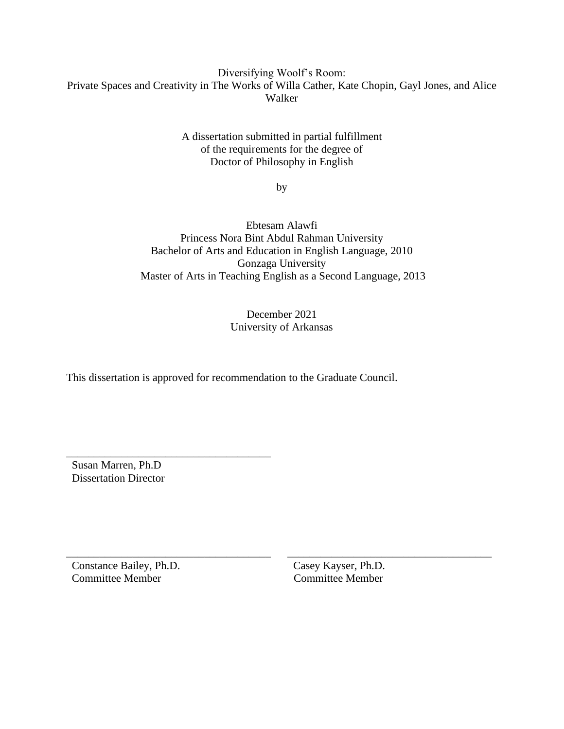## Diversifying Woolf's Room: Private Spaces and Creativity in The Works of Willa Cather, Kate Chopin, Gayl Jones, and Alice Walker

A dissertation submitted in partial fulfillment of the requirements for the degree of Doctor of Philosophy in English

by

Ebtesam Alawfi Princess Nora Bint Abdul Rahman University Bachelor of Arts and Education in English Language, 2010 Gonzaga University Master of Arts in Teaching English as a Second Language, 2013

> December 2021 University of Arkansas

This dissertation is approved for recommendation to the Graduate Council.

 Susan Marren, Ph.D Dissertation Director

\_\_\_\_\_\_\_\_\_\_\_\_\_\_\_\_\_\_\_\_\_\_\_\_\_\_\_\_\_\_\_\_\_\_\_\_\_

\_\_\_\_\_\_\_\_\_\_\_\_\_\_\_\_\_\_\_\_\_\_\_\_\_\_\_\_\_\_\_\_\_\_\_\_\_ \_\_\_\_\_\_\_\_\_\_\_\_\_\_\_\_\_\_\_\_\_\_\_\_\_\_\_\_\_\_\_\_\_\_\_\_\_ Constance Bailey, Ph.D. Casey Kayser, Ph.D. Committee Member Committee Member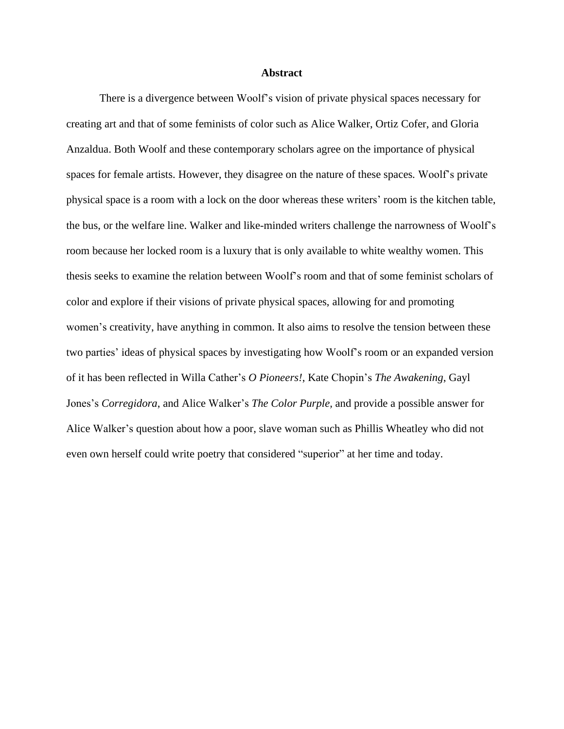#### **Abstract**

There is a divergence between Woolf's vision of private physical spaces necessary for creating art and that of some feminists of color such as Alice Walker, Ortiz Cofer, and Gloria Anzaldua. Both Woolf and these contemporary scholars agree on the importance of physical spaces for female artists. However, they disagree on the nature of these spaces*.* Woolf's private physical space is a room with a lock on the door whereas these writers' room is the kitchen table, the bus, or the welfare line. Walker and like-minded writers challenge the narrowness of Woolf's room because her locked room is a luxury that is only available to white wealthy women. This thesis seeks to examine the relation between Woolf's room and that of some feminist scholars of color and explore if their visions of private physical spaces, allowing for and promoting women's creativity, have anything in common. It also aims to resolve the tension between these two parties' ideas of physical spaces by investigating how Woolf's room or an expanded version of it has been reflected in Willa Cather's *O Pioneers!*, Kate Chopin's *The Awakening*, Gayl Jones's *Corregidora*, and Alice Walker's *The Color Purple,* and provide a possible answer for Alice Walker's question about how a poor, slave woman such as Phillis Wheatley who did not even own herself could write poetry that considered "superior" at her time and today.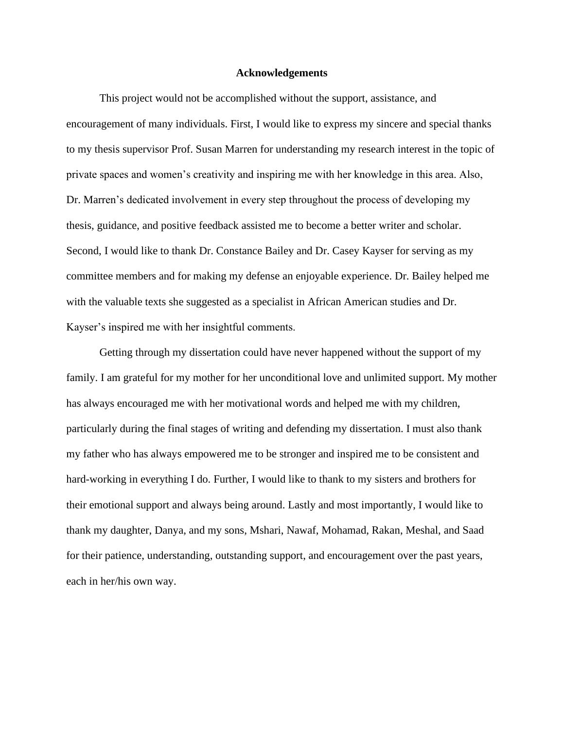#### **Acknowledgements**

This project would not be accomplished without the support, assistance, and encouragement of many individuals. First, I would like to express my sincere and special thanks to my thesis supervisor Prof. Susan Marren for understanding my research interest in the topic of private spaces and women's creativity and inspiring me with her knowledge in this area. Also, Dr. Marren's dedicated involvement in every step throughout the process of developing my thesis, guidance, and positive feedback assisted me to become a better writer and scholar. Second, I would like to thank Dr. Constance Bailey and Dr. Casey Kayser for serving as my committee members and for making my defense an enjoyable experience. Dr. Bailey helped me with the valuable texts she suggested as a specialist in African American studies and Dr. Kayser's inspired me with her insightful comments.

Getting through my dissertation could have never happened without the support of my family. I am grateful for my mother for her unconditional love and unlimited support. My mother has always encouraged me with her motivational words and helped me with my children, particularly during the final stages of writing and defending my dissertation. I must also thank my father who has always empowered me to be stronger and inspired me to be consistent and hard-working in everything I do. Further, I would like to thank to my sisters and brothers for their emotional support and always being around. Lastly and most importantly, I would like to thank my daughter, Danya, and my sons, Mshari, Nawaf, Mohamad, Rakan, Meshal, and Saad for their patience, understanding, outstanding support, and encouragement over the past years, each in her/his own way.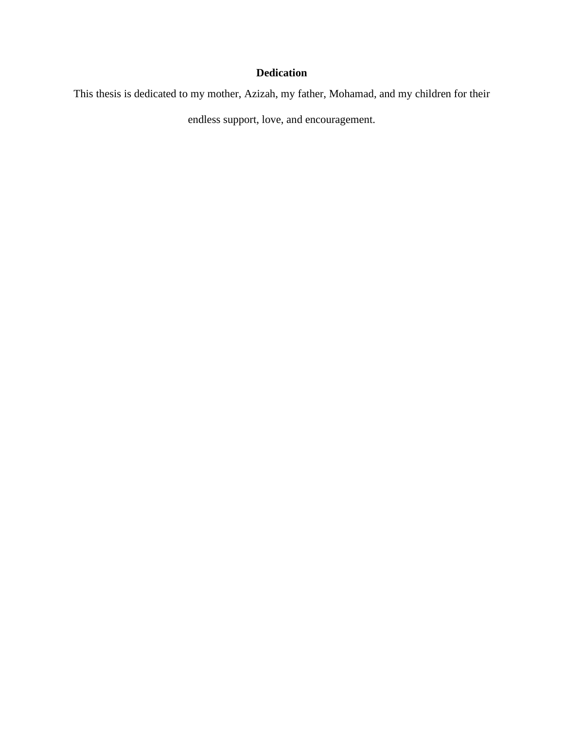# **Dedication**

This thesis is dedicated to my mother, Azizah, my father, Mohamad, and my children for their

endless support, love, and encouragement.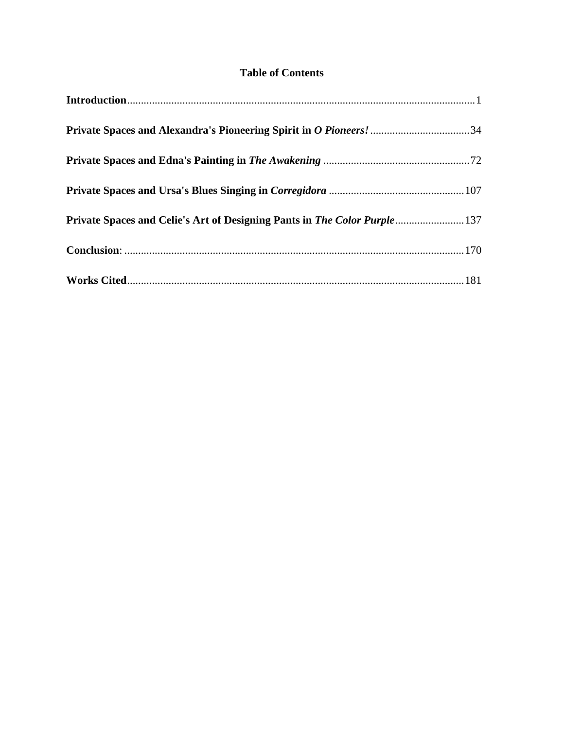# **Table of Contents**

| Private Spaces and Celie's Art of Designing Pants in The Color Purple 137 |  |
|---------------------------------------------------------------------------|--|
|                                                                           |  |
|                                                                           |  |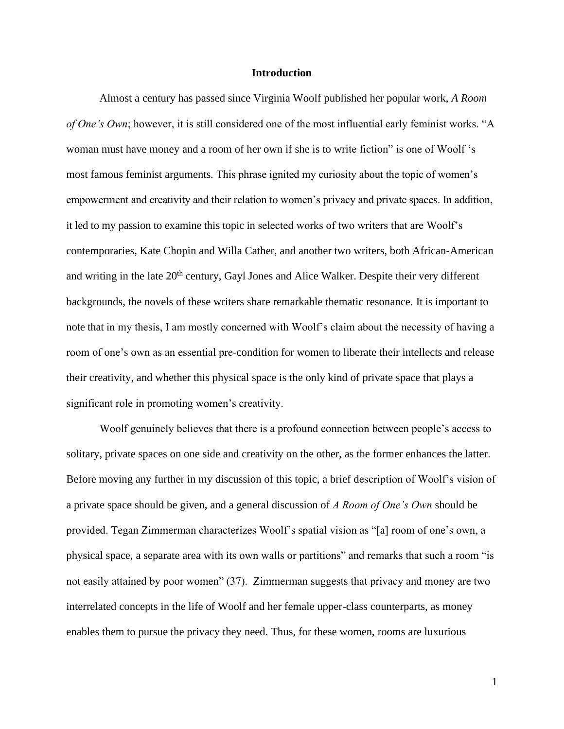#### **Introduction**

<span id="page-6-0"></span>Almost a century has passed since Virginia Woolf published her popular work, *A Room of One's Own*; however, it is still considered one of the most influential early feminist works. "A woman must have money and a room of her own if she is to write fiction" is one of Woolf 's most famous feminist arguments*.* This phrase ignited my curiosity about the topic of women's empowerment and creativity and their relation to women's privacy and private spaces. In addition, it led to my passion to examine this topic in selected works of two writers that are Woolf's contemporaries, Kate Chopin and Willa Cather, and another two writers, both African-American and writing in the late 20<sup>th</sup> century, Gayl Jones and Alice Walker. Despite their very different backgrounds, the novels of these writers share remarkable thematic resonance. It is important to note that in my thesis, I am mostly concerned with Woolf's claim about the necessity of having a room of one's own as an essential pre-condition for women to liberate their intellects and release their creativity, and whether this physical space is the only kind of private space that plays a significant role in promoting women's creativity.

Woolf genuinely believes that there is a profound connection between people's access to solitary, private spaces on one side and creativity on the other, as the former enhances the latter. Before moving any further in my discussion of this topic, a brief description of Woolf's vision of a private space should be given, and a general discussion of *A Room of One's Own* should be provided. Tegan Zimmerman characterizes Woolf's spatial vision as "[a] room of one's own, a physical space, a separate area with its own walls or partitions" and remarks that such a room "is not easily attained by poor women" (37). Zimmerman suggests that privacy and money are two interrelated concepts in the life of Woolf and her female upper-class counterparts, as money enables them to pursue the privacy they need. Thus, for these women, rooms are luxurious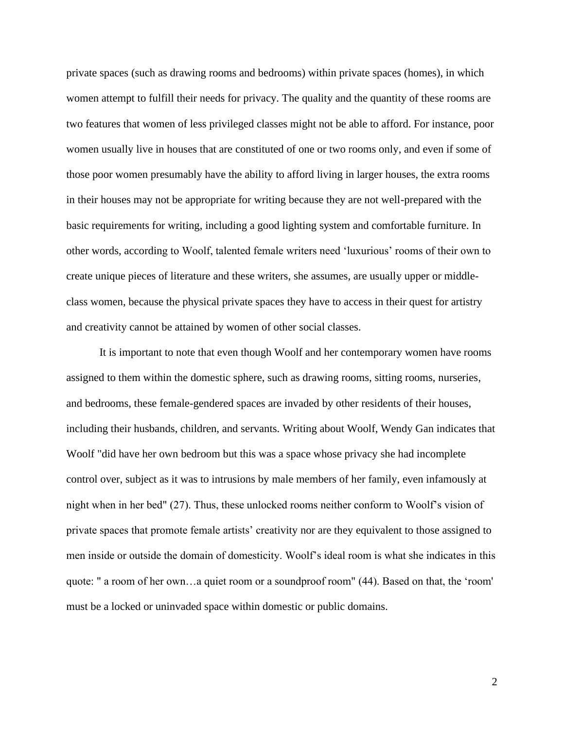private spaces (such as drawing rooms and bedrooms) within private spaces (homes), in which women attempt to fulfill their needs for privacy. The quality and the quantity of these rooms are two features that women of less privileged classes might not be able to afford. For instance, poor women usually live in houses that are constituted of one or two rooms only, and even if some of those poor women presumably have the ability to afford living in larger houses, the extra rooms in their houses may not be appropriate for writing because they are not well-prepared with the basic requirements for writing, including a good lighting system and comfortable furniture. In other words, according to Woolf, talented female writers need 'luxurious' rooms of their own to create unique pieces of literature and these writers, she assumes, are usually upper or middleclass women, because the physical private spaces they have to access in their quest for artistry and creativity cannot be attained by women of other social classes.

It is important to note that even though Woolf and her contemporary women have rooms assigned to them within the domestic sphere, such as drawing rooms, sitting rooms, nurseries, and bedrooms, these female-gendered spaces are invaded by other residents of their houses, including their husbands, children, and servants. Writing about Woolf, Wendy Gan indicates that Woolf "did have her own bedroom but this was a space whose privacy she had incomplete control over, subject as it was to intrusions by male members of her family, even infamously at night when in her bed" (27). Thus, these unlocked rooms neither conform to Woolf's vision of private spaces that promote female artists' creativity nor are they equivalent to those assigned to men inside or outside the domain of domesticity. Woolf's ideal room is what she indicates in this quote: " a room of her own…a quiet room or a soundproof room" (44). Based on that, the 'room' must be a locked or uninvaded space within domestic or public domains.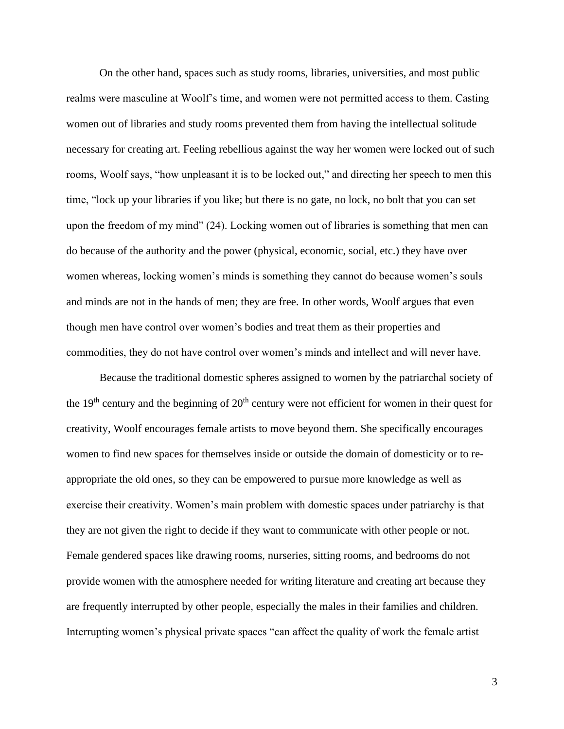On the other hand, spaces such as study rooms, libraries, universities, and most public realms were masculine at Woolf's time, and women were not permitted access to them. Casting women out of libraries and study rooms prevented them from having the intellectual solitude necessary for creating art. Feeling rebellious against the way her women were locked out of such rooms, Woolf says, "how unpleasant it is to be locked out," and directing her speech to men this time, "lock up your libraries if you like; but there is no gate, no lock, no bolt that you can set upon the freedom of my mind" (24). Locking women out of libraries is something that men can do because of the authority and the power (physical, economic, social, etc.) they have over women whereas, locking women's minds is something they cannot do because women's souls and minds are not in the hands of men; they are free. In other words, Woolf argues that even though men have control over women's bodies and treat them as their properties and commodities, they do not have control over women's minds and intellect and will never have.

Because the traditional domestic spheres assigned to women by the patriarchal society of the  $19<sup>th</sup>$  century and the beginning of  $20<sup>th</sup>$  century were not efficient for women in their quest for creativity, Woolf encourages female artists to move beyond them. She specifically encourages women to find new spaces for themselves inside or outside the domain of domesticity or to reappropriate the old ones, so they can be empowered to pursue more knowledge as well as exercise their creativity. Women's main problem with domestic spaces under patriarchy is that they are not given the right to decide if they want to communicate with other people or not. Female gendered spaces like drawing rooms, nurseries, sitting rooms, and bedrooms do not provide women with the atmosphere needed for writing literature and creating art because they are frequently interrupted by other people, especially the males in their families and children. Interrupting women's physical private spaces "can affect the quality of work the female artist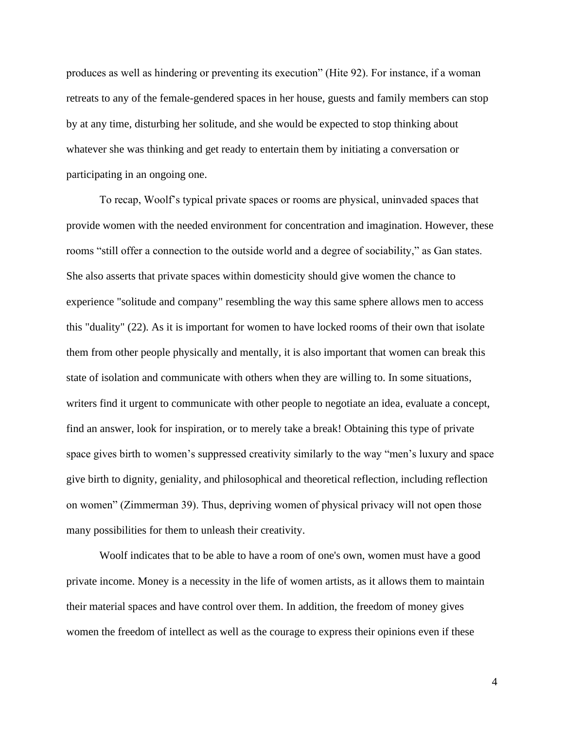produces as well as hindering or preventing its execution" (Hite 92). For instance, if a woman retreats to any of the female-gendered spaces in her house, guests and family members can stop by at any time, disturbing her solitude, and she would be expected to stop thinking about whatever she was thinking and get ready to entertain them by initiating a conversation or participating in an ongoing one.

To recap, Woolf's typical private spaces or rooms are physical, uninvaded spaces that provide women with the needed environment for concentration and imagination. However, these rooms "still offer a connection to the outside world and a degree of sociability," as Gan states. She also asserts that private spaces within domesticity should give women the chance to experience "solitude and company" resembling the way this same sphere allows men to access this "duality" (22). As it is important for women to have locked rooms of their own that isolate them from other people physically and mentally, it is also important that women can break this state of isolation and communicate with others when they are willing to. In some situations, writers find it urgent to communicate with other people to negotiate an idea, evaluate a concept, find an answer, look for inspiration, or to merely take a break! Obtaining this type of private space gives birth to women's suppressed creativity similarly to the way "men's luxury and space give birth to dignity, geniality, and philosophical and theoretical reflection, including reflection on women" (Zimmerman 39). Thus, depriving women of physical privacy will not open those many possibilities for them to unleash their creativity.

Woolf indicates that to be able to have a room of one's own, women must have a good private income. Money is a necessity in the life of women artists, as it allows them to maintain their material spaces and have control over them. In addition, the freedom of money gives women the freedom of intellect as well as the courage to express their opinions even if these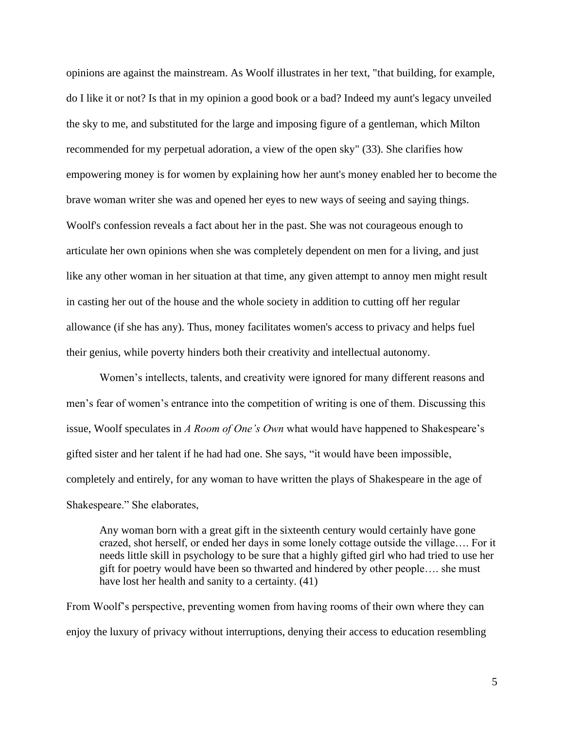opinions are against the mainstream. As Woolf illustrates in her text, "that building, for example, do I like it or not? Is that in my opinion a good book or a bad? Indeed my aunt's legacy unveiled the sky to me, and substituted for the large and imposing figure of a gentleman, which Milton recommended for my perpetual adoration, a view of the open sky" (33). She clarifies how empowering money is for women by explaining how her aunt's money enabled her to become the brave woman writer she was and opened her eyes to new ways of seeing and saying things. Woolf's confession reveals a fact about her in the past. She was not courageous enough to articulate her own opinions when she was completely dependent on men for a living, and just like any other woman in her situation at that time, any given attempt to annoy men might result in casting her out of the house and the whole society in addition to cutting off her regular allowance (if she has any). Thus, money facilitates women's access to privacy and helps fuel their genius, while poverty hinders both their creativity and intellectual autonomy.

Women's intellects, talents, and creativity were ignored for many different reasons and men's fear of women's entrance into the competition of writing is one of them. Discussing this issue, Woolf speculates in *A Room of One's Own* what would have happened to Shakespeare's gifted sister and her talent if he had had one. She says, "it would have been impossible, completely and entirely, for any woman to have written the plays of Shakespeare in the age of Shakespeare." She elaborates,

Any woman born with a great gift in the sixteenth century would certainly have gone crazed, shot herself, or ended her days in some lonely cottage outside the village…. For it needs little skill in psychology to be sure that a highly gifted girl who had tried to use her gift for poetry would have been so thwarted and hindered by other people…. she must have lost her health and sanity to a certainty. (41)

From Woolf's perspective, preventing women from having rooms of their own where they can enjoy the luxury of privacy without interruptions, denying their access to education resembling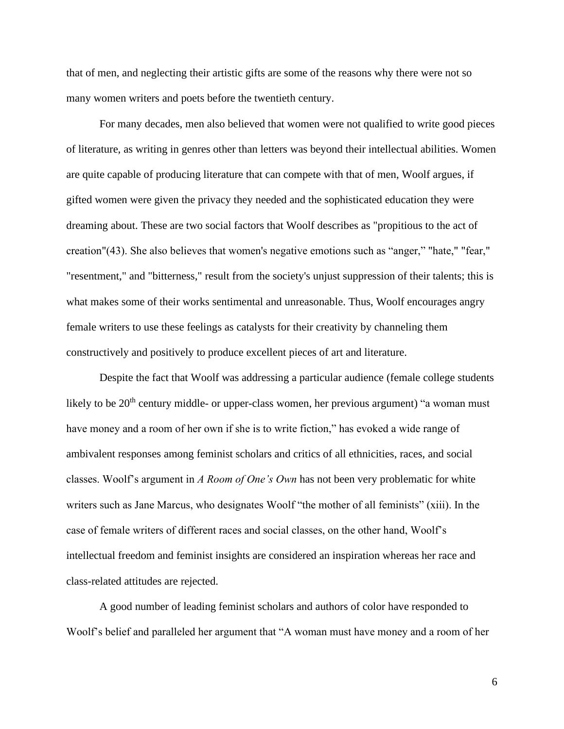that of men, and neglecting their artistic gifts are some of the reasons why there were not so many women writers and poets before the twentieth century.

For many decades, men also believed that women were not qualified to write good pieces of literature, as writing in genres other than letters was beyond their intellectual abilities. Women are quite capable of producing literature that can compete with that of men, Woolf argues, if gifted women were given the privacy they needed and the sophisticated education they were dreaming about. These are two social factors that Woolf describes as "propitious to the act of creation"(43). She also believes that women's negative emotions such as "anger," "hate," "fear," "resentment," and "bitterness," result from the society's unjust suppression of their talents; this is what makes some of their works sentimental and unreasonable. Thus, Woolf encourages angry female writers to use these feelings as catalysts for their creativity by channeling them constructively and positively to produce excellent pieces of art and literature.

Despite the fact that Woolf was addressing a particular audience (female college students likely to be  $20<sup>th</sup>$  century middle- or upper-class women, her previous argument) "a woman must have money and a room of her own if she is to write fiction," has evoked a wide range of ambivalent responses among feminist scholars and critics of all ethnicities, races, and social classes. Woolf's argument in *A Room of One's Own* has not been very problematic for white writers such as Jane Marcus, who designates Woolf "the mother of all feminists" (xiii). In the case of female writers of different races and social classes, on the other hand, Woolf's intellectual freedom and feminist insights are considered an inspiration whereas her race and class-related attitudes are rejected.

A good number of leading feminist scholars and authors of color have responded to Woolf's belief and paralleled her argument that "A woman must have money and a room of her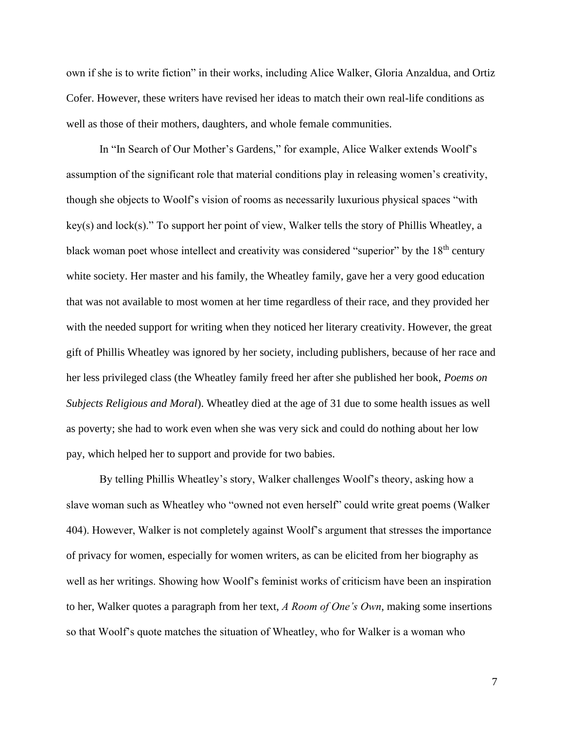own if she is to write fiction" in their works, including Alice Walker, Gloria Anzaldua, and Ortiz Cofer. However, these writers have revised her ideas to match their own real-life conditions as well as those of their mothers, daughters, and whole female communities.

In "In Search of Our Mother's Gardens," for example, Alice Walker extends Woolf's assumption of the significant role that material conditions play in releasing women's creativity, though she objects to Woolf's vision of rooms as necessarily luxurious physical spaces "with key(s) and lock(s)." To support her point of view, Walker tells the story of Phillis Wheatley, a black woman poet whose intellect and creativity was considered "superior" by the 18<sup>th</sup> century white society. Her master and his family, the Wheatley family, gave her a very good education that was not available to most women at her time regardless of their race, and they provided her with the needed support for writing when they noticed her literary creativity. However, the great gift of Phillis Wheatley was ignored by her society, including publishers, because of her race and her less privileged class (the Wheatley family freed her after she published her book, *Poems on Subjects Religious and Moral*). Wheatley died at the age of 31 due to some health issues as well as poverty; she had to work even when she was very sick and could do nothing about her low pay, which helped her to support and provide for two babies.

By telling Phillis Wheatley's story, Walker challenges Woolf's theory, asking how a slave woman such as Wheatley who "owned not even herself" could write great poems (Walker 404). However, Walker is not completely against Woolf's argument that stresses the importance of privacy for women, especially for women writers, as can be elicited from her biography as well as her writings. Showing how Woolf's feminist works of criticism have been an inspiration to her, Walker quotes a paragraph from her text, *A Room of One's Own*, making some insertions so that Woolf's quote matches the situation of Wheatley, who for Walker is a woman who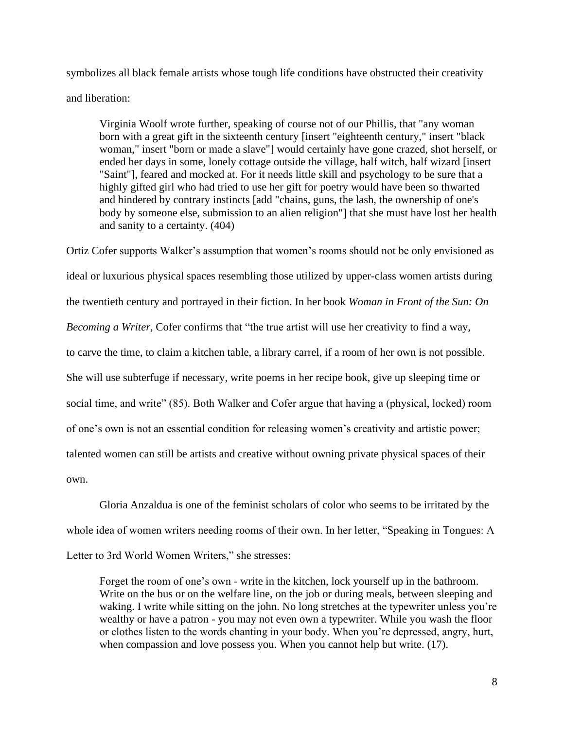symbolizes all black female artists whose tough life conditions have obstructed their creativity and liberation:

Virginia Woolf wrote further, speaking of course not of our Phillis, that "any woman born with a great gift in the sixteenth century [insert "eighteenth century," insert "black woman," insert "born or made a slave"] would certainly have gone crazed, shot herself, or ended her days in some, lonely cottage outside the village, half witch, half wizard [insert "Saint"], feared and mocked at. For it needs little skill and psychology to be sure that a highly gifted girl who had tried to use her gift for poetry would have been so thwarted and hindered by contrary instincts [add "chains, guns, the lash, the ownership of one's body by someone else, submission to an alien religion"] that she must have lost her health and sanity to a certainty. (404)

Ortiz Cofer supports Walker's assumption that women's rooms should not be only envisioned as ideal or luxurious physical spaces resembling those utilized by upper-class women artists during the twentieth century and portrayed in their fiction. In her book *Woman in Front of the Sun: On Becoming a Writer*, Cofer confirms that "the true artist will use her creativity to find a way*,* to carve the time, to claim a kitchen table, a library carrel, if a room of her own is not possible. She will use subterfuge if necessary, write poems in her recipe book, give up sleeping time or social time, and write" (85). Both Walker and Cofer argue that having a (physical, locked) room of one's own is not an essential condition for releasing women's creativity and artistic power; talented women can still be artists and creative without owning private physical spaces of their own.

Gloria Anzaldua is one of the feminist scholars of color who seems to be irritated by the whole idea of women writers needing rooms of their own. In her letter, "Speaking in Tongues: A Letter to 3rd World Women Writers," she stresses:

Forget the room of one's own - write in the kitchen, lock yourself up in the bathroom. Write on the bus or on the welfare line, on the job or during meals, between sleeping and waking. I write while sitting on the john. No long stretches at the typewriter unless you're wealthy or have a patron - you may not even own a typewriter. While you wash the floor or clothes listen to the words chanting in your body. When you're depressed, angry, hurt, when compassion and love possess you. When you cannot help but write. (17).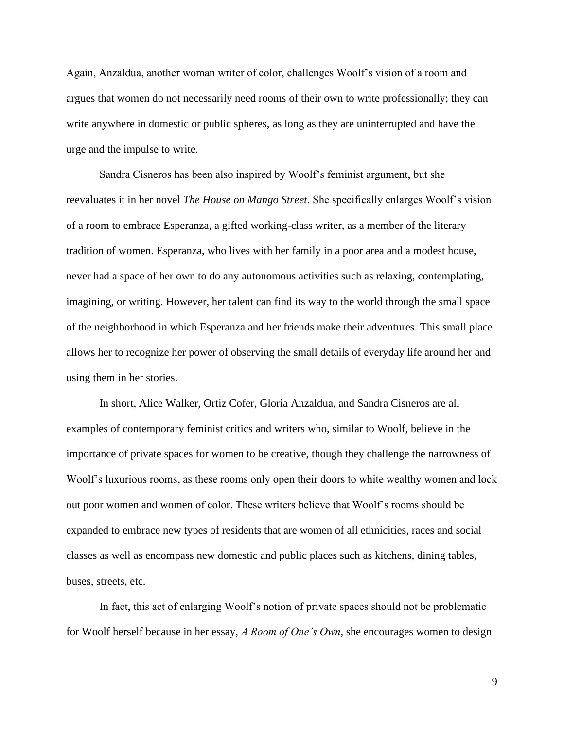Again, Anzaldua, another woman writer of color, challenges Woolf's vision of a room and argues that women do not necessarily need rooms of their own to write professionally; they can write anywhere in domestic or public spheres, as long as they are uninterrupted and have the urge and the impulse to write.

Sandra Cisneros has been also inspired by Woolf's feminist argument, but she reevaluates it in her novel *The House on Mango Street*. She specifically enlarges Woolf's vision of a room to embrace Esperanza, a gifted working-class writer, as a member of the literary tradition of women. Esperanza, who lives with her family in a poor area and a modest house, never had a space of her own to do any autonomous activities such as relaxing, contemplating, imagining, or writing. However, her talent can find its way to the world through the small space of the neighborhood in which Esperanza and her friends make their adventures. This small place allows her to recognize her power of observing the small details of everyday life around her and using them in her stories.

In short, Alice Walker, Ortiz Cofer, Gloria Anzaldua, and Sandra Cisneros are all examples of contemporary feminist critics and writers who, similar to Woolf, believe in the importance of private spaces for women to be creative, though they challenge the narrowness of Woolf's luxurious rooms, as these rooms only open their doors to white wealthy women and lock out poor women and women of color. These writers believe that Woolf's rooms should be expanded to embrace new types of residents that are women of all ethnicities, races and social classes as well as encompass new domestic and public places such as kitchens, dining tables, buses, streets, etc.

In fact, this act of enlarging Woolf's notion of private spaces should not be problematic for Woolf herself because in her essay, *A Room of One's Own*, she encourages women to design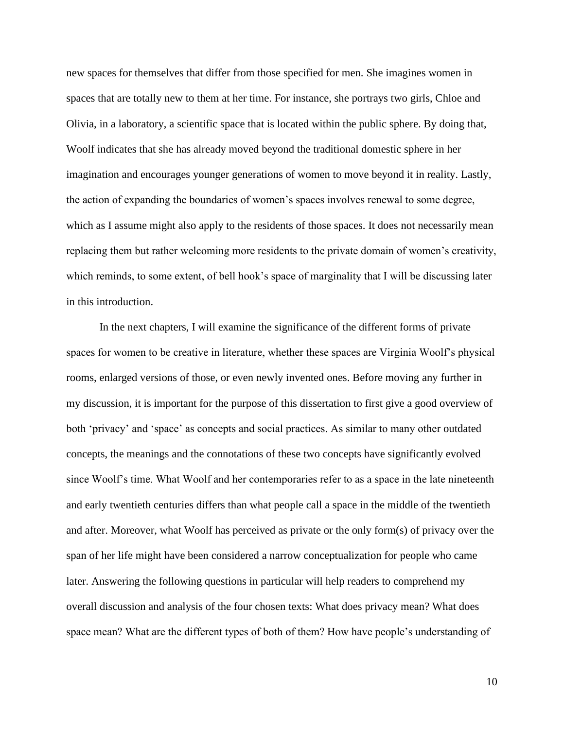new spaces for themselves that differ from those specified for men. She imagines women in spaces that are totally new to them at her time. For instance, she portrays two girls, Chloe and Olivia, in a laboratory, a scientific space that is located within the public sphere. By doing that, Woolf indicates that she has already moved beyond the traditional domestic sphere in her imagination and encourages younger generations of women to move beyond it in reality. Lastly, the action of expanding the boundaries of women's spaces involves renewal to some degree, which as I assume might also apply to the residents of those spaces. It does not necessarily mean replacing them but rather welcoming more residents to the private domain of women's creativity, which reminds, to some extent, of bell hook's space of marginality that I will be discussing later in this introduction.

In the next chapters, I will examine the significance of the different forms of private spaces for women to be creative in literature, whether these spaces are Virginia Woolf's physical rooms, enlarged versions of those, or even newly invented ones. Before moving any further in my discussion, it is important for the purpose of this dissertation to first give a good overview of both 'privacy' and 'space' as concepts and social practices. As similar to many other outdated concepts, the meanings and the connotations of these two concepts have significantly evolved since Woolf's time. What Woolf and her contemporaries refer to as a space in the late nineteenth and early twentieth centuries differs than what people call a space in the middle of the twentieth and after. Moreover, what Woolf has perceived as private or the only form(s) of privacy over the span of her life might have been considered a narrow conceptualization for people who came later. Answering the following questions in particular will help readers to comprehend my overall discussion and analysis of the four chosen texts: What does privacy mean? What does space mean? What are the different types of both of them? How have people's understanding of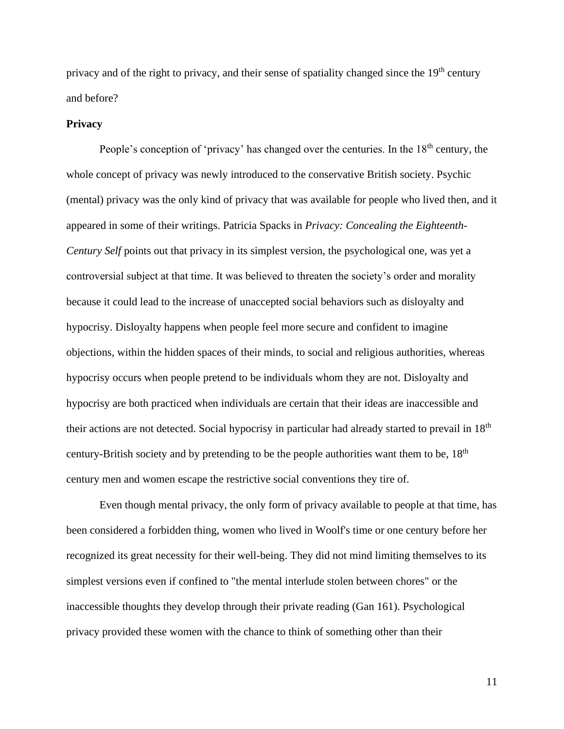privacy and of the right to privacy, and their sense of spatiality changed since the  $19<sup>th</sup>$  century and before?

#### **Privacy**

People's conception of 'privacy' has changed over the centuries. In the  $18<sup>th</sup>$  century, the whole concept of privacy was newly introduced to the conservative British society. Psychic (mental) privacy was the only kind of privacy that was available for people who lived then, and it appeared in some of their writings. Patricia Spacks in *Privacy: Concealing the Eighteenth-Century Self* points out that privacy in its simplest version, the psychological one, was yet a controversial subject at that time. It was believed to threaten the society's order and morality because it could lead to the increase of unaccepted social behaviors such as disloyalty and hypocrisy. Disloyalty happens when people feel more secure and confident to imagine objections, within the hidden spaces of their minds, to social and religious authorities, whereas hypocrisy occurs when people pretend to be individuals whom they are not. Disloyalty and hypocrisy are both practiced when individuals are certain that their ideas are inaccessible and their actions are not detected. Social hypocrisy in particular had already started to prevail in 18th century-British society and by pretending to be the people authorities want them to be,  $18<sup>th</sup>$ century men and women escape the restrictive social conventions they tire of.

Even though mental privacy, the only form of privacy available to people at that time, has been considered a forbidden thing, women who lived in Woolf's time or one century before her recognized its great necessity for their well-being. They did not mind limiting themselves to its simplest versions even if confined to "the mental interlude stolen between chores" or the inaccessible thoughts they develop through their private reading (Gan 161). Psychological privacy provided these women with the chance to think of something other than their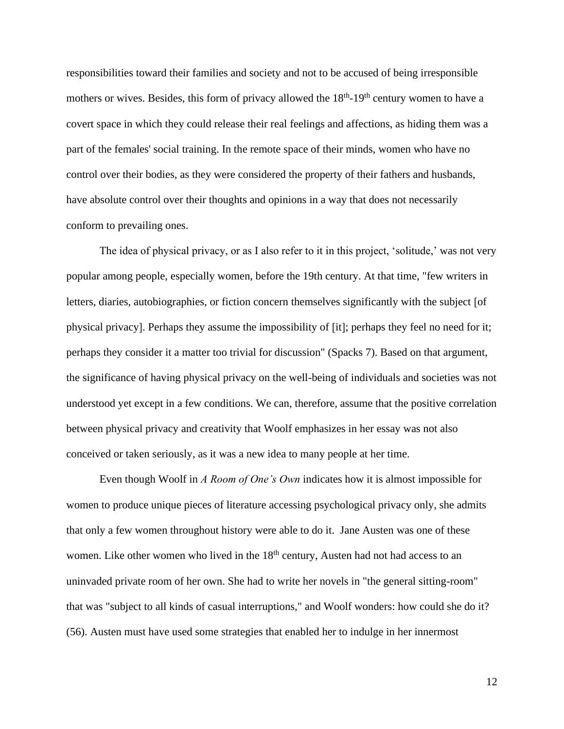responsibilities toward their families and society and not to be accused of being irresponsible mothers or wives. Besides, this form of privacy allowed the 18<sup>th</sup>-19<sup>th</sup> century women to have a covert space in which they could release their real feelings and affections, as hiding them was a part of the females' social training. In the remote space of their minds, women who have no control over their bodies, as they were considered the property of their fathers and husbands, have absolute control over their thoughts and opinions in a way that does not necessarily conform to prevailing ones.

The idea of physical privacy, or as I also refer to it in this project, 'solitude,' was not very popular among people, especially women, before the 19th century. At that time, "few writers in letters, diaries, autobiographies, or fiction concern themselves significantly with the subject [of physical privacy]. Perhaps they assume the impossibility of [it]; perhaps they feel no need for it; perhaps they consider it a matter too trivial for discussion" (Spacks 7). Based on that argument, the significance of having physical privacy on the well-being of individuals and societies was not understood yet except in a few conditions. We can, therefore, assume that the positive correlation between physical privacy and creativity that Woolf emphasizes in her essay was not also conceived or taken seriously, as it was a new idea to many people at her time.

Even though Woolf in *A Room of One's Own* indicates how it is almost impossible for women to produce unique pieces of literature accessing psychological privacy only, she admits that only a few women throughout history were able to do it. Jane Austen was one of these women. Like other women who lived in the 18<sup>th</sup> century, Austen had not had access to an uninvaded private room of her own. She had to write her novels in "the general sitting-room" that was "subject to all kinds of casual interruptions," and Woolf wonders: how could she do it? (56). Austen must have used some strategies that enabled her to indulge in her innermost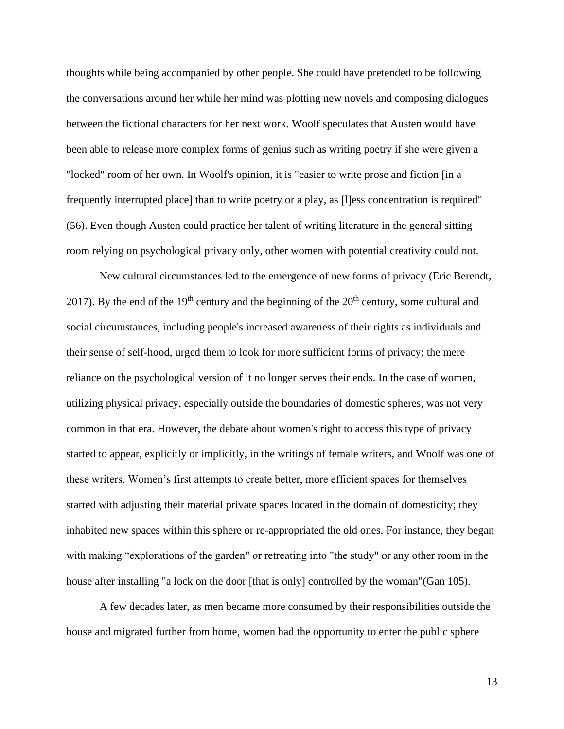thoughts while being accompanied by other people. She could have pretended to be following the conversations around her while her mind was plotting new novels and composing dialogues between the fictional characters for her next work. Woolf speculates that Austen would have been able to release more complex forms of genius such as writing poetry if she were given a "locked" room of her own. In Woolf's opinion, it is "easier to write prose and fiction [in a frequently interrupted place] than to write poetry or a play, as [1] ess concentration is required" (56). Even though Austen could practice her talent of writing literature in the general sitting room relying on psychological privacy only, other women with potential creativity could not.

New cultural circumstances led to the emergence of new forms of privacy (Eric Berendt, 2017). By the end of the  $19<sup>th</sup>$  century and the beginning of the  $20<sup>th</sup>$  century, some cultural and social circumstances, including people's increased awareness of their rights as individuals and their sense of self-hood, urged them to look for more sufficient forms of privacy; the mere reliance on the psychological version of it no longer serves their ends. In the case of women, utilizing physical privacy, especially outside the boundaries of domestic spheres, was not very common in that era. However, the debate about women's right to access this type of privacy started to appear, explicitly or implicitly, in the writings of female writers, and Woolf was one of these writers. Women's first attempts to create better, more efficient spaces for themselves started with adjusting their material private spaces located in the domain of domesticity; they inhabited new spaces within this sphere or re-appropriated the old ones. For instance, they began with making "explorations of the garden" or retreating into "the study" or any other room in the house after installing "a lock on the door [that is only] controlled by the woman"(Gan 105).

A few decades later, as men became more consumed by their responsibilities outside the house and migrated further from home, women had the opportunity to enter the public sphere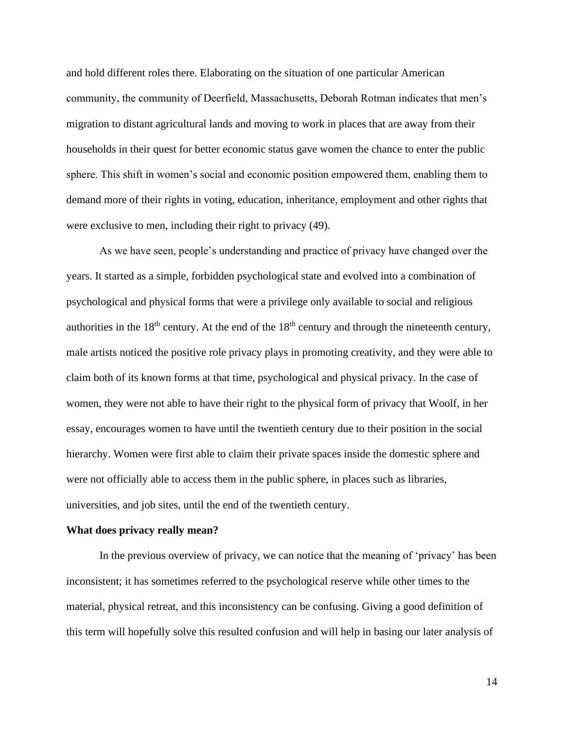and hold different roles there. Elaborating on the situation of one particular American community, the community of Deerfield, Massachusetts, Deborah Rotman indicates that men's migration to distant agricultural lands and moving to work in places that are away from their households in their quest for better economic status gave women the chance to enter the public sphere. This shift in women's social and economic position empowered them, enabling them to demand more of their rights in voting, education, inheritance, employment and other rights that were exclusive to men, including their right to privacy (49).

As we have seen, people's understanding and practice of privacy have changed over the years. It started as a simple, forbidden psychological state and evolved into a combination of psychological and physical forms that were a privilege only available to social and religious authorities in the  $18<sup>th</sup>$  century. At the end of the  $18<sup>th</sup>$  century and through the nineteenth century, male artists noticed the positive role privacy plays in promoting creativity, and they were able to claim both of its known forms at that time, psychological and physical privacy. In the case of women, they were not able to have their right to the physical form of privacy that Woolf, in her essay, encourages women to have until the twentieth century due to their position in the social hierarchy. Women were first able to claim their private spaces inside the domestic sphere and were not officially able to access them in the public sphere, in places such as libraries, universities, and job sites, until the end of the twentieth century.

#### **What does privacy really mean?**

In the previous overview of privacy, we can notice that the meaning of 'privacy' has been inconsistent; it has sometimes referred to the psychological reserve while other times to the material, physical retreat, and this inconsistency can be confusing. Giving a good definition of this term will hopefully solve this resulted confusion and will help in basing our later analysis of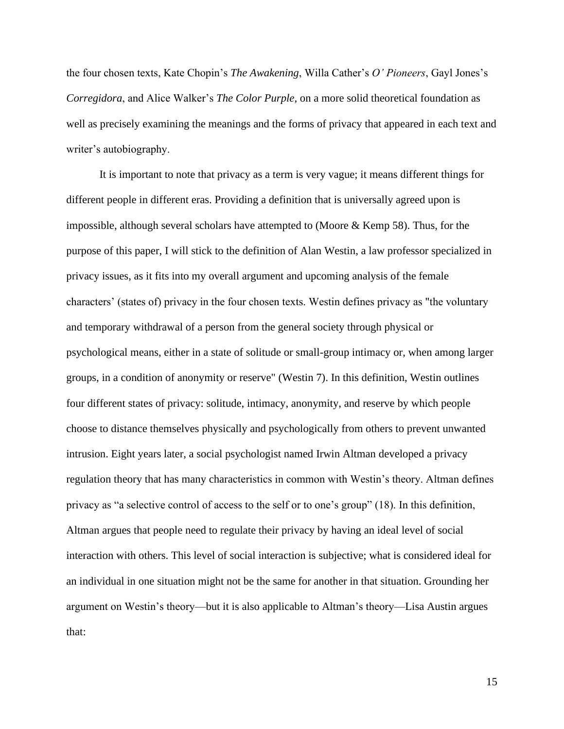the four chosen texts, Kate Chopin's *The Awakening*, Willa Cather's *O' Pioneers*, Gayl Jones's *Corregidora*, and Alice Walker's *The Color Purple*, on a more solid theoretical foundation as well as precisely examining the meanings and the forms of privacy that appeared in each text and writer's autobiography.

It is important to note that privacy as a term is very vague; it means different things for different people in different eras. Providing a definition that is universally agreed upon is impossible, although several scholars have attempted to (Moore & Kemp 58). Thus, for the purpose of this paper, I will stick to the definition of Alan Westin, a law professor specialized in privacy issues, as it fits into my overall argument and upcoming analysis of the female characters' (states of) privacy in the four chosen texts. Westin defines privacy as "the voluntary and temporary withdrawal of a person from the general society through physical or psychological means, either in a state of solitude or small-group intimacy or, when among larger groups, in a condition of anonymity or reserve" (Westin 7). In this definition, Westin outlines four different states of privacy: solitude, intimacy, anonymity, and reserve by which people choose to distance themselves physically and psychologically from others to prevent unwanted intrusion. Eight years later, a social psychologist named Irwin Altman developed a privacy regulation theory that has many characteristics in common with Westin's theory. Altman defines privacy as "a selective control of access to the self or to one's group" (18). In this definition, Altman argues that people need to regulate their privacy by having an ideal level of social interaction with others. This level of social interaction is subjective; what is considered ideal for an individual in one situation might not be the same for another in that situation. Grounding her argument on Westin's theory—but it is also applicable to Altman's theory—Lisa Austin argues that: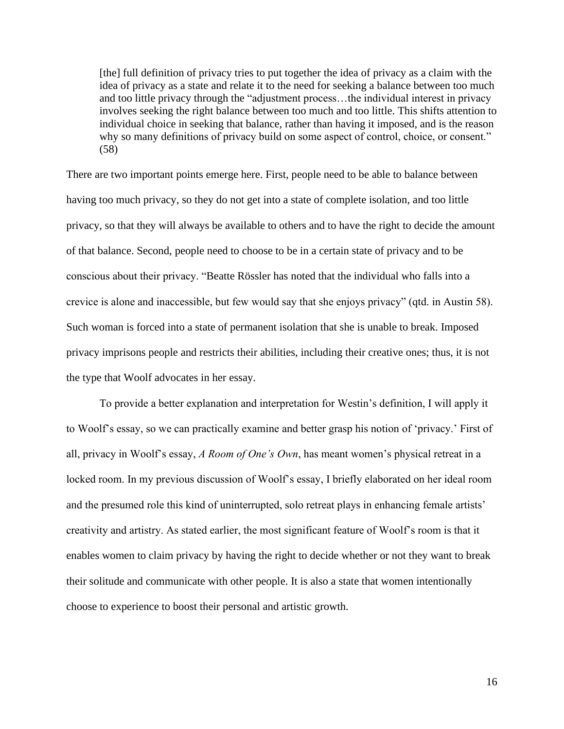[the] full definition of privacy tries to put together the idea of privacy as a claim with the idea of privacy as a state and relate it to the need for seeking a balance between too much and too little privacy through the "adjustment process…the individual interest in privacy involves seeking the right balance between too much and too little. This shifts attention to individual choice in seeking that balance, rather than having it imposed, and is the reason why so many definitions of privacy build on some aspect of control, choice, or consent." (58)

There are two important points emerge here. First, people need to be able to balance between having too much privacy, so they do not get into a state of complete isolation, and too little privacy, so that they will always be available to others and to have the right to decide the amount of that balance. Second, people need to choose to be in a certain state of privacy and to be conscious about their privacy. "Beatte Rössler has noted that the individual who falls into a crevice is alone and inaccessible, but few would say that she enjoys privacy" (qtd. in Austin 58). Such woman is forced into a state of permanent isolation that she is unable to break. Imposed privacy imprisons people and restricts their abilities, including their creative ones; thus, it is not the type that Woolf advocates in her essay.

To provide a better explanation and interpretation for Westin's definition, I will apply it to Woolf's essay, so we can practically examine and better grasp his notion of 'privacy.' First of all, privacy in Woolf's essay, *A Room of One's Own*, has meant women's physical retreat in a locked room. In my previous discussion of Woolf's essay, I briefly elaborated on her ideal room and the presumed role this kind of uninterrupted, solo retreat plays in enhancing female artists' creativity and artistry. As stated earlier, the most significant feature of Woolf's room is that it enables women to claim privacy by having the right to decide whether or not they want to break their solitude and communicate with other people. It is also a state that women intentionally choose to experience to boost their personal and artistic growth.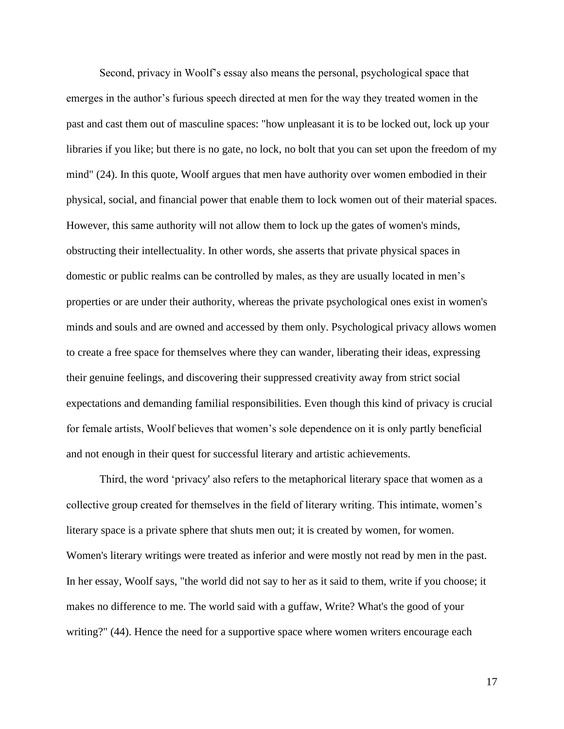Second, privacy in Woolf's essay also means the personal, psychological space that emerges in the author's furious speech directed at men for the way they treated women in the past and cast them out of masculine spaces: "how unpleasant it is to be locked out, lock up your libraries if you like; but there is no gate, no lock, no bolt that you can set upon the freedom of my mind" (24). In this quote, Woolf argues that men have authority over women embodied in their physical, social, and financial power that enable them to lock women out of their material spaces. However, this same authority will not allow them to lock up the gates of women's minds, obstructing their intellectuality. In other words, she asserts that private physical spaces in domestic or public realms can be controlled by males, as they are usually located in men's properties or are under their authority, whereas the private psychological ones exist in women's minds and souls and are owned and accessed by them only. Psychological privacy allows women to create a free space for themselves where they can wander, liberating their ideas, expressing their genuine feelings, and discovering their suppressed creativity away from strict social expectations and demanding familial responsibilities. Even though this kind of privacy is crucial for female artists, Woolf believes that women's sole dependence on it is only partly beneficial and not enough in their quest for successful literary and artistic achievements.

Third, the word 'privacy' also refers to the metaphorical literary space that women as a collective group created for themselves in the field of literary writing. This intimate, women's literary space is a private sphere that shuts men out; it is created by women, for women. Women's literary writings were treated as inferior and were mostly not read by men in the past. In her essay*,* Woolf says, "the world did not say to her as it said to them, write if you choose; it makes no difference to me. The world said with a guffaw, Write? What's the good of your writing?" (44). Hence the need for a supportive space where women writers encourage each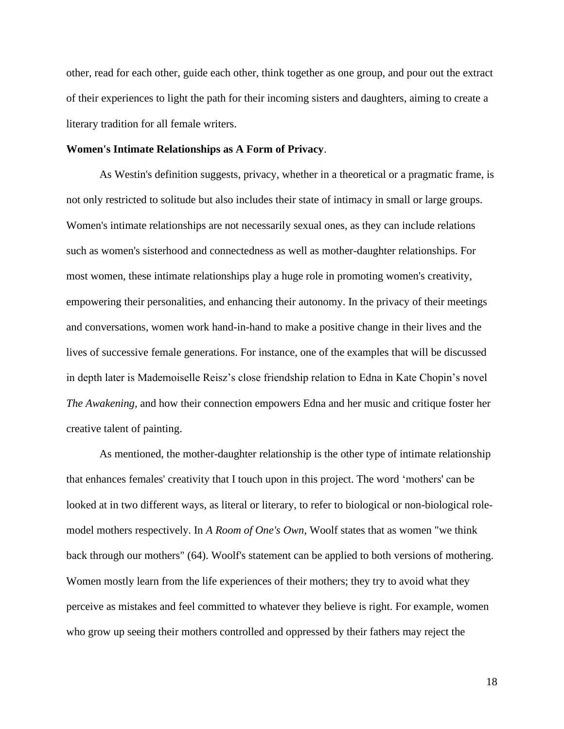other, read for each other, guide each other, think together as one group, and pour out the extract of their experiences to light the path for their incoming sisters and daughters, aiming to create a literary tradition for all female writers.

#### **Women's Intimate Relationships as A Form of Privacy**.

As Westin's definition suggests, privacy, whether in a theoretical or a pragmatic frame, is not only restricted to solitude but also includes their state of intimacy in small or large groups. Women's intimate relationships are not necessarily sexual ones, as they can include relations such as women's sisterhood and connectedness as well as mother-daughter relationships. For most women, these intimate relationships play a huge role in promoting women's creativity, empowering their personalities, and enhancing their autonomy. In the privacy of their meetings and conversations, women work hand-in-hand to make a positive change in their lives and the lives of successive female generations. For instance, one of the examples that will be discussed in depth later is Mademoiselle Reisz's close friendship relation to Edna in Kate Chopin's novel *The Awakening,* and how their connection empowers Edna and her music and critique foster her creative talent of painting.

As mentioned, the mother-daughter relationship is the other type of intimate relationship that enhances females' creativity that I touch upon in this project. The word 'mothers' can be looked at in two different ways, as literal or literary, to refer to biological or non-biological rolemodel mothers respectively. In *A Room of One's Own*, Woolf states that as women "we think back through our mothers" (64). Woolf's statement can be applied to both versions of mothering. Women mostly learn from the life experiences of their mothers; they try to avoid what they perceive as mistakes and feel committed to whatever they believe is right. For example, women who grow up seeing their mothers controlled and oppressed by their fathers may reject the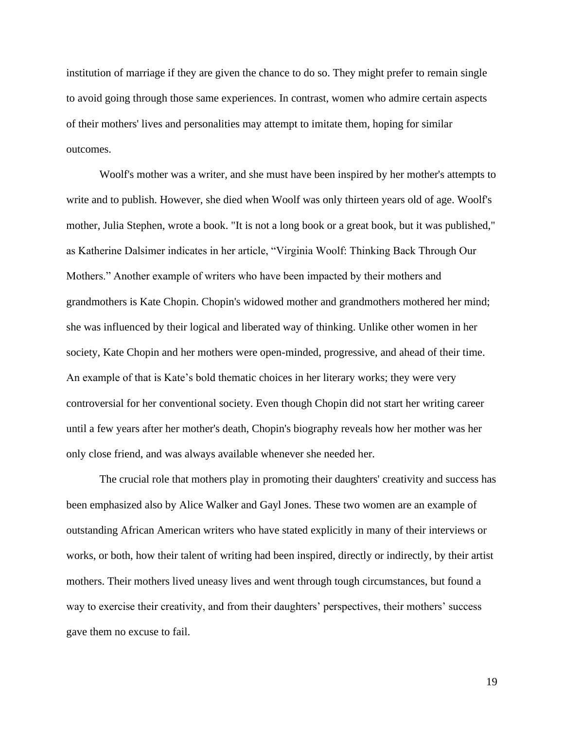institution of marriage if they are given the chance to do so. They might prefer to remain single to avoid going through those same experiences. In contrast, women who admire certain aspects of their mothers' lives and personalities may attempt to imitate them, hoping for similar outcomes.

Woolf's mother was a writer, and she must have been inspired by her mother's attempts to write and to publish. However, she died when Woolf was only thirteen years old of age. Woolf's mother, Julia Stephen, wrote a book. "It is not a long book or a great book, but it was published," as Katherine Dalsimer indicates in her article, "Virginia Woolf: Thinking Back Through Our Mothers." Another example of writers who have been impacted by their mothers and grandmothers is Kate Chopin. Chopin's widowed mother and grandmothers mothered her mind; she was influenced by their logical and liberated way of thinking. Unlike other women in her society, Kate Chopin and her mothers were open-minded, progressive, and ahead of their time. An example of that is Kate's bold thematic choices in her literary works; they were very controversial for her conventional society. Even though Chopin did not start her writing career until a few years after her mother's death, Chopin's biography reveals how her mother was her only close friend, and was always available whenever she needed her.

The crucial role that mothers play in promoting their daughters' creativity and success has been emphasized also by Alice Walker and Gayl Jones. These two women are an example of outstanding African American writers who have stated explicitly in many of their interviews or works, or both, how their talent of writing had been inspired, directly or indirectly, by their artist mothers. Their mothers lived uneasy lives and went through tough circumstances, but found a way to exercise their creativity, and from their daughters' perspectives, their mothers' success gave them no excuse to fail.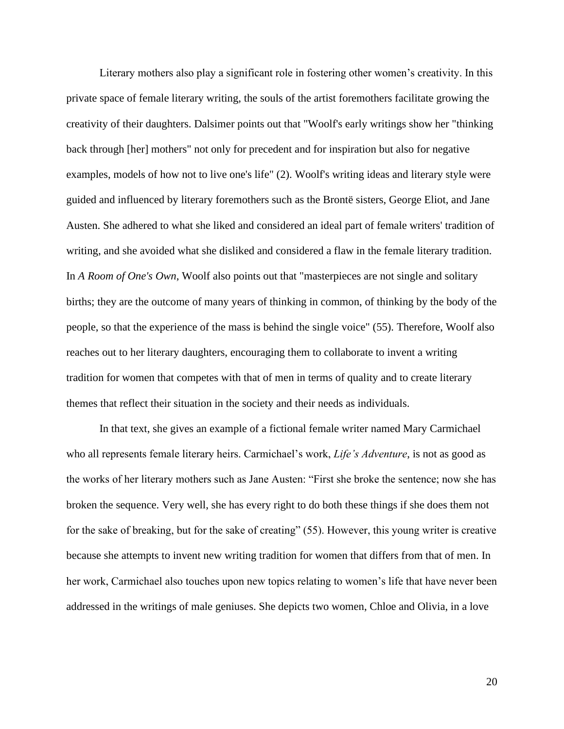Literary mothers also play a significant role in fostering other women's creativity. In this private space of female literary writing, the souls of the artist foremothers facilitate growing the creativity of their daughters. Dalsimer points out that "Woolf's early writings show her "thinking back through [her] mothers" not only for precedent and for inspiration but also for negative examples, models of how not to live one's life" (2). Woolf's writing ideas and literary style were guided and influenced by literary foremothers such as the Brontë sisters, George Eliot, and Jane Austen. She adhered to what she liked and considered an ideal part of female writers' tradition of writing, and she avoided what she disliked and considered a flaw in the female literary tradition. In *A Room of One's Own*, Woolf also points out that "masterpieces are not single and solitary births; they are the outcome of many years of thinking in common, of thinking by the body of the people, so that the experience of the mass is behind the single voice" (55). Therefore, Woolf also reaches out to her literary daughters, encouraging them to collaborate to invent a writing tradition for women that competes with that of men in terms of quality and to create literary themes that reflect their situation in the society and their needs as individuals.

In that text, she gives an example of a fictional female writer named Mary Carmichael who all represents female literary heirs. Carmichael's work, *Life's Adventure*, is not as good as the works of her literary mothers such as Jane Austen: "First she broke the sentence; now she has broken the sequence. Very well, she has every right to do both these things if she does them not for the sake of breaking, but for the sake of creating" (55). However, this young writer is creative because she attempts to invent new writing tradition for women that differs from that of men. In her work, Carmichael also touches upon new topics relating to women's life that have never been addressed in the writings of male geniuses. She depicts two women, Chloe and Olivia, in a love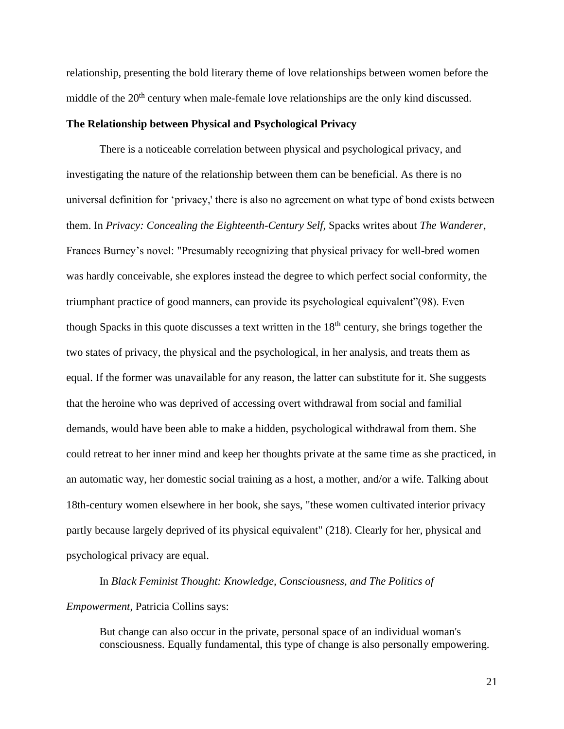relationship, presenting the bold literary theme of love relationships between women before the middle of the  $20<sup>th</sup>$  century when male-female love relationships are the only kind discussed.

## **The Relationship between Physical and Psychological Privacy**

There is a noticeable correlation between physical and psychological privacy, and investigating the nature of the relationship between them can be beneficial. As there is no universal definition for 'privacy,' there is also no agreement on what type of bond exists between them. In *Privacy: Concealing the Eighteenth-Century Self,* Spacks writes about *The Wanderer*, Frances Burney's novel: "Presumably recognizing that physical privacy for well-bred women was hardly conceivable, she explores instead the degree to which perfect social conformity, the triumphant practice of good manners, can provide its psychological equivalent"(98). Even though Spacks in this quote discusses a text written in the  $18<sup>th</sup>$  century, she brings together the two states of privacy, the physical and the psychological, in her analysis, and treats them as equal. If the former was unavailable for any reason, the latter can substitute for it. She suggests that the heroine who was deprived of accessing overt withdrawal from social and familial demands, would have been able to make a hidden, psychological withdrawal from them. She could retreat to her inner mind and keep her thoughts private at the same time as she practiced, in an automatic way, her domestic social training as a host, a mother, and/or a wife. Talking about 18th-century women elsewhere in her book, she says, "these women cultivated interior privacy partly because largely deprived of its physical equivalent" (218). Clearly for her, physical and psychological privacy are equal.

In *Black Feminist Thought: Knowledge, Consciousness, and The Politics of Empowerment*, Patricia Collins says:

But change can also occur in the private, personal space of an individual woman's consciousness. Equally fundamental, this type of change is also personally empowering.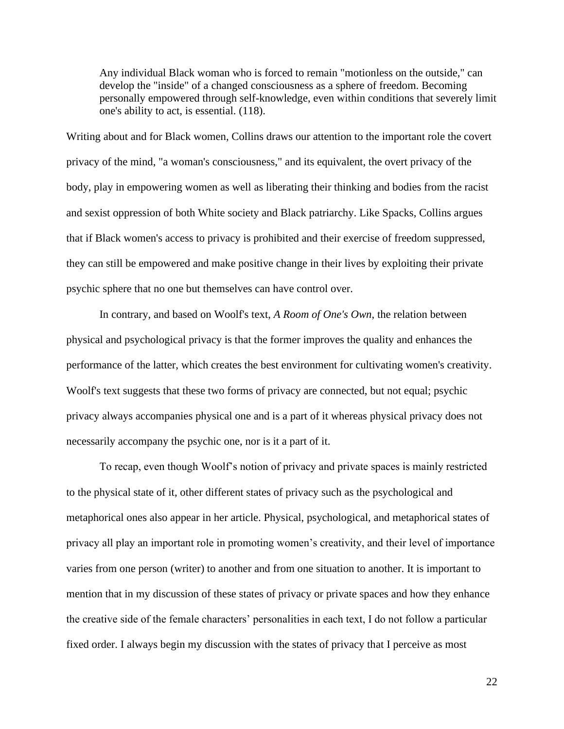Any individual Black woman who is forced to remain "motionless on the outside," can develop the "inside" of a changed consciousness as a sphere of freedom. Becoming personally empowered through self-knowledge, even within conditions that severely limit one's ability to act, is essential. (118).

Writing about and for Black women, Collins draws our attention to the important role the covert privacy of the mind, "a woman's consciousness," and its equivalent, the overt privacy of the body, play in empowering women as well as liberating their thinking and bodies from the racist and sexist oppression of both White society and Black patriarchy. Like Spacks, Collins argues that if Black women's access to privacy is prohibited and their exercise of freedom suppressed, they can still be empowered and make positive change in their lives by exploiting their private psychic sphere that no one but themselves can have control over.

In contrary, and based on Woolf's text, *A Room of One's Own*, the relation between physical and psychological privacy is that the former improves the quality and enhances the performance of the latter, which creates the best environment for cultivating women's creativity. Woolf's text suggests that these two forms of privacy are connected, but not equal; psychic privacy always accompanies physical one and is a part of it whereas physical privacy does not necessarily accompany the psychic one, nor is it a part of it.

To recap, even though Woolf's notion of privacy and private spaces is mainly restricted to the physical state of it, other different states of privacy such as the psychological and metaphorical ones also appear in her article. Physical, psychological, and metaphorical states of privacy all play an important role in promoting women's creativity, and their level of importance varies from one person (writer) to another and from one situation to another. It is important to mention that in my discussion of these states of privacy or private spaces and how they enhance the creative side of the female characters' personalities in each text, I do not follow a particular fixed order. I always begin my discussion with the states of privacy that I perceive as most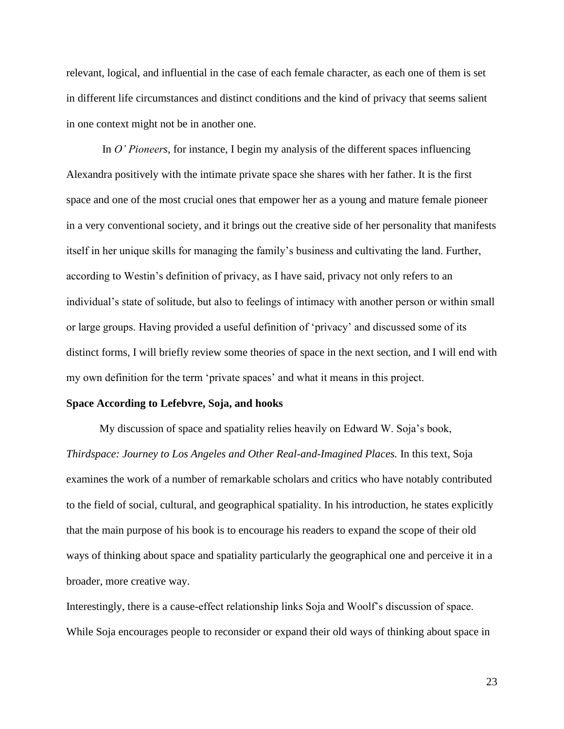relevant, logical, and influential in the case of each female character, as each one of them is set in different life circumstances and distinct conditions and the kind of privacy that seems salient in one context might not be in another one.

In *O' Pioneers*, for instance, I begin my analysis of the different spaces influencing Alexandra positively with the intimate private space she shares with her father. It is the first space and one of the most crucial ones that empower her as a young and mature female pioneer in a very conventional society, and it brings out the creative side of her personality that manifests itself in her unique skills for managing the family's business and cultivating the land. Further, according to Westin's definition of privacy, as I have said, privacy not only refers to an individual's state of solitude, but also to feelings of intimacy with another person or within small or large groups. Having provided a useful definition of 'privacy' and discussed some of its distinct forms, I will briefly review some theories of space in the next section, and I will end with my own definition for the term 'private spaces' and what it means in this project.

#### **Space According to Lefebvre, Soja, and hooks**

My discussion of space and spatiality relies heavily on Edward W. Soja's book, *Thirdspace: Journey to Los Angeles and Other Real-and-Imagined Places.* In this text, Soja examines the work of a number of remarkable scholars and critics who have notably contributed to the field of social, cultural, and geographical spatiality. In his introduction, he states explicitly that the main purpose of his book is to encourage his readers to expand the scope of their old ways of thinking about space and spatiality particularly the geographical one and perceive it in a broader, more creative way.

Interestingly, there is a cause-effect relationship links Soja and Woolf's discussion of space. While Soja encourages people to reconsider or expand their old ways of thinking about space in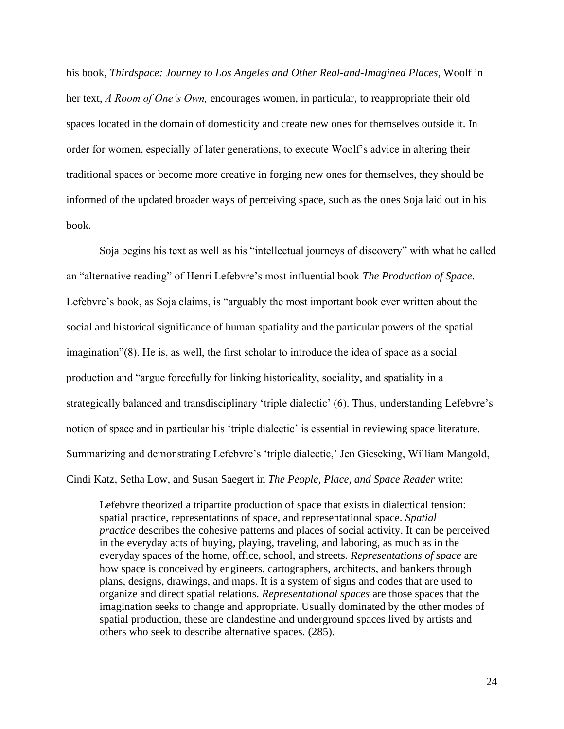his book, *Thirdspace: Journey to Los Angeles and Other Real-and-Imagined Places*, Woolf in her text, *A Room of One's Own,* encourages women, in particular, to reappropriate their old spaces located in the domain of domesticity and create new ones for themselves outside it. In order for women, especially of later generations, to execute Woolf's advice in altering their traditional spaces or become more creative in forging new ones for themselves, they should be informed of the updated broader ways of perceiving space, such as the ones Soja laid out in his book.

Soja begins his text as well as his "intellectual journeys of discovery" with what he called an "alternative reading" of Henri Lefebvre's most influential book *The Production of Space*. Lefebvre's book, as Soja claims, is "arguably the most important book ever written about the social and historical significance of human spatiality and the particular powers of the spatial imagination"(8). He is, as well, the first scholar to introduce the idea of space as a social production and "argue forcefully for linking historicality, sociality, and spatiality in a strategically balanced and transdisciplinary 'triple dialectic' (6). Thus, understanding Lefebvre's notion of space and in particular his 'triple dialectic' is essential in reviewing space literature. Summarizing and demonstrating Lefebvre's 'triple dialectic,' Jen Gieseking, William Mangold, Cindi Katz, Setha Low, and Susan Saegert in *The People, Place, and Space Reader* write:

Lefebvre theorized a tripartite production of space that exists in dialectical tension: spatial practice, representations of space, and representational space. *Spatial practice* describes the cohesive patterns and places of social activity. It can be perceived in the everyday acts of buying, playing, traveling, and laboring, as much as in the everyday spaces of the home, office, school, and streets. *Representations of space* are how space is conceived by engineers, cartographers, architects, and bankers through plans, designs, drawings, and maps. It is a system of signs and codes that are used to organize and direct spatial relations. *Representational spaces* are those spaces that the imagination seeks to change and appropriate. Usually dominated by the other modes of spatial production, these are clandestine and underground spaces lived by artists and others who seek to describe alternative spaces. (285).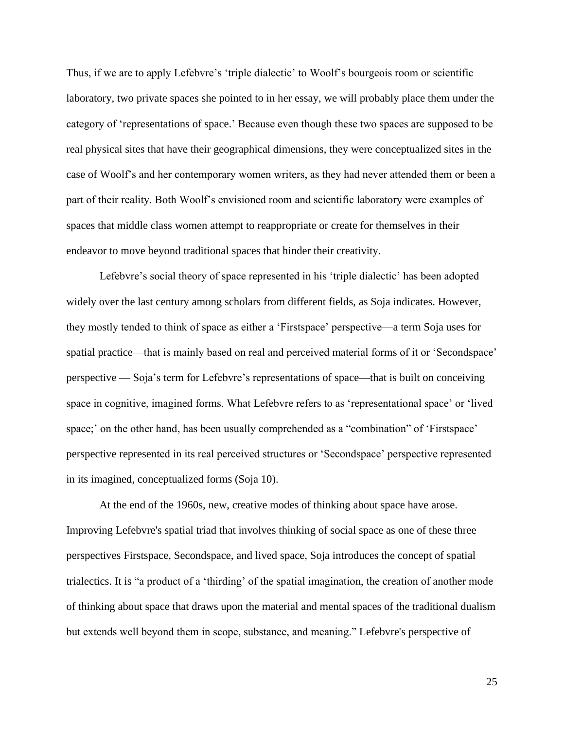Thus, if we are to apply Lefebvre's 'triple dialectic' to Woolf's bourgeois room or scientific laboratory, two private spaces she pointed to in her essay, we will probably place them under the category of 'representations of space.' Because even though these two spaces are supposed to be real physical sites that have their geographical dimensions, they were conceptualized sites in the case of Woolf's and her contemporary women writers, as they had never attended them or been a part of their reality. Both Woolf's envisioned room and scientific laboratory were examples of spaces that middle class women attempt to reappropriate or create for themselves in their endeavor to move beyond traditional spaces that hinder their creativity.

Lefebvre's social theory of space represented in his 'triple dialectic' has been adopted widely over the last century among scholars from different fields, as Soja indicates. However, they mostly tended to think of space as either a 'Firstspace' perspective—a term Soja uses for spatial practice—that is mainly based on real and perceived material forms of it or 'Secondspace' perspective — Soja's term for Lefebvre's representations of space—that is built on conceiving space in cognitive, imagined forms. What Lefebvre refers to as 'representational space' or 'lived space;' on the other hand, has been usually comprehended as a "combination" of 'Firstspace' perspective represented in its real perceived structures or 'Secondspace' perspective represented in its imagined, conceptualized forms (Soja 10).

At the end of the 1960s, new, creative modes of thinking about space have arose. Improving Lefebvre's spatial triad that involves thinking of social space as one of these three perspectives Firstspace, Secondspace, and lived space, Soja introduces the concept of spatial trialectics. It is "a product of a 'thirding' of the spatial imagination, the creation of another mode of thinking about space that draws upon the material and mental spaces of the traditional dualism but extends well beyond them in scope, substance, and meaning." Lefebvre's perspective of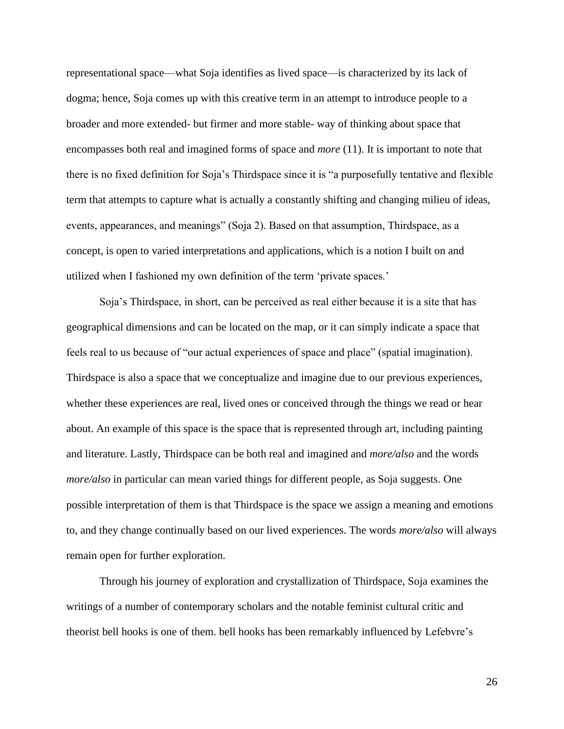representational space—what Soja identifies as lived space—is characterized by its lack of dogma; hence, Soja comes up with this creative term in an attempt to introduce people to a broader and more extended- but firmer and more stable- way of thinking about space that encompasses both real and imagined forms of space and *more* (11). It is important to note that there is no fixed definition for Soja's Thirdspace since it is "a purposefully tentative and flexible term that attempts to capture what is actually a constantly shifting and changing milieu of ideas, events, appearances, and meanings" (Soja 2). Based on that assumption, Thirdspace, as a concept, is open to varied interpretations and applications, which is a notion I built on and utilized when I fashioned my own definition of the term 'private spaces.'

Soja's Thirdspace, in short, can be perceived as real either because it is a site that has geographical dimensions and can be located on the map, or it can simply indicate a space that feels real to us because of "our actual experiences of space and place" (spatial imagination). Thirdspace is also a space that we conceptualize and imagine due to our previous experiences, whether these experiences are real, lived ones or conceived through the things we read or hear about. An example of this space is the space that is represented through art, including painting and literature. Lastly, Thirdspace can be both real and imagined and *more/also* and the words *more/also* in particular can mean varied things for different people, as Soja suggests. One possible interpretation of them is that Thirdspace is the space we assign a meaning and emotions to, and they change continually based on our lived experiences. The words *more/also* will always remain open for further exploration.

Through his journey of exploration and crystallization of Thirdspace, Soja examines the writings of a number of contemporary scholars and the notable feminist cultural critic and theorist bell hooks is one of them. bell hooks has been remarkably influenced by Lefebvre's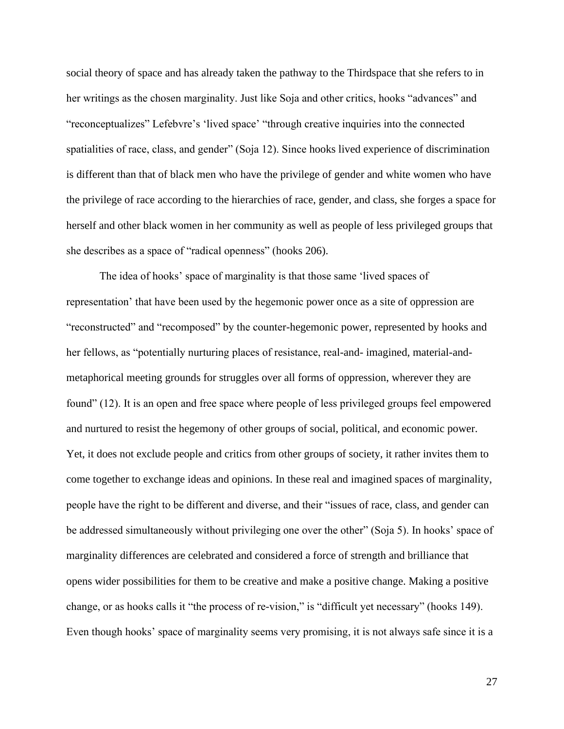social theory of space and has already taken the pathway to the Thirdspace that she refers to in her writings as the chosen marginality. Just like Soja and other critics, hooks "advances" and "reconceptualizes" Lefebvre's 'lived space' "through creative inquiries into the connected spatialities of race, class, and gender" (Soja 12). Since hooks lived experience of discrimination is different than that of black men who have the privilege of gender and white women who have the privilege of race according to the hierarchies of race, gender, and class, she forges a space for herself and other black women in her community as well as people of less privileged groups that she describes as a space of "radical openness" (hooks 206).

The idea of hooks' space of marginality is that those same 'lived spaces of representation' that have been used by the hegemonic power once as a site of oppression are "reconstructed" and "recomposed" by the counter-hegemonic power, represented by hooks and her fellows, as "potentially nurturing places of resistance, real-and- imagined, material-andmetaphorical meeting grounds for struggles over all forms of oppression, wherever they are found" (12). It is an open and free space where people of less privileged groups feel empowered and nurtured to resist the hegemony of other groups of social, political, and economic power. Yet, it does not exclude people and critics from other groups of society, it rather invites them to come together to exchange ideas and opinions. In these real and imagined spaces of marginality, people have the right to be different and diverse, and their "issues of race, class, and gender can be addressed simultaneously without privileging one over the other" (Soja 5). In hooks' space of marginality differences are celebrated and considered a force of strength and brilliance that opens wider possibilities for them to be creative and make a positive change. Making a positive change, or as hooks calls it "the process of re-vision," is "difficult yet necessary" (hooks 149). Even though hooks' space of marginality seems very promising, it is not always safe since it is a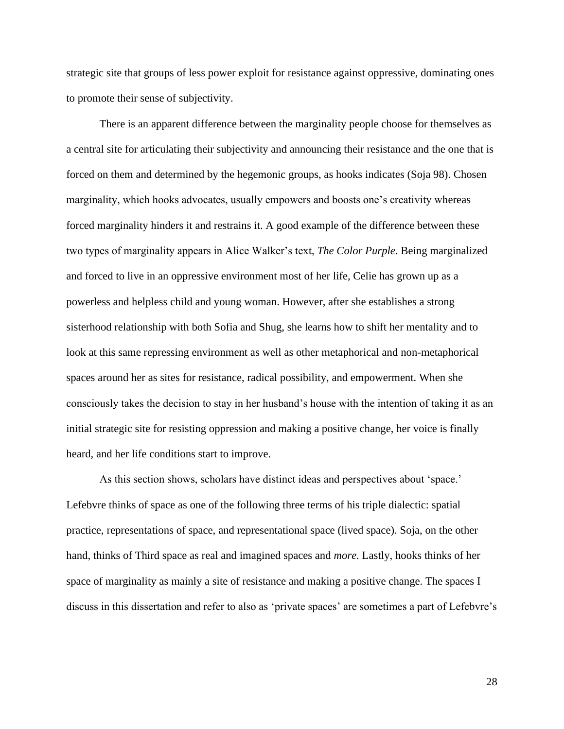strategic site that groups of less power exploit for resistance against oppressive, dominating ones to promote their sense of subjectivity.

There is an apparent difference between the marginality people choose for themselves as a central site for articulating their subjectivity and announcing their resistance and the one that is forced on them and determined by the hegemonic groups, as hooks indicates (Soja 98). Chosen marginality, which hooks advocates, usually empowers and boosts one's creativity whereas forced marginality hinders it and restrains it. A good example of the difference between these two types of marginality appears in Alice Walker's text, *The Color Purple*. Being marginalized and forced to live in an oppressive environment most of her life, Celie has grown up as a powerless and helpless child and young woman. However, after she establishes a strong sisterhood relationship with both Sofia and Shug, she learns how to shift her mentality and to look at this same repressing environment as well as other metaphorical and non-metaphorical spaces around her as sites for resistance, radical possibility, and empowerment. When she consciously takes the decision to stay in her husband's house with the intention of taking it as an initial strategic site for resisting oppression and making a positive change, her voice is finally heard, and her life conditions start to improve.

As this section shows, scholars have distinct ideas and perspectives about 'space.' Lefebvre thinks of space as one of the following three terms of his triple dialectic: spatial practice, representations of space, and representational space (lived space). Soja, on the other hand, thinks of Third space as real and imagined spaces and *more.* Lastly, hooks thinks of her space of marginality as mainly a site of resistance and making a positive change. The spaces I discuss in this dissertation and refer to also as 'private spaces' are sometimes a part of Lefebvre's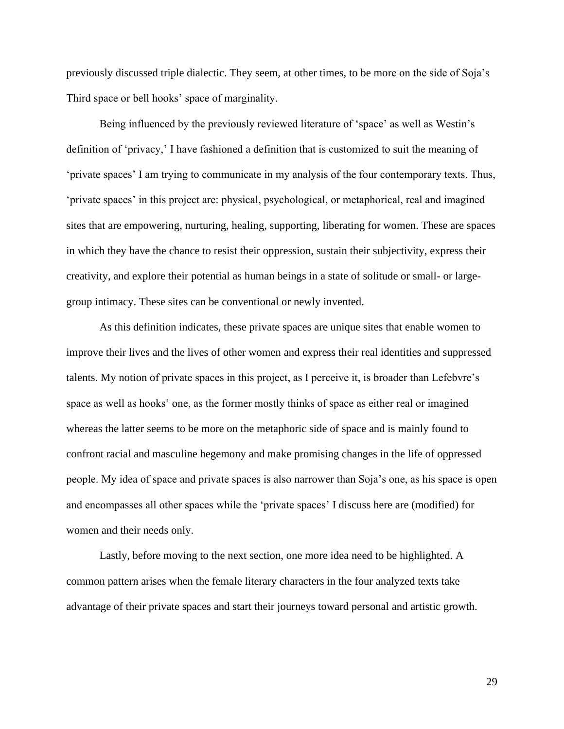previously discussed triple dialectic. They seem, at other times, to be more on the side of Soja's Third space or bell hooks' space of marginality.

Being influenced by the previously reviewed literature of 'space' as well as Westin's definition of 'privacy,' I have fashioned a definition that is customized to suit the meaning of 'private spaces' I am trying to communicate in my analysis of the four contemporary texts. Thus, 'private spaces' in this project are: physical, psychological, or metaphorical, real and imagined sites that are empowering, nurturing, healing, supporting, liberating for women. These are spaces in which they have the chance to resist their oppression, sustain their subjectivity, express their creativity, and explore their potential as human beings in a state of solitude or small- or largegroup intimacy. These sites can be conventional or newly invented.

As this definition indicates, these private spaces are unique sites that enable women to improve their lives and the lives of other women and express their real identities and suppressed talents. My notion of private spaces in this project, as I perceive it, is broader than Lefebvre's space as well as hooks' one, as the former mostly thinks of space as either real or imagined whereas the latter seems to be more on the metaphoric side of space and is mainly found to confront racial and masculine hegemony and make promising changes in the life of oppressed people. My idea of space and private spaces is also narrower than Soja's one, as his space is open and encompasses all other spaces while the 'private spaces' I discuss here are (modified) for women and their needs only.

Lastly, before moving to the next section, one more idea need to be highlighted. A common pattern arises when the female literary characters in the four analyzed texts take advantage of their private spaces and start their journeys toward personal and artistic growth.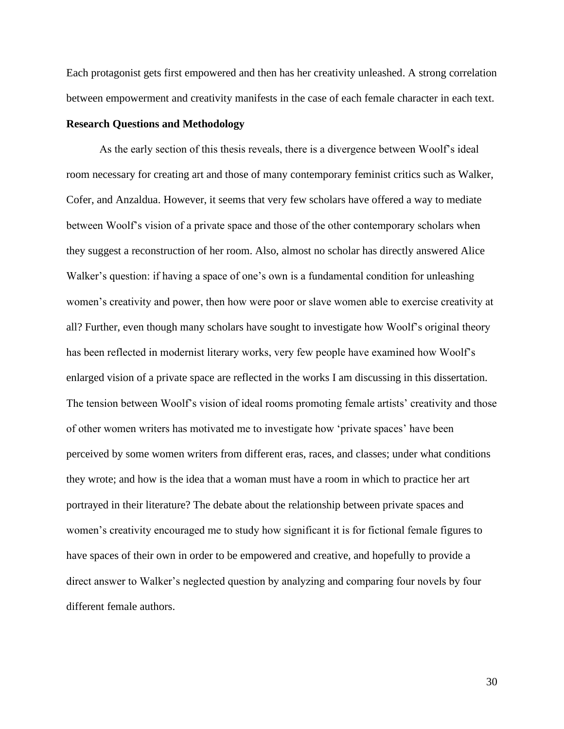Each protagonist gets first empowered and then has her creativity unleashed. A strong correlation between empowerment and creativity manifests in the case of each female character in each text.

#### **Research Questions and Methodology**

As the early section of this thesis reveals, there is a divergence between Woolf's ideal room necessary for creating art and those of many contemporary feminist critics such as Walker, Cofer, and Anzaldua. However, it seems that very few scholars have offered a way to mediate between Woolf's vision of a private space and those of the other contemporary scholars when they suggest a reconstruction of her room. Also, almost no scholar has directly answered Alice Walker's question: if having a space of one's own is a fundamental condition for unleashing women's creativity and power, then how were poor or slave women able to exercise creativity at all? Further, even though many scholars have sought to investigate how Woolf's original theory has been reflected in modernist literary works, very few people have examined how Woolf's enlarged vision of a private space are reflected in the works I am discussing in this dissertation. The tension between Woolf's vision of ideal rooms promoting female artists' creativity and those of other women writers has motivated me to investigate how 'private spaces' have been perceived by some women writers from different eras, races, and classes; under what conditions they wrote; and how is the idea that a woman must have a room in which to practice her art portrayed in their literature? The debate about the relationship between private spaces and women's creativity encouraged me to study how significant it is for fictional female figures to have spaces of their own in order to be empowered and creative, and hopefully to provide a direct answer to Walker's neglected question by analyzing and comparing four novels by four different female authors.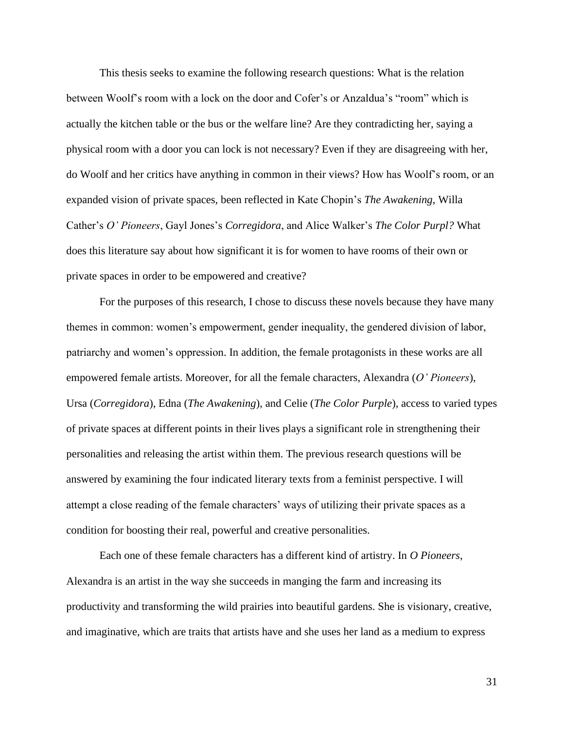This thesis seeks to examine the following research questions: What is the relation between Woolf's room with a lock on the door and Cofer's or Anzaldua's "room" which is actually the kitchen table or the bus or the welfare line? Are they contradicting her, saying a physical room with a door you can lock is not necessary? Even if they are disagreeing with her, do Woolf and her critics have anything in common in their views? How has Woolf's room, or an expanded vision of private spaces, been reflected in Kate Chopin's *The Awakening*, Willa Cather's *O' Pioneers*, Gayl Jones's *Corregidora*, and Alice Walker's *The Color Purpl?* What does this literature say about how significant it is for women to have rooms of their own or private spaces in order to be empowered and creative?

For the purposes of this research, I chose to discuss these novels because they have many themes in common: women's empowerment, gender inequality, the gendered division of labor, patriarchy and women's oppression. In addition, the female protagonists in these works are all empowered female artists. Moreover, for all the female characters, Alexandra (*O' Pioneers*), Ursa (*Corregidora*), Edna (*The Awakening*), and Celie (*The Color Purple*), access to varied types of private spaces at different points in their lives plays a significant role in strengthening their personalities and releasing the artist within them. The previous research questions will be answered by examining the four indicated literary texts from a feminist perspective. I will attempt a close reading of the female characters' ways of utilizing their private spaces as a condition for boosting their real, powerful and creative personalities.

Each one of these female characters has a different kind of artistry. In *O Pioneers*, Alexandra is an artist in the way she succeeds in manging the farm and increasing its productivity and transforming the wild prairies into beautiful gardens. She is visionary, creative, and imaginative, which are traits that artists have and she uses her land as a medium to express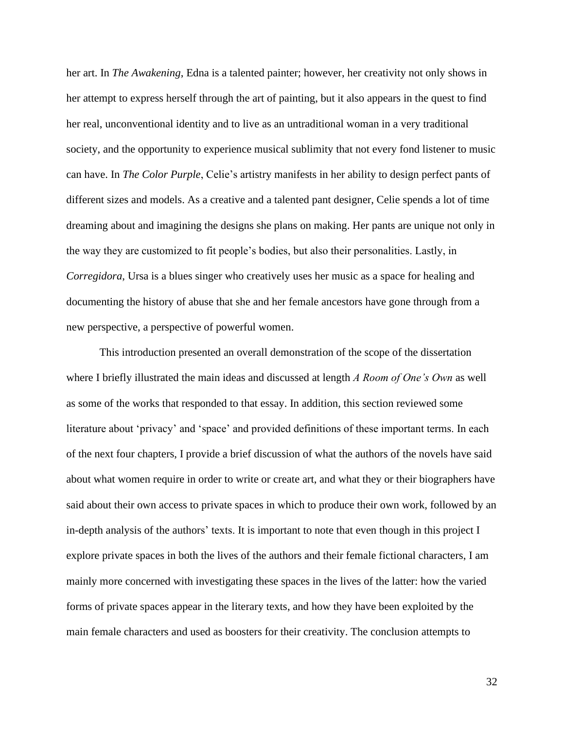her art. In *The Awakening*, Edna is a talented painter; however, her creativity not only shows in her attempt to express herself through the art of painting, but it also appears in the quest to find her real, unconventional identity and to live as an untraditional woman in a very traditional society, and the opportunity to experience musical sublimity that not every fond listener to music can have. In *The Color Purple*, Celie's artistry manifests in her ability to design perfect pants of different sizes and models. As a creative and a talented pant designer, Celie spends a lot of time dreaming about and imagining the designs she plans on making. Her pants are unique not only in the way they are customized to fit people's bodies, but also their personalities. Lastly, in *Corregidora*, Ursa is a blues singer who creatively uses her music as a space for healing and documenting the history of abuse that she and her female ancestors have gone through from a new perspective, a perspective of powerful women.

This introduction presented an overall demonstration of the scope of the dissertation where I briefly illustrated the main ideas and discussed at length *A Room of One's Own* as well as some of the works that responded to that essay. In addition, this section reviewed some literature about 'privacy' and 'space' and provided definitions of these important terms. In each of the next four chapters, I provide a brief discussion of what the authors of the novels have said about what women require in order to write or create art, and what they or their biographers have said about their own access to private spaces in which to produce their own work, followed by an in-depth analysis of the authors' texts. It is important to note that even though in this project I explore private spaces in both the lives of the authors and their female fictional characters, I am mainly more concerned with investigating these spaces in the lives of the latter: how the varied forms of private spaces appear in the literary texts, and how they have been exploited by the main female characters and used as boosters for their creativity. The conclusion attempts to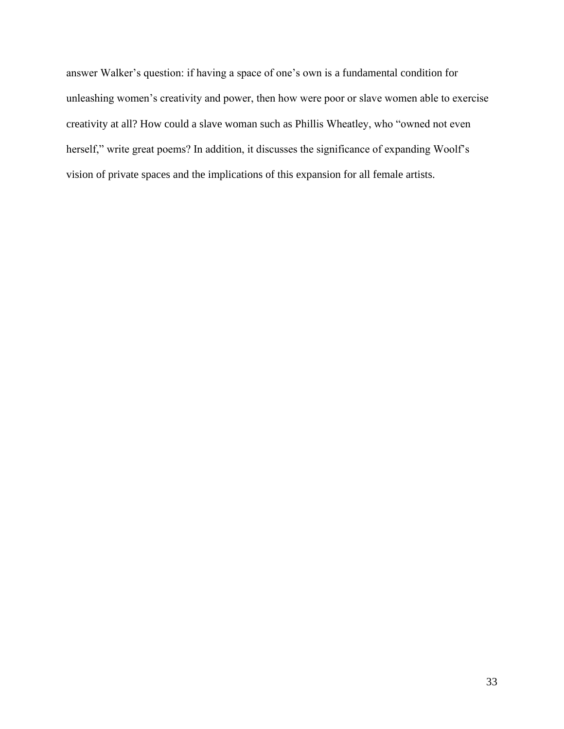answer Walker's question: if having a space of one's own is a fundamental condition for unleashing women's creativity and power, then how were poor or slave women able to exercise creativity at all? How could a slave woman such as Phillis Wheatley, who "owned not even herself," write great poems? In addition, it discusses the significance of expanding Woolf's vision of private spaces and the implications of this expansion for all female artists.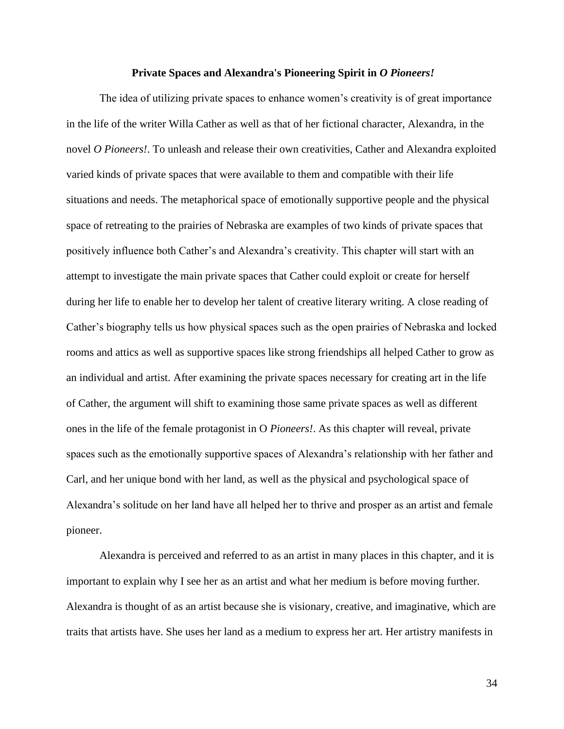#### **Private Spaces and Alexandra's Pioneering Spirit in** *O Pioneers!*

The idea of utilizing private spaces to enhance women's creativity is of great importance in the life of the writer Willa Cather as well as that of her fictional character, Alexandra, in the novel *O Pioneers!*. To unleash and release their own creativities, Cather and Alexandra exploited varied kinds of private spaces that were available to them and compatible with their life situations and needs. The metaphorical space of emotionally supportive people and the physical space of retreating to the prairies of Nebraska are examples of two kinds of private spaces that positively influence both Cather's and Alexandra's creativity. This chapter will start with an attempt to investigate the main private spaces that Cather could exploit or create for herself during her life to enable her to develop her talent of creative literary writing. A close reading of Cather's biography tells us how physical spaces such as the open prairies of Nebraska and locked rooms and attics as well as supportive spaces like strong friendships all helped Cather to grow as an individual and artist. After examining the private spaces necessary for creating art in the life of Cather, the argument will shift to examining those same private spaces as well as different ones in the life of the female protagonist in O *Pioneers!*. As this chapter will reveal, private spaces such as the emotionally supportive spaces of Alexandra's relationship with her father and Carl, and her unique bond with her land, as well as the physical and psychological space of Alexandra's solitude on her land have all helped her to thrive and prosper as an artist and female pioneer.

Alexandra is perceived and referred to as an artist in many places in this chapter, and it is important to explain why I see her as an artist and what her medium is before moving further. Alexandra is thought of as an artist because she is visionary, creative, and imaginative, which are traits that artists have. She uses her land as a medium to express her art. Her artistry manifests in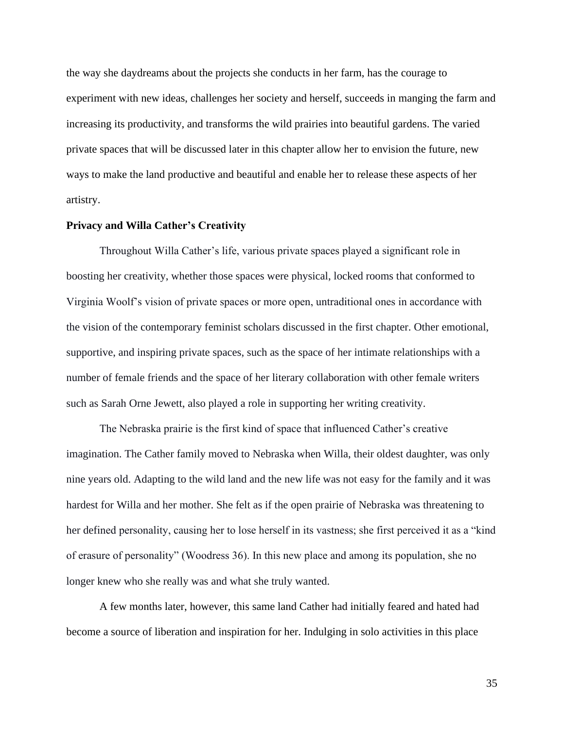the way she daydreams about the projects she conducts in her farm, has the courage to experiment with new ideas, challenges her society and herself, succeeds in manging the farm and increasing its productivity, and transforms the wild prairies into beautiful gardens. The varied private spaces that will be discussed later in this chapter allow her to envision the future, new ways to make the land productive and beautiful and enable her to release these aspects of her artistry.

# **Privacy and Willa Cather's Creativity**

Throughout Willa Cather's life, various private spaces played a significant role in boosting her creativity, whether those spaces were physical, locked rooms that conformed to Virginia Woolf's vision of private spaces or more open, untraditional ones in accordance with the vision of the contemporary feminist scholars discussed in the first chapter. Other emotional, supportive, and inspiring private spaces, such as the space of her intimate relationships with a number of female friends and the space of her literary collaboration with other female writers such as Sarah Orne Jewett, also played a role in supporting her writing creativity.

The Nebraska prairie is the first kind of space that influenced Cather's creative imagination. The Cather family moved to Nebraska when Willa, their oldest daughter, was only nine years old. Adapting to the wild land and the new life was not easy for the family and it was hardest for Willa and her mother. She felt as if the open prairie of Nebraska was threatening to her defined personality, causing her to lose herself in its vastness; she first perceived it as a "kind of erasure of personality" (Woodress 36). In this new place and among its population, she no longer knew who she really was and what she truly wanted.

A few months later, however, this same land Cather had initially feared and hated had become a source of liberation and inspiration for her. Indulging in solo activities in this place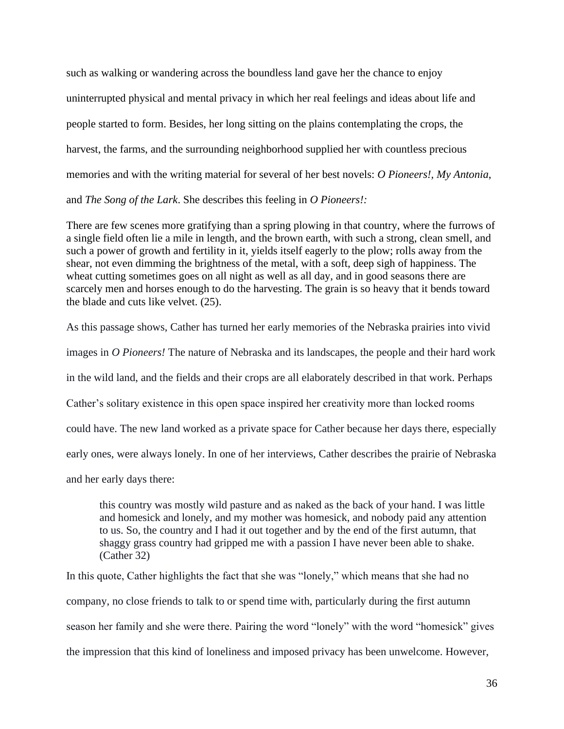such as walking or wandering across the boundless land gave her the chance to enjoy uninterrupted physical and mental privacy in which her real feelings and ideas about life and people started to form. Besides, her long sitting on the plains contemplating the crops, the harvest, the farms, and the surrounding neighborhood supplied her with countless precious memories and with the writing material for several of her best novels: *O Pioneers!, My Antonia*, and *The Song of the Lark*. She describes this feeling in *O Pioneers!:*

There are few scenes more gratifying than a spring plowing in that country, where the furrows of a single field often lie a mile in length, and the brown earth, with such a strong, clean smell, and such a power of growth and fertility in it, yields itself eagerly to the plow; rolls away from the shear, not even dimming the brightness of the metal, with a soft, deep sigh of happiness. The wheat cutting sometimes goes on all night as well as all day, and in good seasons there are scarcely men and horses enough to do the harvesting. The grain is so heavy that it bends toward the blade and cuts like velvet. (25).

As this passage shows, Cather has turned her early memories of the Nebraska prairies into vivid images in *O Pioneers!* The nature of Nebraska and its landscapes, the people and their hard work in the wild land, and the fields and their crops are all elaborately described in that work. Perhaps Cather's solitary existence in this open space inspired her creativity more than locked rooms could have. The new land worked as a private space for Cather because her days there, especially early ones, were always lonely. In one of her interviews, Cather describes the prairie of Nebraska and her early days there:

this country was mostly wild pasture and as naked as the back of your hand. I was little and homesick and lonely, and my mother was homesick, and nobody paid any attention to us. So, the country and I had it out together and by the end of the first autumn, that shaggy grass country had gripped me with a passion I have never been able to shake. (Cather 32)

In this quote, Cather highlights the fact that she was "lonely," which means that she had no company, no close friends to talk to or spend time with, particularly during the first autumn season her family and she were there. Pairing the word "lonely" with the word "homesick" gives the impression that this kind of loneliness and imposed privacy has been unwelcome. However,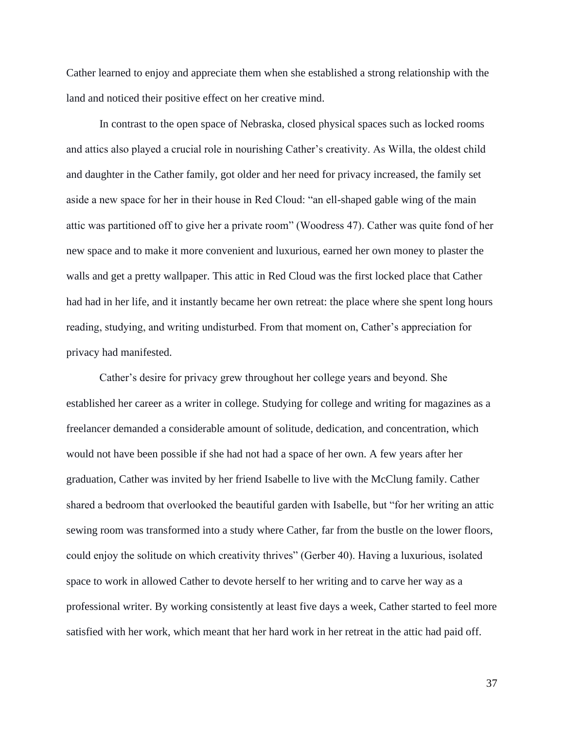Cather learned to enjoy and appreciate them when she established a strong relationship with the land and noticed their positive effect on her creative mind.

In contrast to the open space of Nebraska, closed physical spaces such as locked rooms and attics also played a crucial role in nourishing Cather's creativity. As Willa, the oldest child and daughter in the Cather family, got older and her need for privacy increased, the family set aside a new space for her in their house in Red Cloud: "an ell-shaped gable wing of the main attic was partitioned off to give her a private room" (Woodress 47). Cather was quite fond of her new space and to make it more convenient and luxurious, earned her own money to plaster the walls and get a pretty wallpaper. This attic in Red Cloud was the first locked place that Cather had had in her life, and it instantly became her own retreat: the place where she spent long hours reading, studying, and writing undisturbed. From that moment on, Cather's appreciation for privacy had manifested.

Cather's desire for privacy grew throughout her college years and beyond. She established her career as a writer in college. Studying for college and writing for magazines as a freelancer demanded a considerable amount of solitude, dedication, and concentration, which would not have been possible if she had not had a space of her own. A few years after her graduation, Cather was invited by her friend Isabelle to live with the McClung family. Cather shared a bedroom that overlooked the beautiful garden with Isabelle, but "for her writing an attic sewing room was transformed into a study where Cather, far from the bustle on the lower floors, could enjoy the solitude on which creativity thrives" (Gerber 40). Having a luxurious, isolated space to work in allowed Cather to devote herself to her writing and to carve her way as a professional writer. By working consistently at least five days a week, Cather started to feel more satisfied with her work, which meant that her hard work in her retreat in the attic had paid off.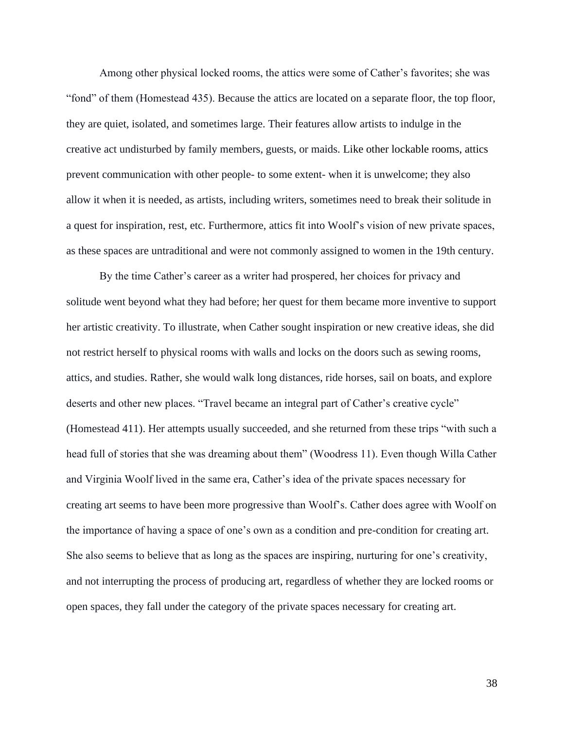Among other physical locked rooms, the attics were some of Cather's favorites; she was "fond" of them (Homestead 435). Because the attics are located on a separate floor, the top floor, they are quiet, isolated, and sometimes large. Their features allow artists to indulge in the creative act undisturbed by family members, guests, or maids. Like other lockable rooms, attics prevent communication with other people- to some extent- when it is unwelcome; they also allow it when it is needed, as artists, including writers, sometimes need to break their solitude in a quest for inspiration, rest, etc. Furthermore, attics fit into Woolf's vision of new private spaces, as these spaces are untraditional and were not commonly assigned to women in the 19th century.

By the time Cather's career as a writer had prospered, her choices for privacy and solitude went beyond what they had before; her quest for them became more inventive to support her artistic creativity. To illustrate, when Cather sought inspiration or new creative ideas, she did not restrict herself to physical rooms with walls and locks on the doors such as sewing rooms, attics, and studies. Rather, she would walk long distances, ride horses, sail on boats, and explore deserts and other new places. "Travel became an integral part of Cather's creative cycle" (Homestead 411). Her attempts usually succeeded, and she returned from these trips "with such a head full of stories that she was dreaming about them" (Woodress 11). Even though Willa Cather and Virginia Woolf lived in the same era, Cather's idea of the private spaces necessary for creating art seems to have been more progressive than Woolf's. Cather does agree with Woolf on the importance of having a space of one's own as a condition and pre-condition for creating art. She also seems to believe that as long as the spaces are inspiring, nurturing for one's creativity, and not interrupting the process of producing art, regardless of whether they are locked rooms or open spaces, they fall under the category of the private spaces necessary for creating art.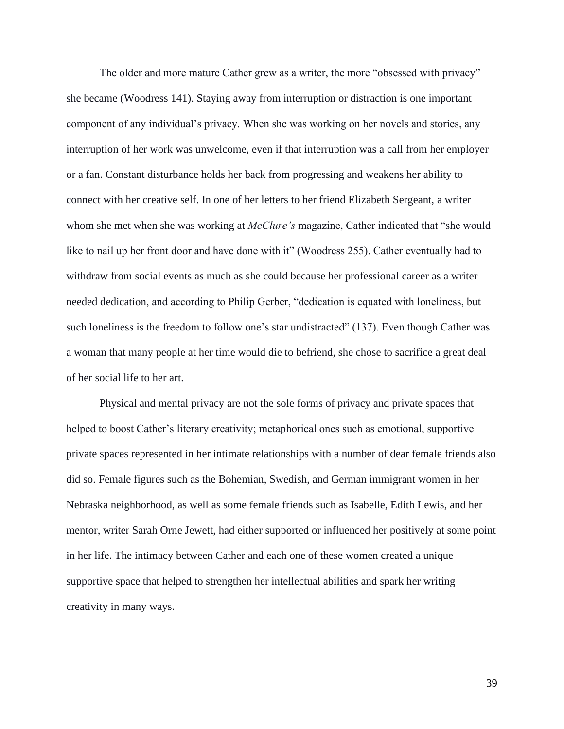The older and more mature Cather grew as a writer, the more "obsessed with privacy" she became (Woodress 141). Staying away from interruption or distraction is one important component of any individual's privacy. When she was working on her novels and stories, any interruption of her work was unwelcome, even if that interruption was a call from her employer or a fan. Constant disturbance holds her back from progressing and weakens her ability to connect with her creative self. In one of her letters to her friend Elizabeth Sergeant, a writer whom she met when she was working at *McClure's* magazine, Cather indicated that "she would like to nail up her front door and have done with it" (Woodress 255). Cather eventually had to withdraw from social events as much as she could because her professional career as a writer needed dedication, and according to Philip Gerber, "dedication is equated with loneliness, but such loneliness is the freedom to follow one's star undistracted" (137). Even though Cather was a woman that many people at her time would die to befriend, she chose to sacrifice a great deal of her social life to her art.

Physical and mental privacy are not the sole forms of privacy and private spaces that helped to boost Cather's literary creativity; metaphorical ones such as emotional, supportive private spaces represented in her intimate relationships with a number of dear female friends also did so. Female figures such as the Bohemian, Swedish, and German immigrant women in her Nebraska neighborhood, as well as some female friends such as Isabelle, Edith Lewis, and her mentor, writer Sarah Orne Jewett, had either supported or influenced her positively at some point in her life. The intimacy between Cather and each one of these women created a unique supportive space that helped to strengthen her intellectual abilities and spark her writing creativity in many ways.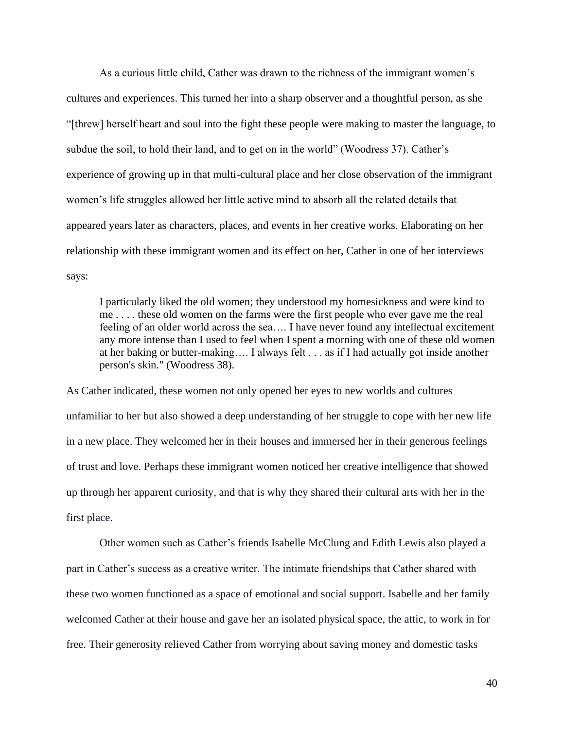As a curious little child, Cather was drawn to the richness of the immigrant women's cultures and experiences. This turned her into a sharp observer and a thoughtful person, as she "[threw] herself heart and soul into the fight these people were making to master the language, to subdue the soil, to hold their land, and to get on in the world" (Woodress 37). Cather's experience of growing up in that multi-cultural place and her close observation of the immigrant women's life struggles allowed her little active mind to absorb all the related details that appeared years later as characters, places, and events in her creative works. Elaborating on her relationship with these immigrant women and its effect on her, Cather in one of her interviews says:

I particularly liked the old women; they understood my homesickness and were kind to me . . . . these old women on the farms were the first people who ever gave me the real feeling of an older world across the sea…. I have never found any intellectual excitement any more intense than I used to feel when I spent a morning with one of these old women at her baking or butter-making…. I always felt . . . as if I had actually got inside another person's skin." (Woodress 38).

As Cather indicated, these women not only opened her eyes to new worlds and cultures unfamiliar to her but also showed a deep understanding of her struggle to cope with her new life in a new place. They welcomed her in their houses and immersed her in their generous feelings of trust and love. Perhaps these immigrant women noticed her creative intelligence that showed up through her apparent curiosity, and that is why they shared their cultural arts with her in the first place.

Other women such as Cather's friends Isabelle McClung and Edith Lewis also played a part in Cather's success as a creative writer. The intimate friendships that Cather shared with these two women functioned as a space of emotional and social support. Isabelle and her family welcomed Cather at their house and gave her an isolated physical space, the attic, to work in for free. Their generosity relieved Cather from worrying about saving money and domestic tasks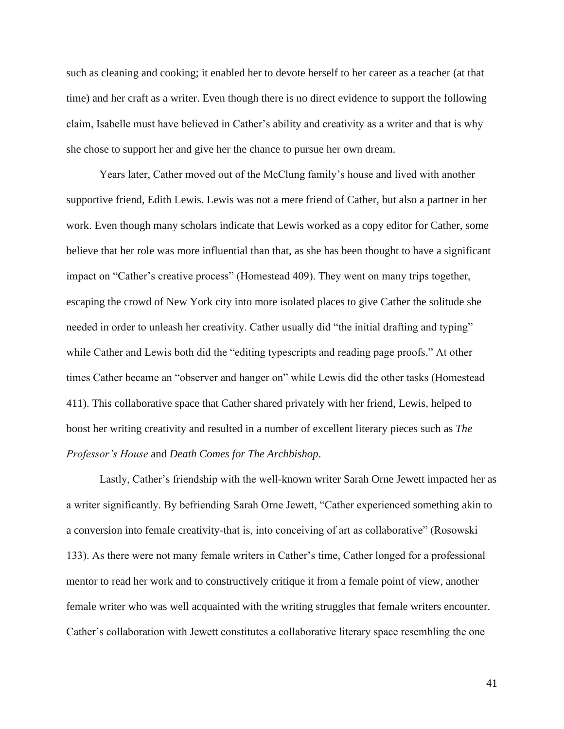such as cleaning and cooking; it enabled her to devote herself to her career as a teacher (at that time) and her craft as a writer. Even though there is no direct evidence to support the following claim, Isabelle must have believed in Cather's ability and creativity as a writer and that is why she chose to support her and give her the chance to pursue her own dream.

Years later, Cather moved out of the McClung family's house and lived with another supportive friend, Edith Lewis. Lewis was not a mere friend of Cather, but also a partner in her work. Even though many scholars indicate that Lewis worked as a copy editor for Cather, some believe that her role was more influential than that, as she has been thought to have a significant impact on "Cather's creative process" (Homestead 409). They went on many trips together, escaping the crowd of New York city into more isolated places to give Cather the solitude she needed in order to unleash her creativity. Cather usually did "the initial drafting and typing" while Cather and Lewis both did the "editing typescripts and reading page proofs." At other times Cather became an "observer and hanger on" while Lewis did the other tasks (Homestead 411). This collaborative space that Cather shared privately with her friend, Lewis, helped to boost her writing creativity and resulted in a number of excellent literary pieces such as *The Professor's House* and *Death Comes for The Archbishop*.

Lastly, Cather's friendship with the well-known writer Sarah Orne Jewett impacted her as a writer significantly. By befriending Sarah Orne Jewett, "Cather experienced something akin to a conversion into female creativity-that is, into conceiving of art as collaborative" (Rosowski 133). As there were not many female writers in Cather's time, Cather longed for a professional mentor to read her work and to constructively critique it from a female point of view, another female writer who was well acquainted with the writing struggles that female writers encounter. Cather's collaboration with Jewett constitutes a collaborative literary space resembling the one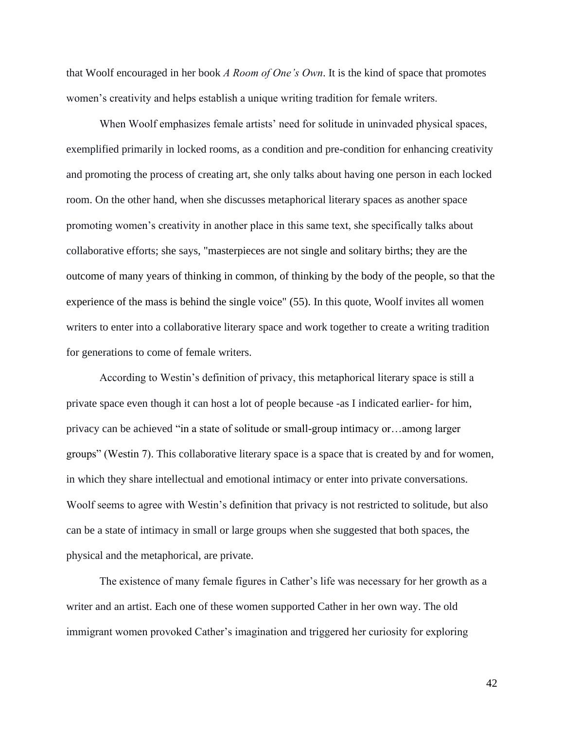that Woolf encouraged in her book *A Room of One's Own*. It is the kind of space that promotes women's creativity and helps establish a unique writing tradition for female writers.

When Woolf emphasizes female artists' need for solitude in uninvaded physical spaces, exemplified primarily in locked rooms, as a condition and pre-condition for enhancing creativity and promoting the process of creating art, she only talks about having one person in each locked room. On the other hand, when she discusses metaphorical literary spaces as another space promoting women's creativity in another place in this same text, she specifically talks about collaborative efforts; she says, "masterpieces are not single and solitary births; they are the outcome of many years of thinking in common, of thinking by the body of the people, so that the experience of the mass is behind the single voice" (55). In this quote, Woolf invites all women writers to enter into a collaborative literary space and work together to create a writing tradition for generations to come of female writers.

According to Westin's definition of privacy, this metaphorical literary space is still a private space even though it can host a lot of people because -as I indicated earlier- for him, privacy can be achieved "in a state of solitude or small-group intimacy or…among larger groups" (Westin 7). This collaborative literary space is a space that is created by and for women, in which they share intellectual and emotional intimacy or enter into private conversations. Woolf seems to agree with Westin's definition that privacy is not restricted to solitude, but also can be a state of intimacy in small or large groups when she suggested that both spaces, the physical and the metaphorical, are private.

The existence of many female figures in Cather's life was necessary for her growth as a writer and an artist. Each one of these women supported Cather in her own way. The old immigrant women provoked Cather's imagination and triggered her curiosity for exploring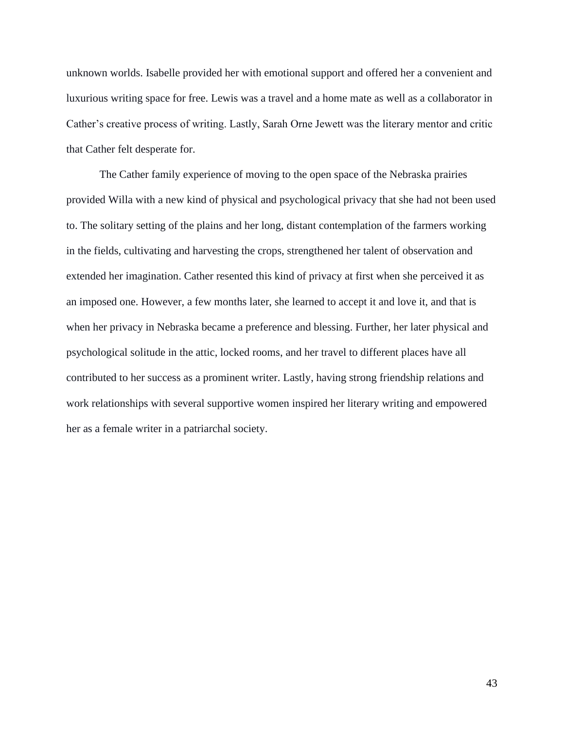unknown worlds. Isabelle provided her with emotional support and offered her a convenient and luxurious writing space for free. Lewis was a travel and a home mate as well as a collaborator in Cather's creative process of writing. Lastly, Sarah Orne Jewett was the literary mentor and critic that Cather felt desperate for.

The Cather family experience of moving to the open space of the Nebraska prairies provided Willa with a new kind of physical and psychological privacy that she had not been used to. The solitary setting of the plains and her long, distant contemplation of the farmers working in the fields, cultivating and harvesting the crops, strengthened her talent of observation and extended her imagination. Cather resented this kind of privacy at first when she perceived it as an imposed one. However, a few months later, she learned to accept it and love it, and that is when her privacy in Nebraska became a preference and blessing. Further, her later physical and psychological solitude in the attic, locked rooms, and her travel to different places have all contributed to her success as a prominent writer. Lastly, having strong friendship relations and work relationships with several supportive women inspired her literary writing and empowered her as a female writer in a patriarchal society.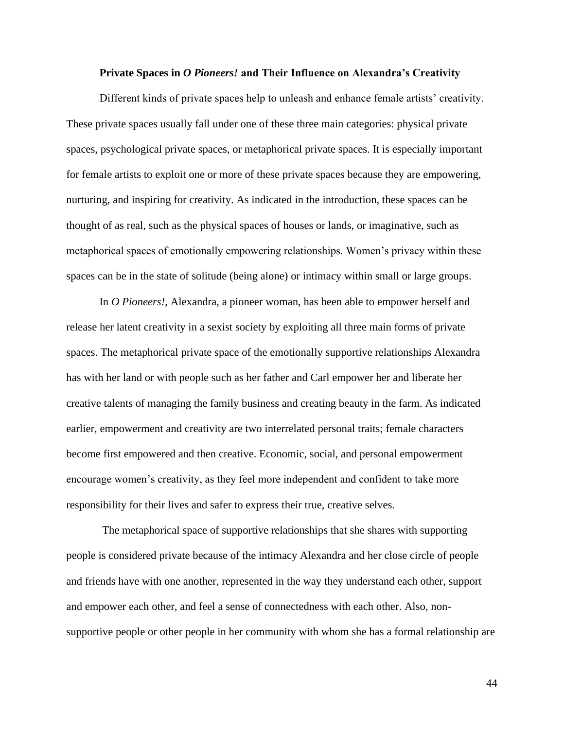#### **Private Spaces in** *O Pioneers!* **and Their Influence on Alexandra's Creativity**

Different kinds of private spaces help to unleash and enhance female artists' creativity. These private spaces usually fall under one of these three main categories: physical private spaces, psychological private spaces, or metaphorical private spaces. It is especially important for female artists to exploit one or more of these private spaces because they are empowering, nurturing, and inspiring for creativity. As indicated in the introduction, these spaces can be thought of as real, such as the physical spaces of houses or lands, or imaginative, such as metaphorical spaces of emotionally empowering relationships. Women's privacy within these spaces can be in the state of solitude (being alone) or intimacy within small or large groups.

In *O Pioneers!*, Alexandra, a pioneer woman, has been able to empower herself and release her latent creativity in a sexist society by exploiting all three main forms of private spaces. The metaphorical private space of the emotionally supportive relationships Alexandra has with her land or with people such as her father and Carl empower her and liberate her creative talents of managing the family business and creating beauty in the farm. As indicated earlier, empowerment and creativity are two interrelated personal traits; female characters become first empowered and then creative. Economic, social, and personal empowerment encourage women's creativity, as they feel more independent and confident to take more responsibility for their lives and safer to express their true, creative selves.

The metaphorical space of supportive relationships that she shares with supporting people is considered private because of the intimacy Alexandra and her close circle of people and friends have with one another, represented in the way they understand each other, support and empower each other, and feel a sense of connectedness with each other. Also, nonsupportive people or other people in her community with whom she has a formal relationship are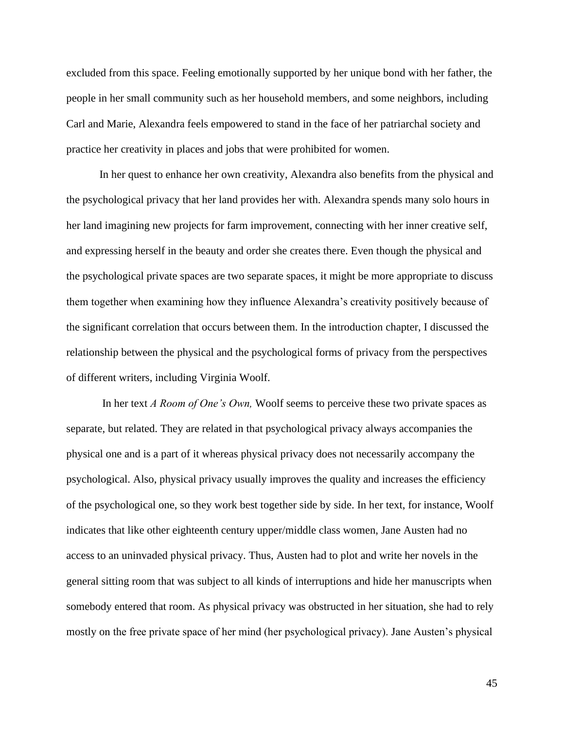excluded from this space. Feeling emotionally supported by her unique bond with her father, the people in her small community such as her household members, and some neighbors, including Carl and Marie, Alexandra feels empowered to stand in the face of her patriarchal society and practice her creativity in places and jobs that were prohibited for women.

In her quest to enhance her own creativity, Alexandra also benefits from the physical and the psychological privacy that her land provides her with. Alexandra spends many solo hours in her land imagining new projects for farm improvement, connecting with her inner creative self, and expressing herself in the beauty and order she creates there. Even though the physical and the psychological private spaces are two separate spaces, it might be more appropriate to discuss them together when examining how they influence Alexandra's creativity positively because of the significant correlation that occurs between them. In the introduction chapter, I discussed the relationship between the physical and the psychological forms of privacy from the perspectives of different writers, including Virginia Woolf.

In her text *A Room of One's Own,* Woolf seems to perceive these two private spaces as separate, but related. They are related in that psychological privacy always accompanies the physical one and is a part of it whereas physical privacy does not necessarily accompany the psychological. Also, physical privacy usually improves the quality and increases the efficiency of the psychological one, so they work best together side by side. In her text, for instance, Woolf indicates that like other eighteenth century upper/middle class women, Jane Austen had no access to an uninvaded physical privacy. Thus, Austen had to plot and write her novels in the general sitting room that was subject to all kinds of interruptions and hide her manuscripts when somebody entered that room. As physical privacy was obstructed in her situation, she had to rely mostly on the free private space of her mind (her psychological privacy). Jane Austen's physical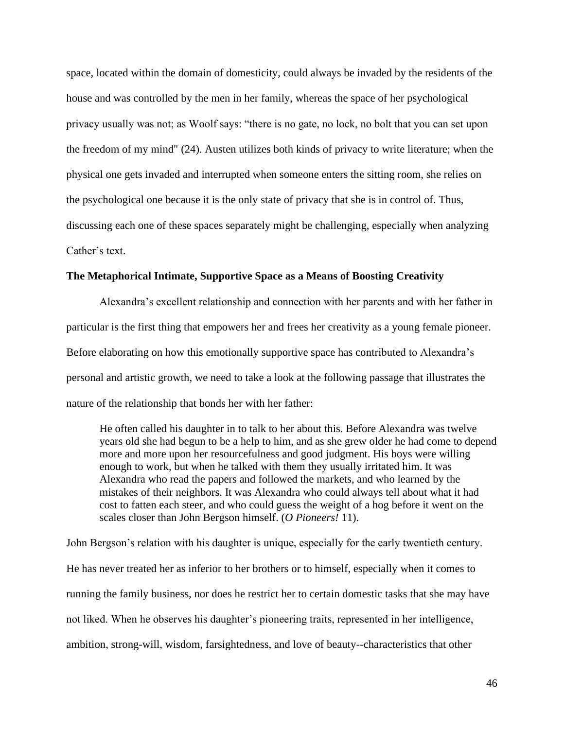space, located within the domain of domesticity, could always be invaded by the residents of the house and was controlled by the men in her family, whereas the space of her psychological privacy usually was not; as Woolf says: "there is no gate, no lock, no bolt that you can set upon the freedom of my mind" (24). Austen utilizes both kinds of privacy to write literature; when the physical one gets invaded and interrupted when someone enters the sitting room, she relies on the psychological one because it is the only state of privacy that she is in control of. Thus, discussing each one of these spaces separately might be challenging, especially when analyzing Cather's text.

# **The Metaphorical Intimate, Supportive Space as a Means of Boosting Creativity**

Alexandra's excellent relationship and connection with her parents and with her father in particular is the first thing that empowers her and frees her creativity as a young female pioneer. Before elaborating on how this emotionally supportive space has contributed to Alexandra's personal and artistic growth, we need to take a look at the following passage that illustrates the nature of the relationship that bonds her with her father:

He often called his daughter in to talk to her about this. Before Alexandra was twelve years old she had begun to be a help to him, and as she grew older he had come to depend more and more upon her resourcefulness and good judgment. His boys were willing enough to work, but when he talked with them they usually irritated him. It was Alexandra who read the papers and followed the markets, and who learned by the mistakes of their neighbors. It was Alexandra who could always tell about what it had cost to fatten each steer, and who could guess the weight of a hog before it went on the scales closer than John Bergson himself. (*O Pioneers!* 11).

John Bergson's relation with his daughter is unique, especially for the early twentieth century. He has never treated her as inferior to her brothers or to himself, especially when it comes to running the family business, nor does he restrict her to certain domestic tasks that she may have not liked. When he observes his daughter's pioneering traits, represented in her intelligence, ambition, strong-will, wisdom, farsightedness, and love of beauty--characteristics that other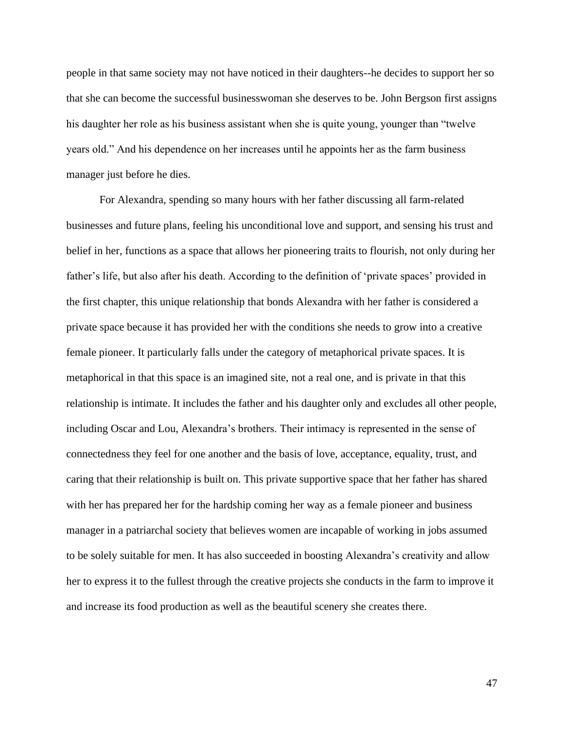people in that same society may not have noticed in their daughters--he decides to support her so that she can become the successful businesswoman she deserves to be. John Bergson first assigns his daughter her role as his business assistant when she is quite young, younger than "twelve years old." And his dependence on her increases until he appoints her as the farm business manager just before he dies.

For Alexandra, spending so many hours with her father discussing all farm-related businesses and future plans, feeling his unconditional love and support, and sensing his trust and belief in her, functions as a space that allows her pioneering traits to flourish, not only during her father's life, but also after his death. According to the definition of 'private spaces' provided in the first chapter, this unique relationship that bonds Alexandra with her father is considered a private space because it has provided her with the conditions she needs to grow into a creative female pioneer. It particularly falls under the category of metaphorical private spaces. It is metaphorical in that this space is an imagined site, not a real one, and is private in that this relationship is intimate. It includes the father and his daughter only and excludes all other people, including Oscar and Lou, Alexandra's brothers. Their intimacy is represented in the sense of connectedness they feel for one another and the basis of love, acceptance, equality, trust, and caring that their relationship is built on. This private supportive space that her father has shared with her has prepared her for the hardship coming her way as a female pioneer and business manager in a patriarchal society that believes women are incapable of working in jobs assumed to be solely suitable for men. It has also succeeded in boosting Alexandra's creativity and allow her to express it to the fullest through the creative projects she conducts in the farm to improve it and increase its food production as well as the beautiful scenery she creates there.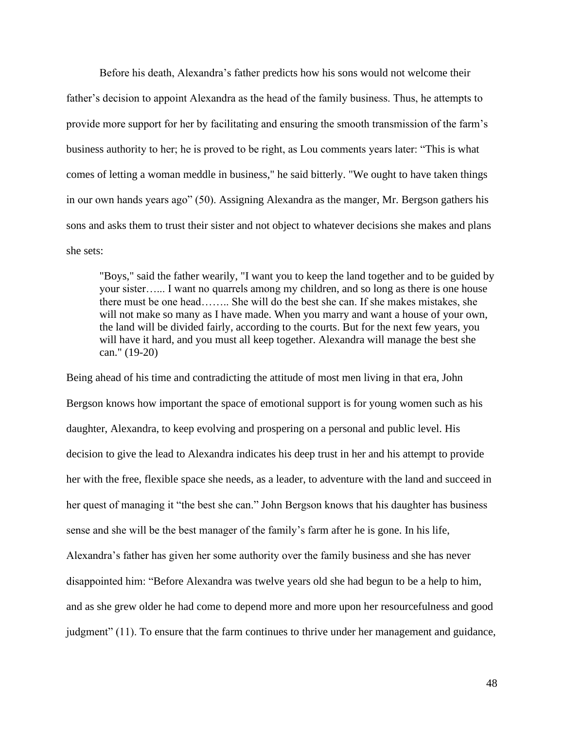Before his death, Alexandra's father predicts how his sons would not welcome their father's decision to appoint Alexandra as the head of the family business. Thus, he attempts to provide more support for her by facilitating and ensuring the smooth transmission of the farm's business authority to her; he is proved to be right, as Lou comments years later: "This is what comes of letting a woman meddle in business," he said bitterly. "We ought to have taken things in our own hands years ago" (50). Assigning Alexandra as the manger, Mr. Bergson gathers his sons and asks them to trust their sister and not object to whatever decisions she makes and plans she sets:

"Boys," said the father wearily, "I want you to keep the land together and to be guided by your sister…... I want no quarrels among my children, and so long as there is one house there must be one head…….. She will do the best she can. If she makes mistakes, she will not make so many as I have made. When you marry and want a house of your own, the land will be divided fairly, according to the courts. But for the next few years, you will have it hard, and you must all keep together. Alexandra will manage the best she can." (19-20)

Being ahead of his time and contradicting the attitude of most men living in that era, John Bergson knows how important the space of emotional support is for young women such as his daughter, Alexandra, to keep evolving and prospering on a personal and public level. His decision to give the lead to Alexandra indicates his deep trust in her and his attempt to provide her with the free, flexible space she needs, as a leader, to adventure with the land and succeed in her quest of managing it "the best she can." John Bergson knows that his daughter has business sense and she will be the best manager of the family's farm after he is gone. In his life, Alexandra's father has given her some authority over the family business and she has never disappointed him: "Before Alexandra was twelve years old she had begun to be a help to him, and as she grew older he had come to depend more and more upon her resourcefulness and good judgment" (11). To ensure that the farm continues to thrive under her management and guidance,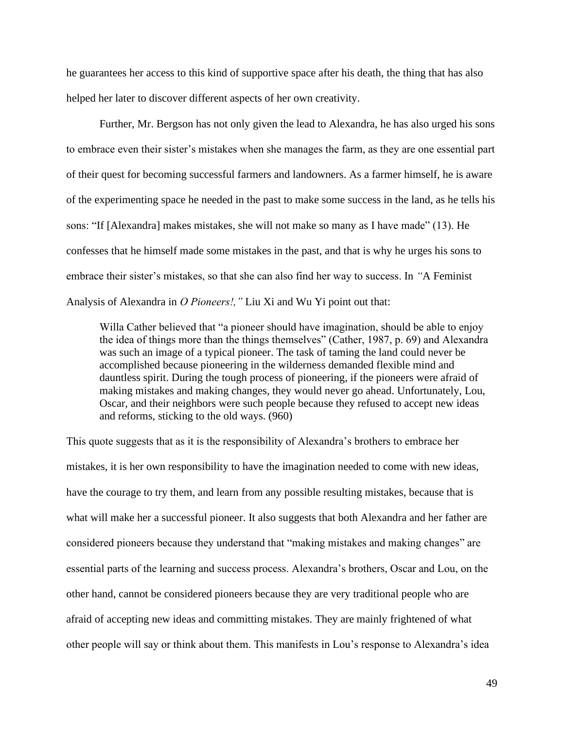he guarantees her access to this kind of supportive space after his death, the thing that has also helped her later to discover different aspects of her own creativity.

Further, Mr. Bergson has not only given the lead to Alexandra, he has also urged his sons to embrace even their sister's mistakes when she manages the farm, as they are one essential part of their quest for becoming successful farmers and landowners. As a farmer himself, he is aware of the experimenting space he needed in the past to make some success in the land, as he tells his sons: "If [Alexandra] makes mistakes, she will not make so many as I have made" (13). He confesses that he himself made some mistakes in the past, and that is why he urges his sons to embrace their sister's mistakes, so that she can also find her way to success. In *"*A Feminist Analysis of Alexandra in *O Pioneers!,"* Liu Xi and Wu Yi point out that:

Willa Cather believed that "a pioneer should have imagination, should be able to enjoy the idea of things more than the things themselves" (Cather, 1987, p. 69) and Alexandra was such an image of a typical pioneer. The task of taming the land could never be accomplished because pioneering in the wilderness demanded flexible mind and dauntless spirit. During the tough process of pioneering, if the pioneers were afraid of making mistakes and making changes, they would never go ahead. Unfortunately, Lou, Oscar, and their neighbors were such people because they refused to accept new ideas and reforms, sticking to the old ways. (960)

This quote suggests that as it is the responsibility of Alexandra's brothers to embrace her mistakes, it is her own responsibility to have the imagination needed to come with new ideas, have the courage to try them, and learn from any possible resulting mistakes, because that is what will make her a successful pioneer. It also suggests that both Alexandra and her father are considered pioneers because they understand that "making mistakes and making changes" are essential parts of the learning and success process. Alexandra's brothers, Oscar and Lou, on the other hand, cannot be considered pioneers because they are very traditional people who are afraid of accepting new ideas and committing mistakes. They are mainly frightened of what other people will say or think about them. This manifests in Lou's response to Alexandra's idea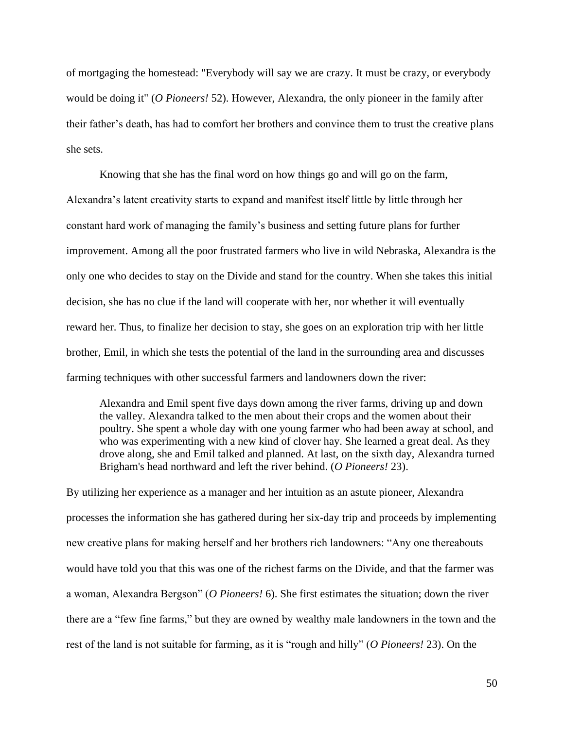of mortgaging the homestead: "Everybody will say we are crazy. It must be crazy, or everybody would be doing it" (*O Pioneers!* 52). However, Alexandra, the only pioneer in the family after their father's death, has had to comfort her brothers and convince them to trust the creative plans she sets.

Knowing that she has the final word on how things go and will go on the farm, Alexandra's latent creativity starts to expand and manifest itself little by little through her constant hard work of managing the family's business and setting future plans for further improvement. Among all the poor frustrated farmers who live in wild Nebraska, Alexandra is the only one who decides to stay on the Divide and stand for the country. When she takes this initial decision, she has no clue if the land will cooperate with her, nor whether it will eventually reward her. Thus, to finalize her decision to stay, she goes on an exploration trip with her little brother, Emil, in which she tests the potential of the land in the surrounding area and discusses farming techniques with other successful farmers and landowners down the river:

Alexandra and Emil spent five days down among the river farms, driving up and down the valley. Alexandra talked to the men about their crops and the women about their poultry. She spent a whole day with one young farmer who had been away at school, and who was experimenting with a new kind of clover hay. She learned a great deal. As they drove along, she and Emil talked and planned. At last, on the sixth day, Alexandra turned Brigham's head northward and left the river behind. (*O Pioneers!* 23).

By utilizing her experience as a manager and her intuition as an astute pioneer, Alexandra processes the information she has gathered during her six-day trip and proceeds by implementing new creative plans for making herself and her brothers rich landowners: "Any one thereabouts would have told you that this was one of the richest farms on the Divide, and that the farmer was a woman, Alexandra Bergson" (*O Pioneers!* 6). She first estimates the situation; down the river there are a "few fine farms," but they are owned by wealthy male landowners in the town and the rest of the land is not suitable for farming, as it is "rough and hilly" (*O Pioneers!* 23). On the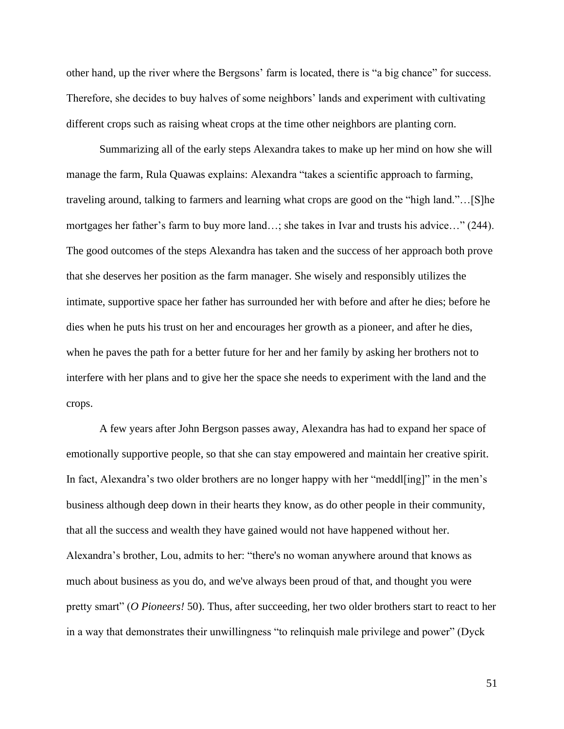other hand, up the river where the Bergsons' farm is located, there is "a big chance" for success. Therefore, she decides to buy halves of some neighbors' lands and experiment with cultivating different crops such as raising wheat crops at the time other neighbors are planting corn.

Summarizing all of the early steps Alexandra takes to make up her mind on how she will manage the farm, Rula Quawas explains: Alexandra "takes a scientific approach to farming, traveling around, talking to farmers and learning what crops are good on the "high land."…[S]he mortgages her father's farm to buy more land…; she takes in Ivar and trusts his advice…" (244). The good outcomes of the steps Alexandra has taken and the success of her approach both prove that she deserves her position as the farm manager. She wisely and responsibly utilizes the intimate, supportive space her father has surrounded her with before and after he dies; before he dies when he puts his trust on her and encourages her growth as a pioneer, and after he dies, when he paves the path for a better future for her and her family by asking her brothers not to interfere with her plans and to give her the space she needs to experiment with the land and the crops.

A few years after John Bergson passes away, Alexandra has had to expand her space of emotionally supportive people, so that she can stay empowered and maintain her creative spirit. In fact, Alexandra's two older brothers are no longer happy with her "meddl[ing]" in the men's business although deep down in their hearts they know, as do other people in their community, that all the success and wealth they have gained would not have happened without her. Alexandra's brother, Lou, admits to her: "there's no woman anywhere around that knows as much about business as you do, and we've always been proud of that, and thought you were pretty smart" (*O Pioneers!* 50). Thus, after succeeding, her two older brothers start to react to her in a way that demonstrates their unwillingness "to relinquish male privilege and power" (Dyck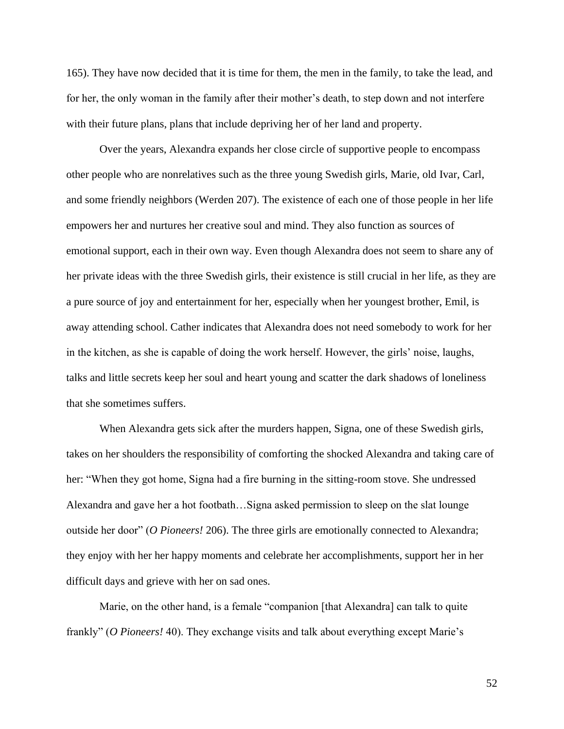165). They have now decided that it is time for them, the men in the family, to take the lead, and for her, the only woman in the family after their mother's death, to step down and not interfere with their future plans, plans that include depriving her of her land and property.

Over the years, Alexandra expands her close circle of supportive people to encompass other people who are nonrelatives such as the three young Swedish girls, Marie, old Ivar, Carl, and some friendly neighbors (Werden 207). The existence of each one of those people in her life empowers her and nurtures her creative soul and mind. They also function as sources of emotional support, each in their own way. Even though Alexandra does not seem to share any of her private ideas with the three Swedish girls, their existence is still crucial in her life, as they are a pure source of joy and entertainment for her, especially when her youngest brother, Emil, is away attending school. Cather indicates that Alexandra does not need somebody to work for her in the kitchen, as she is capable of doing the work herself. However, the girls' noise, laughs, talks and little secrets keep her soul and heart young and scatter the dark shadows of loneliness that she sometimes suffers.

When Alexandra gets sick after the murders happen, Signa, one of these Swedish girls, takes on her shoulders the responsibility of comforting the shocked Alexandra and taking care of her: "When they got home, Signa had a fire burning in the sitting-room stove. She undressed Alexandra and gave her a hot footbath…Signa asked permission to sleep on the slat lounge outside her door" (*O Pioneers!* 206). The three girls are emotionally connected to Alexandra; they enjoy with her her happy moments and celebrate her accomplishments, support her in her difficult days and grieve with her on sad ones.

Marie, on the other hand, is a female "companion [that Alexandra] can talk to quite frankly" (*O Pioneers!* 40). They exchange visits and talk about everything except Marie's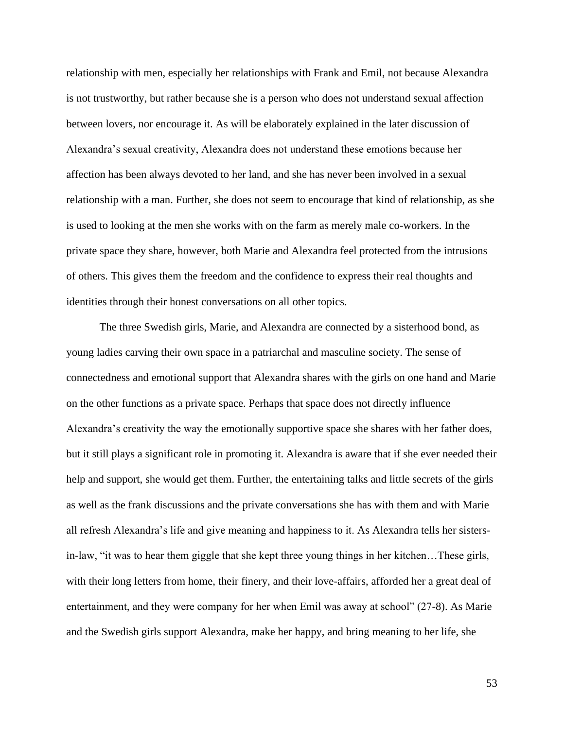relationship with men, especially her relationships with Frank and Emil, not because Alexandra is not trustworthy, but rather because she is a person who does not understand sexual affection between lovers, nor encourage it. As will be elaborately explained in the later discussion of Alexandra's sexual creativity, Alexandra does not understand these emotions because her affection has been always devoted to her land, and she has never been involved in a sexual relationship with a man. Further, she does not seem to encourage that kind of relationship, as she is used to looking at the men she works with on the farm as merely male co-workers. In the private space they share, however, both Marie and Alexandra feel protected from the intrusions of others. This gives them the freedom and the confidence to express their real thoughts and identities through their honest conversations on all other topics.

The three Swedish girls, Marie, and Alexandra are connected by a sisterhood bond, as young ladies carving their own space in a patriarchal and masculine society. The sense of connectedness and emotional support that Alexandra shares with the girls on one hand and Marie on the other functions as a private space. Perhaps that space does not directly influence Alexandra's creativity the way the emotionally supportive space she shares with her father does, but it still plays a significant role in promoting it. Alexandra is aware that if she ever needed their help and support, she would get them. Further, the entertaining talks and little secrets of the girls as well as the frank discussions and the private conversations she has with them and with Marie all refresh Alexandra's life and give meaning and happiness to it. As Alexandra tells her sistersin-law, "it was to hear them giggle that she kept three young things in her kitchen…These girls, with their long letters from home, their finery, and their love-affairs, afforded her a great deal of entertainment, and they were company for her when Emil was away at school" (27-8). As Marie and the Swedish girls support Alexandra, make her happy, and bring meaning to her life, she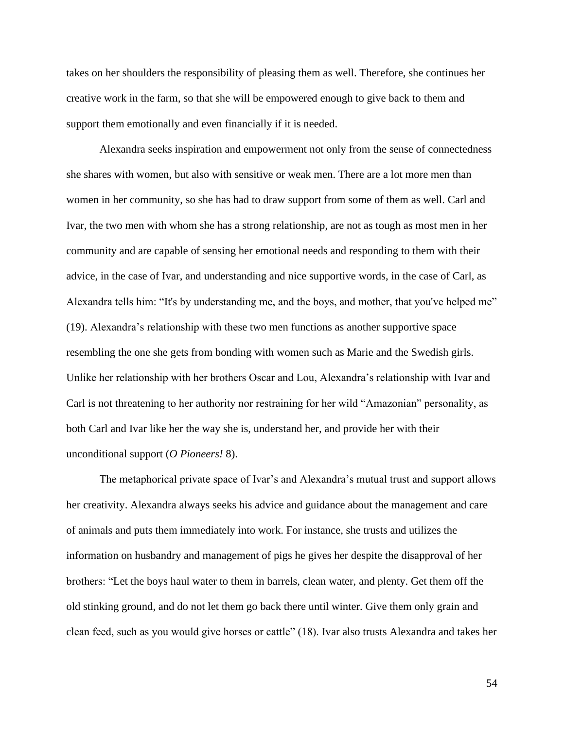takes on her shoulders the responsibility of pleasing them as well. Therefore, she continues her creative work in the farm, so that she will be empowered enough to give back to them and support them emotionally and even financially if it is needed.

Alexandra seeks inspiration and empowerment not only from the sense of connectedness she shares with women, but also with sensitive or weak men. There are a lot more men than women in her community, so she has had to draw support from some of them as well. Carl and Ivar, the two men with whom she has a strong relationship, are not as tough as most men in her community and are capable of sensing her emotional needs and responding to them with their advice, in the case of Ivar, and understanding and nice supportive words, in the case of Carl, as Alexandra tells him: "It's by understanding me, and the boys, and mother, that you've helped me" (19). Alexandra's relationship with these two men functions as another supportive space resembling the one she gets from bonding with women such as Marie and the Swedish girls. Unlike her relationship with her brothers Oscar and Lou, Alexandra's relationship with Ivar and Carl is not threatening to her authority nor restraining for her wild "Amazonian" personality, as both Carl and Ivar like her the way she is, understand her, and provide her with their unconditional support (*O Pioneers!* 8).

The metaphorical private space of Ivar's and Alexandra's mutual trust and support allows her creativity. Alexandra always seeks his advice and guidance about the management and care of animals and puts them immediately into work. For instance, she trusts and utilizes the information on husbandry and management of pigs he gives her despite the disapproval of her brothers: "Let the boys haul water to them in barrels, clean water, and plenty. Get them off the old stinking ground, and do not let them go back there until winter. Give them only grain and clean feed, such as you would give horses or cattle" (18). Ivar also trusts Alexandra and takes her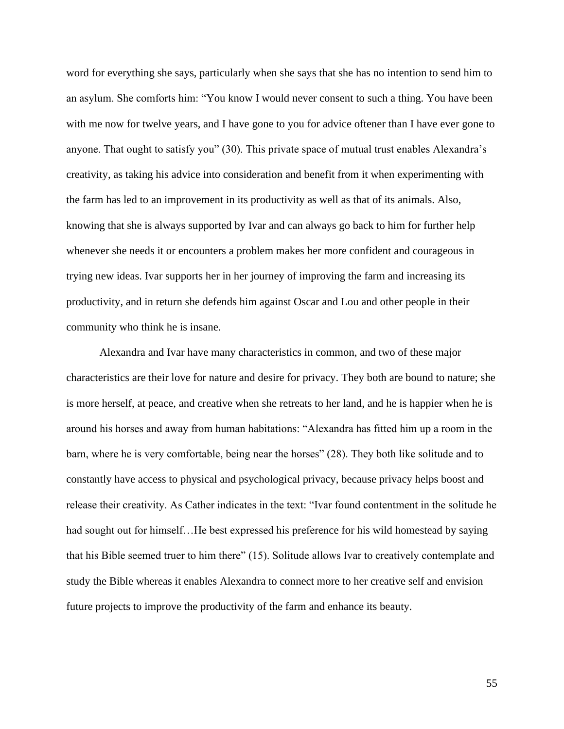word for everything she says, particularly when she says that she has no intention to send him to an asylum. She comforts him: "You know I would never consent to such a thing. You have been with me now for twelve years, and I have gone to you for advice oftener than I have ever gone to anyone. That ought to satisfy you" (30). This private space of mutual trust enables Alexandra's creativity, as taking his advice into consideration and benefit from it when experimenting with the farm has led to an improvement in its productivity as well as that of its animals. Also, knowing that she is always supported by Ivar and can always go back to him for further help whenever she needs it or encounters a problem makes her more confident and courageous in trying new ideas. Ivar supports her in her journey of improving the farm and increasing its productivity, and in return she defends him against Oscar and Lou and other people in their community who think he is insane.

Alexandra and Ivar have many characteristics in common, and two of these major characteristics are their love for nature and desire for privacy. They both are bound to nature; she is more herself, at peace, and creative when she retreats to her land, and he is happier when he is around his horses and away from human habitations: "Alexandra has fitted him up a room in the barn, where he is very comfortable, being near the horses" (28). They both like solitude and to constantly have access to physical and psychological privacy, because privacy helps boost and release their creativity. As Cather indicates in the text: "Ivar found contentment in the solitude he had sought out for himself…He best expressed his preference for his wild homestead by saying that his Bible seemed truer to him there" (15). Solitude allows Ivar to creatively contemplate and study the Bible whereas it enables Alexandra to connect more to her creative self and envision future projects to improve the productivity of the farm and enhance its beauty.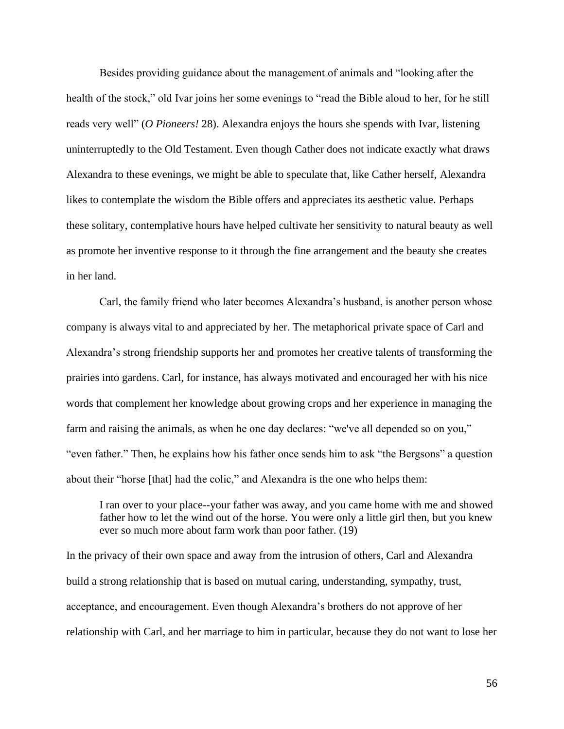Besides providing guidance about the management of animals and "looking after the health of the stock," old Ivar joins her some evenings to "read the Bible aloud to her, for he still reads very well" (*O Pioneers!* 28). Alexandra enjoys the hours she spends with Ivar, listening uninterruptedly to the Old Testament. Even though Cather does not indicate exactly what draws Alexandra to these evenings, we might be able to speculate that, like Cather herself, Alexandra likes to contemplate the wisdom the Bible offers and appreciates its aesthetic value. Perhaps these solitary, contemplative hours have helped cultivate her sensitivity to natural beauty as well as promote her inventive response to it through the fine arrangement and the beauty she creates in her land.

Carl, the family friend who later becomes Alexandra's husband, is another person whose company is always vital to and appreciated by her. The metaphorical private space of Carl and Alexandra's strong friendship supports her and promotes her creative talents of transforming the prairies into gardens. Carl, for instance, has always motivated and encouraged her with his nice words that complement her knowledge about growing crops and her experience in managing the farm and raising the animals, as when he one day declares: "we've all depended so on you," "even father." Then, he explains how his father once sends him to ask "the Bergsons" a question about their "horse [that] had the colic," and Alexandra is the one who helps them:

I ran over to your place--your father was away, and you came home with me and showed father how to let the wind out of the horse. You were only a little girl then, but you knew ever so much more about farm work than poor father. (19)

In the privacy of their own space and away from the intrusion of others, Carl and Alexandra build a strong relationship that is based on mutual caring, understanding, sympathy, trust, acceptance, and encouragement. Even though Alexandra's brothers do not approve of her relationship with Carl, and her marriage to him in particular, because they do not want to lose her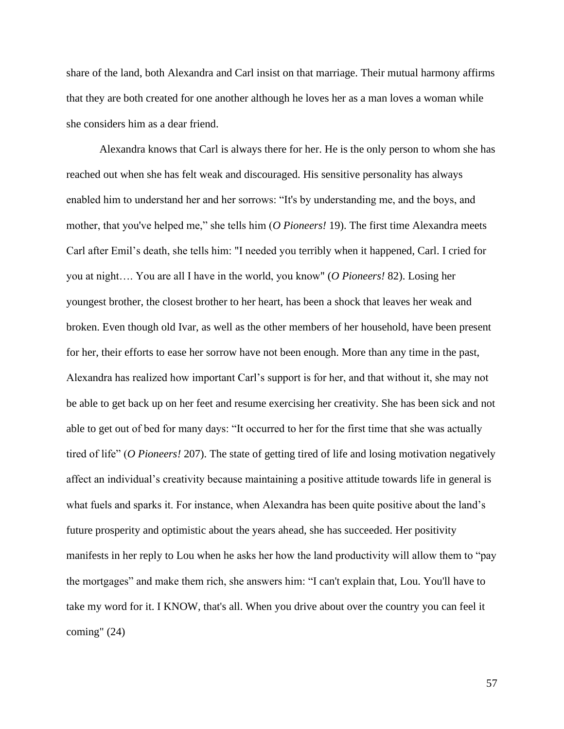share of the land, both Alexandra and Carl insist on that marriage. Their mutual harmony affirms that they are both created for one another although he loves her as a man loves a woman while she considers him as a dear friend.

Alexandra knows that Carl is always there for her. He is the only person to whom she has reached out when she has felt weak and discouraged. His sensitive personality has always enabled him to understand her and her sorrows: "It's by understanding me, and the boys, and mother, that you've helped me," she tells him (*O Pioneers!* 19). The first time Alexandra meets Carl after Emil's death, she tells him: "I needed you terribly when it happened, Carl. I cried for you at night…. You are all I have in the world, you know" (*O Pioneers!* 82). Losing her youngest brother, the closest brother to her heart, has been a shock that leaves her weak and broken. Even though old Ivar, as well as the other members of her household, have been present for her, their efforts to ease her sorrow have not been enough. More than any time in the past, Alexandra has realized how important Carl's support is for her, and that without it, she may not be able to get back up on her feet and resume exercising her creativity. She has been sick and not able to get out of bed for many days: "It occurred to her for the first time that she was actually tired of life" (*O Pioneers!* 207). The state of getting tired of life and losing motivation negatively affect an individual's creativity because maintaining a positive attitude towards life in general is what fuels and sparks it. For instance, when Alexandra has been quite positive about the land's future prosperity and optimistic about the years ahead, she has succeeded. Her positivity manifests in her reply to Lou when he asks her how the land productivity will allow them to "pay the mortgages" and make them rich, she answers him: "I can't explain that, Lou. You'll have to take my word for it. I KNOW, that's all. When you drive about over the country you can feel it coming" (24)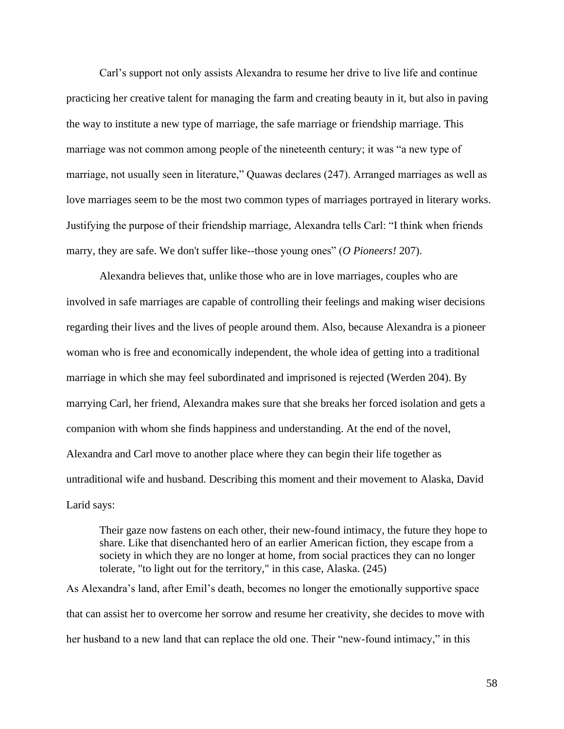Carl's support not only assists Alexandra to resume her drive to live life and continue practicing her creative talent for managing the farm and creating beauty in it, but also in paving the way to institute a new type of marriage, the safe marriage or friendship marriage. This marriage was not common among people of the nineteenth century; it was "a new type of marriage, not usually seen in literature," Quawas declares (247). Arranged marriages as well as love marriages seem to be the most two common types of marriages portrayed in literary works. Justifying the purpose of their friendship marriage, Alexandra tells Carl: "I think when friends marry, they are safe. We don't suffer like--those young ones" (*O Pioneers!* 207).

Alexandra believes that, unlike those who are in love marriages, couples who are involved in safe marriages are capable of controlling their feelings and making wiser decisions regarding their lives and the lives of people around them. Also, because Alexandra is a pioneer woman who is free and economically independent, the whole idea of getting into a traditional marriage in which she may feel subordinated and imprisoned is rejected (Werden 204). By marrying Carl, her friend, Alexandra makes sure that she breaks her forced isolation and gets a companion with whom she finds happiness and understanding. At the end of the novel, Alexandra and Carl move to another place where they can begin their life together as untraditional wife and husband. Describing this moment and their movement to Alaska, David Larid says:

Their gaze now fastens on each other, their new-found intimacy, the future they hope to share. Like that disenchanted hero of an earlier American fiction, they escape from a society in which they are no longer at home, from social practices they can no longer tolerate, "to light out for the territory," in this case, Alaska. (245)

As Alexandra's land, after Emil's death, becomes no longer the emotionally supportive space that can assist her to overcome her sorrow and resume her creativity, she decides to move with her husband to a new land that can replace the old one. Their "new-found intimacy," in this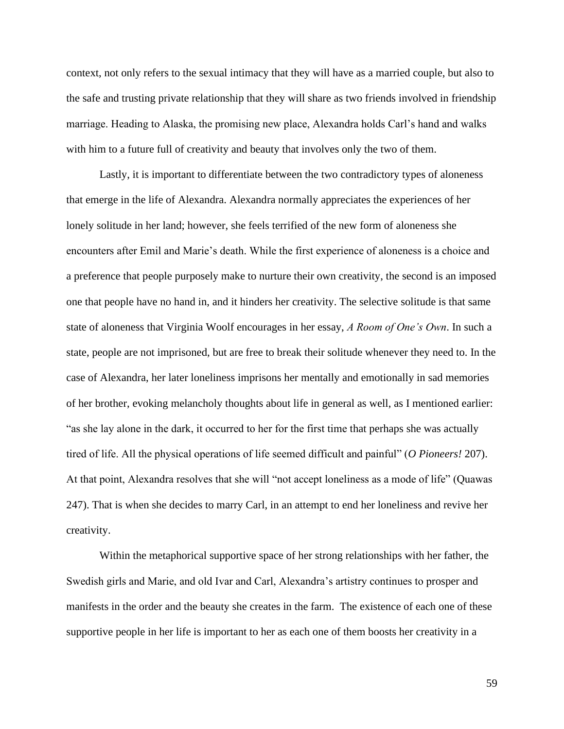context, not only refers to the sexual intimacy that they will have as a married couple, but also to the safe and trusting private relationship that they will share as two friends involved in friendship marriage. Heading to Alaska, the promising new place, Alexandra holds Carl's hand and walks with him to a future full of creativity and beauty that involves only the two of them.

Lastly, it is important to differentiate between the two contradictory types of aloneness that emerge in the life of Alexandra. Alexandra normally appreciates the experiences of her lonely solitude in her land; however, she feels terrified of the new form of aloneness she encounters after Emil and Marie's death. While the first experience of aloneness is a choice and a preference that people purposely make to nurture their own creativity, the second is an imposed one that people have no hand in, and it hinders her creativity. The selective solitude is that same state of aloneness that Virginia Woolf encourages in her essay, *A Room of One's Own*. In such a state, people are not imprisoned, but are free to break their solitude whenever they need to. In the case of Alexandra, her later loneliness imprisons her mentally and emotionally in sad memories of her brother, evoking melancholy thoughts about life in general as well, as I mentioned earlier: "as she lay alone in the dark, it occurred to her for the first time that perhaps she was actually tired of life. All the physical operations of life seemed difficult and painful" (*O Pioneers!* 207). At that point, Alexandra resolves that she will "not accept loneliness as a mode of life" (Quawas 247). That is when she decides to marry Carl, in an attempt to end her loneliness and revive her creativity.

Within the metaphorical supportive space of her strong relationships with her father, the Swedish girls and Marie, and old Ivar and Carl, Alexandra's artistry continues to prosper and manifests in the order and the beauty she creates in the farm. The existence of each one of these supportive people in her life is important to her as each one of them boosts her creativity in a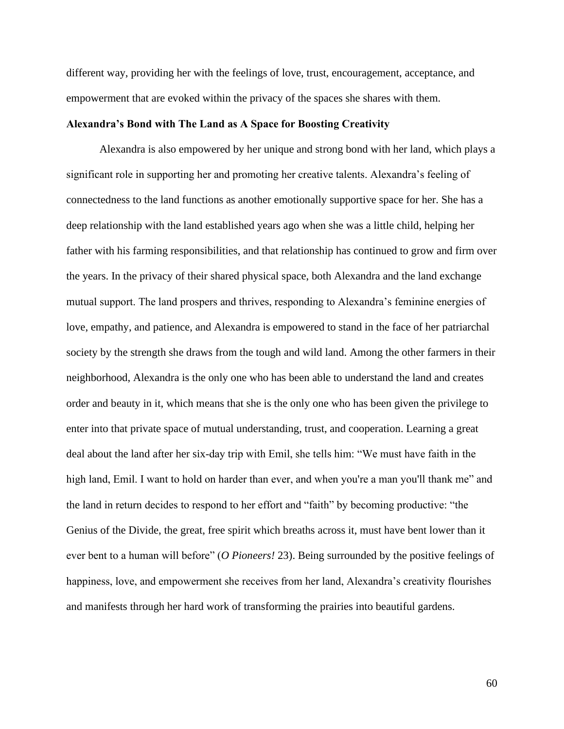different way, providing her with the feelings of love, trust, encouragement, acceptance, and empowerment that are evoked within the privacy of the spaces she shares with them.

#### **Alexandra's Bond with The Land as A Space for Boosting Creativity**

Alexandra is also empowered by her unique and strong bond with her land, which plays a significant role in supporting her and promoting her creative talents. Alexandra's feeling of connectedness to the land functions as another emotionally supportive space for her. She has a deep relationship with the land established years ago when she was a little child, helping her father with his farming responsibilities, and that relationship has continued to grow and firm over the years. In the privacy of their shared physical space, both Alexandra and the land exchange mutual support. The land prospers and thrives, responding to Alexandra's feminine energies of love, empathy, and patience, and Alexandra is empowered to stand in the face of her patriarchal society by the strength she draws from the tough and wild land. Among the other farmers in their neighborhood, Alexandra is the only one who has been able to understand the land and creates order and beauty in it, which means that she is the only one who has been given the privilege to enter into that private space of mutual understanding, trust, and cooperation. Learning a great deal about the land after her six-day trip with Emil, she tells him: "We must have faith in the high land, Emil. I want to hold on harder than ever, and when you're a man you'll thank me" and the land in return decides to respond to her effort and "faith" by becoming productive: "the Genius of the Divide, the great, free spirit which breaths across it, must have bent lower than it ever bent to a human will before" (*O Pioneers!* 23). Being surrounded by the positive feelings of happiness, love, and empowerment she receives from her land, Alexandra's creativity flourishes and manifests through her hard work of transforming the prairies into beautiful gardens.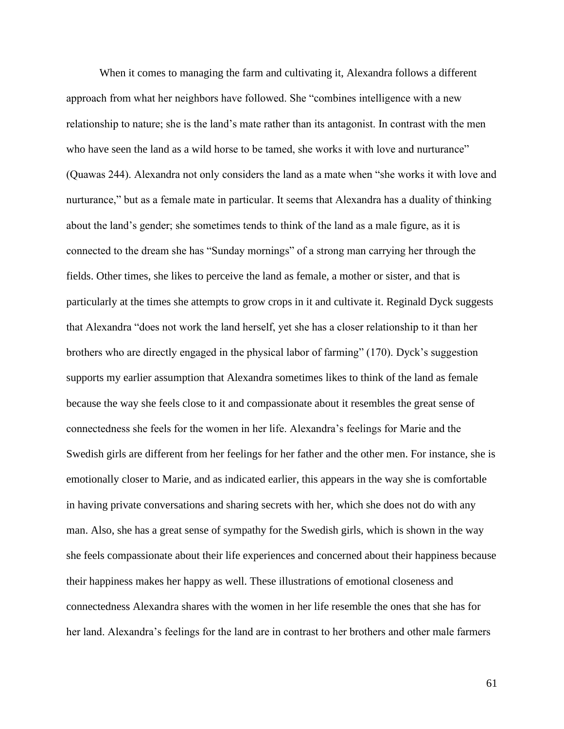When it comes to managing the farm and cultivating it, Alexandra follows a different approach from what her neighbors have followed. She "combines intelligence with a new relationship to nature; she is the land's mate rather than its antagonist. In contrast with the men who have seen the land as a wild horse to be tamed, she works it with love and nurturance" (Quawas 244). Alexandra not only considers the land as a mate when "she works it with love and nurturance," but as a female mate in particular. It seems that Alexandra has a duality of thinking about the land's gender; she sometimes tends to think of the land as a male figure, as it is connected to the dream she has "Sunday mornings" of a strong man carrying her through the fields. Other times, she likes to perceive the land as female, a mother or sister, and that is particularly at the times she attempts to grow crops in it and cultivate it. Reginald Dyck suggests that Alexandra "does not work the land herself, yet she has a closer relationship to it than her brothers who are directly engaged in the physical labor of farming" (170). Dyck's suggestion supports my earlier assumption that Alexandra sometimes likes to think of the land as female because the way she feels close to it and compassionate about it resembles the great sense of connectedness she feels for the women in her life. Alexandra's feelings for Marie and the Swedish girls are different from her feelings for her father and the other men. For instance, she is emotionally closer to Marie, and as indicated earlier, this appears in the way she is comfortable in having private conversations and sharing secrets with her, which she does not do with any man. Also, she has a great sense of sympathy for the Swedish girls, which is shown in the way she feels compassionate about their life experiences and concerned about their happiness because their happiness makes her happy as well. These illustrations of emotional closeness and connectedness Alexandra shares with the women in her life resemble the ones that she has for her land. Alexandra's feelings for the land are in contrast to her brothers and other male farmers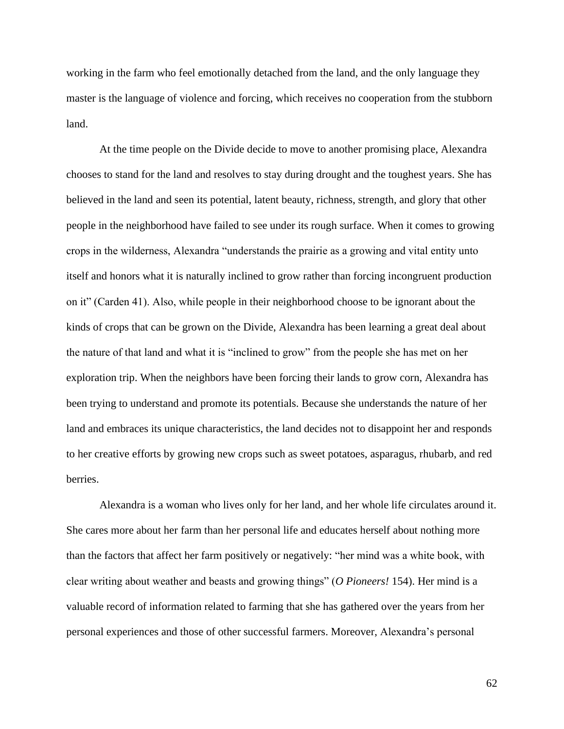working in the farm who feel emotionally detached from the land, and the only language they master is the language of violence and forcing, which receives no cooperation from the stubborn land.

At the time people on the Divide decide to move to another promising place, Alexandra chooses to stand for the land and resolves to stay during drought and the toughest years. She has believed in the land and seen its potential, latent beauty, richness, strength, and glory that other people in the neighborhood have failed to see under its rough surface. When it comes to growing crops in the wilderness, Alexandra "understands the prairie as a growing and vital entity unto itself and honors what it is naturally inclined to grow rather than forcing incongruent production on it" (Carden 41). Also, while people in their neighborhood choose to be ignorant about the kinds of crops that can be grown on the Divide, Alexandra has been learning a great deal about the nature of that land and what it is "inclined to grow" from the people she has met on her exploration trip. When the neighbors have been forcing their lands to grow corn, Alexandra has been trying to understand and promote its potentials. Because she understands the nature of her land and embraces its unique characteristics, the land decides not to disappoint her and responds to her creative efforts by growing new crops such as sweet potatoes, asparagus, rhubarb, and red berries.

Alexandra is a woman who lives only for her land, and her whole life circulates around it. She cares more about her farm than her personal life and educates herself about nothing more than the factors that affect her farm positively or negatively: "her mind was a white book, with clear writing about weather and beasts and growing things" (*O Pioneers!* 154). Her mind is a valuable record of information related to farming that she has gathered over the years from her personal experiences and those of other successful farmers. Moreover, Alexandra's personal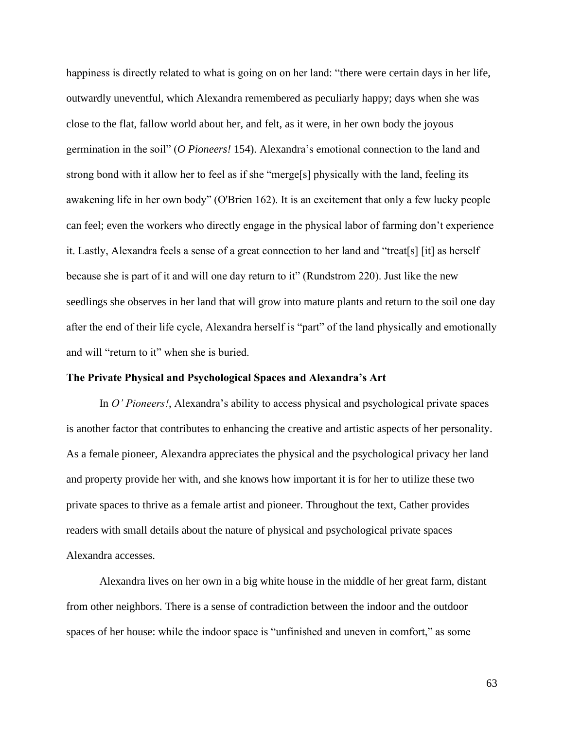happiness is directly related to what is going on on her land: "there were certain days in her life, outwardly uneventful, which Alexandra remembered as peculiarly happy; days when she was close to the flat, fallow world about her, and felt, as it were, in her own body the joyous germination in the soil" (*O Pioneers!* 154). Alexandra's emotional connection to the land and strong bond with it allow her to feel as if she "merge[s] physically with the land, feeling its awakening life in her own body" (O'Brien 162). It is an excitement that only a few lucky people can feel; even the workers who directly engage in the physical labor of farming don't experience it. Lastly, Alexandra feels a sense of a great connection to her land and "treat[s] [it] as herself because she is part of it and will one day return to it" (Rundstrom 220). Just like the new seedlings she observes in her land that will grow into mature plants and return to the soil one day after the end of their life cycle, Alexandra herself is "part" of the land physically and emotionally and will "return to it" when she is buried.

# **The Private Physical and Psychological Spaces and Alexandra's Art**

In *O' Pioneers!*, Alexandra's ability to access physical and psychological private spaces is another factor that contributes to enhancing the creative and artistic aspects of her personality. As a female pioneer, Alexandra appreciates the physical and the psychological privacy her land and property provide her with, and she knows how important it is for her to utilize these two private spaces to thrive as a female artist and pioneer. Throughout the text, Cather provides readers with small details about the nature of physical and psychological private spaces Alexandra accesses.

Alexandra lives on her own in a big white house in the middle of her great farm, distant from other neighbors. There is a sense of contradiction between the indoor and the outdoor spaces of her house: while the indoor space is "unfinished and uneven in comfort," as some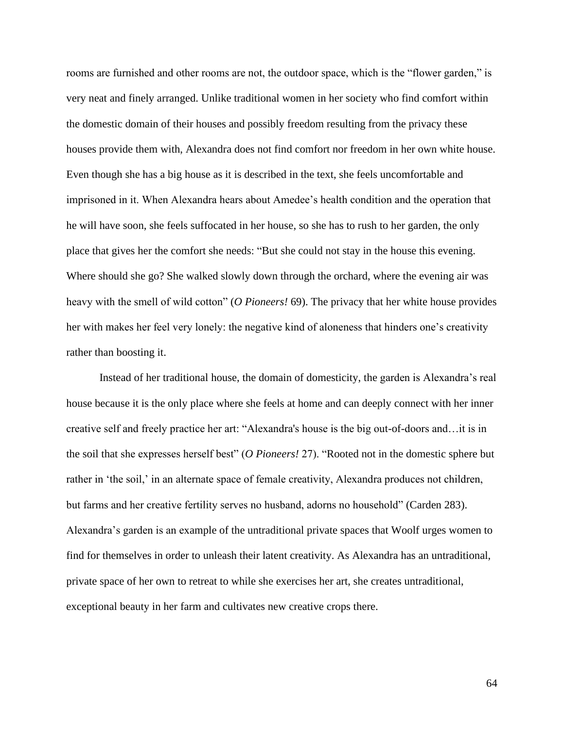rooms are furnished and other rooms are not, the outdoor space, which is the "flower garden," is very neat and finely arranged. Unlike traditional women in her society who find comfort within the domestic domain of their houses and possibly freedom resulting from the privacy these houses provide them with, Alexandra does not find comfort nor freedom in her own white house. Even though she has a big house as it is described in the text, she feels uncomfortable and imprisoned in it. When Alexandra hears about Amedee's health condition and the operation that he will have soon, she feels suffocated in her house, so she has to rush to her garden, the only place that gives her the comfort she needs: "But she could not stay in the house this evening. Where should she go? She walked slowly down through the orchard, where the evening air was heavy with the smell of wild cotton" (*O Pioneers!* 69). The privacy that her white house provides her with makes her feel very lonely: the negative kind of aloneness that hinders one's creativity rather than boosting it.

Instead of her traditional house, the domain of domesticity, the garden is Alexandra's real house because it is the only place where she feels at home and can deeply connect with her inner creative self and freely practice her art: "Alexandra's house is the big out-of-doors and…it is in the soil that she expresses herself best" (*O Pioneers!* 27). "Rooted not in the domestic sphere but rather in 'the soil,' in an alternate space of female creativity, Alexandra produces not children, but farms and her creative fertility serves no husband, adorns no household" (Carden 283). Alexandra's garden is an example of the untraditional private spaces that Woolf urges women to find for themselves in order to unleash their latent creativity. As Alexandra has an untraditional, private space of her own to retreat to while she exercises her art, she creates untraditional, exceptional beauty in her farm and cultivates new creative crops there.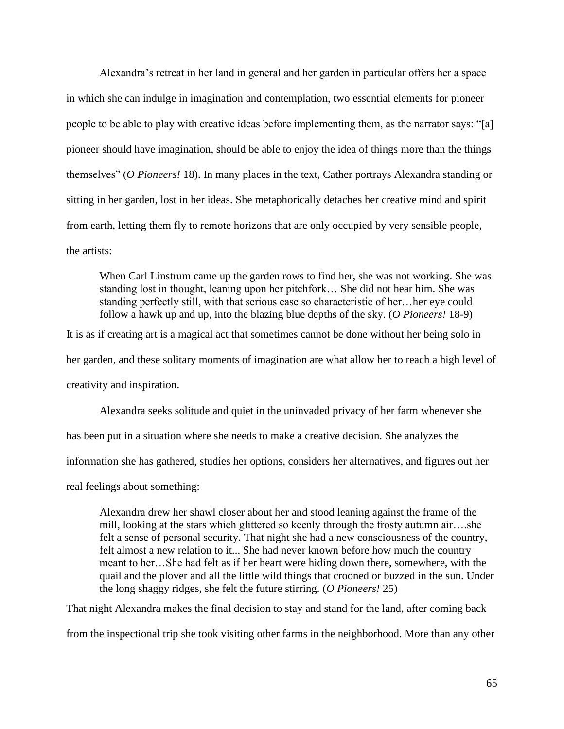Alexandra's retreat in her land in general and her garden in particular offers her a space in which she can indulge in imagination and contemplation, two essential elements for pioneer people to be able to play with creative ideas before implementing them, as the narrator says: "[a] pioneer should have imagination, should be able to enjoy the idea of things more than the things themselves" (*O Pioneers!* 18). In many places in the text, Cather portrays Alexandra standing or sitting in her garden, lost in her ideas. She metaphorically detaches her creative mind and spirit from earth, letting them fly to remote horizons that are only occupied by very sensible people, the artists:

When Carl Linstrum came up the garden rows to find her, she was not working. She was standing lost in thought, leaning upon her pitchfork… She did not hear him. She was standing perfectly still, with that serious ease so characteristic of her…her eye could follow a hawk up and up, into the blazing blue depths of the sky. (*O Pioneers!* 18-9)

It is as if creating art is a magical act that sometimes cannot be done without her being solo in her garden, and these solitary moments of imagination are what allow her to reach a high level of creativity and inspiration.

Alexandra seeks solitude and quiet in the uninvaded privacy of her farm whenever she has been put in a situation where she needs to make a creative decision. She analyzes the information she has gathered, studies her options, considers her alternatives, and figures out her real feelings about something:

Alexandra drew her shawl closer about her and stood leaning against the frame of the mill, looking at the stars which glittered so keenly through the frosty autumn air….she felt a sense of personal security. That night she had a new consciousness of the country, felt almost a new relation to it... She had never known before how much the country meant to her…She had felt as if her heart were hiding down there, somewhere, with the quail and the plover and all the little wild things that crooned or buzzed in the sun. Under the long shaggy ridges, she felt the future stirring. (*O Pioneers!* 25)

That night Alexandra makes the final decision to stay and stand for the land, after coming back

from the inspectional trip she took visiting other farms in the neighborhood. More than any other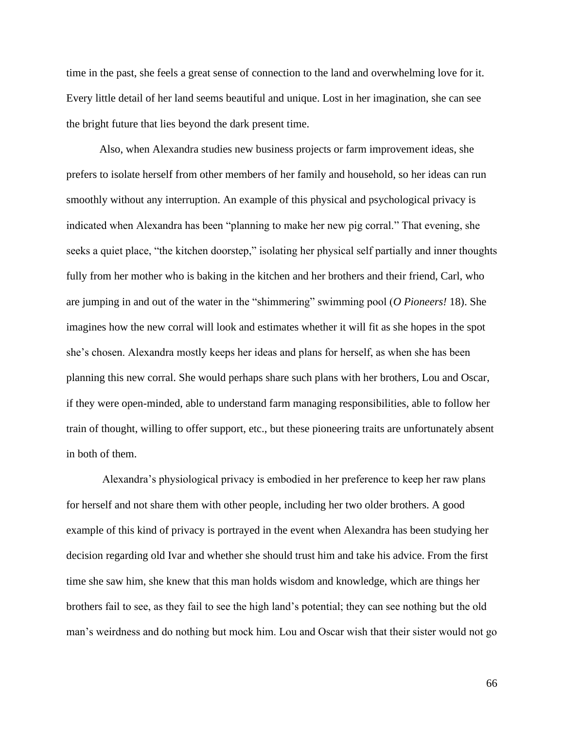time in the past, she feels a great sense of connection to the land and overwhelming love for it. Every little detail of her land seems beautiful and unique. Lost in her imagination, she can see the bright future that lies beyond the dark present time.

Also, when Alexandra studies new business projects or farm improvement ideas, she prefers to isolate herself from other members of her family and household, so her ideas can run smoothly without any interruption. An example of this physical and psychological privacy is indicated when Alexandra has been "planning to make her new pig corral." That evening, she seeks a quiet place, "the kitchen doorstep," isolating her physical self partially and inner thoughts fully from her mother who is baking in the kitchen and her brothers and their friend, Carl, who are jumping in and out of the water in the "shimmering" swimming pool (*O Pioneers!* 18). She imagines how the new corral will look and estimates whether it will fit as she hopes in the spot she's chosen. Alexandra mostly keeps her ideas and plans for herself, as when she has been planning this new corral. She would perhaps share such plans with her brothers, Lou and Oscar, if they were open-minded, able to understand farm managing responsibilities, able to follow her train of thought, willing to offer support, etc., but these pioneering traits are unfortunately absent in both of them.

Alexandra's physiological privacy is embodied in her preference to keep her raw plans for herself and not share them with other people, including her two older brothers. A good example of this kind of privacy is portrayed in the event when Alexandra has been studying her decision regarding old Ivar and whether she should trust him and take his advice. From the first time she saw him, she knew that this man holds wisdom and knowledge, which are things her brothers fail to see, as they fail to see the high land's potential; they can see nothing but the old man's weirdness and do nothing but mock him. Lou and Oscar wish that their sister would not go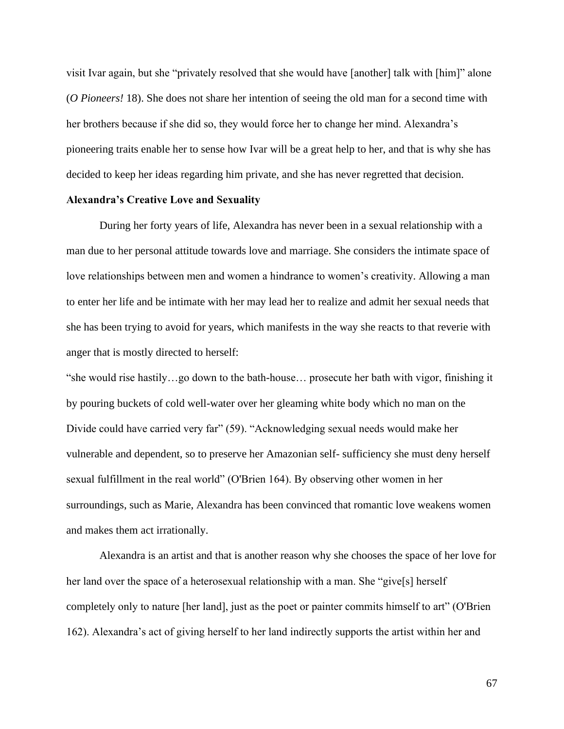visit Ivar again, but she "privately resolved that she would have [another] talk with [him]" alone (*O Pioneers!* 18). She does not share her intention of seeing the old man for a second time with her brothers because if she did so, they would force her to change her mind. Alexandra's pioneering traits enable her to sense how Ivar will be a great help to her, and that is why she has decided to keep her ideas regarding him private, and she has never regretted that decision.

# **Alexandra's Creative Love and Sexuality**

During her forty years of life, Alexandra has never been in a sexual relationship with a man due to her personal attitude towards love and marriage. She considers the intimate space of love relationships between men and women a hindrance to women's creativity. Allowing a man to enter her life and be intimate with her may lead her to realize and admit her sexual needs that she has been trying to avoid for years, which manifests in the way she reacts to that reverie with anger that is mostly directed to herself:

"she would rise hastily…go down to the bath-house… prosecute her bath with vigor, finishing it by pouring buckets of cold well-water over her gleaming white body which no man on the Divide could have carried very far" (59). "Acknowledging sexual needs would make her vulnerable and dependent, so to preserve her Amazonian self- sufficiency she must deny herself sexual fulfillment in the real world" (O'Brien 164). By observing other women in her surroundings, such as Marie, Alexandra has been convinced that romantic love weakens women and makes them act irrationally.

Alexandra is an artist and that is another reason why she chooses the space of her love for her land over the space of a heterosexual relationship with a man. She "give[s] herself completely only to nature [her land], just as the poet or painter commits himself to art" (O'Brien 162). Alexandra's act of giving herself to her land indirectly supports the artist within her and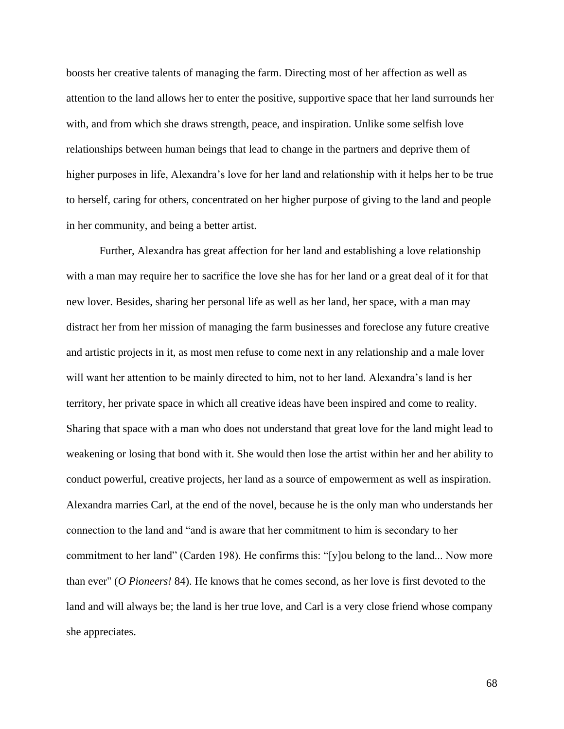boosts her creative talents of managing the farm. Directing most of her affection as well as attention to the land allows her to enter the positive, supportive space that her land surrounds her with, and from which she draws strength, peace, and inspiration. Unlike some selfish love relationships between human beings that lead to change in the partners and deprive them of higher purposes in life, Alexandra's love for her land and relationship with it helps her to be true to herself, caring for others, concentrated on her higher purpose of giving to the land and people in her community, and being a better artist.

Further, Alexandra has great affection for her land and establishing a love relationship with a man may require her to sacrifice the love she has for her land or a great deal of it for that new lover. Besides, sharing her personal life as well as her land, her space, with a man may distract her from her mission of managing the farm businesses and foreclose any future creative and artistic projects in it, as most men refuse to come next in any relationship and a male lover will want her attention to be mainly directed to him, not to her land. Alexandra's land is her territory, her private space in which all creative ideas have been inspired and come to reality. Sharing that space with a man who does not understand that great love for the land might lead to weakening or losing that bond with it. She would then lose the artist within her and her ability to conduct powerful, creative projects, her land as a source of empowerment as well as inspiration. Alexandra marries Carl, at the end of the novel, because he is the only man who understands her connection to the land and "and is aware that her commitment to him is secondary to her commitment to her land" (Carden 198). He confirms this: "[y]ou belong to the land... Now more than ever" (*O Pioneers!* 84). He knows that he comes second, as her love is first devoted to the land and will always be; the land is her true love, and Carl is a very close friend whose company she appreciates.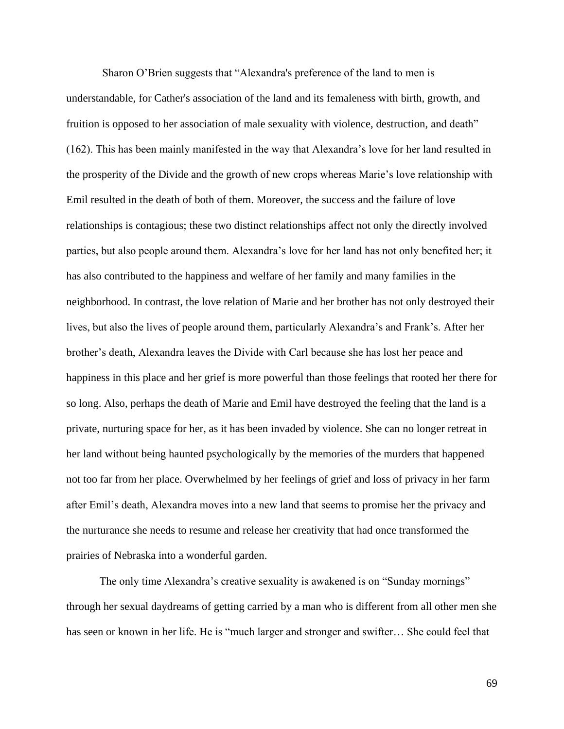Sharon O'Brien suggests that "Alexandra's preference of the land to men is understandable, for Cather's association of the land and its femaleness with birth, growth, and fruition is opposed to her association of male sexuality with violence, destruction, and death" (162). This has been mainly manifested in the way that Alexandra's love for her land resulted in the prosperity of the Divide and the growth of new crops whereas Marie's love relationship with Emil resulted in the death of both of them. Moreover, the success and the failure of love relationships is contagious; these two distinct relationships affect not only the directly involved parties, but also people around them. Alexandra's love for her land has not only benefited her; it has also contributed to the happiness and welfare of her family and many families in the neighborhood. In contrast, the love relation of Marie and her brother has not only destroyed their lives, but also the lives of people around them, particularly Alexandra's and Frank's. After her brother's death, Alexandra leaves the Divide with Carl because she has lost her peace and happiness in this place and her grief is more powerful than those feelings that rooted her there for so long. Also, perhaps the death of Marie and Emil have destroyed the feeling that the land is a private, nurturing space for her, as it has been invaded by violence. She can no longer retreat in her land without being haunted psychologically by the memories of the murders that happened not too far from her place. Overwhelmed by her feelings of grief and loss of privacy in her farm after Emil's death, Alexandra moves into a new land that seems to promise her the privacy and the nurturance she needs to resume and release her creativity that had once transformed the prairies of Nebraska into a wonderful garden.

The only time Alexandra's creative sexuality is awakened is on "Sunday mornings" through her sexual daydreams of getting carried by a man who is different from all other men she has seen or known in her life. He is "much larger and stronger and swifter… She could feel that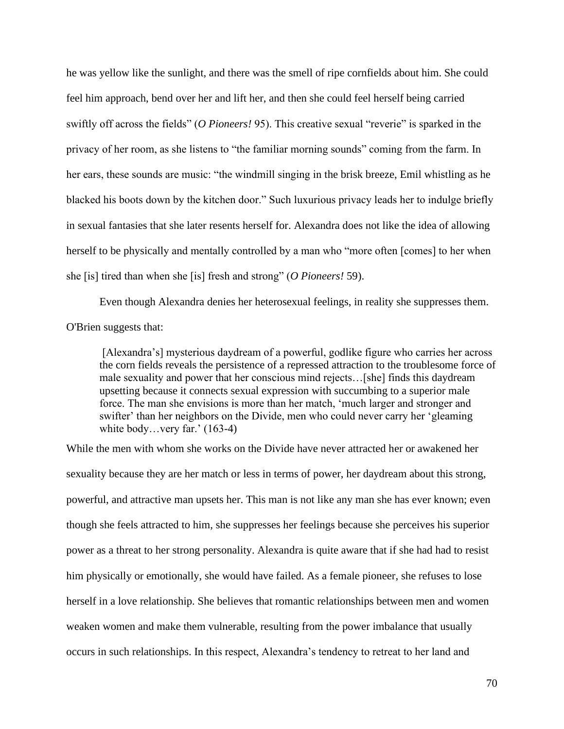he was yellow like the sunlight, and there was the smell of ripe cornfields about him. She could feel him approach, bend over her and lift her, and then she could feel herself being carried swiftly off across the fields" (*O Pioneers!* 95). This creative sexual "reverie" is sparked in the privacy of her room, as she listens to "the familiar morning sounds" coming from the farm. In her ears, these sounds are music: "the windmill singing in the brisk breeze, Emil whistling as he blacked his boots down by the kitchen door." Such luxurious privacy leads her to indulge briefly in sexual fantasies that she later resents herself for. Alexandra does not like the idea of allowing herself to be physically and mentally controlled by a man who "more often [comes] to her when she [is] tired than when she [is] fresh and strong" (*O Pioneers!* 59).

Even though Alexandra denies her heterosexual feelings, in reality she suppresses them. O'Brien suggests that:

[Alexandra's] mysterious daydream of a powerful, godlike figure who carries her across the corn fields reveals the persistence of a repressed attraction to the troublesome force of male sexuality and power that her conscious mind rejects…[she] finds this daydream upsetting because it connects sexual expression with succumbing to a superior male force. The man she envisions is more than her match, 'much larger and stronger and swifter' than her neighbors on the Divide, men who could never carry her 'gleaming white body…very far.' (163-4)

While the men with whom she works on the Divide have never attracted her or awakened her sexuality because they are her match or less in terms of power, her daydream about this strong, powerful, and attractive man upsets her. This man is not like any man she has ever known; even though she feels attracted to him, she suppresses her feelings because she perceives his superior power as a threat to her strong personality. Alexandra is quite aware that if she had had to resist him physically or emotionally, she would have failed. As a female pioneer, she refuses to lose herself in a love relationship. She believes that romantic relationships between men and women weaken women and make them vulnerable, resulting from the power imbalance that usually occurs in such relationships. In this respect, Alexandra's tendency to retreat to her land and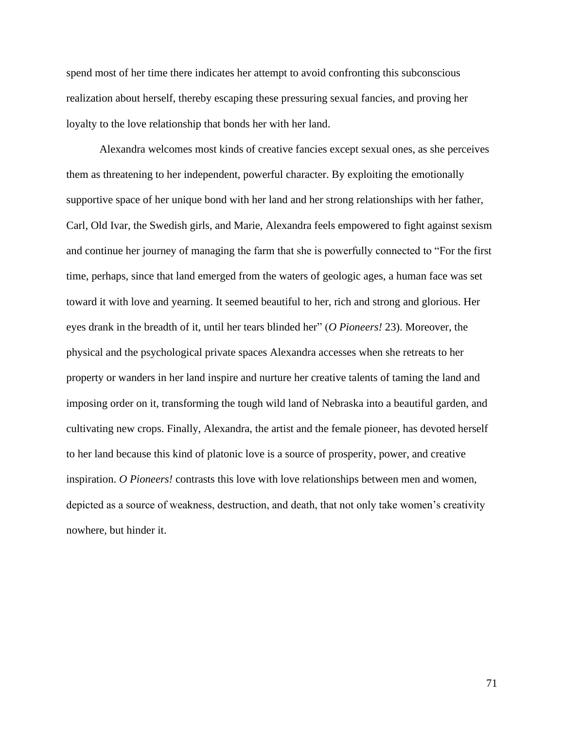spend most of her time there indicates her attempt to avoid confronting this subconscious realization about herself, thereby escaping these pressuring sexual fancies, and proving her loyalty to the love relationship that bonds her with her land.

Alexandra welcomes most kinds of creative fancies except sexual ones, as she perceives them as threatening to her independent, powerful character. By exploiting the emotionally supportive space of her unique bond with her land and her strong relationships with her father, Carl, Old Ivar, the Swedish girls, and Marie, Alexandra feels empowered to fight against sexism and continue her journey of managing the farm that she is powerfully connected to "For the first time, perhaps, since that land emerged from the waters of geologic ages, a human face was set toward it with love and yearning. It seemed beautiful to her, rich and strong and glorious. Her eyes drank in the breadth of it, until her tears blinded her" (*O Pioneers!* 23). Moreover, the physical and the psychological private spaces Alexandra accesses when she retreats to her property or wanders in her land inspire and nurture her creative talents of taming the land and imposing order on it, transforming the tough wild land of Nebraska into a beautiful garden, and cultivating new crops. Finally, Alexandra, the artist and the female pioneer, has devoted herself to her land because this kind of platonic love is a source of prosperity, power, and creative inspiration. *O Pioneers!* contrasts this love with love relationships between men and women, depicted as a source of weakness, destruction, and death, that not only take women's creativity nowhere, but hinder it.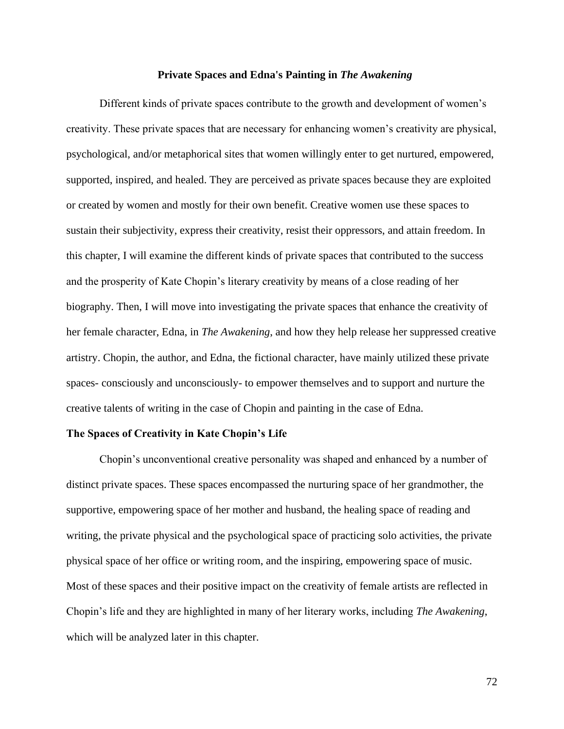#### **Private Spaces and Edna's Painting in** *The Awakening*

Different kinds of private spaces contribute to the growth and development of women's creativity. These private spaces that are necessary for enhancing women's creativity are physical, psychological, and/or metaphorical sites that women willingly enter to get nurtured, empowered, supported, inspired, and healed. They are perceived as private spaces because they are exploited or created by women and mostly for their own benefit. Creative women use these spaces to sustain their subjectivity, express their creativity, resist their oppressors, and attain freedom. In this chapter, I will examine the different kinds of private spaces that contributed to the success and the prosperity of Kate Chopin's literary creativity by means of a close reading of her biography. Then, I will move into investigating the private spaces that enhance the creativity of her female character, Edna, in *The Awakening*, and how they help release her suppressed creative artistry. Chopin, the author, and Edna, the fictional character, have mainly utilized these private spaces- consciously and unconsciously- to empower themselves and to support and nurture the creative talents of writing in the case of Chopin and painting in the case of Edna.

## **The Spaces of Creativity in Kate Chopin's Life**

Chopin's unconventional creative personality was shaped and enhanced by a number of distinct private spaces. These spaces encompassed the nurturing space of her grandmother, the supportive, empowering space of her mother and husband, the healing space of reading and writing, the private physical and the psychological space of practicing solo activities, the private physical space of her office or writing room, and the inspiring, empowering space of music. Most of these spaces and their positive impact on the creativity of female artists are reflected in Chopin's life and they are highlighted in many of her literary works, including *The Awakening*, which will be analyzed later in this chapter.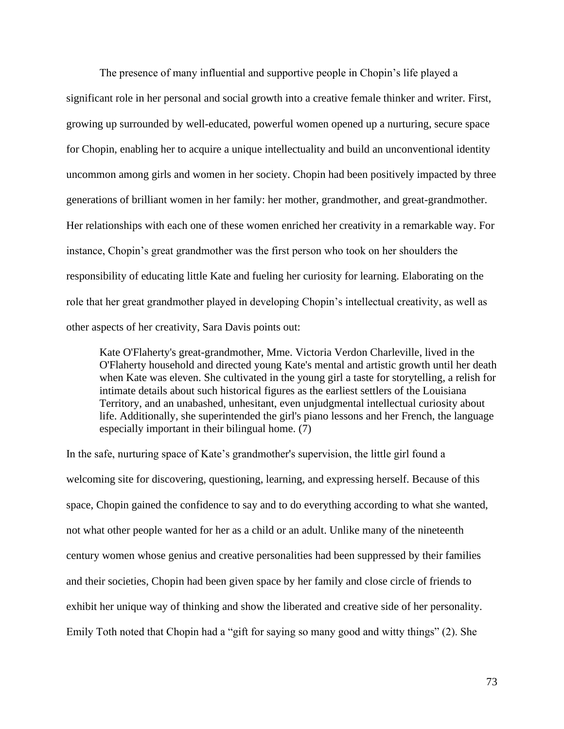The presence of many influential and supportive people in Chopin's life played a significant role in her personal and social growth into a creative female thinker and writer. First, growing up surrounded by well-educated, powerful women opened up a nurturing, secure space for Chopin, enabling her to acquire a unique intellectuality and build an unconventional identity uncommon among girls and women in her society. Chopin had been positively impacted by three generations of brilliant women in her family: her mother, grandmother, and great-grandmother. Her relationships with each one of these women enriched her creativity in a remarkable way. For instance, Chopin's great grandmother was the first person who took on her shoulders the responsibility of educating little Kate and fueling her curiosity for learning. Elaborating on the role that her great grandmother played in developing Chopin's intellectual creativity, as well as other aspects of her creativity, Sara Davis points out:

Kate O'Flaherty's great-grandmother, Mme. Victoria Verdon Charleville, lived in the O'Flaherty household and directed young Kate's mental and artistic growth until her death when Kate was eleven. She cultivated in the young girl a taste for storytelling, a relish for intimate details about such historical figures as the earliest settlers of the Louisiana Territory, and an unabashed, unhesitant, even unjudgmental intellectual curiosity about life. Additionally, she superintended the girl's piano lessons and her French, the language especially important in their bilingual home. (7)

In the safe, nurturing space of Kate's grandmother's supervision, the little girl found a welcoming site for discovering, questioning, learning, and expressing herself. Because of this space, Chopin gained the confidence to say and to do everything according to what she wanted, not what other people wanted for her as a child or an adult. Unlike many of the nineteenth century women whose genius and creative personalities had been suppressed by their families and their societies, Chopin had been given space by her family and close circle of friends to exhibit her unique way of thinking and show the liberated and creative side of her personality. Emily Toth noted that Chopin had a "gift for saying so many good and witty things" (2). She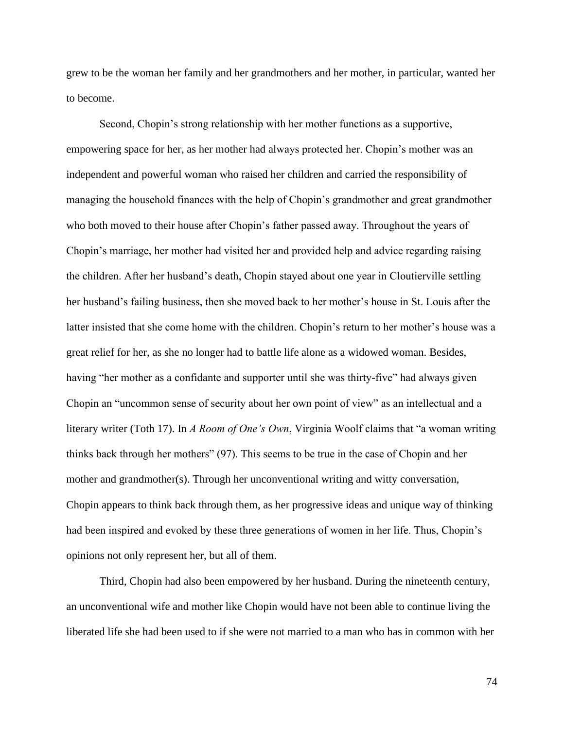grew to be the woman her family and her grandmothers and her mother, in particular, wanted her to become.

Second, Chopin's strong relationship with her mother functions as a supportive, empowering space for her, as her mother had always protected her. Chopin's mother was an independent and powerful woman who raised her children and carried the responsibility of managing the household finances with the help of Chopin's grandmother and great grandmother who both moved to their house after Chopin's father passed away. Throughout the years of Chopin's marriage, her mother had visited her and provided help and advice regarding raising the children. After her husband's death, Chopin stayed about one year in Cloutierville settling her husband's failing business, then she moved back to her mother's house in St. Louis after the latter insisted that she come home with the children. Chopin's return to her mother's house was a great relief for her, as she no longer had to battle life alone as a widowed woman. Besides, having "her mother as a confidante and supporter until she was thirty-five" had always given Chopin an "uncommon sense of security about her own point of view" as an intellectual and a literary writer (Toth 17). In *A Room of One's Own*, Virginia Woolf claims that "a woman writing thinks back through her mothers" (97). This seems to be true in the case of Chopin and her mother and grandmother(s). Through her unconventional writing and witty conversation, Chopin appears to think back through them, as her progressive ideas and unique way of thinking had been inspired and evoked by these three generations of women in her life. Thus, Chopin's opinions not only represent her, but all of them.

Third, Chopin had also been empowered by her husband. During the nineteenth century, an unconventional wife and mother like Chopin would have not been able to continue living the liberated life she had been used to if she were not married to a man who has in common with her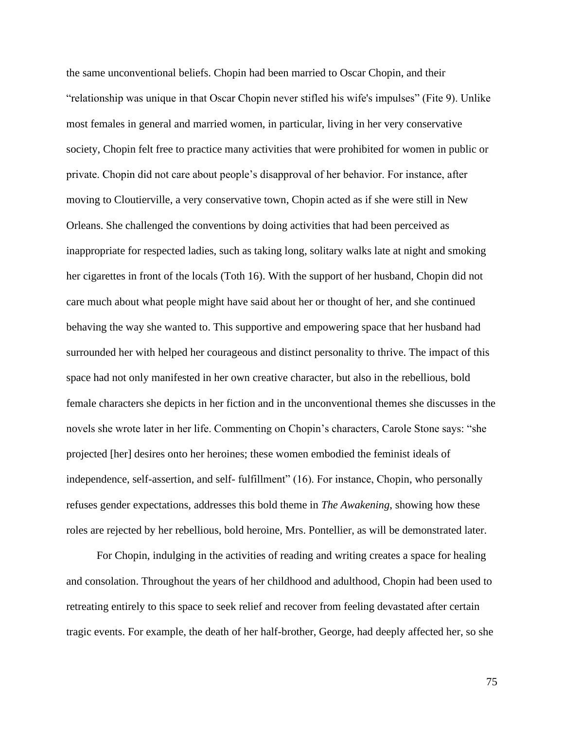the same unconventional beliefs. Chopin had been married to Oscar Chopin, and their "relationship was unique in that Oscar Chopin never stifled his wife's impulses" (Fite 9). Unlike most females in general and married women, in particular, living in her very conservative society, Chopin felt free to practice many activities that were prohibited for women in public or private. Chopin did not care about people's disapproval of her behavior. For instance, after moving to Cloutierville, a very conservative town, Chopin acted as if she were still in New Orleans. She challenged the conventions by doing activities that had been perceived as inappropriate for respected ladies, such as taking long, solitary walks late at night and smoking her cigarettes in front of the locals (Toth 16). With the support of her husband, Chopin did not care much about what people might have said about her or thought of her, and she continued behaving the way she wanted to. This supportive and empowering space that her husband had surrounded her with helped her courageous and distinct personality to thrive. The impact of this space had not only manifested in her own creative character, but also in the rebellious, bold female characters she depicts in her fiction and in the unconventional themes she discusses in the novels she wrote later in her life. Commenting on Chopin's characters, Carole Stone says: "she projected [her] desires onto her heroines; these women embodied the feminist ideals of independence, self-assertion, and self- fulfillment" (16). For instance, Chopin, who personally refuses gender expectations, addresses this bold theme in *The Awakening*, showing how these roles are rejected by her rebellious, bold heroine, Mrs. Pontellier, as will be demonstrated later.

For Chopin, indulging in the activities of reading and writing creates a space for healing and consolation. Throughout the years of her childhood and adulthood, Chopin had been used to retreating entirely to this space to seek relief and recover from feeling devastated after certain tragic events. For example, the death of her half-brother, George, had deeply affected her, so she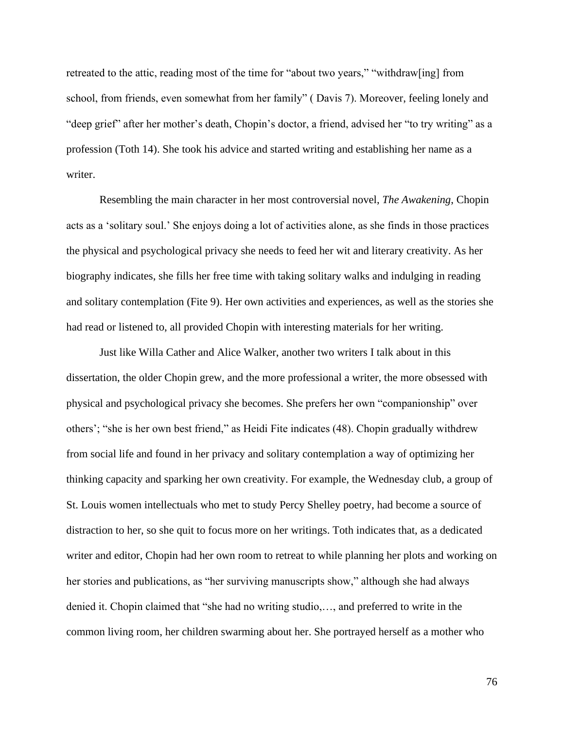retreated to the attic, reading most of the time for "about two years," "withdraw[ing] from school, from friends, even somewhat from her family" ( Davis 7). Moreover, feeling lonely and "deep grief" after her mother's death, Chopin's doctor, a friend, advised her "to try writing" as a profession (Toth 14). She took his advice and started writing and establishing her name as a writer.

Resembling the main character in her most controversial novel, *The Awakening*, Chopin acts as a 'solitary soul.' She enjoys doing a lot of activities alone, as she finds in those practices the physical and psychological privacy she needs to feed her wit and literary creativity. As her biography indicates, she fills her free time with taking solitary walks and indulging in reading and solitary contemplation (Fite 9). Her own activities and experiences, as well as the stories she had read or listened to, all provided Chopin with interesting materials for her writing.

Just like Willa Cather and Alice Walker, another two writers I talk about in this dissertation, the older Chopin grew, and the more professional a writer, the more obsessed with physical and psychological privacy she becomes. She prefers her own "companionship" over others'; "she is her own best friend," as Heidi Fite indicates (48). Chopin gradually withdrew from social life and found in her privacy and solitary contemplation a way of optimizing her thinking capacity and sparking her own creativity. For example, the Wednesday club, a group of St. Louis women intellectuals who met to study Percy Shelley poetry, had become a source of distraction to her, so she quit to focus more on her writings. Toth indicates that, as a dedicated writer and editor, Chopin had her own room to retreat to while planning her plots and working on her stories and publications, as "her surviving manuscripts show," although she had always denied it. Chopin claimed that "she had no writing studio,…, and preferred to write in the common living room, her children swarming about her. She portrayed herself as a mother who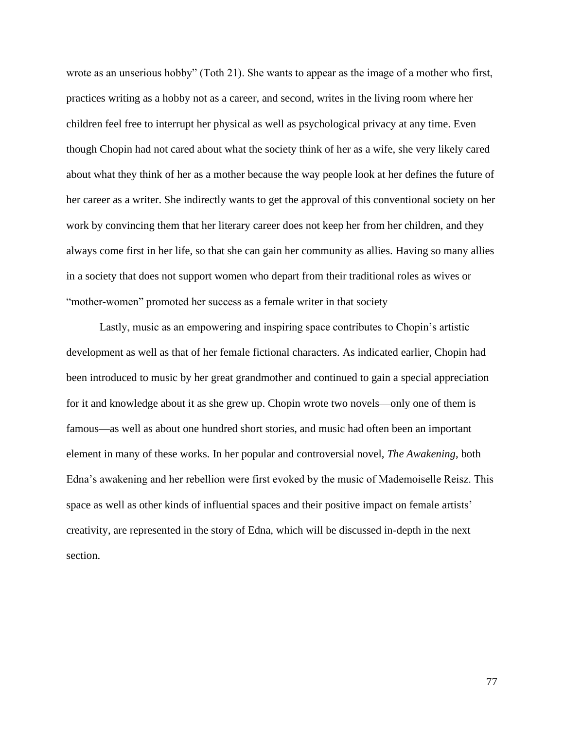wrote as an unserious hobby" (Toth 21). She wants to appear as the image of a mother who first, practices writing as a hobby not as a career, and second, writes in the living room where her children feel free to interrupt her physical as well as psychological privacy at any time. Even though Chopin had not cared about what the society think of her as a wife, she very likely cared about what they think of her as a mother because the way people look at her defines the future of her career as a writer. She indirectly wants to get the approval of this conventional society on her work by convincing them that her literary career does not keep her from her children, and they always come first in her life, so that she can gain her community as allies. Having so many allies in a society that does not support women who depart from their traditional roles as wives or "mother-women" promoted her success as a female writer in that society

Lastly, music as an empowering and inspiring space contributes to Chopin's artistic development as well as that of her female fictional characters. As indicated earlier, Chopin had been introduced to music by her great grandmother and continued to gain a special appreciation for it and knowledge about it as she grew up. Chopin wrote two novels—only one of them is famous—as well as about one hundred short stories, and music had often been an important element in many of these works. In her popular and controversial novel, *The Awakening*, both Edna's awakening and her rebellion were first evoked by the music of Mademoiselle Reisz. This space as well as other kinds of influential spaces and their positive impact on female artists' creativity, are represented in the story of Edna, which will be discussed in-depth in the next section.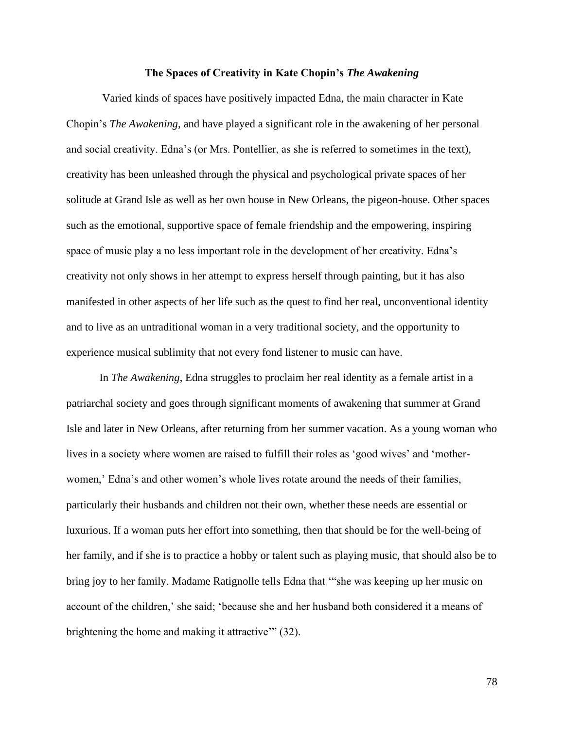#### **The Spaces of Creativity in Kate Chopin's** *The Awakening*

Varied kinds of spaces have positively impacted Edna, the main character in Kate Chopin's *The Awakening*, and have played a significant role in the awakening of her personal and social creativity. Edna's (or Mrs. Pontellier, as she is referred to sometimes in the text), creativity has been unleashed through the physical and psychological private spaces of her solitude at Grand Isle as well as her own house in New Orleans, the pigeon-house. Other spaces such as the emotional, supportive space of female friendship and the empowering, inspiring space of music play a no less important role in the development of her creativity. Edna's creativity not only shows in her attempt to express herself through painting, but it has also manifested in other aspects of her life such as the quest to find her real, unconventional identity and to live as an untraditional woman in a very traditional society, and the opportunity to experience musical sublimity that not every fond listener to music can have.

In *The Awakening*, Edna struggles to proclaim her real identity as a female artist in a patriarchal society and goes through significant moments of awakening that summer at Grand Isle and later in New Orleans, after returning from her summer vacation. As a young woman who lives in a society where women are raised to fulfill their roles as 'good wives' and 'motherwomen,' Edna's and other women's whole lives rotate around the needs of their families, particularly their husbands and children not their own, whether these needs are essential or luxurious. If a woman puts her effort into something, then that should be for the well-being of her family, and if she is to practice a hobby or talent such as playing music, that should also be to bring joy to her family. Madame Ratignolle tells Edna that '"she was keeping up her music on account of the children,' she said; 'because she and her husband both considered it a means of brightening the home and making it attractive'" (32).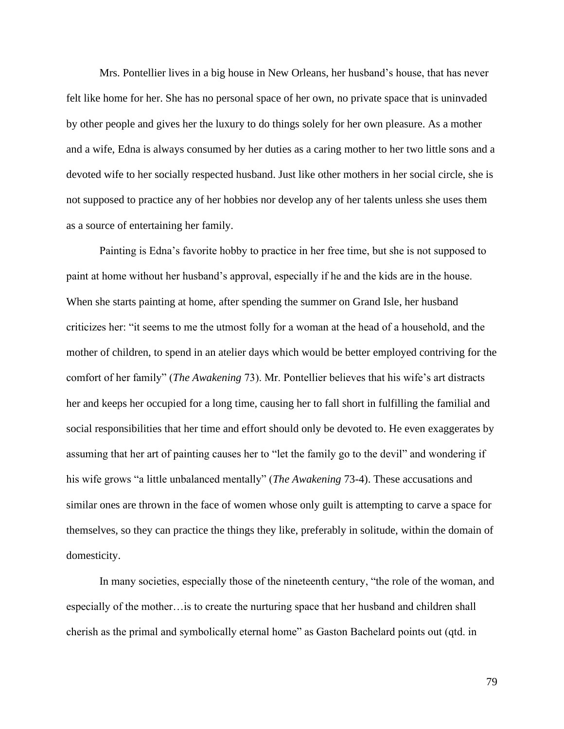Mrs. Pontellier lives in a big house in New Orleans, her husband's house, that has never felt like home for her. She has no personal space of her own, no private space that is uninvaded by other people and gives her the luxury to do things solely for her own pleasure. As a mother and a wife, Edna is always consumed by her duties as a caring mother to her two little sons and a devoted wife to her socially respected husband. Just like other mothers in her social circle, she is not supposed to practice any of her hobbies nor develop any of her talents unless she uses them as a source of entertaining her family.

Painting is Edna's favorite hobby to practice in her free time, but she is not supposed to paint at home without her husband's approval, especially if he and the kids are in the house. When she starts painting at home, after spending the summer on Grand Isle, her husband criticizes her: "it seems to me the utmost folly for a woman at the head of a household, and the mother of children, to spend in an atelier days which would be better employed contriving for the comfort of her family" (*The Awakening* 73). Mr. Pontellier believes that his wife's art distracts her and keeps her occupied for a long time, causing her to fall short in fulfilling the familial and social responsibilities that her time and effort should only be devoted to. He even exaggerates by assuming that her art of painting causes her to "let the family go to the devil" and wondering if his wife grows "a little unbalanced mentally" (*The Awakening* 73-4). These accusations and similar ones are thrown in the face of women whose only guilt is attempting to carve a space for themselves, so they can practice the things they like, preferably in solitude, within the domain of domesticity.

In many societies, especially those of the nineteenth century, "the role of the woman, and especially of the mother…is to create the nurturing space that her husband and children shall cherish as the primal and symbolically eternal home" as Gaston Bachelard points out (qtd. in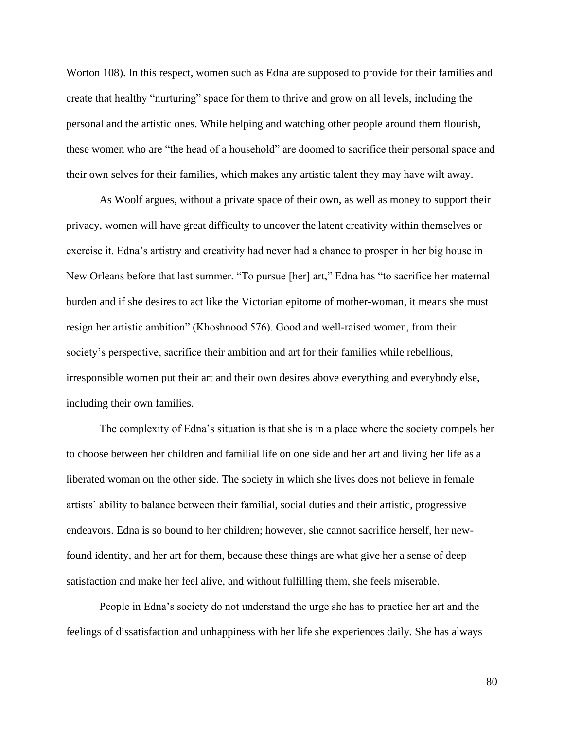Worton 108). In this respect, women such as Edna are supposed to provide for their families and create that healthy "nurturing" space for them to thrive and grow on all levels, including the personal and the artistic ones. While helping and watching other people around them flourish, these women who are "the head of a household" are doomed to sacrifice their personal space and their own selves for their families, which makes any artistic talent they may have wilt away.

As Woolf argues, without a private space of their own, as well as money to support their privacy, women will have great difficulty to uncover the latent creativity within themselves or exercise it. Edna's artistry and creativity had never had a chance to prosper in her big house in New Orleans before that last summer. "To pursue [her] art," Edna has "to sacrifice her maternal burden and if she desires to act like the Victorian epitome of mother-woman, it means she must resign her artistic ambition" (Khoshnood 576). Good and well-raised women, from their society's perspective, sacrifice their ambition and art for their families while rebellious, irresponsible women put their art and their own desires above everything and everybody else, including their own families.

The complexity of Edna's situation is that she is in a place where the society compels her to choose between her children and familial life on one side and her art and living her life as a liberated woman on the other side. The society in which she lives does not believe in female artists' ability to balance between their familial, social duties and their artistic, progressive endeavors. Edna is so bound to her children; however, she cannot sacrifice herself, her newfound identity, and her art for them, because these things are what give her a sense of deep satisfaction and make her feel alive, and without fulfilling them, she feels miserable.

People in Edna's society do not understand the urge she has to practice her art and the feelings of dissatisfaction and unhappiness with her life she experiences daily. She has always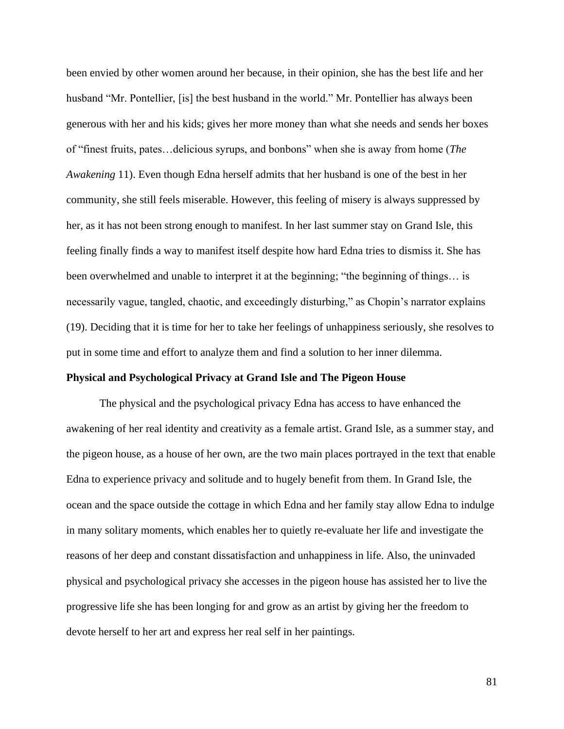been envied by other women around her because, in their opinion, she has the best life and her husband "Mr. Pontellier, [is] the best husband in the world." Mr. Pontellier has always been generous with her and his kids; gives her more money than what she needs and sends her boxes of "finest fruits, pates…delicious syrups, and bonbons" when she is away from home (*The Awakening* 11). Even though Edna herself admits that her husband is one of the best in her community, she still feels miserable. However, this feeling of misery is always suppressed by her, as it has not been strong enough to manifest. In her last summer stay on Grand Isle, this feeling finally finds a way to manifest itself despite how hard Edna tries to dismiss it. She has been overwhelmed and unable to interpret it at the beginning; "the beginning of things… is necessarily vague, tangled, chaotic, and exceedingly disturbing," as Chopin's narrator explains (19). Deciding that it is time for her to take her feelings of unhappiness seriously, she resolves to put in some time and effort to analyze them and find a solution to her inner dilemma.

## **Physical and Psychological Privacy at Grand Isle and The Pigeon House**

The physical and the psychological privacy Edna has access to have enhanced the awakening of her real identity and creativity as a female artist. Grand Isle, as a summer stay, and the pigeon house, as a house of her own, are the two main places portrayed in the text that enable Edna to experience privacy and solitude and to hugely benefit from them. In Grand Isle, the ocean and the space outside the cottage in which Edna and her family stay allow Edna to indulge in many solitary moments, which enables her to quietly re-evaluate her life and investigate the reasons of her deep and constant dissatisfaction and unhappiness in life. Also, the uninvaded physical and psychological privacy she accesses in the pigeon house has assisted her to live the progressive life she has been longing for and grow as an artist by giving her the freedom to devote herself to her art and express her real self in her paintings.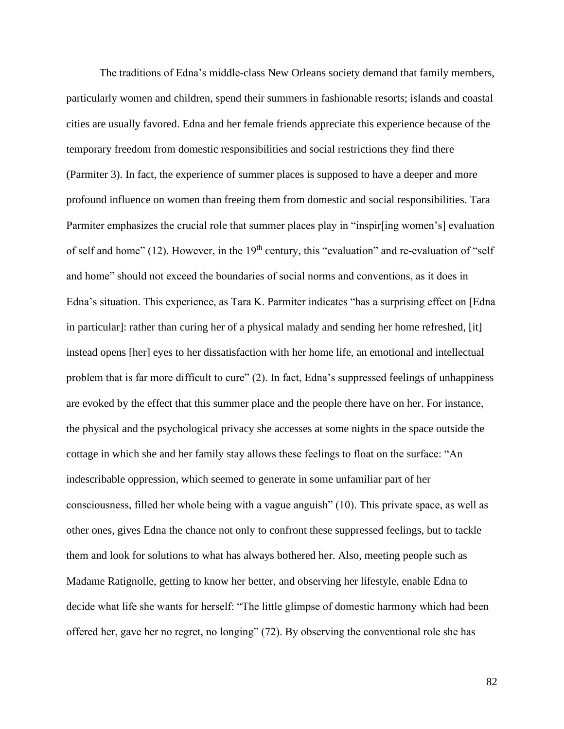The traditions of Edna's middle-class New Orleans society demand that family members, particularly women and children, spend their summers in fashionable resorts; islands and coastal cities are usually favored. Edna and her female friends appreciate this experience because of the temporary freedom from domestic responsibilities and social restrictions they find there (Parmiter 3). In fact, the experience of summer places is supposed to have a deeper and more profound influence on women than freeing them from domestic and social responsibilities. Tara Parmiter emphasizes the crucial role that summer places play in "inspir[ing women's] evaluation of self and home" (12). However, in the 19<sup>th</sup> century, this "evaluation" and re-evaluation of "self" and home" should not exceed the boundaries of social norms and conventions, as it does in Edna's situation. This experience, as Tara K. Parmiter indicates "has a surprising effect on [Edna in particular]: rather than curing her of a physical malady and sending her home refreshed, [it] instead opens [her] eyes to her dissatisfaction with her home life, an emotional and intellectual problem that is far more difficult to cure" (2). In fact, Edna's suppressed feelings of unhappiness are evoked by the effect that this summer place and the people there have on her. For instance, the physical and the psychological privacy she accesses at some nights in the space outside the cottage in which she and her family stay allows these feelings to float on the surface: "An indescribable oppression, which seemed to generate in some unfamiliar part of her consciousness, filled her whole being with a vague anguish" (10). This private space, as well as other ones, gives Edna the chance not only to confront these suppressed feelings, but to tackle them and look for solutions to what has always bothered her. Also, meeting people such as Madame Ratignolle, getting to know her better, and observing her lifestyle, enable Edna to decide what life she wants for herself: "The little glimpse of domestic harmony which had been offered her, gave her no regret, no longing" (72). By observing the conventional role she has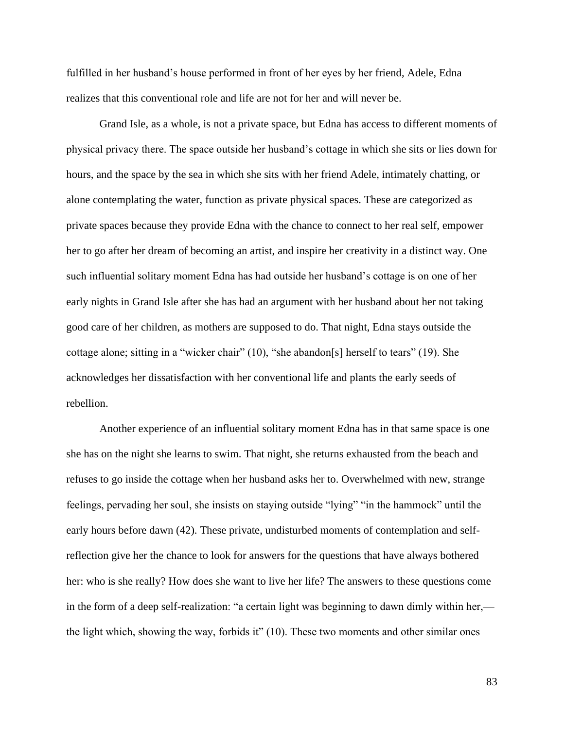fulfilled in her husband's house performed in front of her eyes by her friend, Adele, Edna realizes that this conventional role and life are not for her and will never be.

Grand Isle, as a whole, is not a private space, but Edna has access to different moments of physical privacy there. The space outside her husband's cottage in which she sits or lies down for hours, and the space by the sea in which she sits with her friend Adele, intimately chatting, or alone contemplating the water, function as private physical spaces. These are categorized as private spaces because they provide Edna with the chance to connect to her real self, empower her to go after her dream of becoming an artist, and inspire her creativity in a distinct way. One such influential solitary moment Edna has had outside her husband's cottage is on one of her early nights in Grand Isle after she has had an argument with her husband about her not taking good care of her children, as mothers are supposed to do. That night, Edna stays outside the cottage alone; sitting in a "wicker chair" (10), "she abandon[s] herself to tears" (19). She acknowledges her dissatisfaction with her conventional life and plants the early seeds of rebellion.

Another experience of an influential solitary moment Edna has in that same space is one she has on the night she learns to swim. That night, she returns exhausted from the beach and refuses to go inside the cottage when her husband asks her to. Overwhelmed with new, strange feelings, pervading her soul, she insists on staying outside "lying" "in the hammock" until the early hours before dawn (42). These private, undisturbed moments of contemplation and selfreflection give her the chance to look for answers for the questions that have always bothered her: who is she really? How does she want to live her life? The answers to these questions come in the form of a deep self-realization: "a certain light was beginning to dawn dimly within her, the light which, showing the way, forbids it" (10). These two moments and other similar ones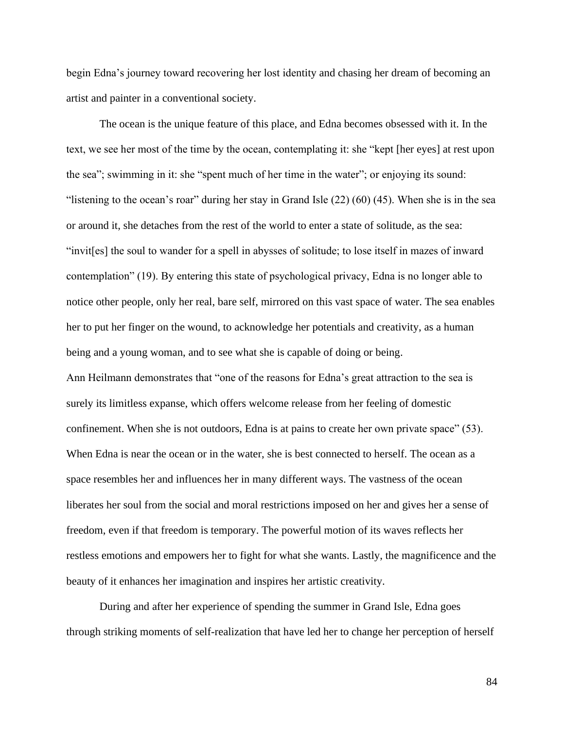begin Edna's journey toward recovering her lost identity and chasing her dream of becoming an artist and painter in a conventional society.

The ocean is the unique feature of this place, and Edna becomes obsessed with it. In the text, we see her most of the time by the ocean, contemplating it: she "kept [her eyes] at rest upon the sea"; swimming in it: she "spent much of her time in the water"; or enjoying its sound: "listening to the ocean's roar" during her stay in Grand Isle (22) (60) (45). When she is in the sea or around it, she detaches from the rest of the world to enter a state of solitude, as the sea: "invit[es] the soul to wander for a spell in abysses of solitude; to lose itself in mazes of inward contemplation" (19). By entering this state of psychological privacy, Edna is no longer able to notice other people, only her real, bare self, mirrored on this vast space of water. The sea enables her to put her finger on the wound, to acknowledge her potentials and creativity, as a human being and a young woman, and to see what she is capable of doing or being. Ann Heilmann demonstrates that "one of the reasons for Edna's great attraction to the sea is surely its limitless expanse, which offers welcome release from her feeling of domestic confinement. When she is not outdoors, Edna is at pains to create her own private space" (53). When Edna is near the ocean or in the water, she is best connected to herself. The ocean as a space resembles her and influences her in many different ways. The vastness of the ocean liberates her soul from the social and moral restrictions imposed on her and gives her a sense of freedom, even if that freedom is temporary. The powerful motion of its waves reflects her restless emotions and empowers her to fight for what she wants. Lastly, the magnificence and the beauty of it enhances her imagination and inspires her artistic creativity.

During and after her experience of spending the summer in Grand Isle, Edna goes through striking moments of self-realization that have led her to change her perception of herself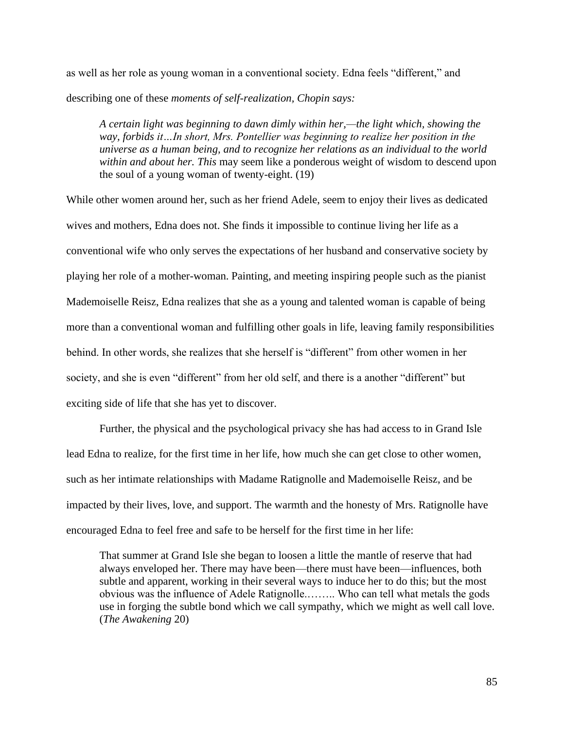as well as her role as young woman in a conventional society. Edna feels "different," and describing one of these *moments of self-realization, Chopin says:* 

*A certain light was beginning to dawn dimly within her,—the light which, showing the way, forbids it…In short, Mrs. Pontellier was beginning to realize her position in the universe as a human being, and to recognize her relations as an individual to the world within and about her. This* may seem like a ponderous weight of wisdom to descend upon the soul of a young woman of twenty-eight. (19)

While other women around her, such as her friend Adele, seem to enjoy their lives as dedicated wives and mothers, Edna does not. She finds it impossible to continue living her life as a conventional wife who only serves the expectations of her husband and conservative society by playing her role of a mother-woman. Painting, and meeting inspiring people such as the pianist Mademoiselle Reisz, Edna realizes that she as a young and talented woman is capable of being more than a conventional woman and fulfilling other goals in life, leaving family responsibilities behind. In other words, she realizes that she herself is "different" from other women in her society, and she is even "different" from her old self, and there is a another "different" but exciting side of life that she has yet to discover.

Further, the physical and the psychological privacy she has had access to in Grand Isle lead Edna to realize, for the first time in her life, how much she can get close to other women, such as her intimate relationships with Madame Ratignolle and Mademoiselle Reisz, and be impacted by their lives, love, and support. The warmth and the honesty of Mrs. Ratignolle have encouraged Edna to feel free and safe to be herself for the first time in her life:

That summer at Grand Isle she began to loosen a little the mantle of reserve that had always enveloped her. There may have been—there must have been—influences, both subtle and apparent, working in their several ways to induce her to do this; but the most obvious was the influence of Adele Ratignolle.…….. Who can tell what metals the gods use in forging the subtle bond which we call sympathy, which we might as well call love. (*The Awakening* 20)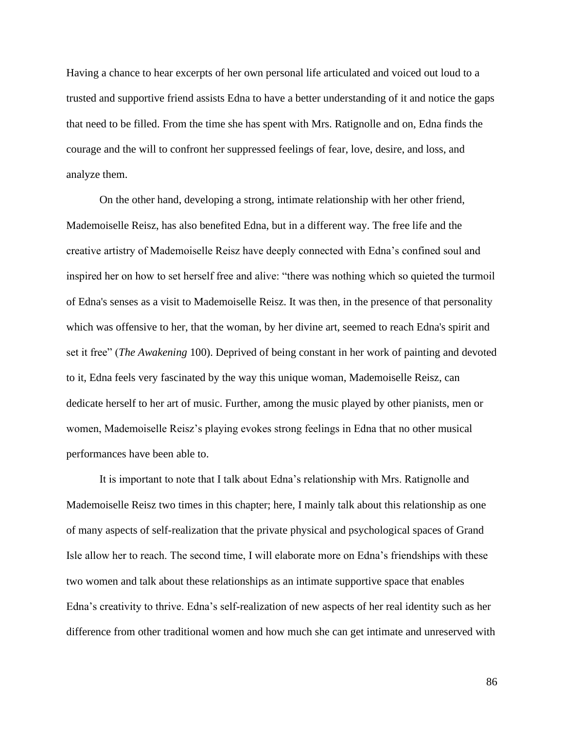Having a chance to hear excerpts of her own personal life articulated and voiced out loud to a trusted and supportive friend assists Edna to have a better understanding of it and notice the gaps that need to be filled. From the time she has spent with Mrs. Ratignolle and on, Edna finds the courage and the will to confront her suppressed feelings of fear, love, desire, and loss, and analyze them.

On the other hand, developing a strong, intimate relationship with her other friend, Mademoiselle Reisz, has also benefited Edna, but in a different way. The free life and the creative artistry of Mademoiselle Reisz have deeply connected with Edna's confined soul and inspired her on how to set herself free and alive: "there was nothing which so quieted the turmoil of Edna's senses as a visit to Mademoiselle Reisz. It was then, in the presence of that personality which was offensive to her, that the woman, by her divine art, seemed to reach Edna's spirit and set it free" (*The Awakening* 100). Deprived of being constant in her work of painting and devoted to it, Edna feels very fascinated by the way this unique woman, Mademoiselle Reisz, can dedicate herself to her art of music. Further, among the music played by other pianists, men or women, Mademoiselle Reisz's playing evokes strong feelings in Edna that no other musical performances have been able to.

It is important to note that I talk about Edna's relationship with Mrs. Ratignolle and Mademoiselle Reisz two times in this chapter; here, I mainly talk about this relationship as one of many aspects of self-realization that the private physical and psychological spaces of Grand Isle allow her to reach. The second time, I will elaborate more on Edna's friendships with these two women and talk about these relationships as an intimate supportive space that enables Edna's creativity to thrive. Edna's self-realization of new aspects of her real identity such as her difference from other traditional women and how much she can get intimate and unreserved with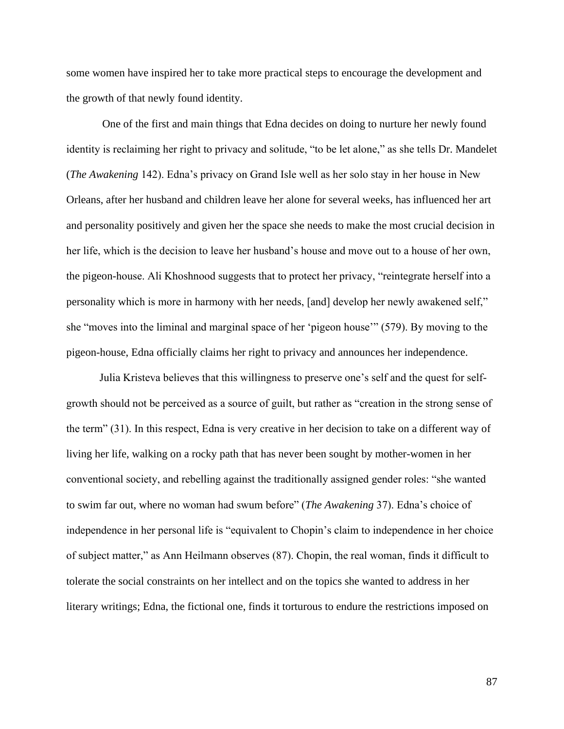some women have inspired her to take more practical steps to encourage the development and the growth of that newly found identity.

One of the first and main things that Edna decides on doing to nurture her newly found identity is reclaiming her right to privacy and solitude, "to be let alone," as she tells Dr. Mandelet (*The Awakening* 142). Edna's privacy on Grand Isle well as her solo stay in her house in New Orleans, after her husband and children leave her alone for several weeks, has influenced her art and personality positively and given her the space she needs to make the most crucial decision in her life, which is the decision to leave her husband's house and move out to a house of her own, the pigeon-house. Ali Khoshnood suggests that to protect her privacy, "reintegrate herself into a personality which is more in harmony with her needs, [and] develop her newly awakened self," she "moves into the liminal and marginal space of her 'pigeon house'" (579). By moving to the pigeon-house, Edna officially claims her right to privacy and announces her independence.

Julia Kristeva believes that this willingness to preserve one's self and the quest for selfgrowth should not be perceived as a source of guilt, but rather as "creation in the strong sense of the term" (31). In this respect, Edna is very creative in her decision to take on a different way of living her life, walking on a rocky path that has never been sought by mother-women in her conventional society, and rebelling against the traditionally assigned gender roles: "she wanted to swim far out, where no woman had swum before" (*The Awakening* 37). Edna's choice of independence in her personal life is "equivalent to Chopin's claim to independence in her choice of subject matter," as Ann Heilmann observes (87). Chopin, the real woman, finds it difficult to tolerate the social constraints on her intellect and on the topics she wanted to address in her literary writings; Edna, the fictional one, finds it torturous to endure the restrictions imposed on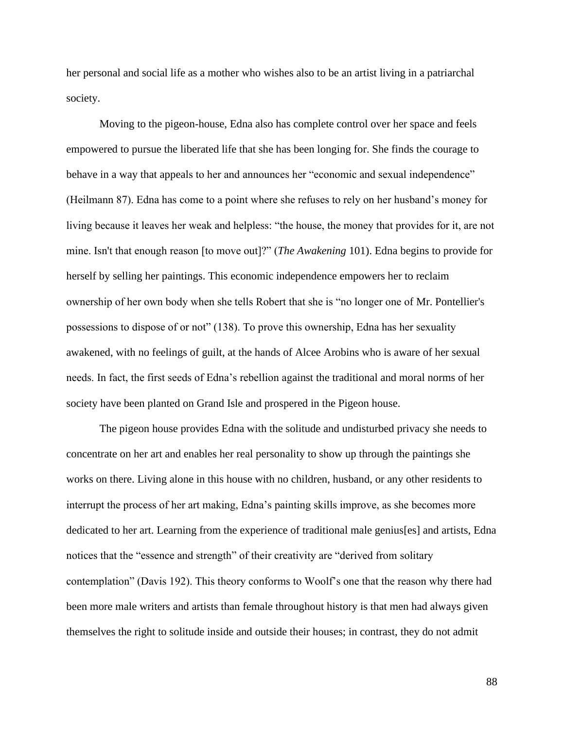her personal and social life as a mother who wishes also to be an artist living in a patriarchal society.

Moving to the pigeon-house, Edna also has complete control over her space and feels empowered to pursue the liberated life that she has been longing for. She finds the courage to behave in a way that appeals to her and announces her "economic and sexual independence" (Heilmann 87). Edna has come to a point where she refuses to rely on her husband's money for living because it leaves her weak and helpless: "the house, the money that provides for it, are not mine. Isn't that enough reason [to move out]?" (*The Awakening* 101). Edna begins to provide for herself by selling her paintings. This economic independence empowers her to reclaim ownership of her own body when she tells Robert that she is "no longer one of Mr. Pontellier's possessions to dispose of or not" (138). To prove this ownership, Edna has her sexuality awakened, with no feelings of guilt, at the hands of Alcee Arobins who is aware of her sexual needs. In fact, the first seeds of Edna's rebellion against the traditional and moral norms of her society have been planted on Grand Isle and prospered in the Pigeon house.

The pigeon house provides Edna with the solitude and undisturbed privacy she needs to concentrate on her art and enables her real personality to show up through the paintings she works on there. Living alone in this house with no children, husband, or any other residents to interrupt the process of her art making, Edna's painting skills improve, as she becomes more dedicated to her art. Learning from the experience of traditional male genius[es] and artists, Edna notices that the "essence and strength" of their creativity are "derived from solitary contemplation" (Davis 192). This theory conforms to Woolf's one that the reason why there had been more male writers and artists than female throughout history is that men had always given themselves the right to solitude inside and outside their houses; in contrast, they do not admit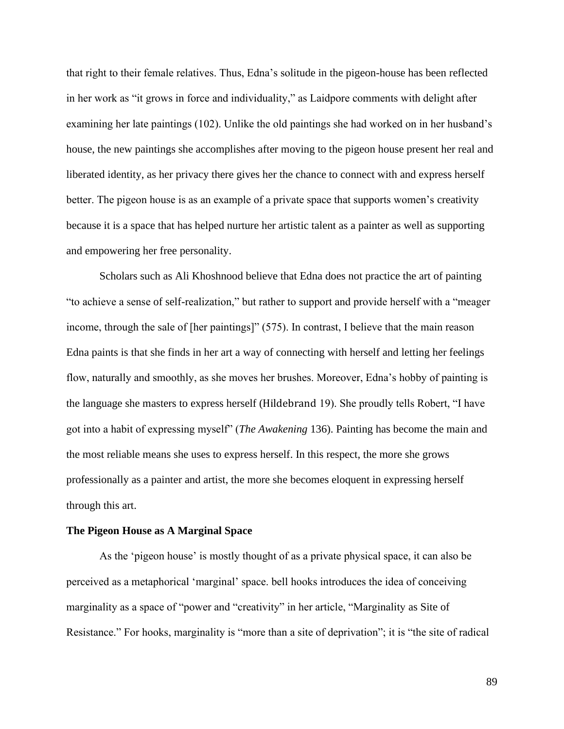that right to their female relatives. Thus, Edna's solitude in the pigeon-house has been reflected in her work as "it grows in force and individuality," as Laidpore comments with delight after examining her late paintings (102). Unlike the old paintings she had worked on in her husband's house, the new paintings she accomplishes after moving to the pigeon house present her real and liberated identity, as her privacy there gives her the chance to connect with and express herself better. The pigeon house is as an example of a private space that supports women's creativity because it is a space that has helped nurture her artistic talent as a painter as well as supporting and empowering her free personality.

Scholars such as Ali Khoshnood believe that Edna does not practice the art of painting "to achieve a sense of self-realization," but rather to support and provide herself with a "meager income, through the sale of [her paintings]" (575). In contrast, I believe that the main reason Edna paints is that she finds in her art a way of connecting with herself and letting her feelings flow, naturally and smoothly, as she moves her brushes. Moreover, Edna's hobby of painting is the language she masters to express herself (Hildebrand 19). She proudly tells Robert, "I have got into a habit of expressing myself" (*The Awakening* 136). Painting has become the main and the most reliable means she uses to express herself. In this respect, the more she grows professionally as a painter and artist, the more she becomes eloquent in expressing herself through this art.

# **The Pigeon House as A Marginal Space**

As the 'pigeon house' is mostly thought of as a private physical space, it can also be perceived as a metaphorical 'marginal' space. bell hooks introduces the idea of conceiving marginality as a space of "power and "creativity" in her article, "Marginality as Site of Resistance." For hooks, marginality is "more than a site of deprivation"; it is "the site of radical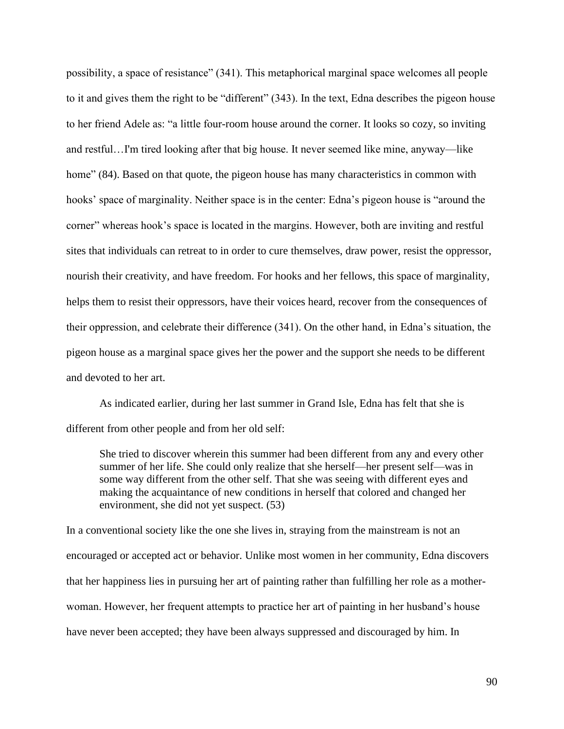possibility, a space of resistance" (341). This metaphorical marginal space welcomes all people to it and gives them the right to be "different" (343). In the text, Edna describes the pigeon house to her friend Adele as: "a little four-room house around the corner. It looks so cozy, so inviting and restful…I'm tired looking after that big house. It never seemed like mine, anyway—like home" (84). Based on that quote, the pigeon house has many characteristics in common with hooks' space of marginality. Neither space is in the center: Edna's pigeon house is "around the corner" whereas hook's space is located in the margins. However, both are inviting and restful sites that individuals can retreat to in order to cure themselves, draw power, resist the oppressor, nourish their creativity, and have freedom. For hooks and her fellows, this space of marginality, helps them to resist their oppressors, have their voices heard, recover from the consequences of their oppression, and celebrate their difference (341). On the other hand, in Edna's situation, the pigeon house as a marginal space gives her the power and the support she needs to be different and devoted to her art.

As indicated earlier, during her last summer in Grand Isle, Edna has felt that she is different from other people and from her old self:

She tried to discover wherein this summer had been different from any and every other summer of her life. She could only realize that she herself—her present self—was in some way different from the other self. That she was seeing with different eyes and making the acquaintance of new conditions in herself that colored and changed her environment, she did not yet suspect. (53)

In a conventional society like the one she lives in, straying from the mainstream is not an encouraged or accepted act or behavior. Unlike most women in her community, Edna discovers that her happiness lies in pursuing her art of painting rather than fulfilling her role as a motherwoman. However, her frequent attempts to practice her art of painting in her husband's house have never been accepted; they have been always suppressed and discouraged by him. In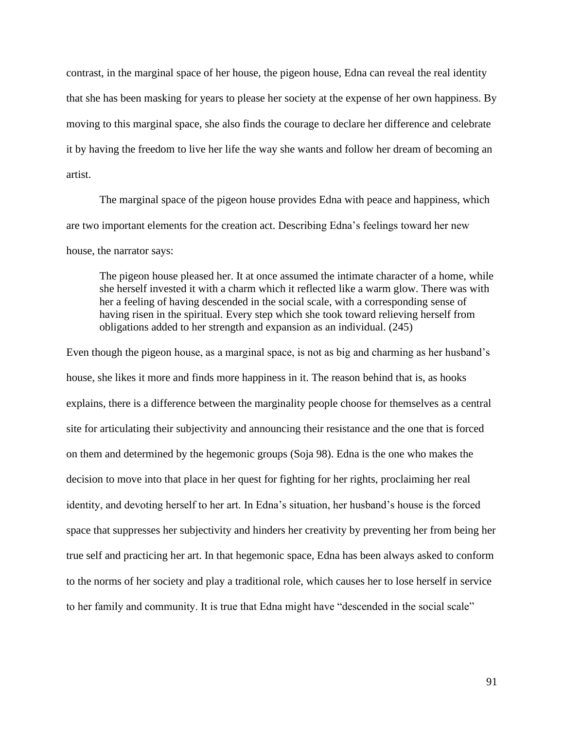contrast, in the marginal space of her house, the pigeon house, Edna can reveal the real identity that she has been masking for years to please her society at the expense of her own happiness. By moving to this marginal space, she also finds the courage to declare her difference and celebrate it by having the freedom to live her life the way she wants and follow her dream of becoming an artist.

The marginal space of the pigeon house provides Edna with peace and happiness, which are two important elements for the creation act. Describing Edna's feelings toward her new house, the narrator says:

The pigeon house pleased her. It at once assumed the intimate character of a home, while she herself invested it with a charm which it reflected like a warm glow. There was with her a feeling of having descended in the social scale, with a corresponding sense of having risen in the spiritual. Every step which she took toward relieving herself from obligations added to her strength and expansion as an individual. (245)

Even though the pigeon house, as a marginal space, is not as big and charming as her husband's house, she likes it more and finds more happiness in it. The reason behind that is, as hooks explains, there is a difference between the marginality people choose for themselves as a central site for articulating their subjectivity and announcing their resistance and the one that is forced on them and determined by the hegemonic groups (Soja 98). Edna is the one who makes the decision to move into that place in her quest for fighting for her rights, proclaiming her real identity, and devoting herself to her art. In Edna's situation, her husband's house is the forced space that suppresses her subjectivity and hinders her creativity by preventing her from being her true self and practicing her art. In that hegemonic space, Edna has been always asked to conform to the norms of her society and play a traditional role, which causes her to lose herself in service to her family and community. It is true that Edna might have "descended in the social scale"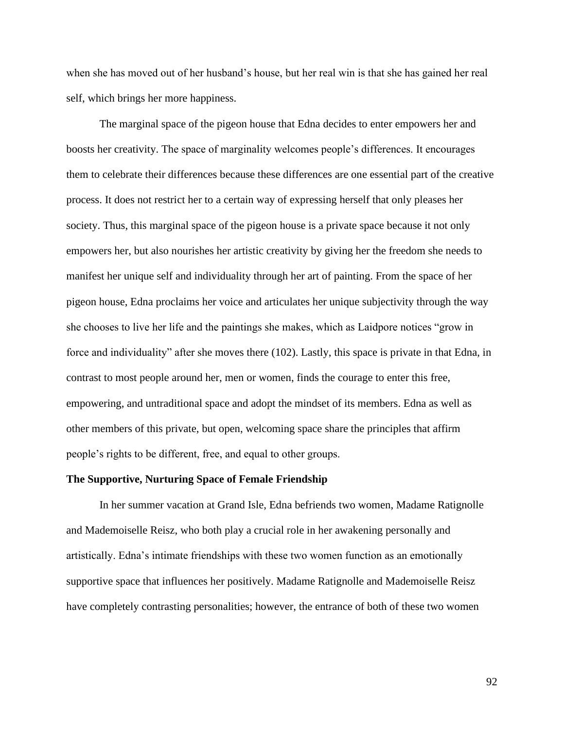when she has moved out of her husband's house, but her real win is that she has gained her real self, which brings her more happiness.

The marginal space of the pigeon house that Edna decides to enter empowers her and boosts her creativity. The space of marginality welcomes people's differences. It encourages them to celebrate their differences because these differences are one essential part of the creative process. It does not restrict her to a certain way of expressing herself that only pleases her society. Thus, this marginal space of the pigeon house is a private space because it not only empowers her, but also nourishes her artistic creativity by giving her the freedom she needs to manifest her unique self and individuality through her art of painting. From the space of her pigeon house, Edna proclaims her voice and articulates her unique subjectivity through the way she chooses to live her life and the paintings she makes, which as Laidpore notices "grow in force and individuality" after she moves there (102). Lastly, this space is private in that Edna, in contrast to most people around her, men or women, finds the courage to enter this free, empowering, and untraditional space and adopt the mindset of its members. Edna as well as other members of this private, but open, welcoming space share the principles that affirm people's rights to be different, free, and equal to other groups.

## **The Supportive, Nurturing Space of Female Friendship**

In her summer vacation at Grand Isle, Edna befriends two women, Madame Ratignolle and Mademoiselle Reisz, who both play a crucial role in her awakening personally and artistically. Edna's intimate friendships with these two women function as an emotionally supportive space that influences her positively. Madame Ratignolle and Mademoiselle Reisz have completely contrasting personalities; however, the entrance of both of these two women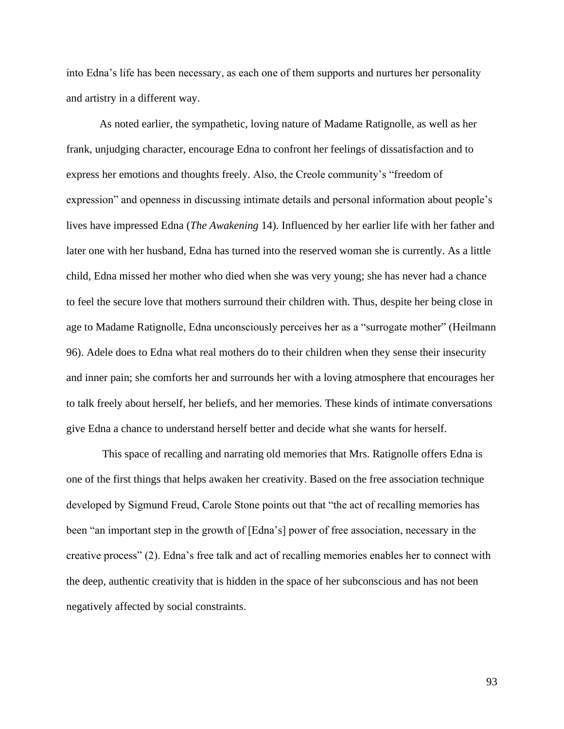into Edna's life has been necessary, as each one of them supports and nurtures her personality and artistry in a different way.

As noted earlier, the sympathetic, loving nature of Madame Ratignolle, as well as her frank, unjudging character, encourage Edna to confront her feelings of dissatisfaction and to express her emotions and thoughts freely. Also, the Creole community's "freedom of expression" and openness in discussing intimate details and personal information about people's lives have impressed Edna (*The Awakening* 14). Influenced by her earlier life with her father and later one with her husband, Edna has turned into the reserved woman she is currently. As a little child, Edna missed her mother who died when she was very young; she has never had a chance to feel the secure love that mothers surround their children with. Thus, despite her being close in age to Madame Ratignolle, Edna unconsciously perceives her as a "surrogate mother" (Heilmann 96). Adele does to Edna what real mothers do to their children when they sense their insecurity and inner pain; she comforts her and surrounds her with a loving atmosphere that encourages her to talk freely about herself, her beliefs, and her memories. These kinds of intimate conversations give Edna a chance to understand herself better and decide what she wants for herself.

This space of recalling and narrating old memories that Mrs. Ratignolle offers Edna is one of the first things that helps awaken her creativity. Based on the free association technique developed by Sigmund Freud, Carole Stone points out that "the act of recalling memories has been "an important step in the growth of [Edna's] power of free association, necessary in the creative process" (2). Edna's free talk and act of recalling memories enables her to connect with the deep, authentic creativity that is hidden in the space of her subconscious and has not been negatively affected by social constraints.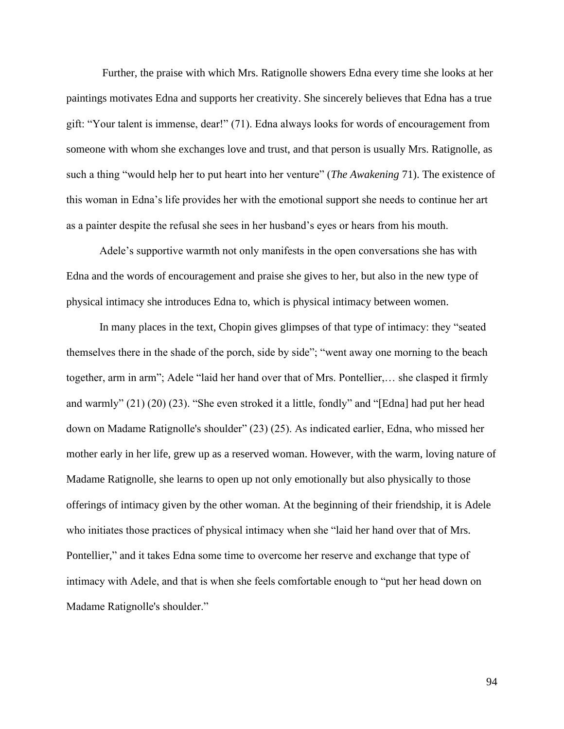Further, the praise with which Mrs. Ratignolle showers Edna every time she looks at her paintings motivates Edna and supports her creativity. She sincerely believes that Edna has a true gift: "Your talent is immense, dear!" (71). Edna always looks for words of encouragement from someone with whom she exchanges love and trust, and that person is usually Mrs. Ratignolle, as such a thing "would help her to put heart into her venture" (*The Awakening* 71). The existence of this woman in Edna's life provides her with the emotional support she needs to continue her art as a painter despite the refusal she sees in her husband's eyes or hears from his mouth.

Adele's supportive warmth not only manifests in the open conversations she has with Edna and the words of encouragement and praise she gives to her, but also in the new type of physical intimacy she introduces Edna to, which is physical intimacy between women.

In many places in the text, Chopin gives glimpses of that type of intimacy: they "seated themselves there in the shade of the porch, side by side"; "went away one morning to the beach together, arm in arm"; Adele "laid her hand over that of Mrs. Pontellier,… she clasped it firmly and warmly" (21) (20) (23). "She even stroked it a little, fondly" and "[Edna] had put her head down on Madame Ratignolle's shoulder" (23) (25). As indicated earlier, Edna, who missed her mother early in her life, grew up as a reserved woman. However, with the warm, loving nature of Madame Ratignolle, she learns to open up not only emotionally but also physically to those offerings of intimacy given by the other woman. At the beginning of their friendship, it is Adele who initiates those practices of physical intimacy when she "laid her hand over that of Mrs. Pontellier," and it takes Edna some time to overcome her reserve and exchange that type of intimacy with Adele, and that is when she feels comfortable enough to "put her head down on Madame Ratignolle's shoulder."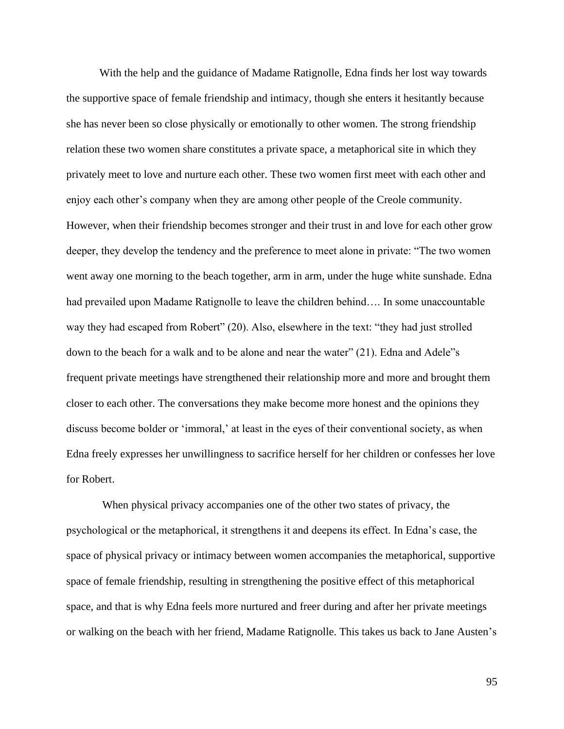With the help and the guidance of Madame Ratignolle, Edna finds her lost way towards the supportive space of female friendship and intimacy, though she enters it hesitantly because she has never been so close physically or emotionally to other women. The strong friendship relation these two women share constitutes a private space, a metaphorical site in which they privately meet to love and nurture each other. These two women first meet with each other and enjoy each other's company when they are among other people of the Creole community. However, when their friendship becomes stronger and their trust in and love for each other grow deeper, they develop the tendency and the preference to meet alone in private: "The two women went away one morning to the beach together, arm in arm, under the huge white sunshade. Edna had prevailed upon Madame Ratignolle to leave the children behind.... In some unaccountable way they had escaped from Robert" (20). Also, elsewhere in the text: "they had just strolled down to the beach for a walk and to be alone and near the water" (21). Edna and Adele"s frequent private meetings have strengthened their relationship more and more and brought them closer to each other. The conversations they make become more honest and the opinions they discuss become bolder or 'immoral,' at least in the eyes of their conventional society, as when Edna freely expresses her unwillingness to sacrifice herself for her children or confesses her love for Robert.

When physical privacy accompanies one of the other two states of privacy, the psychological or the metaphorical, it strengthens it and deepens its effect. In Edna's case, the space of physical privacy or intimacy between women accompanies the metaphorical, supportive space of female friendship, resulting in strengthening the positive effect of this metaphorical space, and that is why Edna feels more nurtured and freer during and after her private meetings or walking on the beach with her friend, Madame Ratignolle. This takes us back to Jane Austen's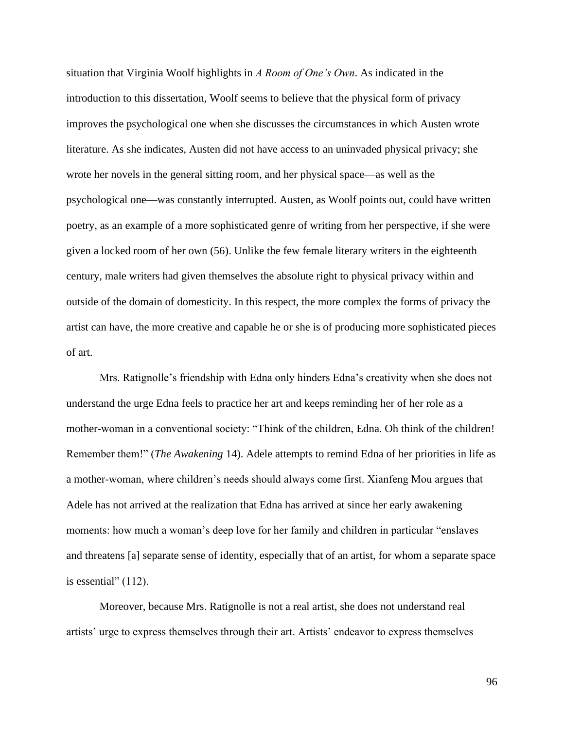situation that Virginia Woolf highlights in *A Room of One's Own*. As indicated in the introduction to this dissertation, Woolf seems to believe that the physical form of privacy improves the psychological one when she discusses the circumstances in which Austen wrote literature. As she indicates, Austen did not have access to an uninvaded physical privacy; she wrote her novels in the general sitting room, and her physical space—as well as the psychological one—was constantly interrupted. Austen, as Woolf points out, could have written poetry, as an example of a more sophisticated genre of writing from her perspective, if she were given a locked room of her own (56). Unlike the few female literary writers in the eighteenth century, male writers had given themselves the absolute right to physical privacy within and outside of the domain of domesticity. In this respect, the more complex the forms of privacy the artist can have, the more creative and capable he or she is of producing more sophisticated pieces of art.

Mrs. Ratignolle's friendship with Edna only hinders Edna's creativity when she does not understand the urge Edna feels to practice her art and keeps reminding her of her role as a mother-woman in a conventional society: "Think of the children, Edna. Oh think of the children! Remember them!" (*The Awakening* 14). Adele attempts to remind Edna of her priorities in life as a mother-woman, where children's needs should always come first. Xianfeng Mou argues that Adele has not arrived at the realization that Edna has arrived at since her early awakening moments: how much a woman's deep love for her family and children in particular "enslaves and threatens [a] separate sense of identity, especially that of an artist, for whom a separate space is essential"  $(112)$ .

Moreover, because Mrs. Ratignolle is not a real artist, she does not understand real artists' urge to express themselves through their art. Artists' endeavor to express themselves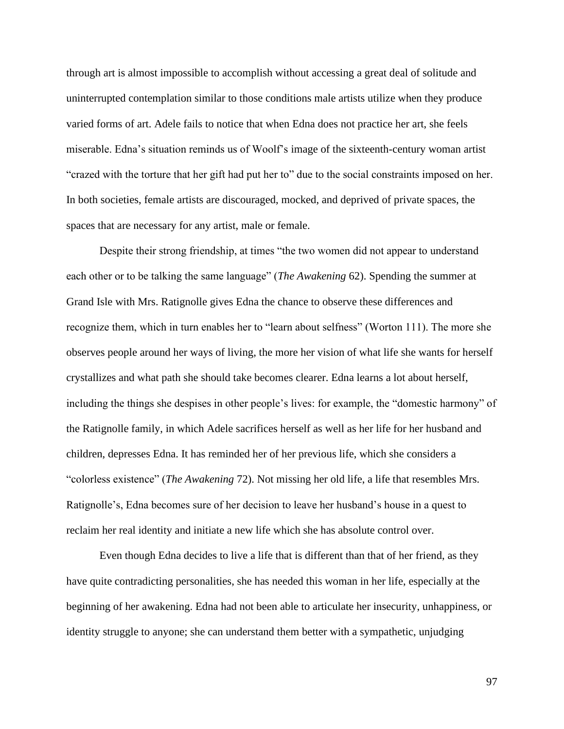through art is almost impossible to accomplish without accessing a great deal of solitude and uninterrupted contemplation similar to those conditions male artists utilize when they produce varied forms of art. Adele fails to notice that when Edna does not practice her art, she feels miserable. Edna's situation reminds us of Woolf's image of the sixteenth-century woman artist "crazed with the torture that her gift had put her to" due to the social constraints imposed on her. In both societies, female artists are discouraged, mocked, and deprived of private spaces, the spaces that are necessary for any artist, male or female.

Despite their strong friendship, at times "the two women did not appear to understand each other or to be talking the same language" (*The Awakening* 62). Spending the summer at Grand Isle with Mrs. Ratignolle gives Edna the chance to observe these differences and recognize them, which in turn enables her to "learn about selfness" (Worton 111). The more she observes people around her ways of living, the more her vision of what life she wants for herself crystallizes and what path she should take becomes clearer. Edna learns a lot about herself, including the things she despises in other people's lives: for example, the "domestic harmony" of the Ratignolle family, in which Adele sacrifices herself as well as her life for her husband and children, depresses Edna. It has reminded her of her previous life, which she considers a "colorless existence" (*The Awakening* 72). Not missing her old life, a life that resembles Mrs. Ratignolle's, Edna becomes sure of her decision to leave her husband's house in a quest to reclaim her real identity and initiate a new life which she has absolute control over.

Even though Edna decides to live a life that is different than that of her friend, as they have quite contradicting personalities, she has needed this woman in her life, especially at the beginning of her awakening. Edna had not been able to articulate her insecurity, unhappiness, or identity struggle to anyone; she can understand them better with a sympathetic, unjudging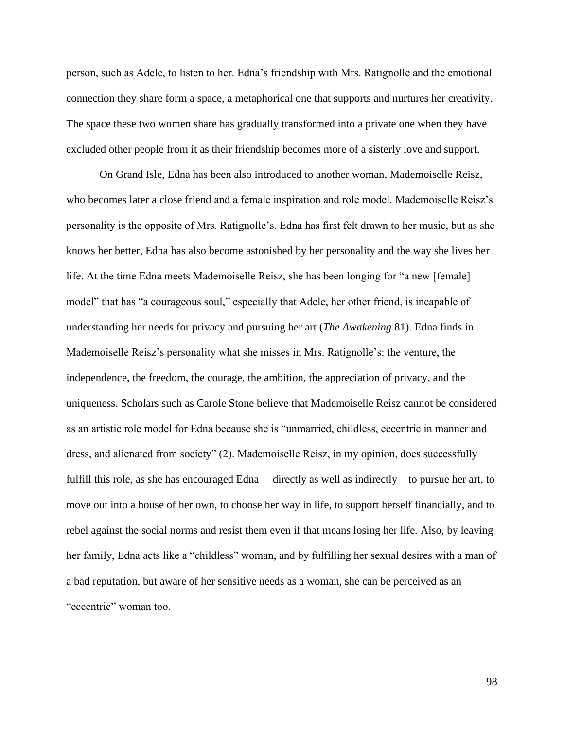person, such as Adele, to listen to her. Edna's friendship with Mrs. Ratignolle and the emotional connection they share form a space, a metaphorical one that supports and nurtures her creativity. The space these two women share has gradually transformed into a private one when they have excluded other people from it as their friendship becomes more of a sisterly love and support.

On Grand Isle, Edna has been also introduced to another woman, Mademoiselle Reisz, who becomes later a close friend and a female inspiration and role model. Mademoiselle Reisz's personality is the opposite of Mrs. Ratignolle's. Edna has first felt drawn to her music, but as she knows her better, Edna has also become astonished by her personality and the way she lives her life. At the time Edna meets Mademoiselle Reisz, she has been longing for "a new [female] model" that has "a courageous soul," especially that Adele, her other friend, is incapable of understanding her needs for privacy and pursuing her art (*The Awakening* 81). Edna finds in Mademoiselle Reisz's personality what she misses in Mrs. Ratignolle's: the venture, the independence, the freedom, the courage, the ambition, the appreciation of privacy, and the uniqueness. Scholars such as Carole Stone believe that Mademoiselle Reisz cannot be considered as an artistic role model for Edna because she is "unmarried, childless, eccentric in manner and dress, and alienated from society" (2). Mademoiselle Reisz, in my opinion, does successfully fulfill this role, as she has encouraged Edna— directly as well as indirectly—to pursue her art, to move out into a house of her own, to choose her way in life, to support herself financially, and to rebel against the social norms and resist them even if that means losing her life. Also, by leaving her family, Edna acts like a "childless" woman, and by fulfilling her sexual desires with a man of a bad reputation, but aware of her sensitive needs as a woman, she can be perceived as an "eccentric" woman too.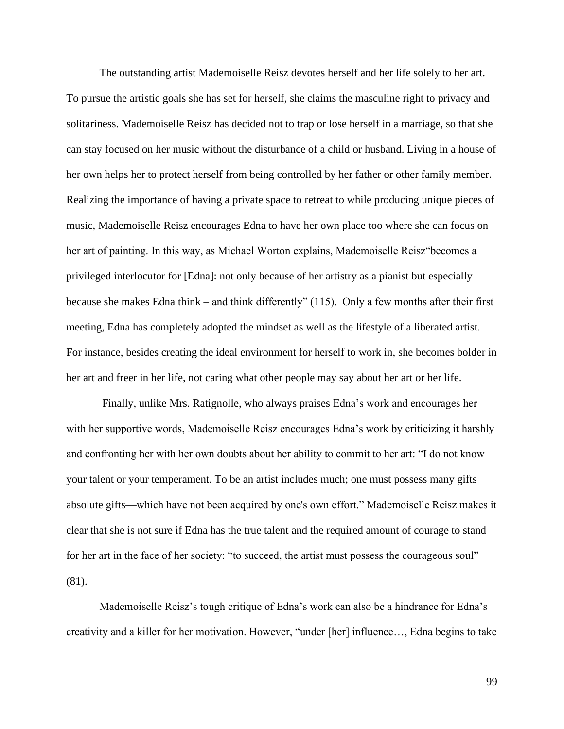The outstanding artist Mademoiselle Reisz devotes herself and her life solely to her art. To pursue the artistic goals she has set for herself, she claims the masculine right to privacy and solitariness. Mademoiselle Reisz has decided not to trap or lose herself in a marriage, so that she can stay focused on her music without the disturbance of a child or husband. Living in a house of her own helps her to protect herself from being controlled by her father or other family member. Realizing the importance of having a private space to retreat to while producing unique pieces of music, Mademoiselle Reisz encourages Edna to have her own place too where she can focus on her art of painting. In this way, as Michael Worton explains, Mademoiselle Reisz"becomes a privileged interlocutor for [Edna]: not only because of her artistry as a pianist but especially because she makes Edna think – and think differently" (115). Only a few months after their first meeting, Edna has completely adopted the mindset as well as the lifestyle of a liberated artist. For instance, besides creating the ideal environment for herself to work in, she becomes bolder in her art and freer in her life, not caring what other people may say about her art or her life.

Finally, unlike Mrs. Ratignolle, who always praises Edna's work and encourages her with her supportive words, Mademoiselle Reisz encourages Edna's work by criticizing it harshly and confronting her with her own doubts about her ability to commit to her art: "I do not know your talent or your temperament. To be an artist includes much; one must possess many gifts absolute gifts—which have not been acquired by one's own effort." Mademoiselle Reisz makes it clear that she is not sure if Edna has the true talent and the required amount of courage to stand for her art in the face of her society: "to succeed, the artist must possess the courageous soul" (81).

Mademoiselle Reisz's tough critique of Edna's work can also be a hindrance for Edna's creativity and a killer for her motivation. However, "under [her] influence…, Edna begins to take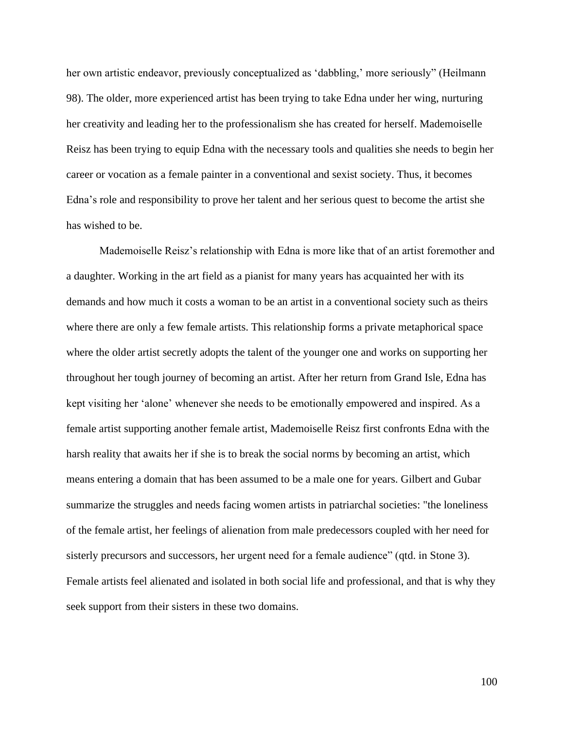her own artistic endeavor, previously conceptualized as 'dabbling,' more seriously" (Heilmann 98). The older, more experienced artist has been trying to take Edna under her wing, nurturing her creativity and leading her to the professionalism she has created for herself. Mademoiselle Reisz has been trying to equip Edna with the necessary tools and qualities she needs to begin her career or vocation as a female painter in a conventional and sexist society. Thus, it becomes Edna's role and responsibility to prove her talent and her serious quest to become the artist she has wished to be.

Mademoiselle Reisz's relationship with Edna is more like that of an artist foremother and a daughter. Working in the art field as a pianist for many years has acquainted her with its demands and how much it costs a woman to be an artist in a conventional society such as theirs where there are only a few female artists. This relationship forms a private metaphorical space where the older artist secretly adopts the talent of the younger one and works on supporting her throughout her tough journey of becoming an artist. After her return from Grand Isle, Edna has kept visiting her 'alone' whenever she needs to be emotionally empowered and inspired. As a female artist supporting another female artist, Mademoiselle Reisz first confronts Edna with the harsh reality that awaits her if she is to break the social norms by becoming an artist, which means entering a domain that has been assumed to be a male one for years. Gilbert and Gubar summarize the struggles and needs facing women artists in patriarchal societies: "the loneliness of the female artist, her feelings of alienation from male predecessors coupled with her need for sisterly precursors and successors, her urgent need for a female audience" (qtd. in Stone 3). Female artists feel alienated and isolated in both social life and professional, and that is why they seek support from their sisters in these two domains.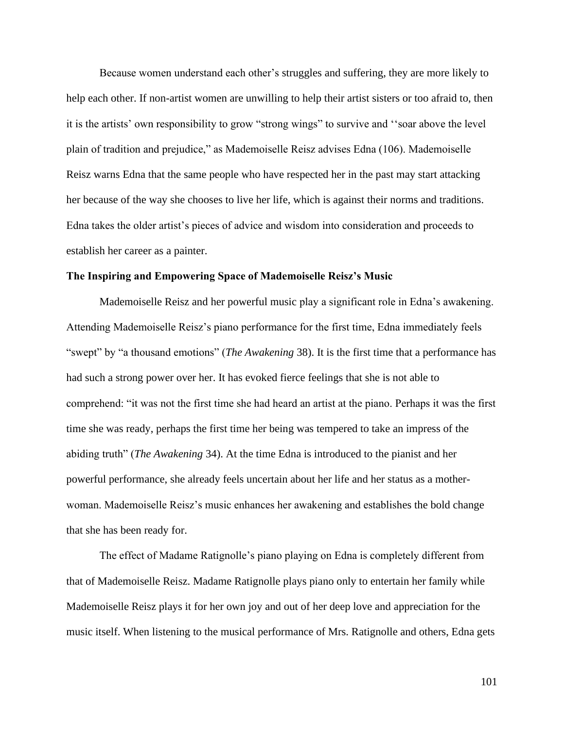Because women understand each other's struggles and suffering, they are more likely to help each other. If non-artist women are unwilling to help their artist sisters or too afraid to, then it is the artists' own responsibility to grow "strong wings" to survive and ''soar above the level plain of tradition and prejudice," as Mademoiselle Reisz advises Edna (106). Mademoiselle Reisz warns Edna that the same people who have respected her in the past may start attacking her because of the way she chooses to live her life, which is against their norms and traditions. Edna takes the older artist's pieces of advice and wisdom into consideration and proceeds to establish her career as a painter.

## **The Inspiring and Empowering Space of Mademoiselle Reisz's Music**

Mademoiselle Reisz and her powerful music play a significant role in Edna's awakening. Attending Mademoiselle Reisz's piano performance for the first time, Edna immediately feels "swept" by "a thousand emotions" (*The Awakening* 38). It is the first time that a performance has had such a strong power over her. It has evoked fierce feelings that she is not able to comprehend: "it was not the first time she had heard an artist at the piano. Perhaps it was the first time she was ready, perhaps the first time her being was tempered to take an impress of the abiding truth" (*The Awakening* 34). At the time Edna is introduced to the pianist and her powerful performance, she already feels uncertain about her life and her status as a motherwoman. Mademoiselle Reisz's music enhances her awakening and establishes the bold change that she has been ready for.

The effect of Madame Ratignolle's piano playing on Edna is completely different from that of Mademoiselle Reisz. Madame Ratignolle plays piano only to entertain her family while Mademoiselle Reisz plays it for her own joy and out of her deep love and appreciation for the music itself. When listening to the musical performance of Mrs. Ratignolle and others, Edna gets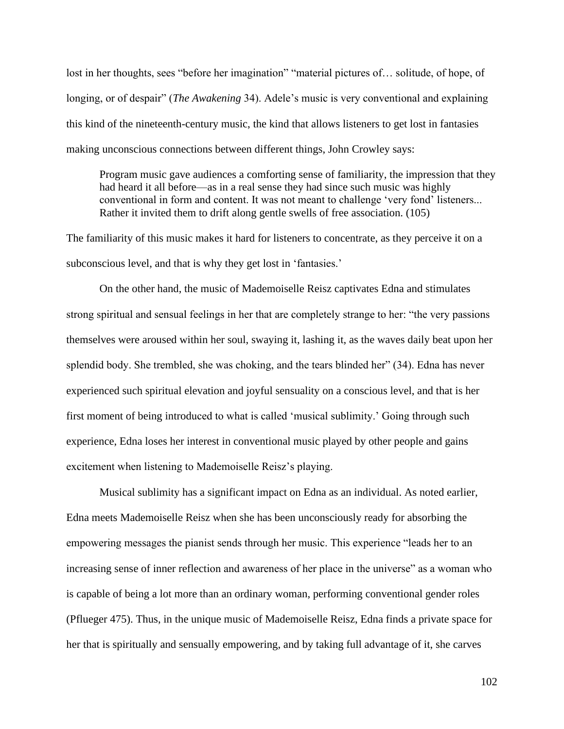lost in her thoughts, sees "before her imagination" "material pictures of... solitude, of hope, of longing, or of despair" (*The Awakening* 34). Adele's music is very conventional and explaining this kind of the nineteenth-century music, the kind that allows listeners to get lost in fantasies making unconscious connections between different things, John Crowley says:

Program music gave audiences a comforting sense of familiarity, the impression that they had heard it all before—as in a real sense they had since such music was highly conventional in form and content. It was not meant to challenge 'very fond' listeners... Rather it invited them to drift along gentle swells of free association. (105)

The familiarity of this music makes it hard for listeners to concentrate, as they perceive it on a subconscious level, and that is why they get lost in 'fantasies.'

On the other hand, the music of Mademoiselle Reisz captivates Edna and stimulates strong spiritual and sensual feelings in her that are completely strange to her: "the very passions themselves were aroused within her soul, swaying it, lashing it, as the waves daily beat upon her splendid body. She trembled, she was choking, and the tears blinded her" (34). Edna has never experienced such spiritual elevation and joyful sensuality on a conscious level, and that is her first moment of being introduced to what is called 'musical sublimity.' Going through such experience, Edna loses her interest in conventional music played by other people and gains excitement when listening to Mademoiselle Reisz's playing.

Musical sublimity has a significant impact on Edna as an individual. As noted earlier, Edna meets Mademoiselle Reisz when she has been unconsciously ready for absorbing the empowering messages the pianist sends through her music. This experience "leads her to an increasing sense of inner reflection and awareness of her place in the universe" as a woman who is capable of being a lot more than an ordinary woman, performing conventional gender roles (Pflueger 475). Thus, in the unique music of Mademoiselle Reisz, Edna finds a private space for her that is spiritually and sensually empowering, and by taking full advantage of it, she carves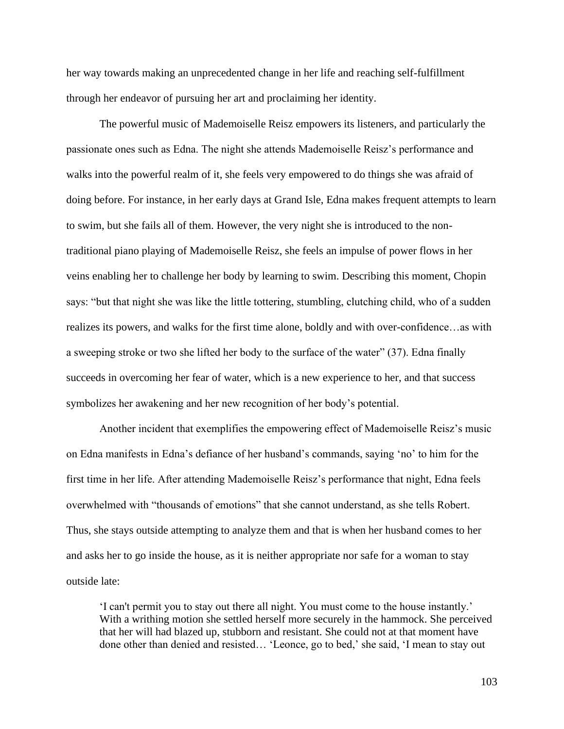her way towards making an unprecedented change in her life and reaching self-fulfillment through her endeavor of pursuing her art and proclaiming her identity.

The powerful music of Mademoiselle Reisz empowers its listeners, and particularly the passionate ones such as Edna. The night she attends Mademoiselle Reisz's performance and walks into the powerful realm of it, she feels very empowered to do things she was afraid of doing before. For instance, in her early days at Grand Isle, Edna makes frequent attempts to learn to swim, but she fails all of them. However, the very night she is introduced to the nontraditional piano playing of Mademoiselle Reisz, she feels an impulse of power flows in her veins enabling her to challenge her body by learning to swim. Describing this moment, Chopin says: "but that night she was like the little tottering, stumbling, clutching child, who of a sudden realizes its powers, and walks for the first time alone, boldly and with over-confidence…as with a sweeping stroke or two she lifted her body to the surface of the water" (37). Edna finally succeeds in overcoming her fear of water, which is a new experience to her, and that success symbolizes her awakening and her new recognition of her body's potential.

Another incident that exemplifies the empowering effect of Mademoiselle Reisz's music on Edna manifests in Edna's defiance of her husband's commands, saying 'no' to him for the first time in her life. After attending Mademoiselle Reisz's performance that night, Edna feels overwhelmed with "thousands of emotions" that she cannot understand, as she tells Robert. Thus, she stays outside attempting to analyze them and that is when her husband comes to her and asks her to go inside the house, as it is neither appropriate nor safe for a woman to stay outside late:

'I can't permit you to stay out there all night. You must come to the house instantly.' With a writhing motion she settled herself more securely in the hammock. She perceived that her will had blazed up, stubborn and resistant. She could not at that moment have done other than denied and resisted… 'Leonce, go to bed,' she said, 'I mean to stay out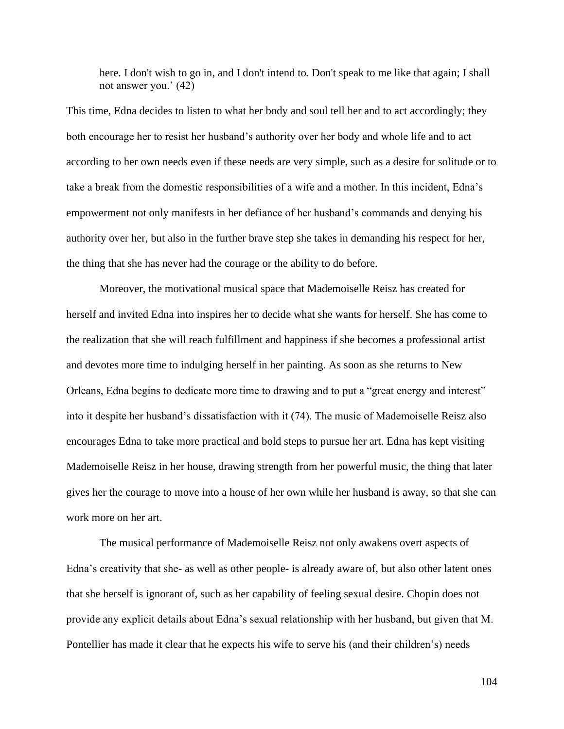here. I don't wish to go in, and I don't intend to. Don't speak to me like that again; I shall not answer you.' (42)

This time, Edna decides to listen to what her body and soul tell her and to act accordingly; they both encourage her to resist her husband's authority over her body and whole life and to act according to her own needs even if these needs are very simple, such as a desire for solitude or to take a break from the domestic responsibilities of a wife and a mother. In this incident, Edna's empowerment not only manifests in her defiance of her husband's commands and denying his authority over her, but also in the further brave step she takes in demanding his respect for her, the thing that she has never had the courage or the ability to do before.

Moreover, the motivational musical space that Mademoiselle Reisz has created for herself and invited Edna into inspires her to decide what she wants for herself. She has come to the realization that she will reach fulfillment and happiness if she becomes a professional artist and devotes more time to indulging herself in her painting. As soon as she returns to New Orleans, Edna begins to dedicate more time to drawing and to put a "great energy and interest" into it despite her husband's dissatisfaction with it (74). The music of Mademoiselle Reisz also encourages Edna to take more practical and bold steps to pursue her art. Edna has kept visiting Mademoiselle Reisz in her house, drawing strength from her powerful music, the thing that later gives her the courage to move into a house of her own while her husband is away, so that she can work more on her art.

The musical performance of Mademoiselle Reisz not only awakens overt aspects of Edna's creativity that she- as well as other people- is already aware of, but also other latent ones that she herself is ignorant of, such as her capability of feeling sexual desire. Chopin does not provide any explicit details about Edna's sexual relationship with her husband, but given that M. Pontellier has made it clear that he expects his wife to serve his (and their children's) needs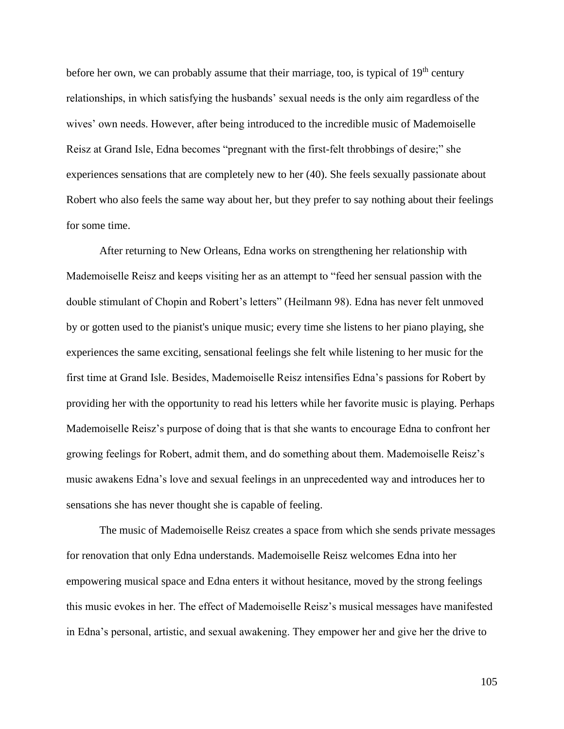before her own, we can probably assume that their marriage, too, is typical of 19<sup>th</sup> century relationships, in which satisfying the husbands' sexual needs is the only aim regardless of the wives' own needs. However, after being introduced to the incredible music of Mademoiselle Reisz at Grand Isle, Edna becomes "pregnant with the first-felt throbbings of desire;" she experiences sensations that are completely new to her (40). She feels sexually passionate about Robert who also feels the same way about her, but they prefer to say nothing about their feelings for some time.

After returning to New Orleans, Edna works on strengthening her relationship with Mademoiselle Reisz and keeps visiting her as an attempt to "feed her sensual passion with the double stimulant of Chopin and Robert's letters" (Heilmann 98). Edna has never felt unmoved by or gotten used to the pianist's unique music; every time she listens to her piano playing, she experiences the same exciting, sensational feelings she felt while listening to her music for the first time at Grand Isle. Besides, Mademoiselle Reisz intensifies Edna's passions for Robert by providing her with the opportunity to read his letters while her favorite music is playing. Perhaps Mademoiselle Reisz's purpose of doing that is that she wants to encourage Edna to confront her growing feelings for Robert, admit them, and do something about them. Mademoiselle Reisz's music awakens Edna's love and sexual feelings in an unprecedented way and introduces her to sensations she has never thought she is capable of feeling.

The music of Mademoiselle Reisz creates a space from which she sends private messages for renovation that only Edna understands. Mademoiselle Reisz welcomes Edna into her empowering musical space and Edna enters it without hesitance, moved by the strong feelings this music evokes in her. The effect of Mademoiselle Reisz's musical messages have manifested in Edna's personal, artistic, and sexual awakening. They empower her and give her the drive to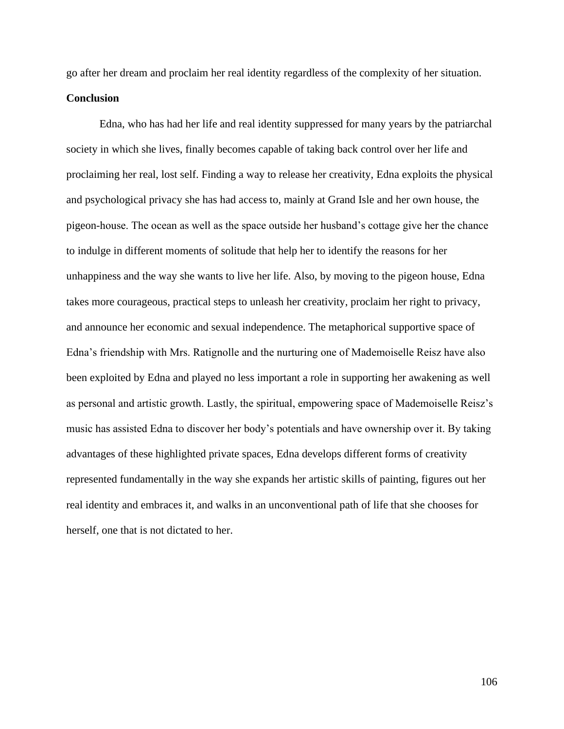go after her dream and proclaim her real identity regardless of the complexity of her situation.

# **Conclusion**

Edna, who has had her life and real identity suppressed for many years by the patriarchal society in which she lives, finally becomes capable of taking back control over her life and proclaiming her real, lost self. Finding a way to release her creativity, Edna exploits the physical and psychological privacy she has had access to, mainly at Grand Isle and her own house, the pigeon-house. The ocean as well as the space outside her husband's cottage give her the chance to indulge in different moments of solitude that help her to identify the reasons for her unhappiness and the way she wants to live her life. Also, by moving to the pigeon house, Edna takes more courageous, practical steps to unleash her creativity, proclaim her right to privacy, and announce her economic and sexual independence. The metaphorical supportive space of Edna's friendship with Mrs. Ratignolle and the nurturing one of Mademoiselle Reisz have also been exploited by Edna and played no less important a role in supporting her awakening as well as personal and artistic growth. Lastly, the spiritual, empowering space of Mademoiselle Reisz's music has assisted Edna to discover her body's potentials and have ownership over it. By taking advantages of these highlighted private spaces, Edna develops different forms of creativity represented fundamentally in the way she expands her artistic skills of painting, figures out her real identity and embraces it, and walks in an unconventional path of life that she chooses for herself, one that is not dictated to her.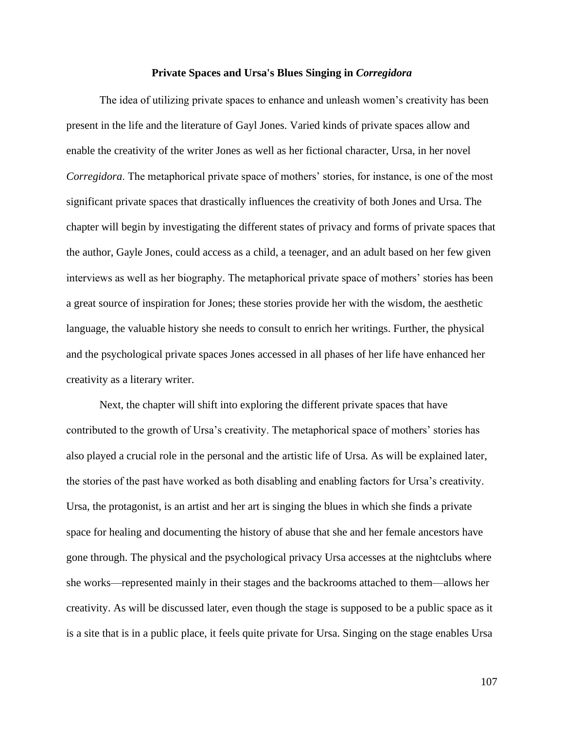#### **Private Spaces and Ursa's Blues Singing in** *Corregidora*

The idea of utilizing private spaces to enhance and unleash women's creativity has been present in the life and the literature of Gayl Jones. Varied kinds of private spaces allow and enable the creativity of the writer Jones as well as her fictional character, Ursa, in her novel *Corregidora*. The metaphorical private space of mothers' stories, for instance, is one of the most significant private spaces that drastically influences the creativity of both Jones and Ursa. The chapter will begin by investigating the different states of privacy and forms of private spaces that the author, Gayle Jones, could access as a child, a teenager, and an adult based on her few given interviews as well as her biography. The metaphorical private space of mothers' stories has been a great source of inspiration for Jones; these stories provide her with the wisdom, the aesthetic language, the valuable history she needs to consult to enrich her writings. Further, the physical and the psychological private spaces Jones accessed in all phases of her life have enhanced her creativity as a literary writer.

Next, the chapter will shift into exploring the different private spaces that have contributed to the growth of Ursa's creativity. The metaphorical space of mothers' stories has also played a crucial role in the personal and the artistic life of Ursa. As will be explained later, the stories of the past have worked as both disabling and enabling factors for Ursa's creativity. Ursa, the protagonist, is an artist and her art is singing the blues in which she finds a private space for healing and documenting the history of abuse that she and her female ancestors have gone through. The physical and the psychological privacy Ursa accesses at the nightclubs where she works—represented mainly in their stages and the backrooms attached to them—allows her creativity. As will be discussed later, even though the stage is supposed to be a public space as it is a site that is in a public place, it feels quite private for Ursa. Singing on the stage enables Ursa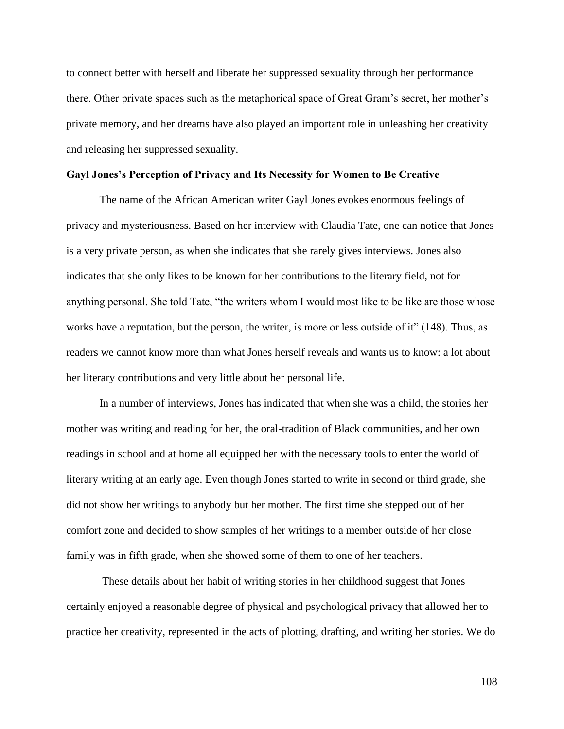to connect better with herself and liberate her suppressed sexuality through her performance there. Other private spaces such as the metaphorical space of Great Gram's secret, her mother's private memory, and her dreams have also played an important role in unleashing her creativity and releasing her suppressed sexuality.

#### **Gayl Jones's Perception of Privacy and Its Necessity for Women to Be Creative**

The name of the African American writer Gayl Jones evokes enormous feelings of privacy and mysteriousness. Based on her interview with Claudia Tate, one can notice that Jones is a very private person, as when she indicates that she rarely gives interviews. Jones also indicates that she only likes to be known for her contributions to the literary field, not for anything personal. She told Tate, "the writers whom I would most like to be like are those whose works have a reputation, but the person, the writer, is more or less outside of it" (148). Thus, as readers we cannot know more than what Jones herself reveals and wants us to know: a lot about her literary contributions and very little about her personal life.

In a number of interviews, Jones has indicated that when she was a child, the stories her mother was writing and reading for her, the oral-tradition of Black communities, and her own readings in school and at home all equipped her with the necessary tools to enter the world of literary writing at an early age. Even though Jones started to write in second or third grade, she did not show her writings to anybody but her mother. The first time she stepped out of her comfort zone and decided to show samples of her writings to a member outside of her close family was in fifth grade, when she showed some of them to one of her teachers.

These details about her habit of writing stories in her childhood suggest that Jones certainly enjoyed a reasonable degree of physical and psychological privacy that allowed her to practice her creativity, represented in the acts of plotting, drafting, and writing her stories. We do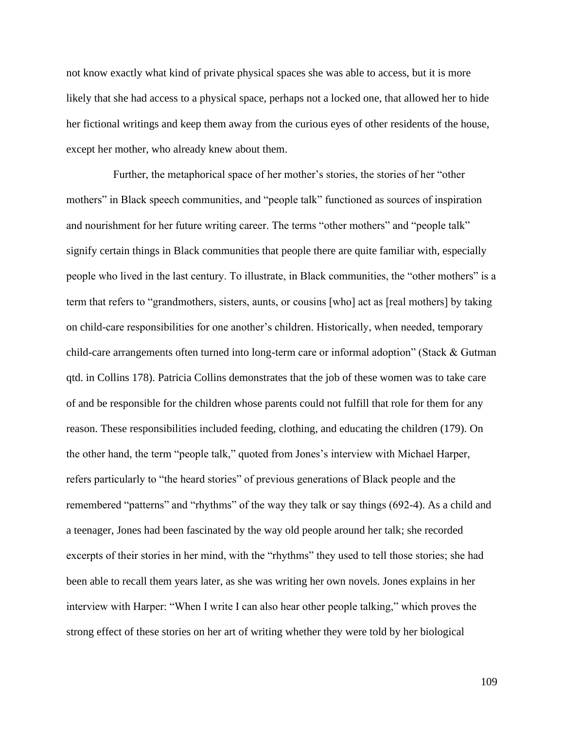not know exactly what kind of private physical spaces she was able to access, but it is more likely that she had access to a physical space, perhaps not a locked one, that allowed her to hide her fictional writings and keep them away from the curious eyes of other residents of the house, except her mother, who already knew about them.

 Further, the metaphorical space of her mother's stories, the stories of her "other mothers" in Black speech communities, and "people talk" functioned as sources of inspiration and nourishment for her future writing career. The terms "other mothers" and "people talk" signify certain things in Black communities that people there are quite familiar with, especially people who lived in the last century. To illustrate, in Black communities, the "other mothers" is a term that refers to "grandmothers, sisters, aunts, or cousins [who] act as [real mothers] by taking on child-care responsibilities for one another's children. Historically, when needed, temporary child-care arrangements often turned into long-term care or informal adoption" (Stack & Gutman qtd. in Collins 178). Patricia Collins demonstrates that the job of these women was to take care of and be responsible for the children whose parents could not fulfill that role for them for any reason. These responsibilities included feeding, clothing, and educating the children (179). On the other hand, the term "people talk," quoted from Jones's interview with Michael Harper, refers particularly to "the heard stories" of previous generations of Black people and the remembered "patterns" and "rhythms" of the way they talk or say things (692-4). As a child and a teenager, Jones had been fascinated by the way old people around her talk; she recorded excerpts of their stories in her mind, with the "rhythms" they used to tell those stories; she had been able to recall them years later, as she was writing her own novels. Jones explains in her interview with Harper: "When I write I can also hear other people talking," which proves the strong effect of these stories on her art of writing whether they were told by her biological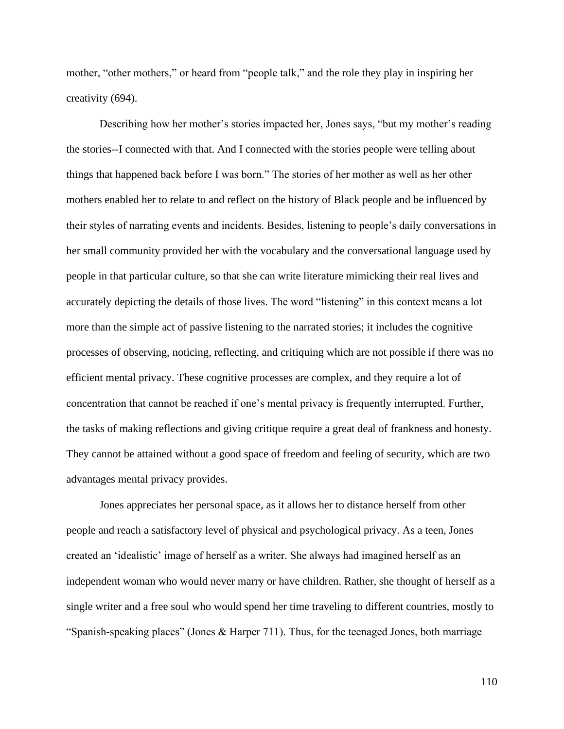mother, "other mothers," or heard from "people talk," and the role they play in inspiring her creativity (694).

Describing how her mother's stories impacted her, Jones says, "but my mother's reading the stories--I connected with that. And I connected with the stories people were telling about things that happened back before I was born." The stories of her mother as well as her other mothers enabled her to relate to and reflect on the history of Black people and be influenced by their styles of narrating events and incidents. Besides, listening to people's daily conversations in her small community provided her with the vocabulary and the conversational language used by people in that particular culture, so that she can write literature mimicking their real lives and accurately depicting the details of those lives. The word "listening" in this context means a lot more than the simple act of passive listening to the narrated stories; it includes the cognitive processes of observing, noticing, reflecting, and critiquing which are not possible if there was no efficient mental privacy. These cognitive processes are complex, and they require a lot of concentration that cannot be reached if one's mental privacy is frequently interrupted. Further, the tasks of making reflections and giving critique require a great deal of frankness and honesty. They cannot be attained without a good space of freedom and feeling of security, which are two advantages mental privacy provides.

Jones appreciates her personal space, as it allows her to distance herself from other people and reach a satisfactory level of physical and psychological privacy. As a teen, Jones created an 'idealistic' image of herself as a writer. She always had imagined herself as an independent woman who would never marry or have children. Rather, she thought of herself as a single writer and a free soul who would spend her time traveling to different countries, mostly to "Spanish-speaking places" (Jones & Harper 711). Thus, for the teenaged Jones, both marriage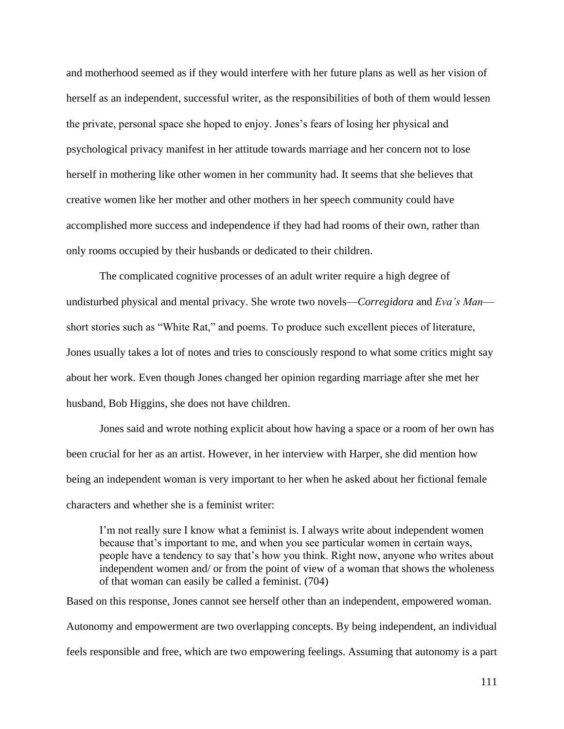and motherhood seemed as if they would interfere with her future plans as well as her vision of herself as an independent, successful writer, as the responsibilities of both of them would lessen the private, personal space she hoped to enjoy. Jones's fears of losing her physical and psychological privacy manifest in her attitude towards marriage and her concern not to lose herself in mothering like other women in her community had. It seems that she believes that creative women like her mother and other mothers in her speech community could have accomplished more success and independence if they had had rooms of their own, rather than only rooms occupied by their husbands or dedicated to their children.

The complicated cognitive processes of an adult writer require a high degree of undisturbed physical and mental privacy. She wrote two novels—*Corregidora* and *Eva's Man* short stories such as "White Rat," and poems. To produce such excellent pieces of literature, Jones usually takes a lot of notes and tries to consciously respond to what some critics might say about her work. Even though Jones changed her opinion regarding marriage after she met her husband, Bob Higgins, she does not have children.

Jones said and wrote nothing explicit about how having a space or a room of her own has been crucial for her as an artist. However, in her interview with Harper, she did mention how being an independent woman is very important to her when he asked about her fictional female characters and whether she is a feminist writer:

I'm not really sure I know what a feminist is. I always write about independent women because that's important to me, and when you see particular women in certain ways, people have a tendency to say that's how you think. Right now, anyone who writes about independent women and/ or from the point of view of a woman that shows the wholeness of that woman can easily be called a feminist. (704)

Based on this response, Jones cannot see herself other than an independent, empowered woman. Autonomy and empowerment are two overlapping concepts. By being independent, an individual feels responsible and free, which are two empowering feelings. Assuming that autonomy is a part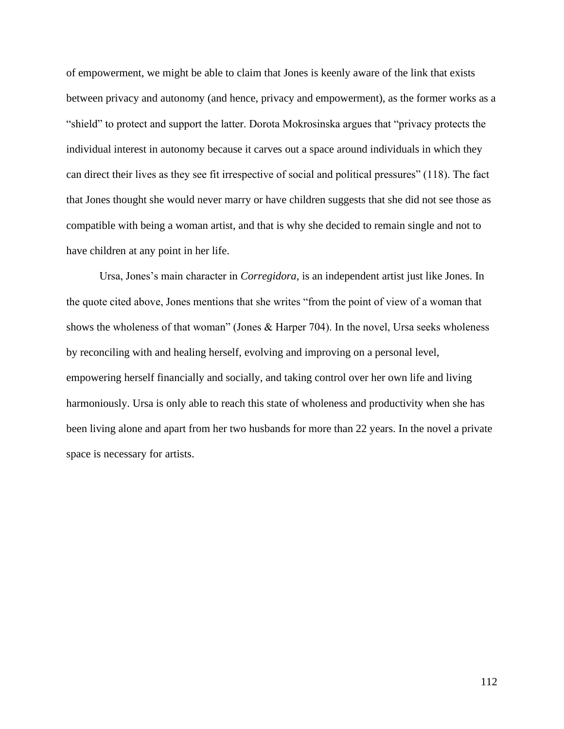of empowerment, we might be able to claim that Jones is keenly aware of the link that exists between privacy and autonomy (and hence, privacy and empowerment), as the former works as a "shield" to protect and support the latter. Dorota Mokrosinska argues that "privacy protects the individual interest in autonomy because it carves out a space around individuals in which they can direct their lives as they see fit irrespective of social and political pressures" (118). The fact that Jones thought she would never marry or have children suggests that she did not see those as compatible with being a woman artist, and that is why she decided to remain single and not to have children at any point in her life.

Ursa, Jones's main character in *Corregidora,* is an independent artist just like Jones. In the quote cited above, Jones mentions that she writes "from the point of view of a woman that shows the wholeness of that woman" (Jones & Harper 704). In the novel, Ursa seeks wholeness by reconciling with and healing herself, evolving and improving on a personal level, empowering herself financially and socially, and taking control over her own life and living harmoniously. Ursa is only able to reach this state of wholeness and productivity when she has been living alone and apart from her two husbands for more than 22 years. In the novel a private space is necessary for artists.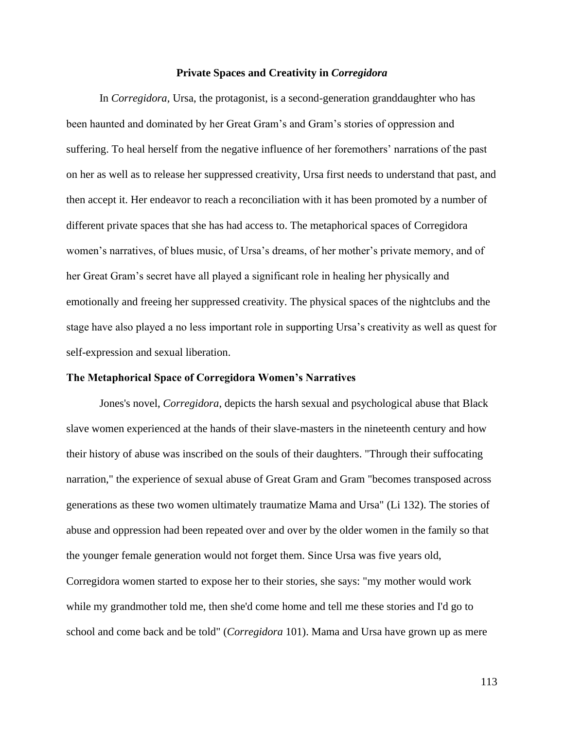#### **Private Spaces and Creativity in** *Corregidora*

In *Corregidora,* Ursa, the protagonist, is a second-generation granddaughter who has been haunted and dominated by her Great Gram's and Gram's stories of oppression and suffering. To heal herself from the negative influence of her foremothers' narrations of the past on her as well as to release her suppressed creativity, Ursa first needs to understand that past, and then accept it. Her endeavor to reach a reconciliation with it has been promoted by a number of different private spaces that she has had access to. The metaphorical spaces of Corregidora women's narratives, of blues music, of Ursa's dreams, of her mother's private memory, and of her Great Gram's secret have all played a significant role in healing her physically and emotionally and freeing her suppressed creativity. The physical spaces of the nightclubs and the stage have also played a no less important role in supporting Ursa's creativity as well as quest for self-expression and sexual liberation.

## **The Metaphorical Space of Corregidora Women's Narratives**

Jones's novel, *Corregidora*, depicts the harsh sexual and psychological abuse that Black slave women experienced at the hands of their slave-masters in the nineteenth century and how their history of abuse was inscribed on the souls of their daughters. "Through their suffocating narration," the experience of sexual abuse of Great Gram and Gram "becomes transposed across generations as these two women ultimately traumatize Mama and Ursa" (Li 132). The stories of abuse and oppression had been repeated over and over by the older women in the family so that the younger female generation would not forget them. Since Ursa was five years old, Corregidora women started to expose her to their stories, she says: "my mother would work while my grandmother told me, then she'd come home and tell me these stories and I'd go to

school and come back and be told" (*Corregidora* 101). Mama and Ursa have grown up as mere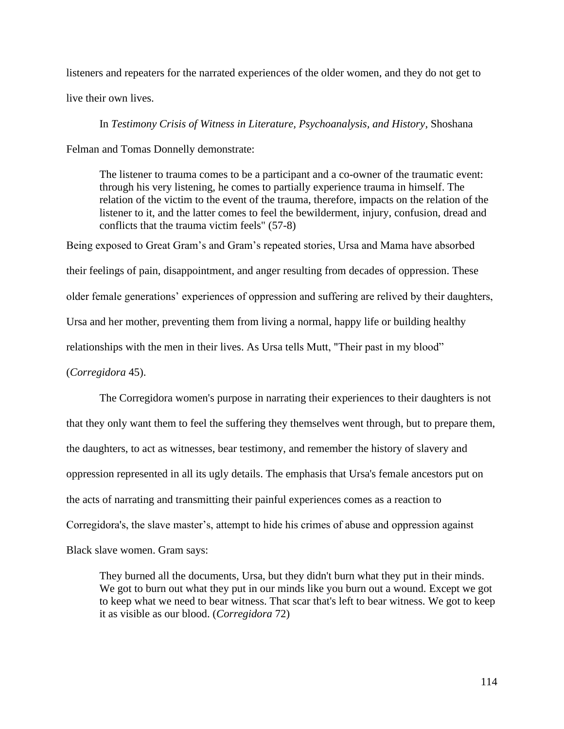listeners and repeaters for the narrated experiences of the older women, and they do not get to

live their own lives.

In *Testimony Crisis of Witness in Literature, Psychoanalysis, and History*, Shoshana

Felman and Tomas Donnelly demonstrate:

The listener to trauma comes to be a participant and a co-owner of the traumatic event: through his very listening, he comes to partially experience trauma in himself. The relation of the victim to the event of the trauma, therefore, impacts on the relation of the listener to it, and the latter comes to feel the bewilderment, injury, confusion, dread and conflicts that the trauma victim feels" (57-8)

Being exposed to Great Gram's and Gram's repeated stories, Ursa and Mama have absorbed their feelings of pain, disappointment, and anger resulting from decades of oppression. These older female generations' experiences of oppression and suffering are relived by their daughters, Ursa and her mother, preventing them from living a normal, happy life or building healthy relationships with the men in their lives. As Ursa tells Mutt, "Their past in my blood" (*Corregidora* 45).

The Corregidora women's purpose in narrating their experiences to their daughters is not that they only want them to feel the suffering they themselves went through, but to prepare them, the daughters, to act as witnesses, bear testimony, and remember the history of slavery and oppression represented in all its ugly details. The emphasis that Ursa's female ancestors put on the acts of narrating and transmitting their painful experiences comes as a reaction to Corregidora's, the slave master's, attempt to hide his crimes of abuse and oppression against Black slave women. Gram says:

They burned all the documents, Ursa, but they didn't burn what they put in their minds. We got to burn out what they put in our minds like you burn out a wound. Except we got to keep what we need to bear witness. That scar that's left to bear witness. We got to keep it as visible as our blood. (*Corregidora* 72)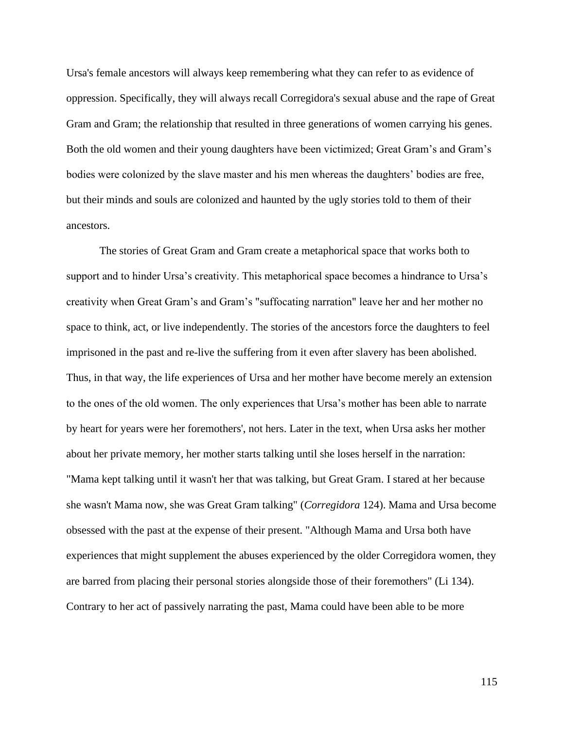Ursa's female ancestors will always keep remembering what they can refer to as evidence of oppression. Specifically, they will always recall Corregidora's sexual abuse and the rape of Great Gram and Gram; the relationship that resulted in three generations of women carrying his genes. Both the old women and their young daughters have been victimized; Great Gram's and Gram's bodies were colonized by the slave master and his men whereas the daughters' bodies are free, but their minds and souls are colonized and haunted by the ugly stories told to them of their ancestors.

The stories of Great Gram and Gram create a metaphorical space that works both to support and to hinder Ursa's creativity. This metaphorical space becomes a hindrance to Ursa's creativity when Great Gram's and Gram's "suffocating narration" leave her and her mother no space to think, act, or live independently. The stories of the ancestors force the daughters to feel imprisoned in the past and re-live the suffering from it even after slavery has been abolished. Thus, in that way, the life experiences of Ursa and her mother have become merely an extension to the ones of the old women. The only experiences that Ursa's mother has been able to narrate by heart for years were her foremothers', not hers. Later in the text, when Ursa asks her mother about her private memory, her mother starts talking until she loses herself in the narration: "Mama kept talking until it wasn't her that was talking, but Great Gram. I stared at her because she wasn't Mama now, she was Great Gram talking" (*Corregidora* 124). Mama and Ursa become obsessed with the past at the expense of their present. "Although Mama and Ursa both have experiences that might supplement the abuses experienced by the older Corregidora women, they are barred from placing their personal stories alongside those of their foremothers" (Li 134). Contrary to her act of passively narrating the past, Mama could have been able to be more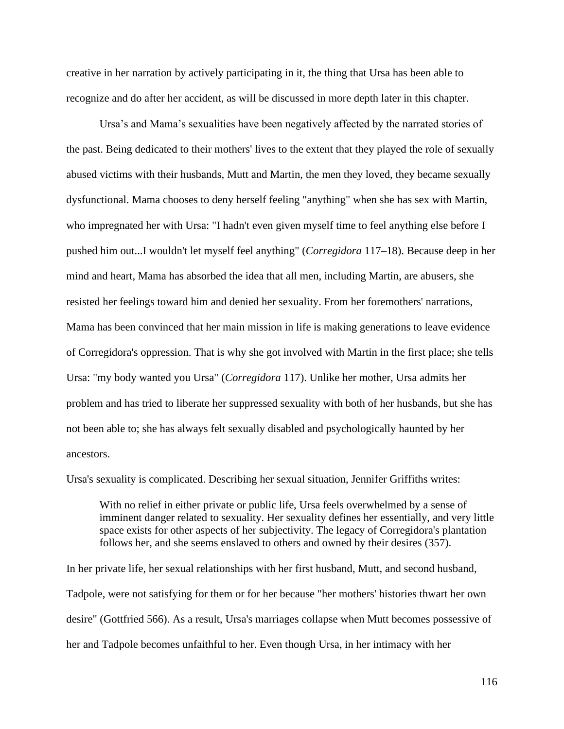creative in her narration by actively participating in it, the thing that Ursa has been able to recognize and do after her accident, as will be discussed in more depth later in this chapter.

Ursa's and Mama's sexualities have been negatively affected by the narrated stories of the past. Being dedicated to their mothers' lives to the extent that they played the role of sexually abused victims with their husbands, Mutt and Martin, the men they loved, they became sexually dysfunctional. Mama chooses to deny herself feeling "anything" when she has sex with Martin, who impregnated her with Ursa: "I hadn't even given myself time to feel anything else before I pushed him out...I wouldn't let myself feel anything" (*Corregidora* 117–18). Because deep in her mind and heart, Mama has absorbed the idea that all men, including Martin, are abusers, she resisted her feelings toward him and denied her sexuality. From her foremothers' narrations, Mama has been convinced that her main mission in life is making generations to leave evidence of Corregidora's oppression. That is why she got involved with Martin in the first place; she tells Ursa: "my body wanted you Ursa" (*Corregidora* 117). Unlike her mother, Ursa admits her problem and has tried to liberate her suppressed sexuality with both of her husbands, but she has not been able to; she has always felt sexually disabled and psychologically haunted by her ancestors.

Ursa's sexuality is complicated. Describing her sexual situation, Jennifer Griffiths writes:

With no relief in either private or public life, Ursa feels overwhelmed by a sense of imminent danger related to sexuality. Her sexuality defines her essentially, and very little space exists for other aspects of her subjectivity. The legacy of Corregidora's plantation follows her, and she seems enslaved to others and owned by their desires (357).

In her private life, her sexual relationships with her first husband, Mutt, and second husband, Tadpole, were not satisfying for them or for her because "her mothers' histories thwart her own desire" (Gottfried 566). As a result, Ursa's marriages collapse when Mutt becomes possessive of her and Tadpole becomes unfaithful to her. Even though Ursa, in her intimacy with her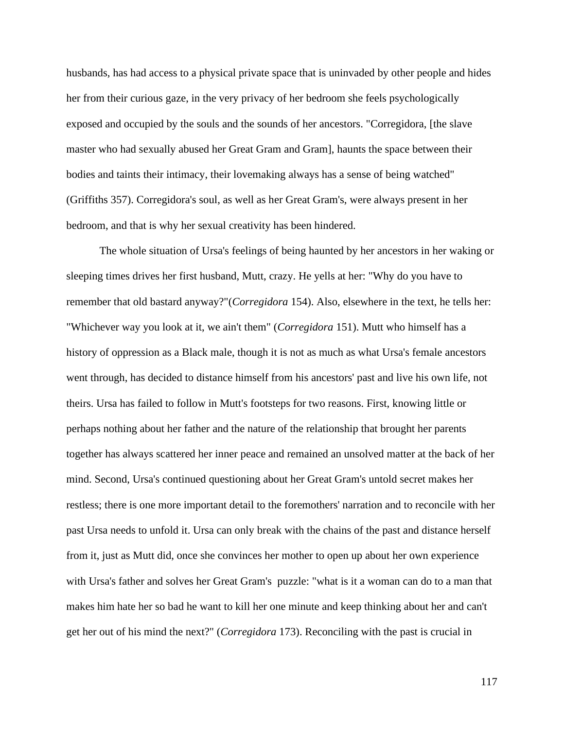husbands, has had access to a physical private space that is uninvaded by other people and hides her from their curious gaze, in the very privacy of her bedroom she feels psychologically exposed and occupied by the souls and the sounds of her ancestors. "Corregidora, [the slave master who had sexually abused her Great Gram and Gram], haunts the space between their bodies and taints their intimacy, their lovemaking always has a sense of being watched" (Griffiths 357). Corregidora's soul, as well as her Great Gram's, were always present in her bedroom, and that is why her sexual creativity has been hindered.

The whole situation of Ursa's feelings of being haunted by her ancestors in her waking or sleeping times drives her first husband, Mutt, crazy. He yells at her: "Why do you have to remember that old bastard anyway?"(*Corregidora* 154). Also, elsewhere in the text, he tells her: "Whichever way you look at it, we ain't them" (*Corregidora* 151). Mutt who himself has a history of oppression as a Black male, though it is not as much as what Ursa's female ancestors went through, has decided to distance himself from his ancestors' past and live his own life, not theirs. Ursa has failed to follow in Mutt's footsteps for two reasons. First, knowing little or perhaps nothing about her father and the nature of the relationship that brought her parents together has always scattered her inner peace and remained an unsolved matter at the back of her mind. Second, Ursa's continued questioning about her Great Gram's untold secret makes her restless; there is one more important detail to the foremothers' narration and to reconcile with her past Ursa needs to unfold it. Ursa can only break with the chains of the past and distance herself from it, just as Mutt did, once she convinces her mother to open up about her own experience with Ursa's father and solves her Great Gram's puzzle: "what is it a woman can do to a man that makes him hate her so bad he want to kill her one minute and keep thinking about her and can't get her out of his mind the next?" (*Corregidora* 173). Reconciling with the past is crucial in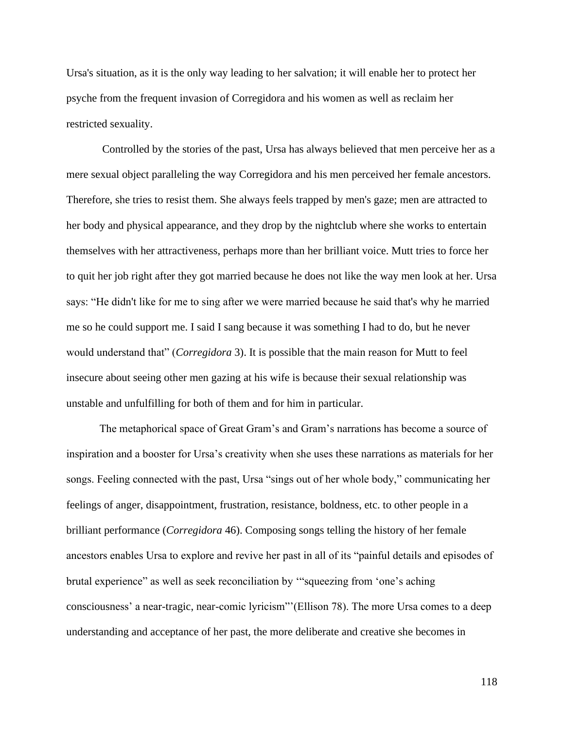Ursa's situation, as it is the only way leading to her salvation; it will enable her to protect her psyche from the frequent invasion of Corregidora and his women as well as reclaim her restricted sexuality.

Controlled by the stories of the past, Ursa has always believed that men perceive her as a mere sexual object paralleling the way Corregidora and his men perceived her female ancestors. Therefore, she tries to resist them. She always feels trapped by men's gaze; men are attracted to her body and physical appearance, and they drop by the nightclub where she works to entertain themselves with her attractiveness, perhaps more than her brilliant voice. Mutt tries to force her to quit her job right after they got married because he does not like the way men look at her. Ursa says: "He didn't like for me to sing after we were married because he said that's why he married me so he could support me. I said I sang because it was something I had to do, but he never would understand that" (*Corregidora* 3). It is possible that the main reason for Mutt to feel insecure about seeing other men gazing at his wife is because their sexual relationship was unstable and unfulfilling for both of them and for him in particular.

The metaphorical space of Great Gram's and Gram's narrations has become a source of inspiration and a booster for Ursa's creativity when she uses these narrations as materials for her songs. Feeling connected with the past, Ursa "sings out of her whole body," communicating her feelings of anger, disappointment, frustration, resistance, boldness, etc. to other people in a brilliant performance (*Corregidora* 46). Composing songs telling the history of her female ancestors enables Ursa to explore and revive her past in all of its "painful details and episodes of brutal experience" as well as seek reconciliation by '"squeezing from 'one's aching consciousness' a near-tragic, near-comic lyricism"'(Ellison 78). The more Ursa comes to a deep understanding and acceptance of her past, the more deliberate and creative she becomes in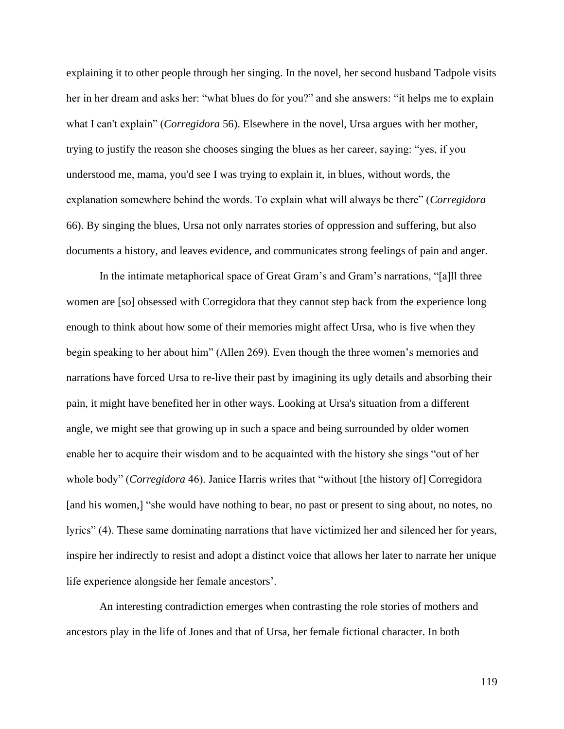explaining it to other people through her singing. In the novel, her second husband Tadpole visits her in her dream and asks her: "what blues do for you?" and she answers: "it helps me to explain what I can't explain" (*Corregidora* 56). Elsewhere in the novel, Ursa argues with her mother, trying to justify the reason she chooses singing the blues as her career, saying: "yes, if you understood me, mama, you'd see I was trying to explain it, in blues, without words, the explanation somewhere behind the words. To explain what will always be there" (*Corregidora* 66). By singing the blues, Ursa not only narrates stories of oppression and suffering, but also documents a history, and leaves evidence, and communicates strong feelings of pain and anger.

In the intimate metaphorical space of Great Gram's and Gram's narrations, "[a]ll three women are [so] obsessed with Corregidora that they cannot step back from the experience long enough to think about how some of their memories might affect Ursa, who is five when they begin speaking to her about him" (Allen 269). Even though the three women's memories and narrations have forced Ursa to re-live their past by imagining its ugly details and absorbing their pain, it might have benefited her in other ways. Looking at Ursa's situation from a different angle, we might see that growing up in such a space and being surrounded by older women enable her to acquire their wisdom and to be acquainted with the history she sings "out of her whole body" (*Corregidora* 46). Janice Harris writes that "without [the history of] Corregidora [and his women,] "she would have nothing to bear, no past or present to sing about, no notes, no lyrics" (4). These same dominating narrations that have victimized her and silenced her for years, inspire her indirectly to resist and adopt a distinct voice that allows her later to narrate her unique life experience alongside her female ancestors'.

An interesting contradiction emerges when contrasting the role stories of mothers and ancestors play in the life of Jones and that of Ursa, her female fictional character. In both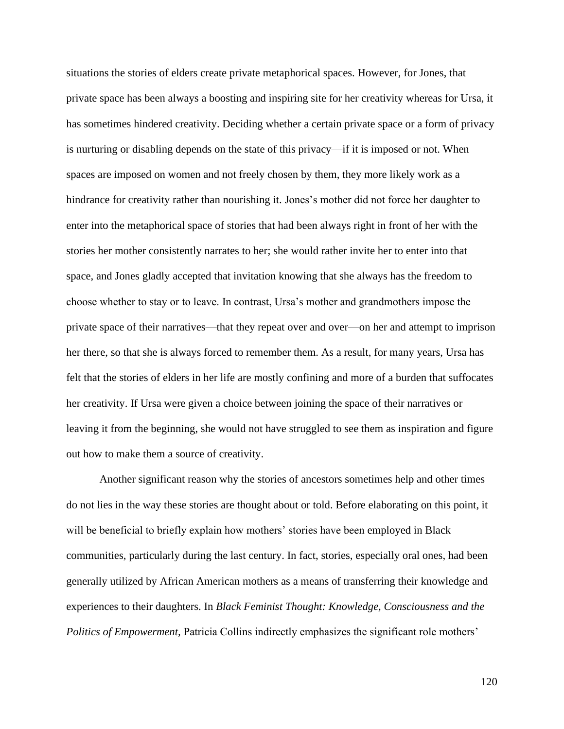situations the stories of elders create private metaphorical spaces. However, for Jones, that private space has been always a boosting and inspiring site for her creativity whereas for Ursa, it has sometimes hindered creativity. Deciding whether a certain private space or a form of privacy is nurturing or disabling depends on the state of this privacy—if it is imposed or not. When spaces are imposed on women and not freely chosen by them, they more likely work as a hindrance for creativity rather than nourishing it. Jones's mother did not force her daughter to enter into the metaphorical space of stories that had been always right in front of her with the stories her mother consistently narrates to her; she would rather invite her to enter into that space, and Jones gladly accepted that invitation knowing that she always has the freedom to choose whether to stay or to leave. In contrast, Ursa's mother and grandmothers impose the private space of their narratives—that they repeat over and over—on her and attempt to imprison her there, so that she is always forced to remember them. As a result, for many years, Ursa has felt that the stories of elders in her life are mostly confining and more of a burden that suffocates her creativity. If Ursa were given a choice between joining the space of their narratives or leaving it from the beginning, she would not have struggled to see them as inspiration and figure out how to make them a source of creativity.

Another significant reason why the stories of ancestors sometimes help and other times do not lies in the way these stories are thought about or told. Before elaborating on this point, it will be beneficial to briefly explain how mothers' stories have been employed in Black communities, particularly during the last century. In fact, stories, especially oral ones, had been generally utilized by African American mothers as a means of transferring their knowledge and experiences to their daughters. In *Black Feminist Thought: Knowledge, Consciousness and the Politics of Empowerment, Patricia Collins indirectly emphasizes the significant role mothers'*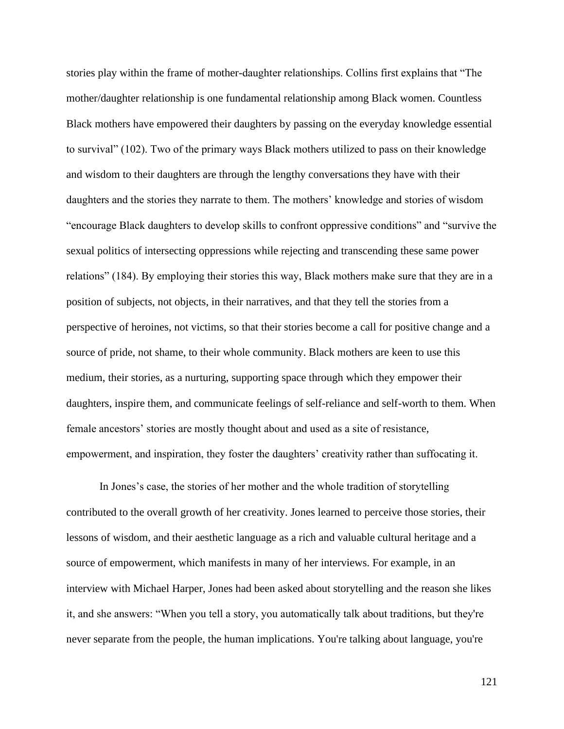stories play within the frame of mother-daughter relationships. Collins first explains that "The mother/daughter relationship is one fundamental relationship among Black women. Countless Black mothers have empowered their daughters by passing on the everyday knowledge essential to survival" (102). Two of the primary ways Black mothers utilized to pass on their knowledge and wisdom to their daughters are through the lengthy conversations they have with their daughters and the stories they narrate to them. The mothers' knowledge and stories of wisdom "encourage Black daughters to develop skills to confront oppressive conditions" and "survive the sexual politics of intersecting oppressions while rejecting and transcending these same power relations" (184). By employing their stories this way, Black mothers make sure that they are in a position of subjects, not objects, in their narratives, and that they tell the stories from a perspective of heroines, not victims, so that their stories become a call for positive change and a source of pride, not shame, to their whole community. Black mothers are keen to use this medium, their stories, as a nurturing, supporting space through which they empower their daughters, inspire them, and communicate feelings of self-reliance and self-worth to them. When female ancestors' stories are mostly thought about and used as a site of resistance, empowerment, and inspiration, they foster the daughters' creativity rather than suffocating it.

In Jones's case, the stories of her mother and the whole tradition of storytelling contributed to the overall growth of her creativity. Jones learned to perceive those stories, their lessons of wisdom, and their aesthetic language as a rich and valuable cultural heritage and a source of empowerment, which manifests in many of her interviews. For example, in an interview with Michael Harper, Jones had been asked about storytelling and the reason she likes it, and she answers: "When you tell a story, you automatically talk about traditions, but they're never separate from the people, the human implications. You're talking about language, you're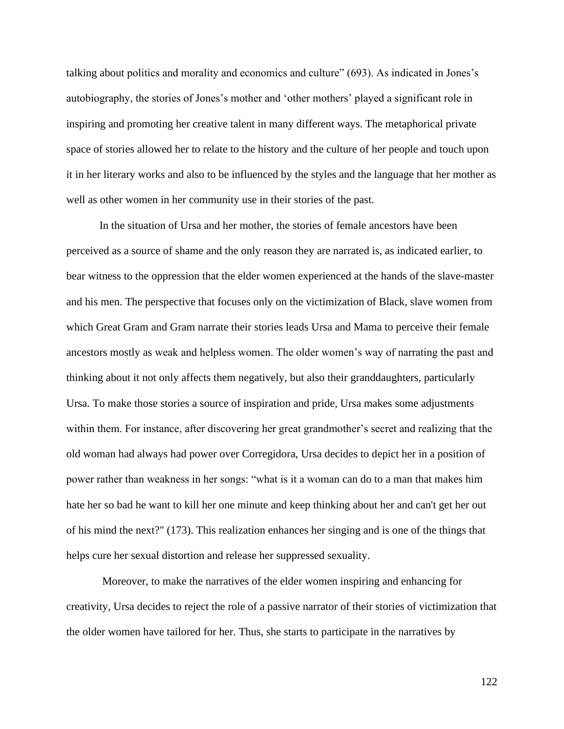talking about politics and morality and economics and culture" (693). As indicated in Jones's autobiography, the stories of Jones's mother and 'other mothers' played a significant role in inspiring and promoting her creative talent in many different ways. The metaphorical private space of stories allowed her to relate to the history and the culture of her people and touch upon it in her literary works and also to be influenced by the styles and the language that her mother as well as other women in her community use in their stories of the past.

In the situation of Ursa and her mother, the stories of female ancestors have been perceived as a source of shame and the only reason they are narrated is, as indicated earlier, to bear witness to the oppression that the elder women experienced at the hands of the slave-master and his men. The perspective that focuses only on the victimization of Black, slave women from which Great Gram and Gram narrate their stories leads Ursa and Mama to perceive their female ancestors mostly as weak and helpless women. The older women's way of narrating the past and thinking about it not only affects them negatively, but also their granddaughters, particularly Ursa. To make those stories a source of inspiration and pride, Ursa makes some adjustments within them. For instance, after discovering her great grandmother's secret and realizing that the old woman had always had power over Corregidora, Ursa decides to depict her in a position of power rather than weakness in her songs: "what is it a woman can do to a man that makes him hate her so bad he want to kill her one minute and keep thinking about her and can't get her out of his mind the next?" (173). This realization enhances her singing and is one of the things that helps cure her sexual distortion and release her suppressed sexuality.

Moreover, to make the narratives of the elder women inspiring and enhancing for creativity, Ursa decides to reject the role of a passive narrator of their stories of victimization that the older women have tailored for her. Thus, she starts to participate in the narratives by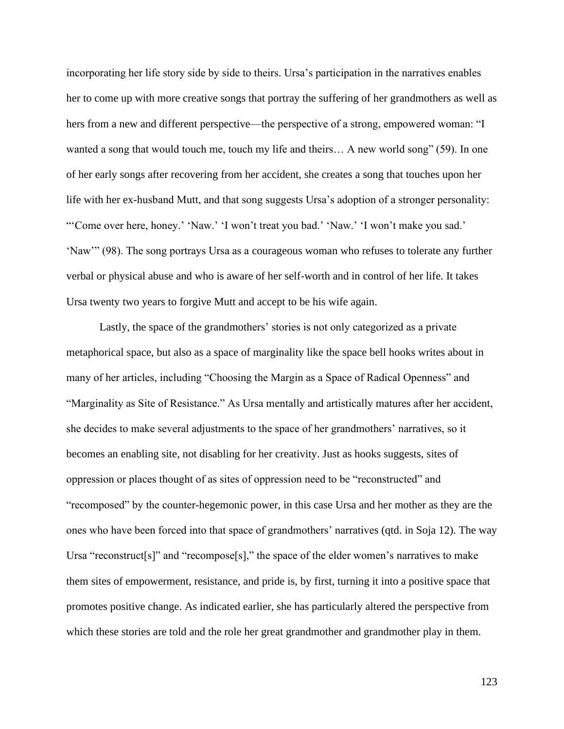incorporating her life story side by side to theirs. Ursa's participation in the narratives enables her to come up with more creative songs that portray the suffering of her grandmothers as well as hers from a new and different perspective—the perspective of a strong, empowered woman: "I wanted a song that would touch me, touch my life and theirs… A new world song" (59). In one of her early songs after recovering from her accident, she creates a song that touches upon her life with her ex-husband Mutt, and that song suggests Ursa's adoption of a stronger personality: "'Come over here, honey.' 'Naw.' 'I won't treat you bad.' 'Naw.' 'I won't make you sad.' 'Naw'" (98). The song portrays Ursa as a courageous woman who refuses to tolerate any further verbal or physical abuse and who is aware of her self-worth and in control of her life. It takes Ursa twenty two years to forgive Mutt and accept to be his wife again.

Lastly, the space of the grandmothers' stories is not only categorized as a private metaphorical space, but also as a space of marginality like the space bell hooks writes about in many of her articles, including "Choosing the Margin as a Space of Radical Openness" and "Marginality as Site of Resistance." As Ursa mentally and artistically matures after her accident, she decides to make several adjustments to the space of her grandmothers' narratives, so it becomes an enabling site, not disabling for her creativity. Just as hooks suggests, sites of oppression or places thought of as sites of oppression need to be "reconstructed" and "recomposed" by the counter-hegemonic power, in this case Ursa and her mother as they are the ones who have been forced into that space of grandmothers' narratives (qtd. in Soja 12). The way Ursa "reconstruct[s]" and "recompose[s]," the space of the elder women's narratives to make them sites of empowerment, resistance, and pride is, by first, turning it into a positive space that promotes positive change. As indicated earlier, she has particularly altered the perspective from which these stories are told and the role her great grandmother and grandmother play in them.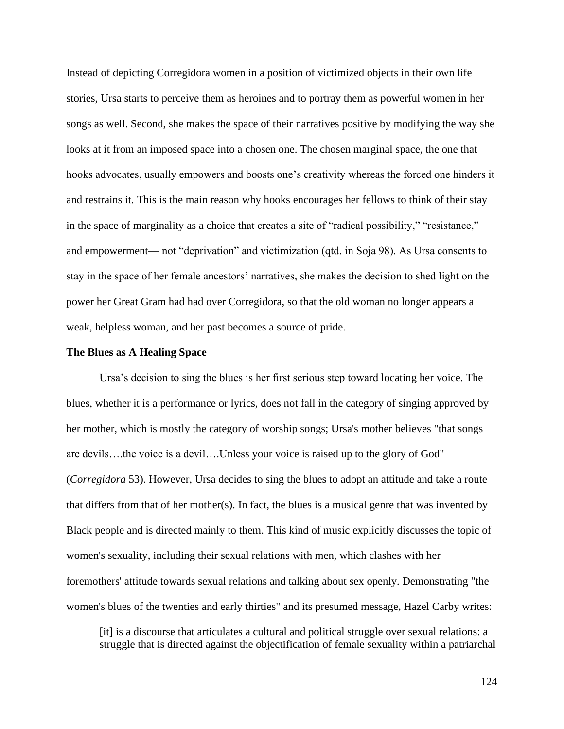Instead of depicting Corregidora women in a position of victimized objects in their own life stories, Ursa starts to perceive them as heroines and to portray them as powerful women in her songs as well. Second, she makes the space of their narratives positive by modifying the way she looks at it from an imposed space into a chosen one. The chosen marginal space, the one that hooks advocates, usually empowers and boosts one's creativity whereas the forced one hinders it and restrains it. This is the main reason why hooks encourages her fellows to think of their stay in the space of marginality as a choice that creates a site of "radical possibility," "resistance," and empowerment— not "deprivation" and victimization (qtd. in Soja 98). As Ursa consents to stay in the space of her female ancestors' narratives, she makes the decision to shed light on the power her Great Gram had had over Corregidora, so that the old woman no longer appears a weak, helpless woman, and her past becomes a source of pride.

#### **The Blues as A Healing Space**

Ursa's decision to sing the blues is her first serious step toward locating her voice. The blues, whether it is a performance or lyrics, does not fall in the category of singing approved by her mother, which is mostly the category of worship songs; Ursa's mother believes "that songs are devils….the voice is a devil….Unless your voice is raised up to the glory of God" (*Corregidora* 53). However, Ursa decides to sing the blues to adopt an attitude and take a route that differs from that of her mother(s). In fact, the blues is a musical genre that was invented by Black people and is directed mainly to them. This kind of music explicitly discusses the topic of women's sexuality, including their sexual relations with men, which clashes with her foremothers' attitude towards sexual relations and talking about sex openly. Demonstrating "the women's blues of the twenties and early thirties" and its presumed message, Hazel Carby writes:

[it] is a discourse that articulates a cultural and political struggle over sexual relations: a struggle that is directed against the objectification of female sexuality within a patriarchal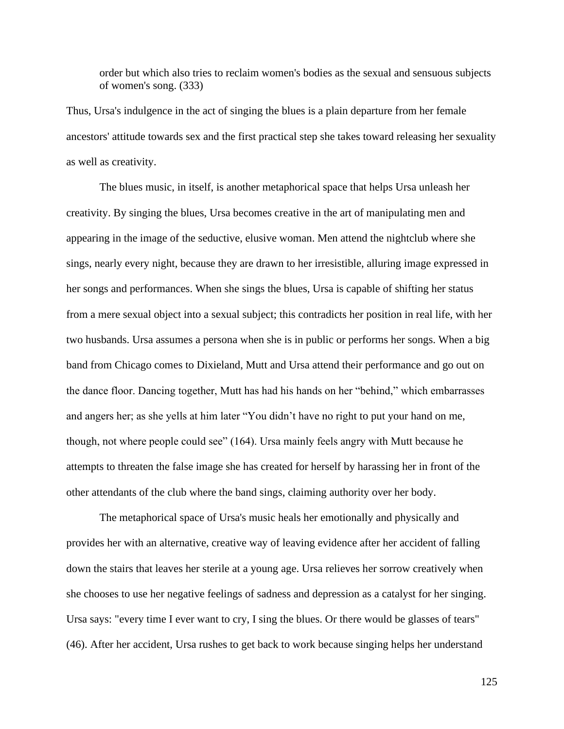order but which also tries to reclaim women's bodies as the sexual and sensuous subjects of women's song. (333)

Thus, Ursa's indulgence in the act of singing the blues is a plain departure from her female ancestors' attitude towards sex and the first practical step she takes toward releasing her sexuality as well as creativity.

The blues music, in itself, is another metaphorical space that helps Ursa unleash her creativity. By singing the blues, Ursa becomes creative in the art of manipulating men and appearing in the image of the seductive, elusive woman. Men attend the nightclub where she sings, nearly every night, because they are drawn to her irresistible, alluring image expressed in her songs and performances. When she sings the blues, Ursa is capable of shifting her status from a mere sexual object into a sexual subject; this contradicts her position in real life, with her two husbands. Ursa assumes a persona when she is in public or performs her songs. When a big band from Chicago comes to Dixieland, Mutt and Ursa attend their performance and go out on the dance floor. Dancing together, Mutt has had his hands on her "behind," which embarrasses and angers her; as she yells at him later "You didn't have no right to put your hand on me, though, not where people could see" (164). Ursa mainly feels angry with Mutt because he attempts to threaten the false image she has created for herself by harassing her in front of the other attendants of the club where the band sings, claiming authority over her body.

The metaphorical space of Ursa's music heals her emotionally and physically and provides her with an alternative, creative way of leaving evidence after her accident of falling down the stairs that leaves her sterile at a young age. Ursa relieves her sorrow creatively when she chooses to use her negative feelings of sadness and depression as a catalyst for her singing. Ursa says: "every time I ever want to cry, I sing the blues. Or there would be glasses of tears" (46). After her accident, Ursa rushes to get back to work because singing helps her understand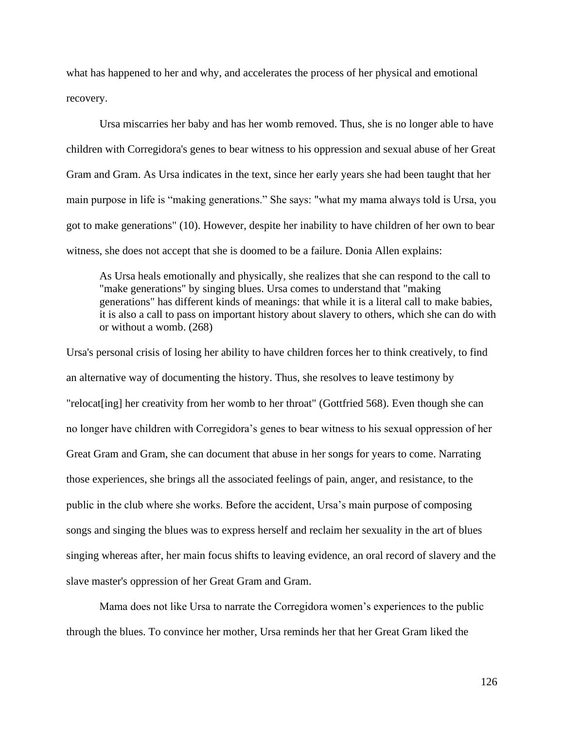what has happened to her and why, and accelerates the process of her physical and emotional recovery.

Ursa miscarries her baby and has her womb removed. Thus, she is no longer able to have children with Corregidora's genes to bear witness to his oppression and sexual abuse of her Great Gram and Gram. As Ursa indicates in the text, since her early years she had been taught that her main purpose in life is "making generations." She says: "what my mama always told is Ursa, you got to make generations" (10). However, despite her inability to have children of her own to bear witness, she does not accept that she is doomed to be a failure. Donia Allen explains:

As Ursa heals emotionally and physically, she realizes that she can respond to the call to "make generations" by singing blues. Ursa comes to understand that "making generations" has different kinds of meanings: that while it is a literal call to make babies, it is also a call to pass on important history about slavery to others, which she can do with or without a womb. (268)

Ursa's personal crisis of losing her ability to have children forces her to think creatively, to find an alternative way of documenting the history. Thus, she resolves to leave testimony by "relocat[ing] her creativity from her womb to her throat" (Gottfried 568). Even though she can no longer have children with Corregidora's genes to bear witness to his sexual oppression of her Great Gram and Gram, she can document that abuse in her songs for years to come. Narrating those experiences, she brings all the associated feelings of pain, anger, and resistance, to the public in the club where she works. Before the accident, Ursa's main purpose of composing songs and singing the blues was to express herself and reclaim her sexuality in the art of blues singing whereas after, her main focus shifts to leaving evidence, an oral record of slavery and the slave master's oppression of her Great Gram and Gram.

Mama does not like Ursa to narrate the Corregidora women's experiences to the public through the blues. To convince her mother, Ursa reminds her that her Great Gram liked the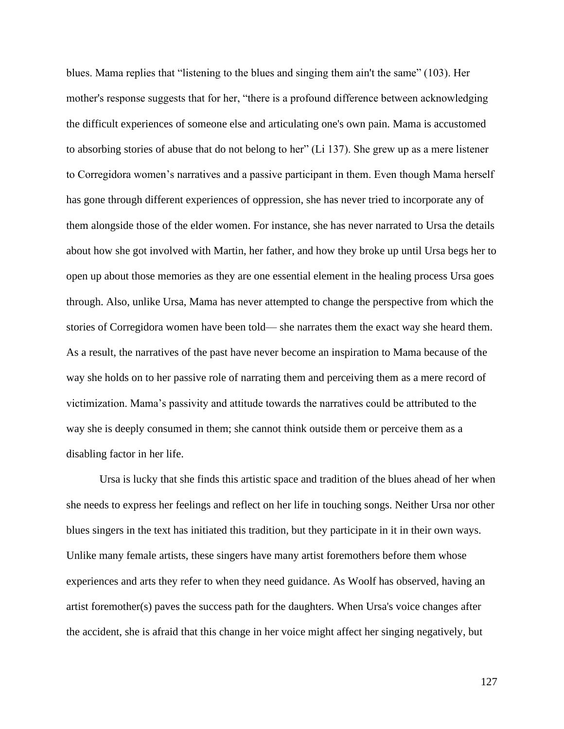blues. Mama replies that "listening to the blues and singing them ain't the same" (103). Her mother's response suggests that for her, "there is a profound difference between acknowledging the difficult experiences of someone else and articulating one's own pain. Mama is accustomed to absorbing stories of abuse that do not belong to her" (Li 137). She grew up as a mere listener to Corregidora women's narratives and a passive participant in them. Even though Mama herself has gone through different experiences of oppression, she has never tried to incorporate any of them alongside those of the elder women. For instance, she has never narrated to Ursa the details about how she got involved with Martin, her father, and how they broke up until Ursa begs her to open up about those memories as they are one essential element in the healing process Ursa goes through. Also, unlike Ursa, Mama has never attempted to change the perspective from which the stories of Corregidora women have been told— she narrates them the exact way she heard them. As a result, the narratives of the past have never become an inspiration to Mama because of the way she holds on to her passive role of narrating them and perceiving them as a mere record of victimization. Mama's passivity and attitude towards the narratives could be attributed to the way she is deeply consumed in them; she cannot think outside them or perceive them as a disabling factor in her life.

Ursa is lucky that she finds this artistic space and tradition of the blues ahead of her when she needs to express her feelings and reflect on her life in touching songs. Neither Ursa nor other blues singers in the text has initiated this tradition, but they participate in it in their own ways. Unlike many female artists, these singers have many artist foremothers before them whose experiences and arts they refer to when they need guidance. As Woolf has observed, having an artist foremother(s) paves the success path for the daughters. When Ursa's voice changes after the accident, she is afraid that this change in her voice might affect her singing negatively, but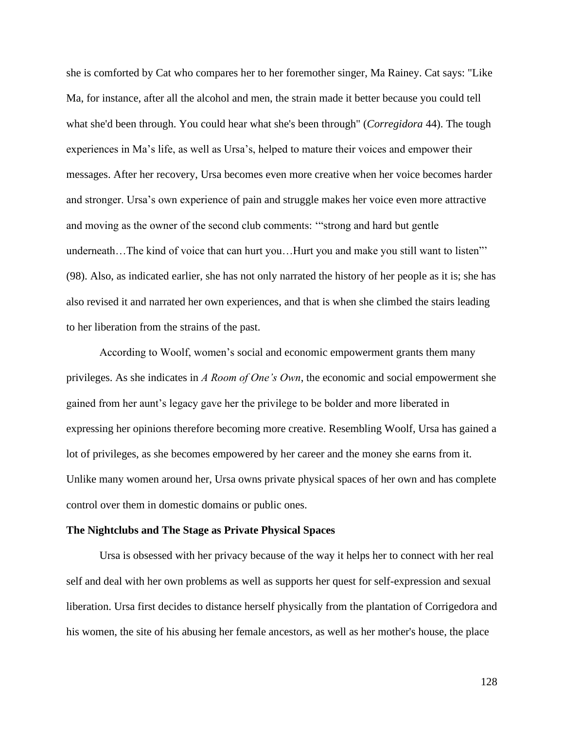she is comforted by Cat who compares her to her foremother singer, Ma Rainey. Cat says: "Like Ma, for instance, after all the alcohol and men, the strain made it better because you could tell what she'd been through. You could hear what she's been through" (*Corregidora* 44). The tough experiences in Ma's life, as well as Ursa's, helped to mature their voices and empower their messages. After her recovery, Ursa becomes even more creative when her voice becomes harder and stronger. Ursa's own experience of pain and struggle makes her voice even more attractive and moving as the owner of the second club comments: '"strong and hard but gentle underneath...The kind of voice that can hurt you...Hurt you and make you still want to listen" (98). Also, as indicated earlier, she has not only narrated the history of her people as it is; she has also revised it and narrated her own experiences, and that is when she climbed the stairs leading to her liberation from the strains of the past.

According to Woolf, women's social and economic empowerment grants them many privileges. As she indicates in *A Room of One's Own*, the economic and social empowerment she gained from her aunt's legacy gave her the privilege to be bolder and more liberated in expressing her opinions therefore becoming more creative. Resembling Woolf, Ursa has gained a lot of privileges, as she becomes empowered by her career and the money she earns from it. Unlike many women around her, Ursa owns private physical spaces of her own and has complete control over them in domestic domains or public ones.

#### **The Nightclubs and The Stage as Private Physical Spaces**

Ursa is obsessed with her privacy because of the way it helps her to connect with her real self and deal with her own problems as well as supports her quest for self-expression and sexual liberation. Ursa first decides to distance herself physically from the plantation of Corrigedora and his women, the site of his abusing her female ancestors, as well as her mother's house, the place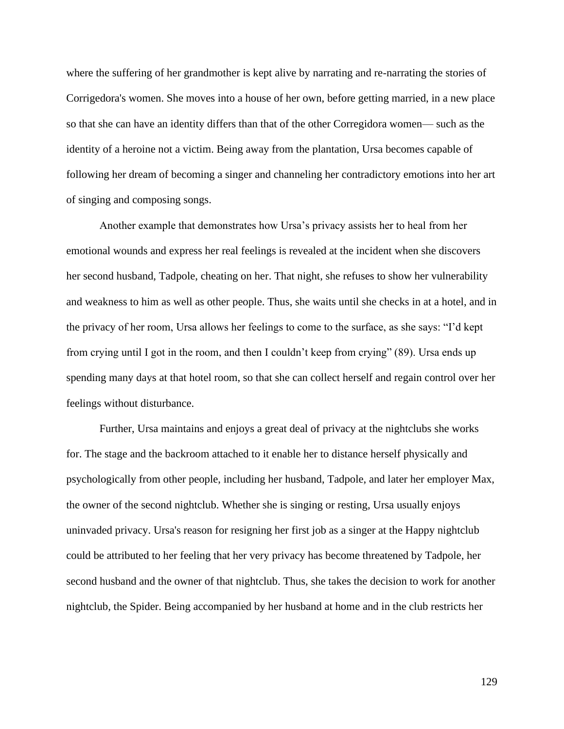where the suffering of her grandmother is kept alive by narrating and re-narrating the stories of Corrigedora's women. She moves into a house of her own, before getting married, in a new place so that she can have an identity differs than that of the other Corregidora women— such as the identity of a heroine not a victim. Being away from the plantation, Ursa becomes capable of following her dream of becoming a singer and channeling her contradictory emotions into her art of singing and composing songs.

Another example that demonstrates how Ursa's privacy assists her to heal from her emotional wounds and express her real feelings is revealed at the incident when she discovers her second husband, Tadpole, cheating on her. That night, she refuses to show her vulnerability and weakness to him as well as other people. Thus, she waits until she checks in at a hotel, and in the privacy of her room, Ursa allows her feelings to come to the surface, as she says: "I'd kept from crying until I got in the room, and then I couldn't keep from crying" (89). Ursa ends up spending many days at that hotel room, so that she can collect herself and regain control over her feelings without disturbance.

Further, Ursa maintains and enjoys a great deal of privacy at the nightclubs she works for. The stage and the backroom attached to it enable her to distance herself physically and psychologically from other people, including her husband, Tadpole, and later her employer Max, the owner of the second nightclub. Whether she is singing or resting, Ursa usually enjoys uninvaded privacy. Ursa's reason for resigning her first job as a singer at the Happy nightclub could be attributed to her feeling that her very privacy has become threatened by Tadpole, her second husband and the owner of that nightclub. Thus, she takes the decision to work for another nightclub, the Spider. Being accompanied by her husband at home and in the club restricts her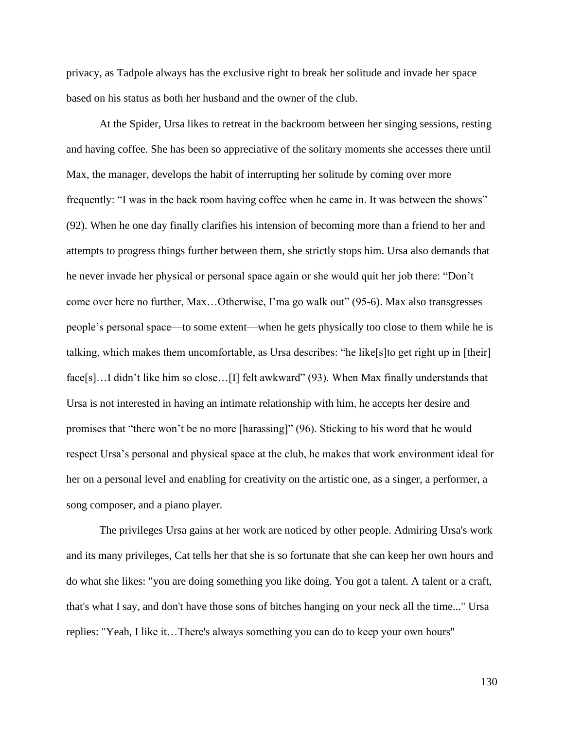privacy, as Tadpole always has the exclusive right to break her solitude and invade her space based on his status as both her husband and the owner of the club.

At the Spider, Ursa likes to retreat in the backroom between her singing sessions, resting and having coffee. She has been so appreciative of the solitary moments she accesses there until Max, the manager, develops the habit of interrupting her solitude by coming over more frequently: "I was in the back room having coffee when he came in. It was between the shows" (92). When he one day finally clarifies his intension of becoming more than a friend to her and attempts to progress things further between them, she strictly stops him. Ursa also demands that he never invade her physical or personal space again or she would quit her job there: "Don't come over here no further, Max…Otherwise, I'ma go walk out" (95-6). Max also transgresses people's personal space—to some extent—when he gets physically too close to them while he is talking, which makes them uncomfortable, as Ursa describes: "he like[s]to get right up in [their] face[s]...I didn't like him so close...[I] felt awkward" (93). When Max finally understands that Ursa is not interested in having an intimate relationship with him, he accepts her desire and promises that "there won't be no more [harassing]" (96). Sticking to his word that he would respect Ursa's personal and physical space at the club, he makes that work environment ideal for her on a personal level and enabling for creativity on the artistic one, as a singer, a performer, a song composer, and a piano player.

The privileges Ursa gains at her work are noticed by other people. Admiring Ursa's work and its many privileges, Cat tells her that she is so fortunate that she can keep her own hours and do what she likes: "you are doing something you like doing. You got a talent. A talent or a craft, that's what I say, and don't have those sons of bitches hanging on your neck all the time..." Ursa replies: "Yeah, I like it…There's always something you can do to keep your own hours"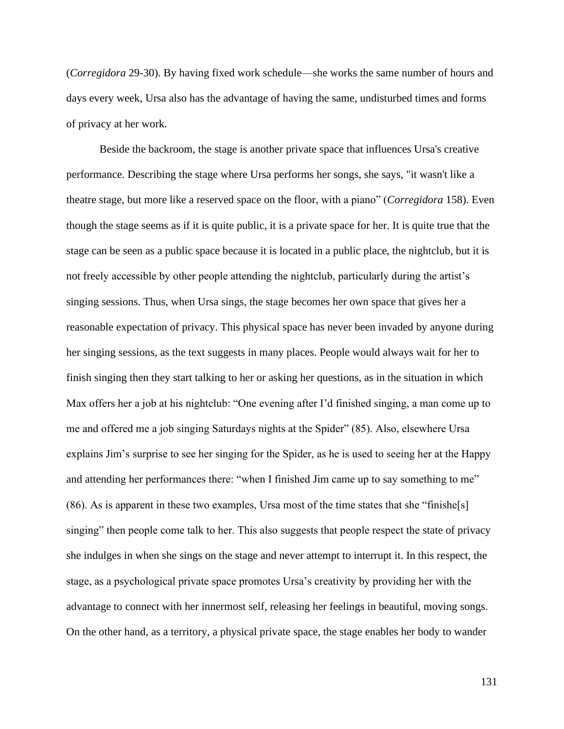(*Corregidora* 29-30). By having fixed work schedule—she works the same number of hours and days every week, Ursa also has the advantage of having the same, undisturbed times and forms of privacy at her work.

Beside the backroom, the stage is another private space that influences Ursa's creative performance. Describing the stage where Ursa performs her songs, she says, "it wasn't like a theatre stage, but more like a reserved space on the floor, with a piano" (*Corregidora* 158). Even though the stage seems as if it is quite public, it is a private space for her. It is quite true that the stage can be seen as a public space because it is located in a public place, the nightclub, but it is not freely accessible by other people attending the nightclub, particularly during the artist's singing sessions. Thus, when Ursa sings, the stage becomes her own space that gives her a reasonable expectation of privacy. This physical space has never been invaded by anyone during her singing sessions, as the text suggests in many places. People would always wait for her to finish singing then they start talking to her or asking her questions, as in the situation in which Max offers her a job at his nightclub: "One evening after I'd finished singing, a man come up to me and offered me a job singing Saturdays nights at the Spider" (85). Also, elsewhere Ursa explains Jim's surprise to see her singing for the Spider, as he is used to seeing her at the Happy and attending her performances there: "when I finished Jim came up to say something to me" (86). As is apparent in these two examples, Ursa most of the time states that she "finishe[s] singing" then people come talk to her. This also suggests that people respect the state of privacy she indulges in when she sings on the stage and never attempt to interrupt it. In this respect, the stage, as a psychological private space promotes Ursa's creativity by providing her with the advantage to connect with her innermost self, releasing her feelings in beautiful, moving songs. On the other hand, as a territory, a physical private space, the stage enables her body to wander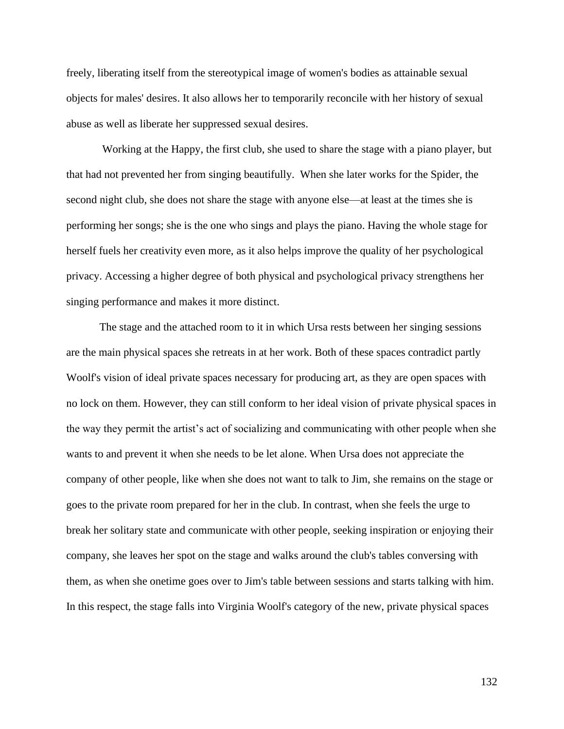freely, liberating itself from the stereotypical image of women's bodies as attainable sexual objects for males' desires. It also allows her to temporarily reconcile with her history of sexual abuse as well as liberate her suppressed sexual desires.

Working at the Happy, the first club, she used to share the stage with a piano player, but that had not prevented her from singing beautifully. When she later works for the Spider, the second night club, she does not share the stage with anyone else—at least at the times she is performing her songs; she is the one who sings and plays the piano. Having the whole stage for herself fuels her creativity even more, as it also helps improve the quality of her psychological privacy. Accessing a higher degree of both physical and psychological privacy strengthens her singing performance and makes it more distinct.

The stage and the attached room to it in which Ursa rests between her singing sessions are the main physical spaces she retreats in at her work. Both of these spaces contradict partly Woolf's vision of ideal private spaces necessary for producing art, as they are open spaces with no lock on them. However, they can still conform to her ideal vision of private physical spaces in the way they permit the artist's act of socializing and communicating with other people when she wants to and prevent it when she needs to be let alone. When Ursa does not appreciate the company of other people, like when she does not want to talk to Jim, she remains on the stage or goes to the private room prepared for her in the club. In contrast, when she feels the urge to break her solitary state and communicate with other people, seeking inspiration or enjoying their company, she leaves her spot on the stage and walks around the club's tables conversing with them, as when she onetime goes over to Jim's table between sessions and starts talking with him. In this respect, the stage falls into Virginia Woolf's category of the new, private physical spaces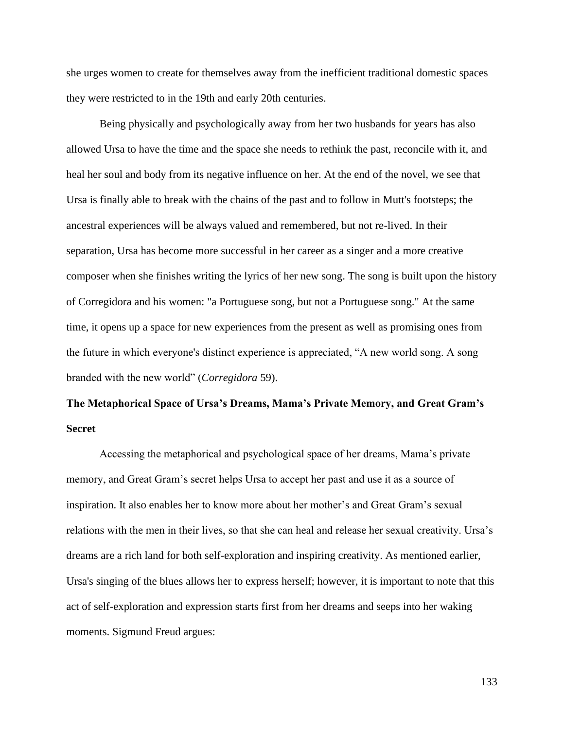she urges women to create for themselves away from the inefficient traditional domestic spaces they were restricted to in the 19th and early 20th centuries.

Being physically and psychologically away from her two husbands for years has also allowed Ursa to have the time and the space she needs to rethink the past, reconcile with it, and heal her soul and body from its negative influence on her. At the end of the novel, we see that Ursa is finally able to break with the chains of the past and to follow in Mutt's footsteps; the ancestral experiences will be always valued and remembered, but not re-lived. In their separation, Ursa has become more successful in her career as a singer and a more creative composer when she finishes writing the lyrics of her new song. The song is built upon the history of Corregidora and his women: "a Portuguese song, but not a Portuguese song." At the same time, it opens up a space for new experiences from the present as well as promising ones from the future in which everyone's distinct experience is appreciated, "A new world song. A song branded with the new world" (*Corregidora* 59).

# **The Metaphorical Space of Ursa's Dreams, Mama's Private Memory, and Great Gram's Secret**

Accessing the metaphorical and psychological space of her dreams, Mama's private memory, and Great Gram's secret helps Ursa to accept her past and use it as a source of inspiration. It also enables her to know more about her mother's and Great Gram's sexual relations with the men in their lives, so that she can heal and release her sexual creativity. Ursa's dreams are a rich land for both self-exploration and inspiring creativity. As mentioned earlier, Ursa's singing of the blues allows her to express herself; however, it is important to note that this act of self-exploration and expression starts first from her dreams and seeps into her waking moments. Sigmund Freud argues: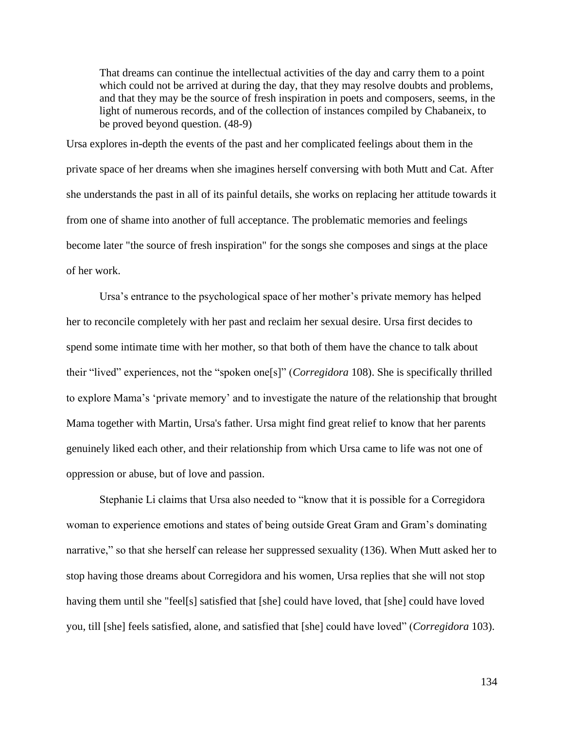That dreams can continue the intellectual activities of the day and carry them to a point which could not be arrived at during the day, that they may resolve doubts and problems, and that they may be the source of fresh inspiration in poets and composers, seems, in the light of numerous records, and of the collection of instances compiled by Chabaneix, to be proved beyond question. (48-9)

Ursa explores in-depth the events of the past and her complicated feelings about them in the private space of her dreams when she imagines herself conversing with both Mutt and Cat. After she understands the past in all of its painful details, she works on replacing her attitude towards it from one of shame into another of full acceptance. The problematic memories and feelings become later "the source of fresh inspiration" for the songs she composes and sings at the place of her work.

Ursa's entrance to the psychological space of her mother's private memory has helped her to reconcile completely with her past and reclaim her sexual desire. Ursa first decides to spend some intimate time with her mother, so that both of them have the chance to talk about their "lived" experiences, not the "spoken one[s]" (*Corregidora* 108). She is specifically thrilled to explore Mama's 'private memory' and to investigate the nature of the relationship that brought Mama together with Martin, Ursa's father. Ursa might find great relief to know that her parents genuinely liked each other, and their relationship from which Ursa came to life was not one of oppression or abuse, but of love and passion.

Stephanie Li claims that Ursa also needed to "know that it is possible for a Corregidora woman to experience emotions and states of being outside Great Gram and Gram's dominating narrative," so that she herself can release her suppressed sexuality (136). When Mutt asked her to stop having those dreams about Corregidora and his women, Ursa replies that she will not stop having them until she "feel[s] satisfied that [she] could have loved, that [she] could have loved you, till [she] feels satisfied, alone, and satisfied that [she] could have loved" (*Corregidora* 103).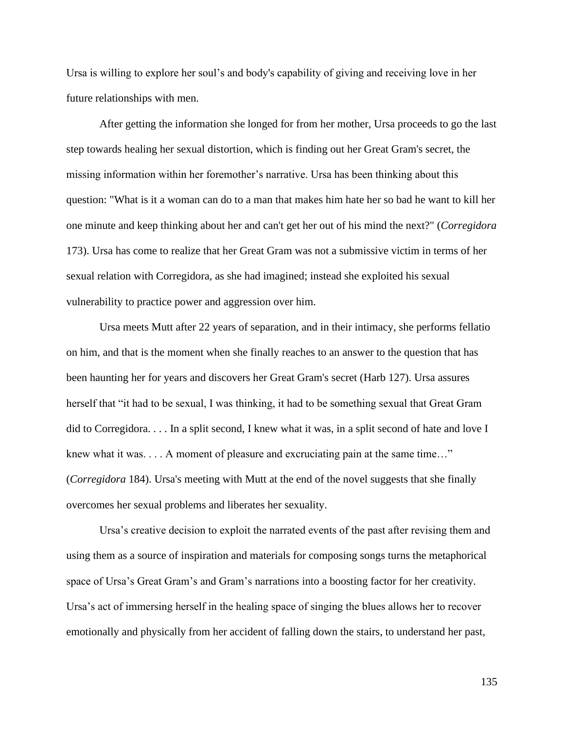Ursa is willing to explore her soul's and body's capability of giving and receiving love in her future relationships with men.

After getting the information she longed for from her mother, Ursa proceeds to go the last step towards healing her sexual distortion, which is finding out her Great Gram's secret, the missing information within her foremother's narrative. Ursa has been thinking about this question: "What is it a woman can do to a man that makes him hate her so bad he want to kill her one minute and keep thinking about her and can't get her out of his mind the next?" (*Corregidora* 173). Ursa has come to realize that her Great Gram was not a submissive victim in terms of her sexual relation with Corregidora, as she had imagined; instead she exploited his sexual vulnerability to practice power and aggression over him.

Ursa meets Mutt after 22 years of separation, and in their intimacy, she performs fellatio on him, and that is the moment when she finally reaches to an answer to the question that has been haunting her for years and discovers her Great Gram's secret (Harb 127). Ursa assures herself that "it had to be sexual, I was thinking, it had to be something sexual that Great Gram did to Corregidora. . . . In a split second, I knew what it was, in a split second of hate and love I knew what it was. . . . A moment of pleasure and excruciating pain at the same time…" (*Corregidora* 184). Ursa's meeting with Mutt at the end of the novel suggests that she finally overcomes her sexual problems and liberates her sexuality.

Ursa's creative decision to exploit the narrated events of the past after revising them and using them as a source of inspiration and materials for composing songs turns the metaphorical space of Ursa's Great Gram's and Gram's narrations into a boosting factor for her creativity. Ursa's act of immersing herself in the healing space of singing the blues allows her to recover emotionally and physically from her accident of falling down the stairs, to understand her past,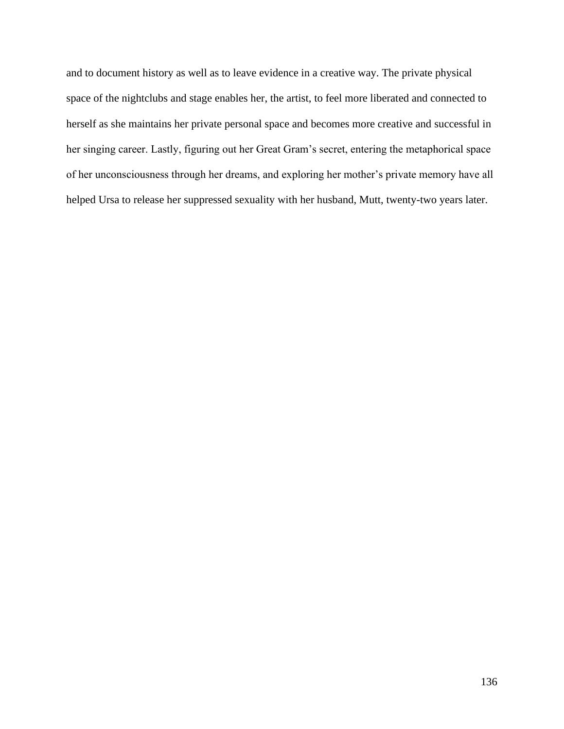and to document history as well as to leave evidence in a creative way. The private physical space of the nightclubs and stage enables her, the artist, to feel more liberated and connected to herself as she maintains her private personal space and becomes more creative and successful in her singing career. Lastly, figuring out her Great Gram's secret, entering the metaphorical space of her unconsciousness through her dreams, and exploring her mother's private memory have all helped Ursa to release her suppressed sexuality with her husband, Mutt, twenty-two years later.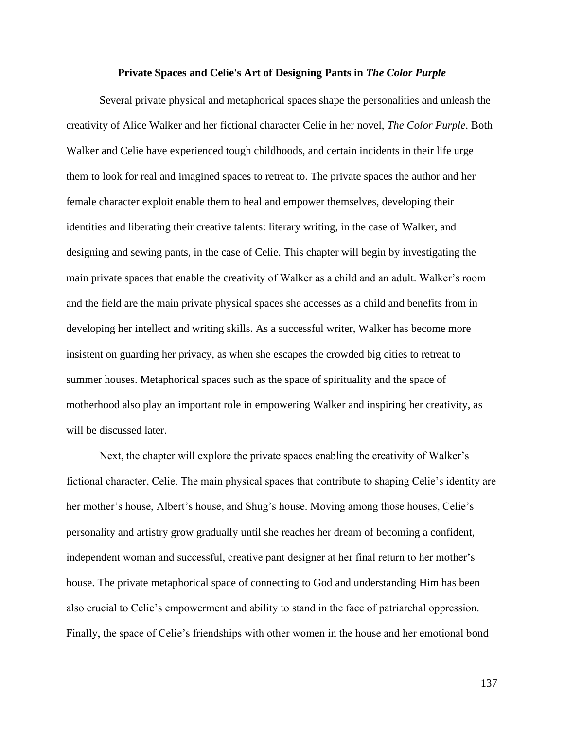## **Private Spaces and Celie's Art of Designing Pants in** *The Color Purple*

Several private physical and metaphorical spaces shape the personalities and unleash the creativity of Alice Walker and her fictional character Celie in her novel, *The Color Purple*. Both Walker and Celie have experienced tough childhoods, and certain incidents in their life urge them to look for real and imagined spaces to retreat to. The private spaces the author and her female character exploit enable them to heal and empower themselves, developing their identities and liberating their creative talents: literary writing, in the case of Walker, and designing and sewing pants, in the case of Celie. This chapter will begin by investigating the main private spaces that enable the creativity of Walker as a child and an adult. Walker's room and the field are the main private physical spaces she accesses as a child and benefits from in developing her intellect and writing skills. As a successful writer, Walker has become more insistent on guarding her privacy, as when she escapes the crowded big cities to retreat to summer houses. Metaphorical spaces such as the space of spirituality and the space of motherhood also play an important role in empowering Walker and inspiring her creativity, as will be discussed later.

Next, the chapter will explore the private spaces enabling the creativity of Walker's fictional character, Celie. The main physical spaces that contribute to shaping Celie's identity are her mother's house, Albert's house, and Shug's house. Moving among those houses, Celie's personality and artistry grow gradually until she reaches her dream of becoming a confident, independent woman and successful, creative pant designer at her final return to her mother's house. The private metaphorical space of connecting to God and understanding Him has been also crucial to Celie's empowerment and ability to stand in the face of patriarchal oppression. Finally, the space of Celie's friendships with other women in the house and her emotional bond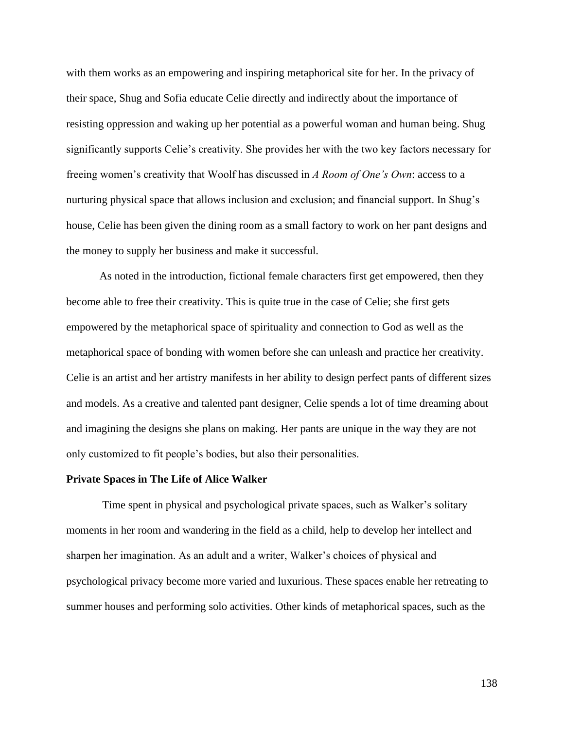with them works as an empowering and inspiring metaphorical site for her. In the privacy of their space, Shug and Sofia educate Celie directly and indirectly about the importance of resisting oppression and waking up her potential as a powerful woman and human being. Shug significantly supports Celie's creativity. She provides her with the two key factors necessary for freeing women's creativity that Woolf has discussed in *A Room of One's Own*: access to a nurturing physical space that allows inclusion and exclusion; and financial support. In Shug's house, Celie has been given the dining room as a small factory to work on her pant designs and the money to supply her business and make it successful.

As noted in the introduction, fictional female characters first get empowered, then they become able to free their creativity. This is quite true in the case of Celie; she first gets empowered by the metaphorical space of spirituality and connection to God as well as the metaphorical space of bonding with women before she can unleash and practice her creativity. Celie is an artist and her artistry manifests in her ability to design perfect pants of different sizes and models. As a creative and talented pant designer, Celie spends a lot of time dreaming about and imagining the designs she plans on making. Her pants are unique in the way they are not only customized to fit people's bodies, but also their personalities.

# **Private Spaces in The Life of Alice Walker**

Time spent in physical and psychological private spaces, such as Walker's solitary moments in her room and wandering in the field as a child, help to develop her intellect and sharpen her imagination. As an adult and a writer, Walker's choices of physical and psychological privacy become more varied and luxurious. These spaces enable her retreating to summer houses and performing solo activities. Other kinds of metaphorical spaces, such as the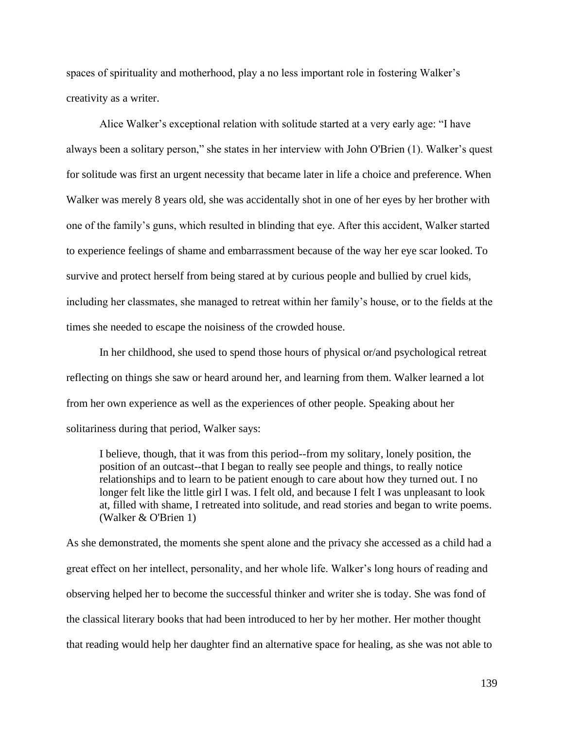spaces of spirituality and motherhood, play a no less important role in fostering Walker's creativity as a writer.

Alice Walker's exceptional relation with solitude started at a very early age: "I have always been a solitary person," she states in her interview with John O'Brien (1). Walker's quest for solitude was first an urgent necessity that became later in life a choice and preference. When Walker was merely 8 years old, she was accidentally shot in one of her eyes by her brother with one of the family's guns, which resulted in blinding that eye. After this accident, Walker started to experience feelings of shame and embarrassment because of the way her eye scar looked. To survive and protect herself from being stared at by curious people and bullied by cruel kids, including her classmates, she managed to retreat within her family's house, or to the fields at the times she needed to escape the noisiness of the crowded house.

In her childhood, she used to spend those hours of physical or/and psychological retreat reflecting on things she saw or heard around her, and learning from them. Walker learned a lot from her own experience as well as the experiences of other people. Speaking about her solitariness during that period, Walker says:

I believe, though, that it was from this period--from my solitary, lonely position, the position of an outcast--that I began to really see people and things, to really notice relationships and to learn to be patient enough to care about how they turned out. I no longer felt like the little girl I was. I felt old, and because I felt I was unpleasant to look at, filled with shame, I retreated into solitude, and read stories and began to write poems. (Walker & O'Brien 1)

As she demonstrated, the moments she spent alone and the privacy she accessed as a child had a great effect on her intellect, personality, and her whole life. Walker's long hours of reading and observing helped her to become the successful thinker and writer she is today. She was fond of the classical literary books that had been introduced to her by her mother. Her mother thought that reading would help her daughter find an alternative space for healing, as she was not able to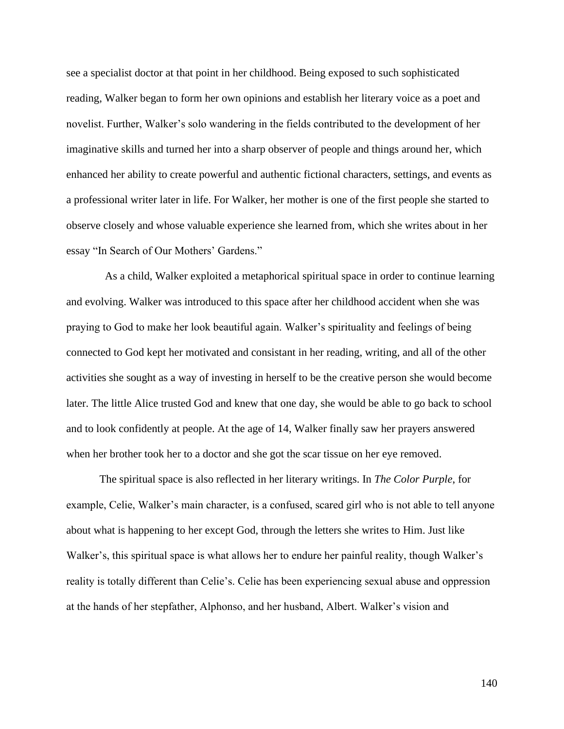see a specialist doctor at that point in her childhood. Being exposed to such sophisticated reading, Walker began to form her own opinions and establish her literary voice as a poet and novelist. Further, Walker's solo wandering in the fields contributed to the development of her imaginative skills and turned her into a sharp observer of people and things around her, which enhanced her ability to create powerful and authentic fictional characters, settings, and events as a professional writer later in life. For Walker, her mother is one of the first people she started to observe closely and whose valuable experience she learned from, which she writes about in her essay "In Search of Our Mothers' Gardens."

As a child, Walker exploited a metaphorical spiritual space in order to continue learning and evolving. Walker was introduced to this space after her childhood accident when she was praying to God to make her look beautiful again. Walker's spirituality and feelings of being connected to God kept her motivated and consistant in her reading, writing, and all of the other activities she sought as a way of investing in herself to be the creative person she would become later. The little Alice trusted God and knew that one day, she would be able to go back to school and to look confidently at people. At the age of 14, Walker finally saw her prayers answered when her brother took her to a doctor and she got the scar tissue on her eye removed.

The spiritual space is also reflected in her literary writings. In *The Color Purple*, for example, Celie, Walker's main character, is a confused, scared girl who is not able to tell anyone about what is happening to her except God, through the letters she writes to Him. Just like Walker's, this spiritual space is what allows her to endure her painful reality, though Walker's reality is totally different than Celie's. Celie has been experiencing sexual abuse and oppression at the hands of her stepfather, Alphonso, and her husband, Albert. Walker's vision and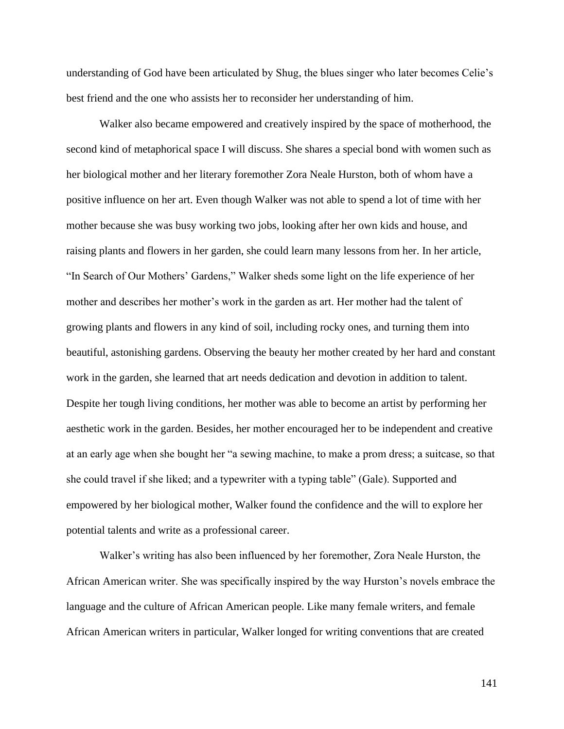understanding of God have been articulated by Shug, the blues singer who later becomes Celie's best friend and the one who assists her to reconsider her understanding of him.

Walker also became empowered and creatively inspired by the space of motherhood, the second kind of metaphorical space I will discuss. She shares a special bond with women such as her biological mother and her literary foremother Zora Neale Hurston, both of whom have a positive influence on her art. Even though Walker was not able to spend a lot of time with her mother because she was busy working two jobs, looking after her own kids and house, and raising plants and flowers in her garden, she could learn many lessons from her. In her article, "In Search of Our Mothers' Gardens," Walker sheds some light on the life experience of her mother and describes her mother's work in the garden as art. Her mother had the talent of growing plants and flowers in any kind of soil, including rocky ones, and turning them into beautiful, astonishing gardens. Observing the beauty her mother created by her hard and constant work in the garden, she learned that art needs dedication and devotion in addition to talent. Despite her tough living conditions, her mother was able to become an artist by performing her aesthetic work in the garden. Besides, her mother encouraged her to be independent and creative at an early age when she bought her "a sewing machine, to make a prom dress; a suitcase, so that she could travel if she liked; and a typewriter with a typing table" (Gale). Supported and empowered by her biological mother, Walker found the confidence and the will to explore her potential talents and write as a professional career.

Walker's writing has also been influenced by her foremother, Zora Neale Hurston, the African American writer. She was specifically inspired by the way Hurston's novels embrace the language and the culture of African American people. Like many female writers, and female African American writers in particular, Walker longed for writing conventions that are created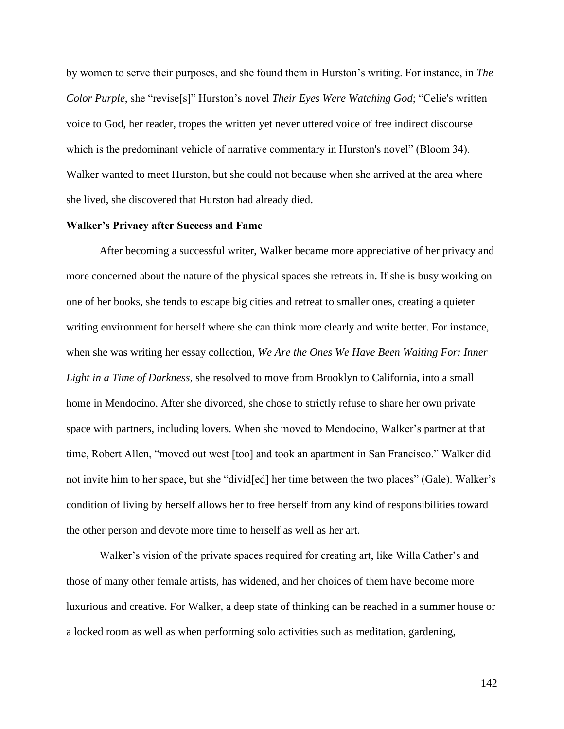by women to serve their purposes, and she found them in Hurston's writing. For instance, in *The Color Purple*, she "revise[s]" Hurston's novel *Their Eyes Were Watching God*; "Celie's written voice to God, her reader, tropes the written yet never uttered voice of free indirect discourse which is the predominant vehicle of narrative commentary in Hurston's novel" (Bloom 34). Walker wanted to meet Hurston, but she could not because when she arrived at the area where she lived, she discovered that Hurston had already died.

# **Walker's Privacy after Success and Fame**

After becoming a successful writer, Walker became more appreciative of her privacy and more concerned about the nature of the physical spaces she retreats in. If she is busy working on one of her books, she tends to escape big cities and retreat to smaller ones, creating a quieter writing environment for herself where she can think more clearly and write better. For instance, when she was writing her essay collection, *We Are the Ones We Have Been Waiting For: Inner Light in a Time of Darkness*, she resolved to move from Brooklyn to California, into a small home in Mendocino. After she divorced, she chose to strictly refuse to share her own private space with partners, including lovers. When she moved to Mendocino, Walker's partner at that time, Robert Allen, "moved out west [too] and took an apartment in San Francisco." Walker did not invite him to her space, but she "divid[ed] her time between the two places" (Gale). Walker's condition of living by herself allows her to free herself from any kind of responsibilities toward the other person and devote more time to herself as well as her art.

Walker's vision of the private spaces required for creating art, like Willa Cather's and those of many other female artists, has widened, and her choices of them have become more luxurious and creative. For Walker, a deep state of thinking can be reached in a summer house or a locked room as well as when performing solo activities such as meditation, gardening,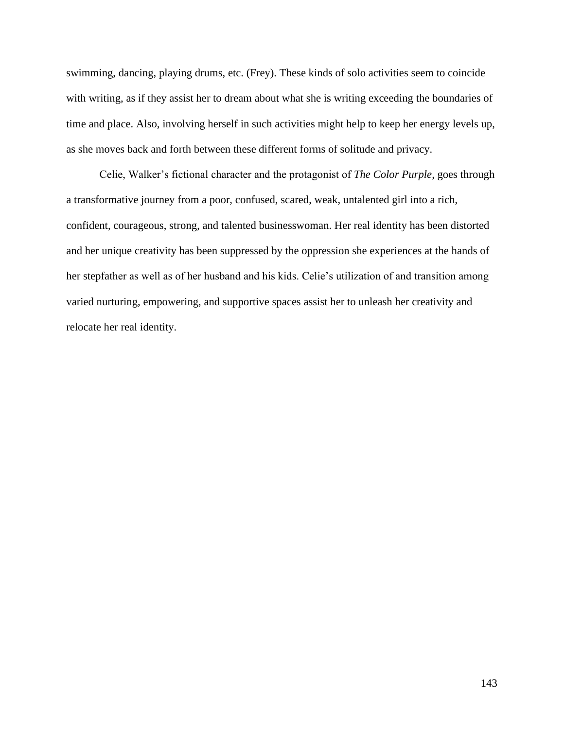swimming, dancing, playing drums, etc. (Frey). These kinds of solo activities seem to coincide with writing, as if they assist her to dream about what she is writing exceeding the boundaries of time and place. Also, involving herself in such activities might help to keep her energy levels up, as she moves back and forth between these different forms of solitude and privacy.

Celie, Walker's fictional character and the protagonist of *The Color Purple,* goes through a transformative journey from a poor, confused, scared, weak, untalented girl into a rich, confident, courageous, strong, and talented businesswoman. Her real identity has been distorted and her unique creativity has been suppressed by the oppression she experiences at the hands of her stepfather as well as of her husband and his kids. Celie's utilization of and transition among varied nurturing, empowering, and supportive spaces assist her to unleash her creativity and relocate her real identity.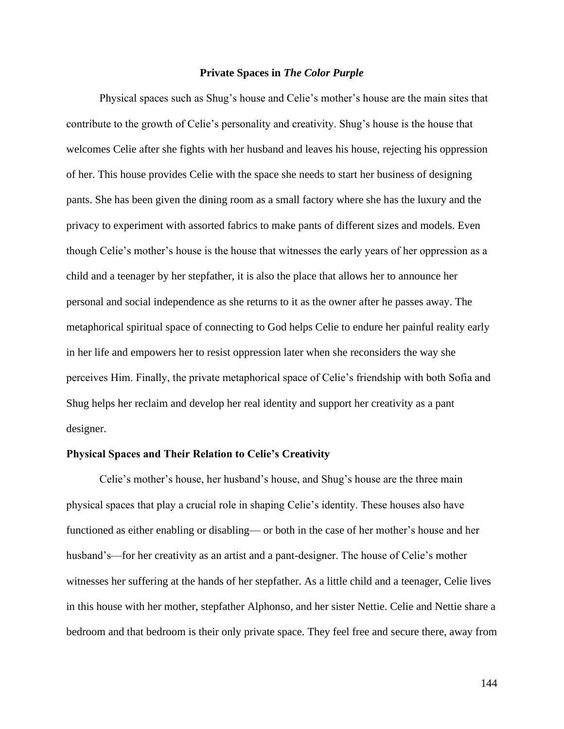#### **Private Spaces in** *The Color Purple*

Physical spaces such as Shug's house and Celie's mother's house are the main sites that contribute to the growth of Celie's personality and creativity. Shug's house is the house that welcomes Celie after she fights with her husband and leaves his house, rejecting his oppression of her. This house provides Celie with the space she needs to start her business of designing pants. She has been given the dining room as a small factory where she has the luxury and the privacy to experiment with assorted fabrics to make pants of different sizes and models. Even though Celie's mother's house is the house that witnesses the early years of her oppression as a child and a teenager by her stepfather, it is also the place that allows her to announce her personal and social independence as she returns to it as the owner after he passes away. The metaphorical spiritual space of connecting to God helps Celie to endure her painful reality early in her life and empowers her to resist oppression later when she reconsiders the way she perceives Him. Finally, the private metaphorical space of Celie's friendship with both Sofia and Shug helps her reclaim and develop her real identity and support her creativity as a pant designer.

### **Physical Spaces and Their Relation to Celie's Creativity**

Celie's mother's house, her husband's house, and Shug's house are the three main physical spaces that play a crucial role in shaping Celie's identity. These houses also have functioned as either enabling or disabling— or both in the case of her mother's house and her husband's—for her creativity as an artist and a pant-designer. The house of Celie's mother witnesses her suffering at the hands of her stepfather. As a little child and a teenager, Celie lives in this house with her mother, stepfather Alphonso, and her sister Nettie. Celie and Nettie share a bedroom and that bedroom is their only private space. They feel free and secure there, away from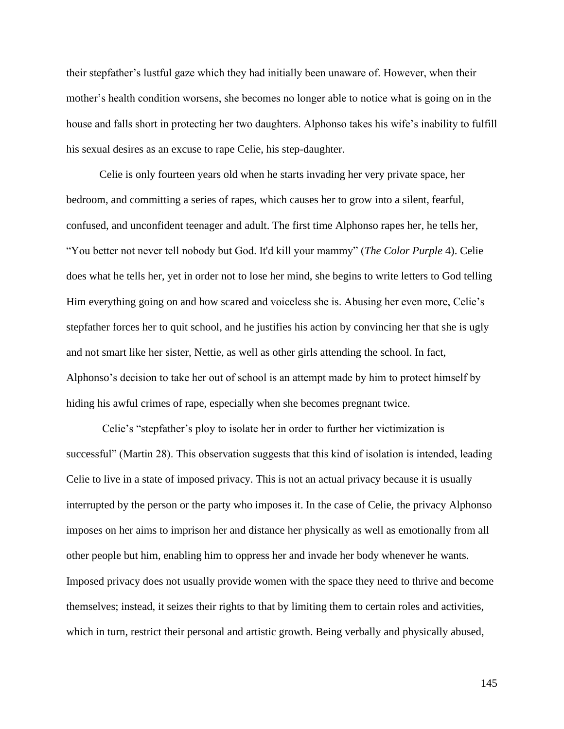their stepfather's lustful gaze which they had initially been unaware of. However, when their mother's health condition worsens, she becomes no longer able to notice what is going on in the house and falls short in protecting her two daughters. Alphonso takes his wife's inability to fulfill his sexual desires as an excuse to rape Celie, his step-daughter.

Celie is only fourteen years old when he starts invading her very private space, her bedroom, and committing a series of rapes, which causes her to grow into a silent, fearful, confused, and unconfident teenager and adult. The first time Alphonso rapes her, he tells her, "You better not never tell nobody but God. It'd kill your mammy" (*The Color Purple* 4). Celie does what he tells her, yet in order not to lose her mind, she begins to write letters to God telling Him everything going on and how scared and voiceless she is. Abusing her even more, Celie's stepfather forces her to quit school, and he justifies his action by convincing her that she is ugly and not smart like her sister, Nettie, as well as other girls attending the school. In fact, Alphonso's decision to take her out of school is an attempt made by him to protect himself by hiding his awful crimes of rape, especially when she becomes pregnant twice.

Celie's "stepfather's ploy to isolate her in order to further her victimization is successful" (Martin 28). This observation suggests that this kind of isolation is intended, leading Celie to live in a state of imposed privacy. This is not an actual privacy because it is usually interrupted by the person or the party who imposes it. In the case of Celie, the privacy Alphonso imposes on her aims to imprison her and distance her physically as well as emotionally from all other people but him, enabling him to oppress her and invade her body whenever he wants. Imposed privacy does not usually provide women with the space they need to thrive and become themselves; instead, it seizes their rights to that by limiting them to certain roles and activities, which in turn, restrict their personal and artistic growth. Being verbally and physically abused,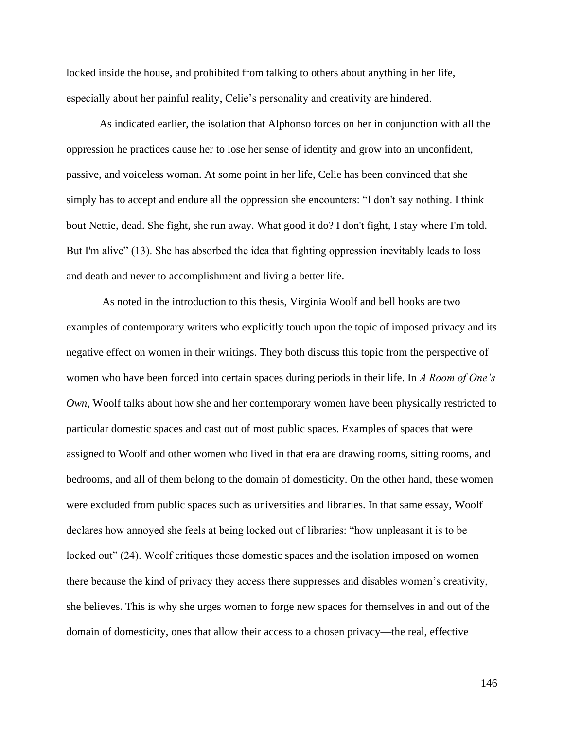locked inside the house, and prohibited from talking to others about anything in her life, especially about her painful reality, Celie's personality and creativity are hindered.

As indicated earlier, the isolation that Alphonso forces on her in conjunction with all the oppression he practices cause her to lose her sense of identity and grow into an unconfident, passive, and voiceless woman. At some point in her life, Celie has been convinced that she simply has to accept and endure all the oppression she encounters: "I don't say nothing. I think bout Nettie, dead. She fight, she run away. What good it do? I don't fight, I stay where I'm told. But I'm alive" (13). She has absorbed the idea that fighting oppression inevitably leads to loss and death and never to accomplishment and living a better life.

As noted in the introduction to this thesis, Virginia Woolf and bell hooks are two examples of contemporary writers who explicitly touch upon the topic of imposed privacy and its negative effect on women in their writings. They both discuss this topic from the perspective of women who have been forced into certain spaces during periods in their life. In *A Room of One's Own*, Woolf talks about how she and her contemporary women have been physically restricted to particular domestic spaces and cast out of most public spaces. Examples of spaces that were assigned to Woolf and other women who lived in that era are drawing rooms, sitting rooms, and bedrooms, and all of them belong to the domain of domesticity. On the other hand, these women were excluded from public spaces such as universities and libraries. In that same essay, Woolf declares how annoyed she feels at being locked out of libraries: "how unpleasant it is to be locked out" (24). Woolf critiques those domestic spaces and the isolation imposed on women there because the kind of privacy they access there suppresses and disables women's creativity, she believes. This is why she urges women to forge new spaces for themselves in and out of the domain of domesticity, ones that allow their access to a chosen privacy—the real, effective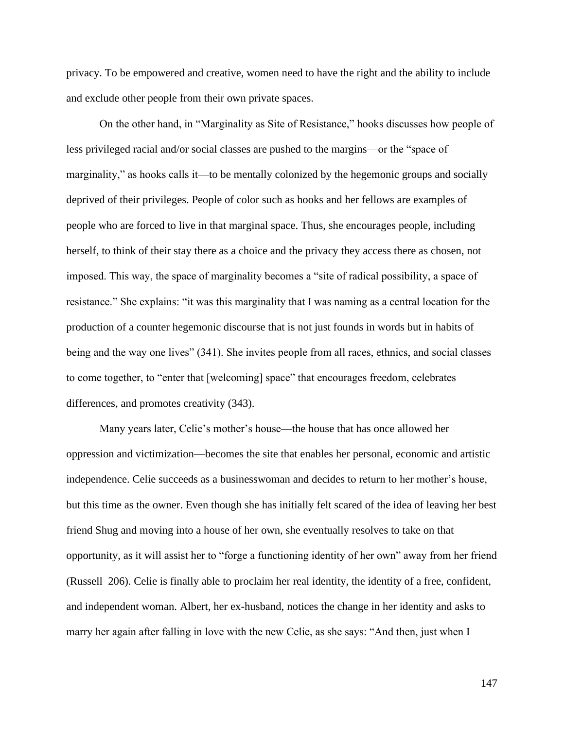privacy. To be empowered and creative, women need to have the right and the ability to include and exclude other people from their own private spaces.

On the other hand, in "Marginality as Site of Resistance," hooks discusses how people of less privileged racial and/or social classes are pushed to the margins—or the "space of marginality," as hooks calls it—to be mentally colonized by the hegemonic groups and socially deprived of their privileges. People of color such as hooks and her fellows are examples of people who are forced to live in that marginal space. Thus, she encourages people, including herself, to think of their stay there as a choice and the privacy they access there as chosen, not imposed. This way, the space of marginality becomes a "site of radical possibility, a space of resistance." She explains: "it was this marginality that I was naming as a central location for the production of a counter hegemonic discourse that is not just founds in words but in habits of being and the way one lives" (341). She invites people from all races, ethnics, and social classes to come together, to "enter that [welcoming] space" that encourages freedom, celebrates differences, and promotes creativity (343).

Many years later, Celie's mother's house—the house that has once allowed her oppression and victimization—becomes the site that enables her personal, economic and artistic independence. Celie succeeds as a businesswoman and decides to return to her mother's house, but this time as the owner. Even though she has initially felt scared of the idea of leaving her best friend Shug and moving into a house of her own, she eventually resolves to take on that opportunity, as it will assist her to "forge a functioning identity of her own" away from her friend (Russell 206). Celie is finally able to proclaim her real identity, the identity of a free, confident, and independent woman. Albert, her ex-husband, notices the change in her identity and asks to marry her again after falling in love with the new Celie, as she says: "And then, just when I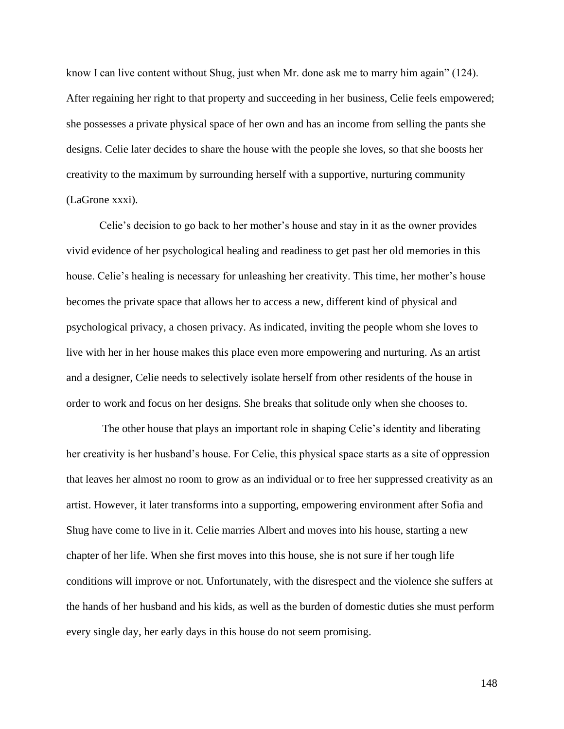know I can live content without Shug, just when Mr. done ask me to marry him again" (124). After regaining her right to that property and succeeding in her business, Celie feels empowered; she possesses a private physical space of her own and has an income from selling the pants she designs. Celie later decides to share the house with the people she loves, so that she boosts her creativity to the maximum by surrounding herself with a supportive, nurturing community (LaGrone xxxi).

Celie's decision to go back to her mother's house and stay in it as the owner provides vivid evidence of her psychological healing and readiness to get past her old memories in this house. Celie's healing is necessary for unleashing her creativity. This time, her mother's house becomes the private space that allows her to access a new, different kind of physical and psychological privacy, a chosen privacy. As indicated, inviting the people whom she loves to live with her in her house makes this place even more empowering and nurturing. As an artist and a designer, Celie needs to selectively isolate herself from other residents of the house in order to work and focus on her designs. She breaks that solitude only when she chooses to.

The other house that plays an important role in shaping Celie's identity and liberating her creativity is her husband's house. For Celie, this physical space starts as a site of oppression that leaves her almost no room to grow as an individual or to free her suppressed creativity as an artist. However, it later transforms into a supporting, empowering environment after Sofia and Shug have come to live in it. Celie marries Albert and moves into his house, starting a new chapter of her life. When she first moves into this house, she is not sure if her tough life conditions will improve or not. Unfortunately, with the disrespect and the violence she suffers at the hands of her husband and his kids, as well as the burden of domestic duties she must perform every single day, her early days in this house do not seem promising.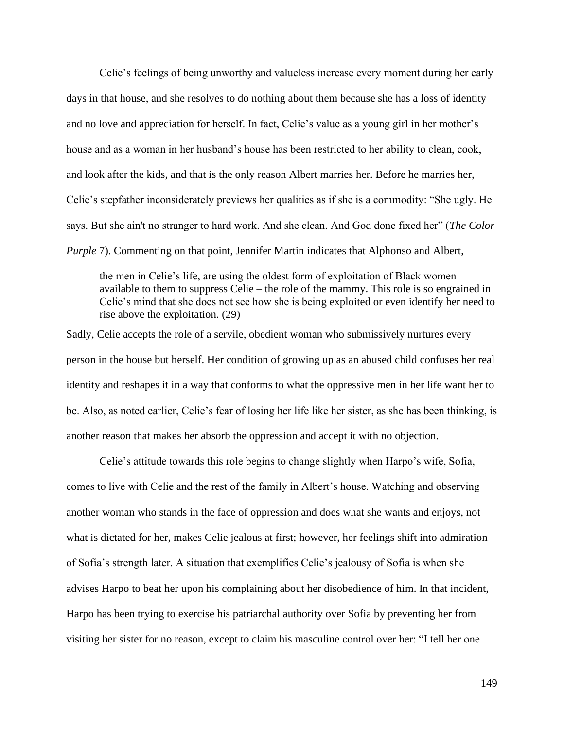Celie's feelings of being unworthy and valueless increase every moment during her early days in that house, and she resolves to do nothing about them because she has a loss of identity and no love and appreciation for herself. In fact, Celie's value as a young girl in her mother's house and as a woman in her husband's house has been restricted to her ability to clean, cook, and look after the kids, and that is the only reason Albert marries her. Before he marries her, Celie's stepfather inconsiderately previews her qualities as if she is a commodity: "She ugly. He says. But she ain't no stranger to hard work. And she clean. And God done fixed her" (*The Color Purple* 7). Commenting on that point, Jennifer Martin indicates that Alphonso and Albert,

the men in Celie's life, are using the oldest form of exploitation of Black women available to them to suppress Celie – the role of the mammy. This role is so engrained in Celie's mind that she does not see how she is being exploited or even identify her need to rise above the exploitation. (29)

Sadly, Celie accepts the role of a servile, obedient woman who submissively nurtures every person in the house but herself. Her condition of growing up as an abused child confuses her real identity and reshapes it in a way that conforms to what the oppressive men in her life want her to be. Also, as noted earlier, Celie's fear of losing her life like her sister, as she has been thinking, is another reason that makes her absorb the oppression and accept it with no objection.

Celie's attitude towards this role begins to change slightly when Harpo's wife, Sofia, comes to live with Celie and the rest of the family in Albert's house. Watching and observing another woman who stands in the face of oppression and does what she wants and enjoys, not what is dictated for her, makes Celie jealous at first; however, her feelings shift into admiration of Sofia's strength later. A situation that exemplifies Celie's jealousy of Sofia is when she advises Harpo to beat her upon his complaining about her disobedience of him. In that incident, Harpo has been trying to exercise his patriarchal authority over Sofia by preventing her from visiting her sister for no reason, except to claim his masculine control over her: "I tell her one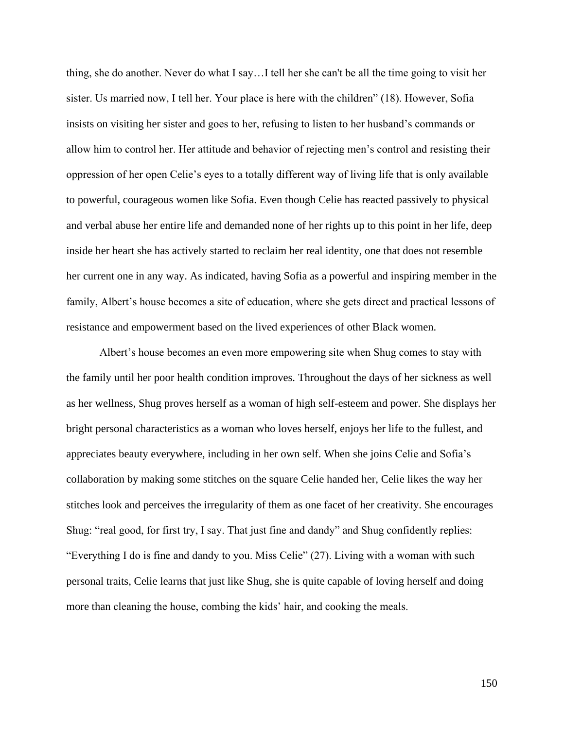thing, she do another. Never do what I say…I tell her she can't be all the time going to visit her sister. Us married now, I tell her. Your place is here with the children" (18). However, Sofia insists on visiting her sister and goes to her, refusing to listen to her husband's commands or allow him to control her. Her attitude and behavior of rejecting men's control and resisting their oppression of her open Celie's eyes to a totally different way of living life that is only available to powerful, courageous women like Sofia. Even though Celie has reacted passively to physical and verbal abuse her entire life and demanded none of her rights up to this point in her life, deep inside her heart she has actively started to reclaim her real identity, one that does not resemble her current one in any way. As indicated, having Sofia as a powerful and inspiring member in the family, Albert's house becomes a site of education, where she gets direct and practical lessons of resistance and empowerment based on the lived experiences of other Black women.

Albert's house becomes an even more empowering site when Shug comes to stay with the family until her poor health condition improves. Throughout the days of her sickness as well as her wellness, Shug proves herself as a woman of high self-esteem and power. She displays her bright personal characteristics as a woman who loves herself, enjoys her life to the fullest, and appreciates beauty everywhere, including in her own self. When she joins Celie and Sofia's collaboration by making some stitches on the square Celie handed her, Celie likes the way her stitches look and perceives the irregularity of them as one facet of her creativity. She encourages Shug: "real good, for first try, I say. That just fine and dandy" and Shug confidently replies: "Everything I do is fine and dandy to you. Miss Celie" (27). Living with a woman with such personal traits, Celie learns that just like Shug, she is quite capable of loving herself and doing more than cleaning the house, combing the kids' hair, and cooking the meals.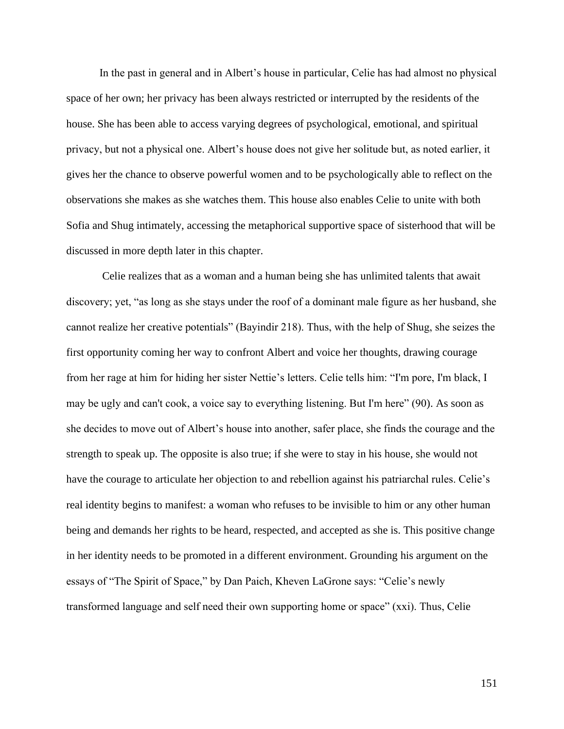In the past in general and in Albert's house in particular, Celie has had almost no physical space of her own; her privacy has been always restricted or interrupted by the residents of the house. She has been able to access varying degrees of psychological, emotional, and spiritual privacy, but not a physical one. Albert's house does not give her solitude but, as noted earlier, it gives her the chance to observe powerful women and to be psychologically able to reflect on the observations she makes as she watches them. This house also enables Celie to unite with both Sofia and Shug intimately, accessing the metaphorical supportive space of sisterhood that will be discussed in more depth later in this chapter.

Celie realizes that as a woman and a human being she has unlimited talents that await discovery; yet, "as long as she stays under the roof of a dominant male figure as her husband, she cannot realize her creative potentials" (Bayindir 218). Thus, with the help of Shug, she seizes the first opportunity coming her way to confront Albert and voice her thoughts, drawing courage from her rage at him for hiding her sister Nettie's letters. Celie tells him: "I'm pore, I'm black, I may be ugly and can't cook, a voice say to everything listening. But I'm here" (90). As soon as she decides to move out of Albert's house into another, safer place, she finds the courage and the strength to speak up. The opposite is also true; if she were to stay in his house, she would not have the courage to articulate her objection to and rebellion against his patriarchal rules. Celie's real identity begins to manifest: a woman who refuses to be invisible to him or any other human being and demands her rights to be heard, respected, and accepted as she is. This positive change in her identity needs to be promoted in a different environment. Grounding his argument on the essays of "The Spirit of Space," by Dan Paich, Kheven LaGrone says: "Celie's newly transformed language and self need their own supporting home or space" (xxi). Thus, Celie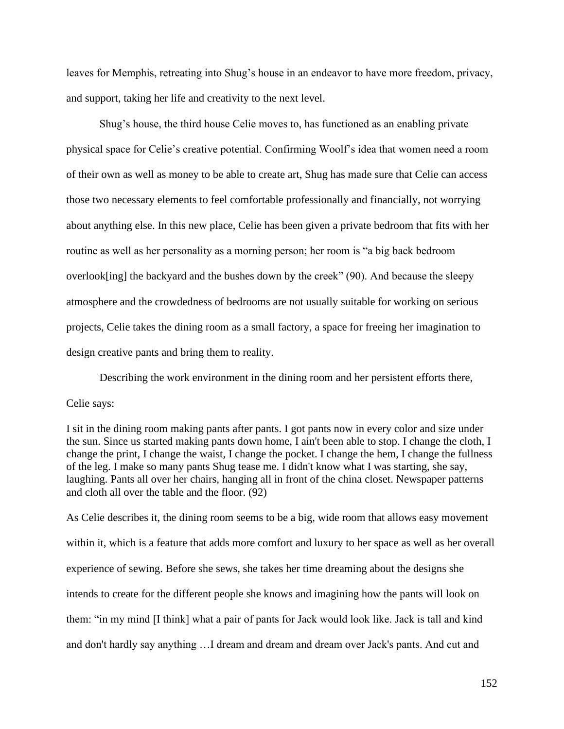leaves for Memphis, retreating into Shug's house in an endeavor to have more freedom, privacy, and support, taking her life and creativity to the next level.

Shug's house, the third house Celie moves to, has functioned as an enabling private physical space for Celie's creative potential. Confirming Woolf's idea that women need a room of their own as well as money to be able to create art, Shug has made sure that Celie can access those two necessary elements to feel comfortable professionally and financially, not worrying about anything else. In this new place, Celie has been given a private bedroom that fits with her routine as well as her personality as a morning person; her room is "a big back bedroom overlook[ing] the backyard and the bushes down by the creek" (90). And because the sleepy atmosphere and the crowdedness of bedrooms are not usually suitable for working on serious projects, Celie takes the dining room as a small factory, a space for freeing her imagination to design creative pants and bring them to reality.

Describing the work environment in the dining room and her persistent efforts there, Celie says:

I sit in the dining room making pants after pants. I got pants now in every color and size under the sun. Since us started making pants down home, I ain't been able to stop. I change the cloth, I change the print, I change the waist, I change the pocket. I change the hem, I change the fullness of the leg. I make so many pants Shug tease me. I didn't know what I was starting, she say, laughing. Pants all over her chairs, hanging all in front of the china closet. Newspaper patterns and cloth all over the table and the floor. (92)

As Celie describes it, the dining room seems to be a big, wide room that allows easy movement within it, which is a feature that adds more comfort and luxury to her space as well as her overall experience of sewing. Before she sews, she takes her time dreaming about the designs she intends to create for the different people she knows and imagining how the pants will look on them: "in my mind [I think] what a pair of pants for Jack would look like. Jack is tall and kind and don't hardly say anything …I dream and dream and dream over Jack's pants. And cut and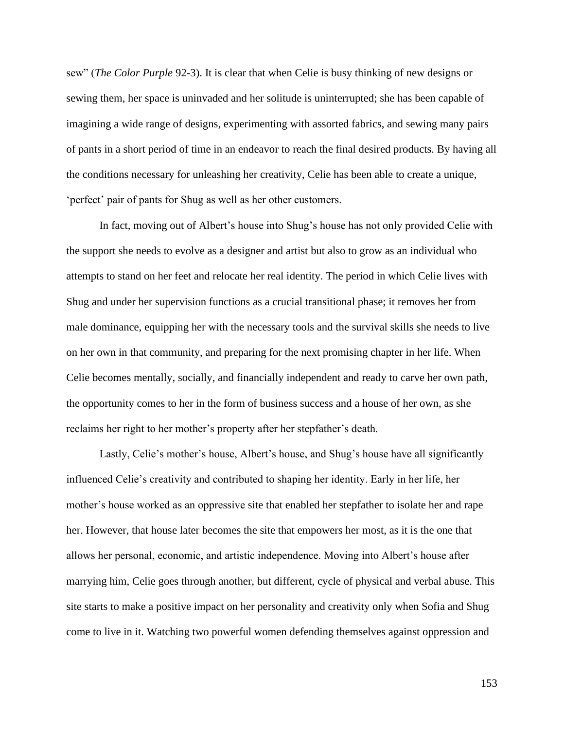sew" (*The Color Purple* 92-3). It is clear that when Celie is busy thinking of new designs or sewing them, her space is uninvaded and her solitude is uninterrupted; she has been capable of imagining a wide range of designs, experimenting with assorted fabrics, and sewing many pairs of pants in a short period of time in an endeavor to reach the final desired products. By having all the conditions necessary for unleashing her creativity, Celie has been able to create a unique, 'perfect' pair of pants for Shug as well as her other customers.

In fact, moving out of Albert's house into Shug's house has not only provided Celie with the support she needs to evolve as a designer and artist but also to grow as an individual who attempts to stand on her feet and relocate her real identity. The period in which Celie lives with Shug and under her supervision functions as a crucial transitional phase; it removes her from male dominance, equipping her with the necessary tools and the survival skills she needs to live on her own in that community, and preparing for the next promising chapter in her life. When Celie becomes mentally, socially, and financially independent and ready to carve her own path, the opportunity comes to her in the form of business success and a house of her own, as she reclaims her right to her mother's property after her stepfather's death.

Lastly, Celie's mother's house, Albert's house, and Shug's house have all significantly influenced Celie's creativity and contributed to shaping her identity. Early in her life, her mother's house worked as an oppressive site that enabled her stepfather to isolate her and rape her. However, that house later becomes the site that empowers her most, as it is the one that allows her personal, economic, and artistic independence. Moving into Albert's house after marrying him, Celie goes through another, but different, cycle of physical and verbal abuse. This site starts to make a positive impact on her personality and creativity only when Sofia and Shug come to live in it. Watching two powerful women defending themselves against oppression and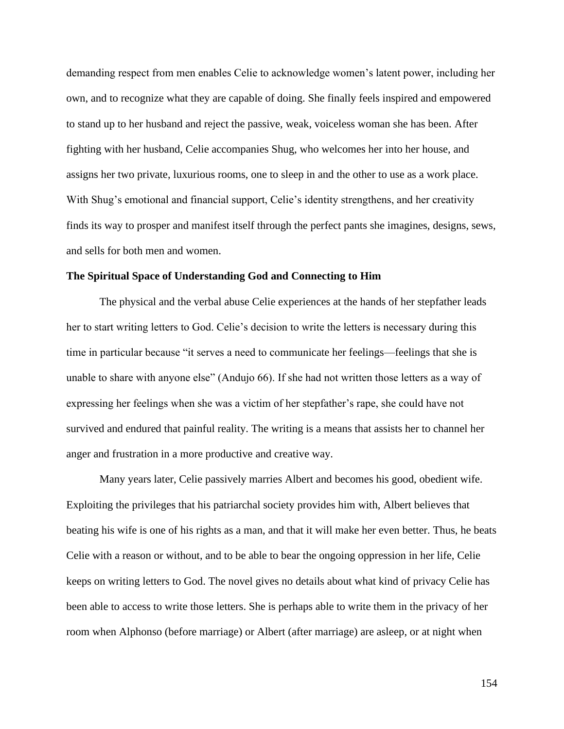demanding respect from men enables Celie to acknowledge women's latent power, including her own, and to recognize what they are capable of doing. She finally feels inspired and empowered to stand up to her husband and reject the passive, weak, voiceless woman she has been. After fighting with her husband, Celie accompanies Shug, who welcomes her into her house, and assigns her two private, luxurious rooms, one to sleep in and the other to use as a work place. With Shug's emotional and financial support, Celie's identity strengthens, and her creativity finds its way to prosper and manifest itself through the perfect pants she imagines, designs, sews, and sells for both men and women.

## **The Spiritual Space of Understanding God and Connecting to Him**

The physical and the verbal abuse Celie experiences at the hands of her stepfather leads her to start writing letters to God. Celie's decision to write the letters is necessary during this time in particular because "it serves a need to communicate her feelings—feelings that she is unable to share with anyone else" (Andujo 66). If she had not written those letters as a way of expressing her feelings when she was a victim of her stepfather's rape, she could have not survived and endured that painful reality. The writing is a means that assists her to channel her anger and frustration in a more productive and creative way.

Many years later, Celie passively marries Albert and becomes his good, obedient wife. Exploiting the privileges that his patriarchal society provides him with, Albert believes that beating his wife is one of his rights as a man, and that it will make her even better. Thus, he beats Celie with a reason or without, and to be able to bear the ongoing oppression in her life, Celie keeps on writing letters to God. The novel gives no details about what kind of privacy Celie has been able to access to write those letters. She is perhaps able to write them in the privacy of her room when Alphonso (before marriage) or Albert (after marriage) are asleep, or at night when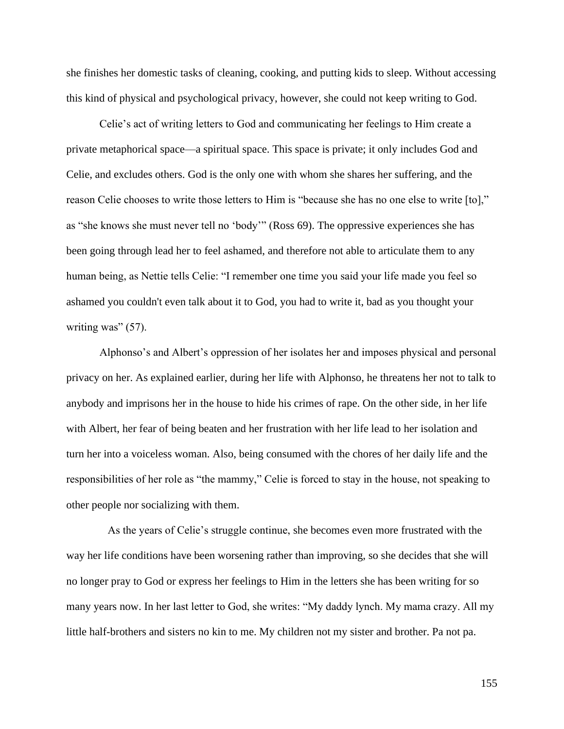she finishes her domestic tasks of cleaning, cooking, and putting kids to sleep. Without accessing this kind of physical and psychological privacy, however, she could not keep writing to God.

Celie's act of writing letters to God and communicating her feelings to Him create a private metaphorical space—a spiritual space. This space is private; it only includes God and Celie, and excludes others. God is the only one with whom she shares her suffering, and the reason Celie chooses to write those letters to Him is "because she has no one else to write [to]," as "she knows she must never tell no 'body'" (Ross 69). The oppressive experiences she has been going through lead her to feel ashamed, and therefore not able to articulate them to any human being, as Nettie tells Celie: "I remember one time you said your life made you feel so ashamed you couldn't even talk about it to God, you had to write it, bad as you thought your writing was" (57).

Alphonso's and Albert's oppression of her isolates her and imposes physical and personal privacy on her. As explained earlier, during her life with Alphonso, he threatens her not to talk to anybody and imprisons her in the house to hide his crimes of rape. On the other side, in her life with Albert, her fear of being beaten and her frustration with her life lead to her isolation and turn her into a voiceless woman. Also, being consumed with the chores of her daily life and the responsibilities of her role as "the mammy," Celie is forced to stay in the house, not speaking to other people nor socializing with them.

As the years of Celie's struggle continue, she becomes even more frustrated with the way her life conditions have been worsening rather than improving, so she decides that she will no longer pray to God or express her feelings to Him in the letters she has been writing for so many years now. In her last letter to God, she writes: "My daddy lynch. My mama crazy. All my little half-brothers and sisters no kin to me. My children not my sister and brother. Pa not pa.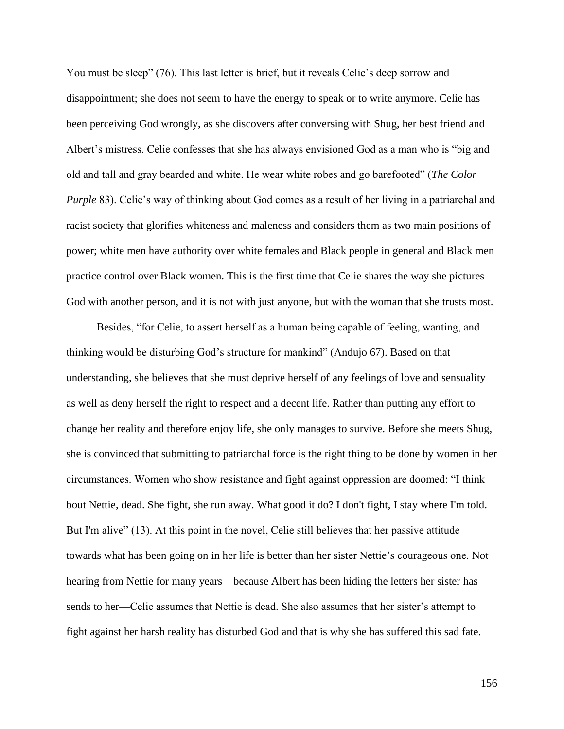You must be sleep" (76). This last letter is brief, but it reveals Celie's deep sorrow and disappointment; she does not seem to have the energy to speak or to write anymore. Celie has been perceiving God wrongly, as she discovers after conversing with Shug, her best friend and Albert's mistress. Celie confesses that she has always envisioned God as a man who is "big and old and tall and gray bearded and white. He wear white robes and go barefooted" (*The Color Purple* 83). Celie's way of thinking about God comes as a result of her living in a patriarchal and racist society that glorifies whiteness and maleness and considers them as two main positions of power; white men have authority over white females and Black people in general and Black men practice control over Black women. This is the first time that Celie shares the way she pictures God with another person, and it is not with just anyone, but with the woman that she trusts most.

Besides, "for Celie, to assert herself as a human being capable of feeling, wanting, and thinking would be disturbing God's structure for mankind" (Andujo 67). Based on that understanding, she believes that she must deprive herself of any feelings of love and sensuality as well as deny herself the right to respect and a decent life. Rather than putting any effort to change her reality and therefore enjoy life, she only manages to survive. Before she meets Shug, she is convinced that submitting to patriarchal force is the right thing to be done by women in her circumstances. Women who show resistance and fight against oppression are doomed: "I think bout Nettie, dead. She fight, she run away. What good it do? I don't fight, I stay where I'm told. But I'm alive" (13). At this point in the novel, Celie still believes that her passive attitude towards what has been going on in her life is better than her sister Nettie's courageous one. Not hearing from Nettie for many years—because Albert has been hiding the letters her sister has sends to her—Celie assumes that Nettie is dead. She also assumes that her sister's attempt to fight against her harsh reality has disturbed God and that is why she has suffered this sad fate.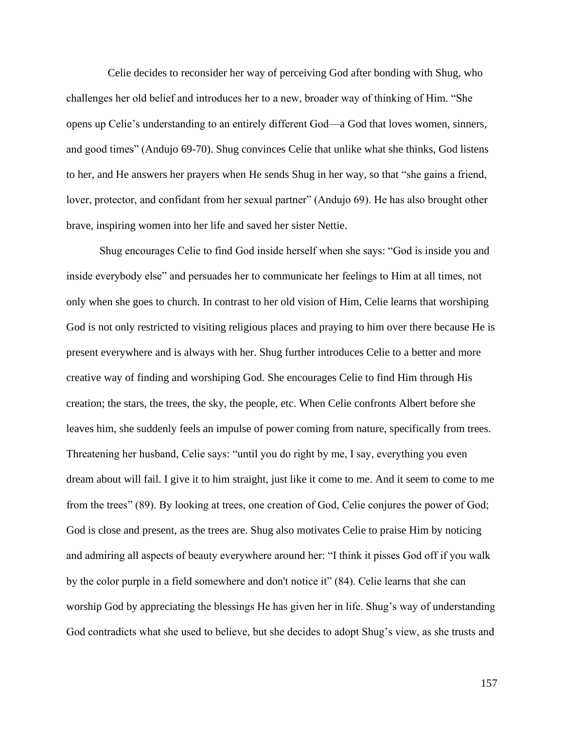Celie decides to reconsider her way of perceiving God after bonding with Shug, who challenges her old belief and introduces her to a new, broader way of thinking of Him. "She opens up Celie's understanding to an entirely different God—a God that loves women, sinners, and good times" (Andujo 69-70). Shug convinces Celie that unlike what she thinks, God listens to her, and He answers her prayers when He sends Shug in her way, so that "she gains a friend, lover, protector, and confidant from her sexual partner" (Andujo 69). He has also brought other brave, inspiring women into her life and saved her sister Nettie.

Shug encourages Celie to find God inside herself when she says: "God is inside you and inside everybody else" and persuades her to communicate her feelings to Him at all times, not only when she goes to church. In contrast to her old vision of Him, Celie learns that worshiping God is not only restricted to visiting religious places and praying to him over there because He is present everywhere and is always with her. Shug further introduces Celie to a better and more creative way of finding and worshiping God. She encourages Celie to find Him through His creation; the stars, the trees, the sky, the people, etc. When Celie confronts Albert before she leaves him, she suddenly feels an impulse of power coming from nature, specifically from trees. Threatening her husband, Celie says: "until you do right by me, I say, everything you even dream about will fail. I give it to him straight, just like it come to me. And it seem to come to me from the trees" (89). By looking at trees, one creation of God, Celie conjures the power of God; God is close and present, as the trees are. Shug also motivates Celie to praise Him by noticing and admiring all aspects of beauty everywhere around her: "I think it pisses God off if you walk by the color purple in a field somewhere and don't notice it" (84). Celie learns that she can worship God by appreciating the blessings He has given her in life. Shug's way of understanding God contradicts what she used to believe, but she decides to adopt Shug's view, as she trusts and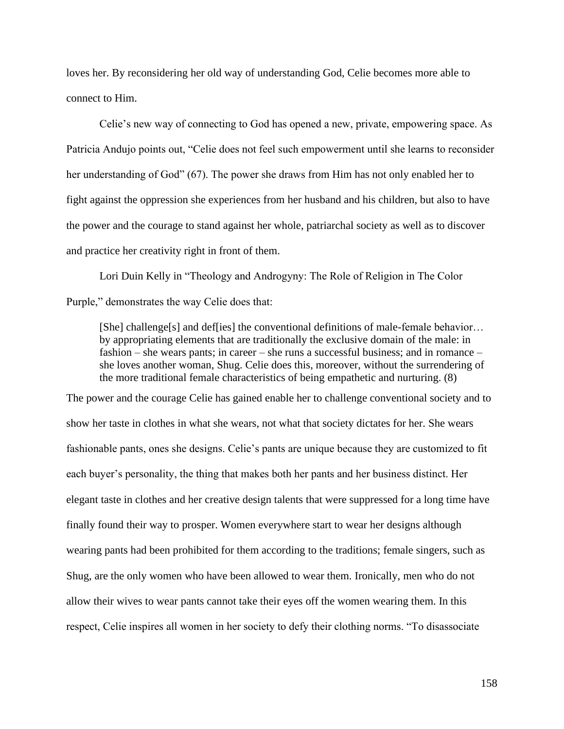loves her. By reconsidering her old way of understanding God, Celie becomes more able to connect to Him.

Celie's new way of connecting to God has opened a new, private, empowering space. As Patricia Andujo points out, "Celie does not feel such empowerment until she learns to reconsider her understanding of God" (67). The power she draws from Him has not only enabled her to fight against the oppression she experiences from her husband and his children, but also to have the power and the courage to stand against her whole, patriarchal society as well as to discover and practice her creativity right in front of them.

Lori Duin Kelly in "Theology and Androgyny: The Role of Religion in The Color Purple," demonstrates the way Celie does that:

[She] challenge[s] and def[ies] the conventional definitions of male-female behavior... by appropriating elements that are traditionally the exclusive domain of the male: in fashion – she wears pants; in career – she runs a successful business; and in romance – she loves another woman, Shug. Celie does this, moreover, without the surrendering of the more traditional female characteristics of being empathetic and nurturing. (8)

The power and the courage Celie has gained enable her to challenge conventional society and to show her taste in clothes in what she wears, not what that society dictates for her. She wears fashionable pants, ones she designs. Celie's pants are unique because they are customized to fit each buyer's personality, the thing that makes both her pants and her business distinct. Her elegant taste in clothes and her creative design talents that were suppressed for a long time have finally found their way to prosper. Women everywhere start to wear her designs although wearing pants had been prohibited for them according to the traditions; female singers, such as Shug, are the only women who have been allowed to wear them. Ironically, men who do not allow their wives to wear pants cannot take their eyes off the women wearing them. In this respect, Celie inspires all women in her society to defy their clothing norms. "To disassociate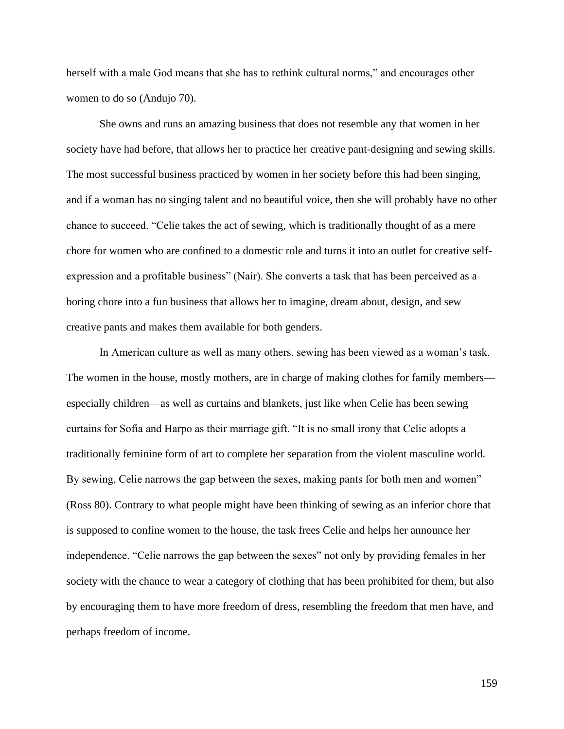herself with a male God means that she has to rethink cultural norms," and encourages other women to do so (Andujo 70).

She owns and runs an amazing business that does not resemble any that women in her society have had before, that allows her to practice her creative pant-designing and sewing skills. The most successful business practiced by women in her society before this had been singing, and if a woman has no singing talent and no beautiful voice, then she will probably have no other chance to succeed. "Celie takes the act of sewing, which is traditionally thought of as a mere chore for women who are confined to a domestic role and turns it into an outlet for creative selfexpression and a profitable business" (Nair). She converts a task that has been perceived as a boring chore into a fun business that allows her to imagine, dream about, design, and sew creative pants and makes them available for both genders.

In American culture as well as many others, sewing has been viewed as a woman's task. The women in the house, mostly mothers, are in charge of making clothes for family members especially children—as well as curtains and blankets, just like when Celie has been sewing curtains for Sofia and Harpo as their marriage gift. "It is no small irony that Celie adopts a traditionally feminine form of art to complete her separation from the violent masculine world. By sewing, Celie narrows the gap between the sexes, making pants for both men and women" (Ross 80). Contrary to what people might have been thinking of sewing as an inferior chore that is supposed to confine women to the house, the task frees Celie and helps her announce her independence. "Celie narrows the gap between the sexes" not only by providing females in her society with the chance to wear a category of clothing that has been prohibited for them, but also by encouraging them to have more freedom of dress, resembling the freedom that men have, and perhaps freedom of income.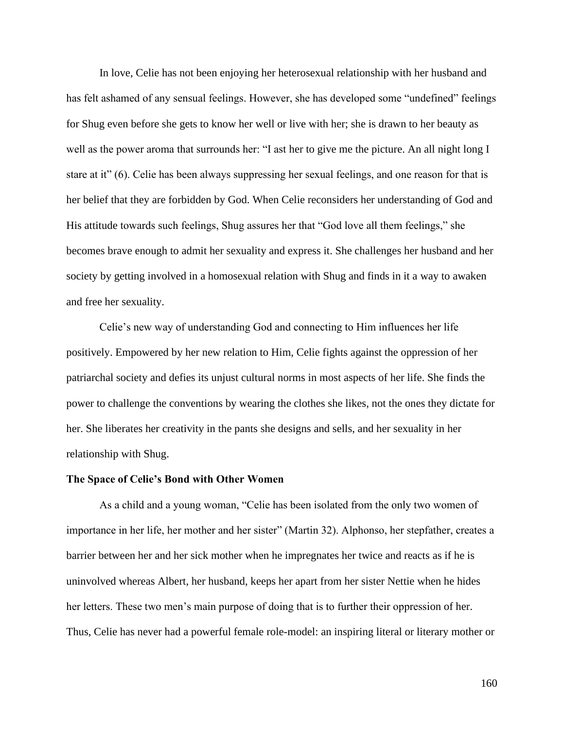In love, Celie has not been enjoying her heterosexual relationship with her husband and has felt ashamed of any sensual feelings. However, she has developed some "undefined" feelings for Shug even before she gets to know her well or live with her; she is drawn to her beauty as well as the power aroma that surrounds her: "I ast her to give me the picture. An all night long I stare at it" (6). Celie has been always suppressing her sexual feelings, and one reason for that is her belief that they are forbidden by God. When Celie reconsiders her understanding of God and His attitude towards such feelings, Shug assures her that "God love all them feelings," she becomes brave enough to admit her sexuality and express it. She challenges her husband and her society by getting involved in a homosexual relation with Shug and finds in it a way to awaken and free her sexuality.

Celie's new way of understanding God and connecting to Him influences her life positively. Empowered by her new relation to Him, Celie fights against the oppression of her patriarchal society and defies its unjust cultural norms in most aspects of her life. She finds the power to challenge the conventions by wearing the clothes she likes, not the ones they dictate for her. She liberates her creativity in the pants she designs and sells, and her sexuality in her relationship with Shug.

#### **The Space of Celie's Bond with Other Women**

As a child and a young woman, "Celie has been isolated from the only two women of importance in her life, her mother and her sister" (Martin 32). Alphonso, her stepfather, creates a barrier between her and her sick mother when he impregnates her twice and reacts as if he is uninvolved whereas Albert, her husband, keeps her apart from her sister Nettie when he hides her letters. These two men's main purpose of doing that is to further their oppression of her. Thus, Celie has never had a powerful female role-model: an inspiring literal or literary mother or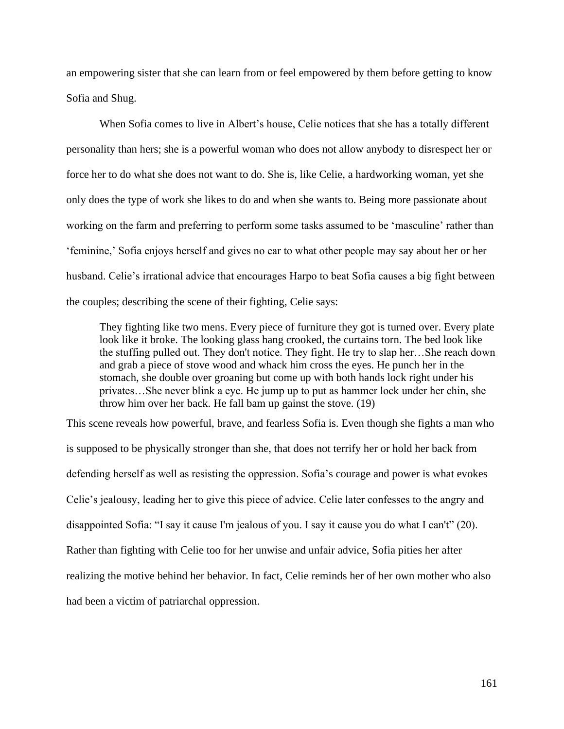an empowering sister that she can learn from or feel empowered by them before getting to know Sofia and Shug.

When Sofia comes to live in Albert's house, Celie notices that she has a totally different personality than hers; she is a powerful woman who does not allow anybody to disrespect her or force her to do what she does not want to do. She is, like Celie, a hardworking woman, yet she only does the type of work she likes to do and when she wants to. Being more passionate about working on the farm and preferring to perform some tasks assumed to be 'masculine' rather than 'feminine,' Sofia enjoys herself and gives no ear to what other people may say about her or her husband. Celie's irrational advice that encourages Harpo to beat Sofia causes a big fight between the couples; describing the scene of their fighting, Celie says:

They fighting like two mens. Every piece of furniture they got is turned over. Every plate look like it broke. The looking glass hang crooked, the curtains torn. The bed look like the stuffing pulled out. They don't notice. They fight. He try to slap her…She reach down and grab a piece of stove wood and whack him cross the eyes. He punch her in the stomach, she double over groaning but come up with both hands lock right under his privates…She never blink a eye. He jump up to put as hammer lock under her chin, she throw him over her back. He fall bam up gainst the stove. (19)

This scene reveals how powerful, brave, and fearless Sofia is. Even though she fights a man who is supposed to be physically stronger than she, that does not terrify her or hold her back from defending herself as well as resisting the oppression. Sofia's courage and power is what evokes Celie's jealousy, leading her to give this piece of advice. Celie later confesses to the angry and disappointed Sofia: "I say it cause I'm jealous of you. I say it cause you do what I can't" (20). Rather than fighting with Celie too for her unwise and unfair advice, Sofia pities her after realizing the motive behind her behavior. In fact, Celie reminds her of her own mother who also had been a victim of patriarchal oppression.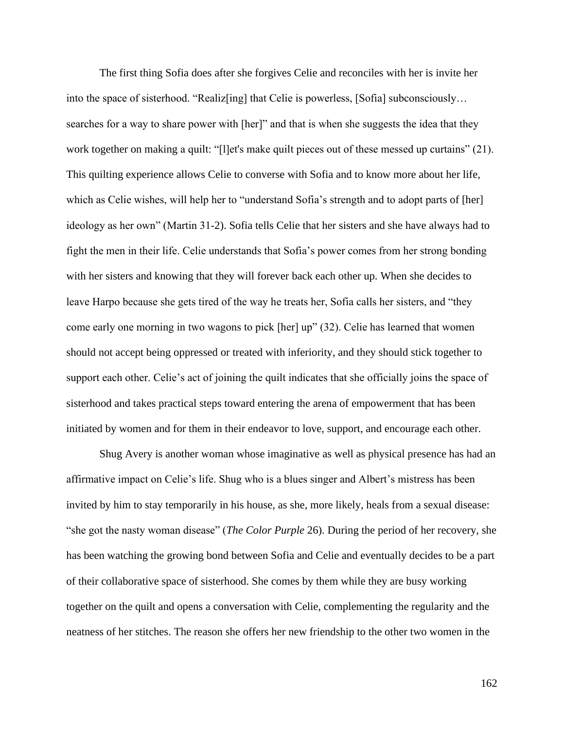The first thing Sofia does after she forgives Celie and reconciles with her is invite her into the space of sisterhood. "Realiz[ing] that Celie is powerless, [Sofia] subconsciously… searches for a way to share power with [her]" and that is when she suggests the idea that they work together on making a quilt: "[l]et's make quilt pieces out of these messed up curtains" (21). This quilting experience allows Celie to converse with Sofia and to know more about her life, which as Celie wishes, will help her to "understand Sofia's strength and to adopt parts of [her] ideology as her own" (Martin 31-2). Sofia tells Celie that her sisters and she have always had to fight the men in their life. Celie understands that Sofia's power comes from her strong bonding with her sisters and knowing that they will forever back each other up. When she decides to leave Harpo because she gets tired of the way he treats her, Sofia calls her sisters, and "they come early one morning in two wagons to pick [her] up" (32). Celie has learned that women should not accept being oppressed or treated with inferiority, and they should stick together to support each other. Celie's act of joining the quilt indicates that she officially joins the space of sisterhood and takes practical steps toward entering the arena of empowerment that has been initiated by women and for them in their endeavor to love, support, and encourage each other.

Shug Avery is another woman whose imaginative as well as physical presence has had an affirmative impact on Celie's life. Shug who is a blues singer and Albert's mistress has been invited by him to stay temporarily in his house, as she, more likely, heals from a sexual disease: "she got the nasty woman disease" (*The Color Purple* 26). During the period of her recovery, she has been watching the growing bond between Sofia and Celie and eventually decides to be a part of their collaborative space of sisterhood. She comes by them while they are busy working together on the quilt and opens a conversation with Celie, complementing the regularity and the neatness of her stitches. The reason she offers her new friendship to the other two women in the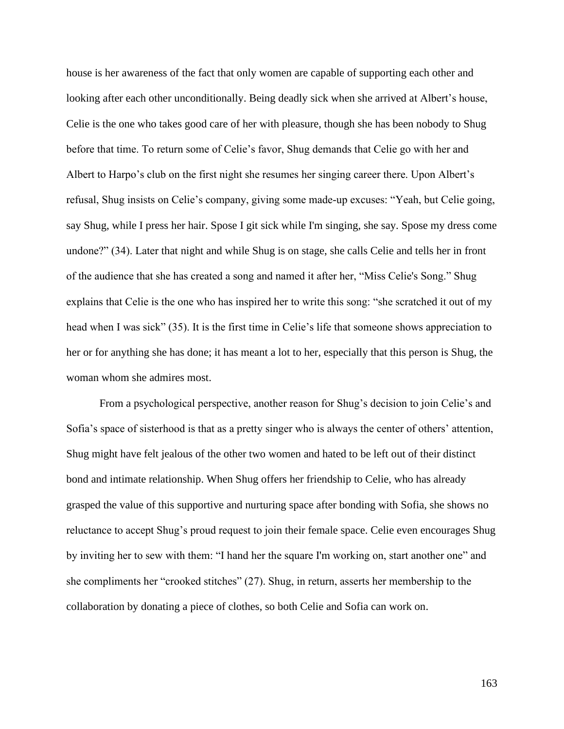house is her awareness of the fact that only women are capable of supporting each other and looking after each other unconditionally. Being deadly sick when she arrived at Albert's house, Celie is the one who takes good care of her with pleasure, though she has been nobody to Shug before that time. To return some of Celie's favor, Shug demands that Celie go with her and Albert to Harpo's club on the first night she resumes her singing career there. Upon Albert's refusal, Shug insists on Celie's company, giving some made-up excuses: "Yeah, but Celie going, say Shug, while I press her hair. Spose I git sick while I'm singing, she say. Spose my dress come undone?" (34). Later that night and while Shug is on stage, she calls Celie and tells her in front of the audience that she has created a song and named it after her, "Miss Celie's Song." Shug explains that Celie is the one who has inspired her to write this song: "she scratched it out of my head when I was sick" (35). It is the first time in Celie's life that someone shows appreciation to her or for anything she has done; it has meant a lot to her, especially that this person is Shug, the woman whom she admires most.

From a psychological perspective, another reason for Shug's decision to join Celie's and Sofia's space of sisterhood is that as a pretty singer who is always the center of others' attention, Shug might have felt jealous of the other two women and hated to be left out of their distinct bond and intimate relationship. When Shug offers her friendship to Celie, who has already grasped the value of this supportive and nurturing space after bonding with Sofia, she shows no reluctance to accept Shug's proud request to join their female space. Celie even encourages Shug by inviting her to sew with them: "I hand her the square I'm working on, start another one" and she compliments her "crooked stitches" (27). Shug, in return, asserts her membership to the collaboration by donating a piece of clothes, so both Celie and Sofia can work on.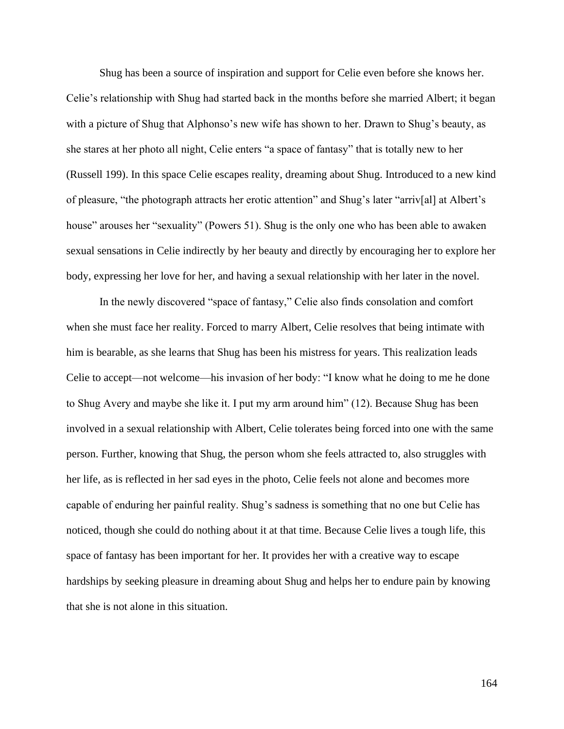Shug has been a source of inspiration and support for Celie even before she knows her. Celie's relationship with Shug had started back in the months before she married Albert; it began with a picture of Shug that Alphonso's new wife has shown to her. Drawn to Shug's beauty, as she stares at her photo all night, Celie enters "a space of fantasy" that is totally new to her (Russell 199). In this space Celie escapes reality, dreaming about Shug. Introduced to a new kind of pleasure, "the photograph attracts her erotic attention" and Shug's later "arriv[al] at Albert's house" arouses her "sexuality" (Powers 51). Shug is the only one who has been able to awaken sexual sensations in Celie indirectly by her beauty and directly by encouraging her to explore her body, expressing her love for her, and having a sexual relationship with her later in the novel.

In the newly discovered "space of fantasy," Celie also finds consolation and comfort when she must face her reality. Forced to marry Albert, Celie resolves that being intimate with him is bearable, as she learns that Shug has been his mistress for years. This realization leads Celie to accept—not welcome—his invasion of her body: "I know what he doing to me he done to Shug Avery and maybe she like it. I put my arm around him" (12). Because Shug has been involved in a sexual relationship with Albert, Celie tolerates being forced into one with the same person. Further, knowing that Shug, the person whom she feels attracted to, also struggles with her life, as is reflected in her sad eyes in the photo, Celie feels not alone and becomes more capable of enduring her painful reality. Shug's sadness is something that no one but Celie has noticed, though she could do nothing about it at that time. Because Celie lives a tough life, this space of fantasy has been important for her. It provides her with a creative way to escape hardships by seeking pleasure in dreaming about Shug and helps her to endure pain by knowing that she is not alone in this situation.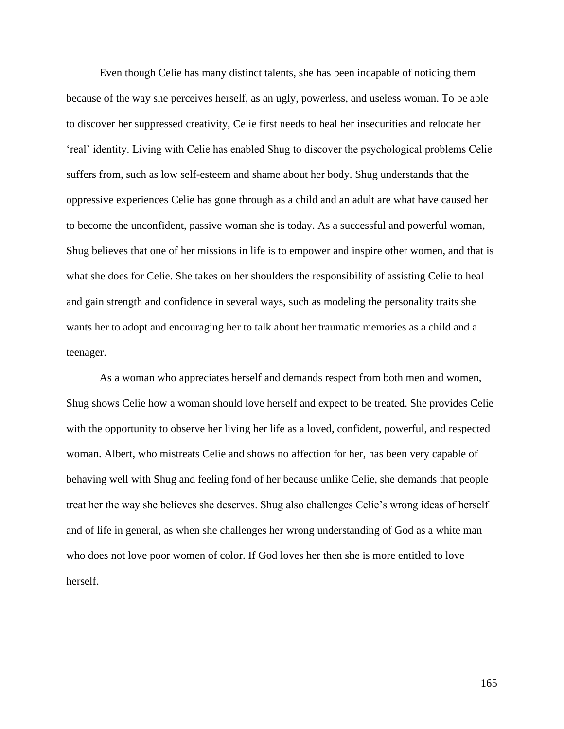Even though Celie has many distinct talents, she has been incapable of noticing them because of the way she perceives herself, as an ugly, powerless, and useless woman. To be able to discover her suppressed creativity, Celie first needs to heal her insecurities and relocate her 'real' identity. Living with Celie has enabled Shug to discover the psychological problems Celie suffers from, such as low self-esteem and shame about her body. Shug understands that the oppressive experiences Celie has gone through as a child and an adult are what have caused her to become the unconfident, passive woman she is today. As a successful and powerful woman, Shug believes that one of her missions in life is to empower and inspire other women, and that is what she does for Celie. She takes on her shoulders the responsibility of assisting Celie to heal and gain strength and confidence in several ways, such as modeling the personality traits she wants her to adopt and encouraging her to talk about her traumatic memories as a child and a teenager.

As a woman who appreciates herself and demands respect from both men and women, Shug shows Celie how a woman should love herself and expect to be treated. She provides Celie with the opportunity to observe her living her life as a loved, confident, powerful, and respected woman. Albert, who mistreats Celie and shows no affection for her, has been very capable of behaving well with Shug and feeling fond of her because unlike Celie, she demands that people treat her the way she believes she deserves. Shug also challenges Celie's wrong ideas of herself and of life in general, as when she challenges her wrong understanding of God as a white man who does not love poor women of color. If God loves her then she is more entitled to love herself.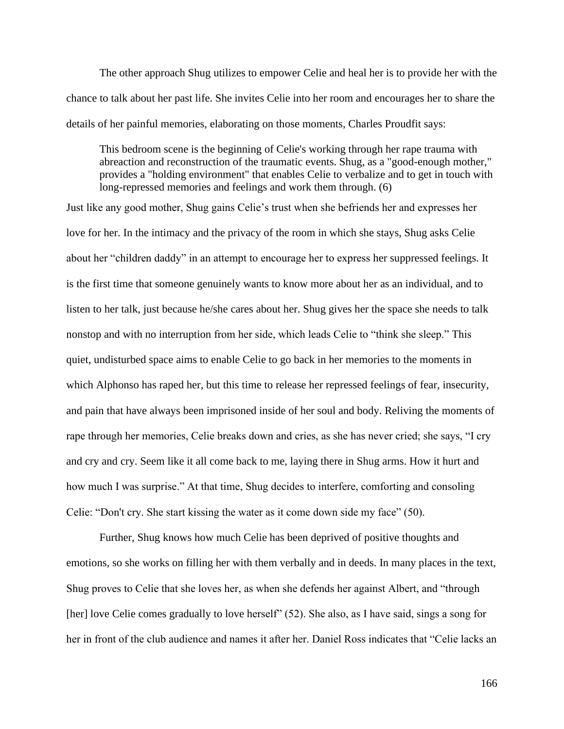The other approach Shug utilizes to empower Celie and heal her is to provide her with the chance to talk about her past life. She invites Celie into her room and encourages her to share the details of her painful memories, elaborating on those moments, Charles Proudfit says:

This bedroom scene is the beginning of Celie's working through her rape trauma with abreaction and reconstruction of the traumatic events. Shug, as a "good-enough mother," provides a "holding environment" that enables Celie to verbalize and to get in touch with long-repressed memories and feelings and work them through. (6)

Just like any good mother, Shug gains Celie's trust when she befriends her and expresses her love for her. In the intimacy and the privacy of the room in which she stays, Shug asks Celie about her "children daddy" in an attempt to encourage her to express her suppressed feelings. It is the first time that someone genuinely wants to know more about her as an individual, and to listen to her talk, just because he/she cares about her. Shug gives her the space she needs to talk nonstop and with no interruption from her side, which leads Celie to "think she sleep." This quiet, undisturbed space aims to enable Celie to go back in her memories to the moments in which Alphonso has raped her, but this time to release her repressed feelings of fear, insecurity, and pain that have always been imprisoned inside of her soul and body. Reliving the moments of rape through her memories, Celie breaks down and cries, as she has never cried; she says, "I cry and cry and cry. Seem like it all come back to me, laying there in Shug arms. How it hurt and how much I was surprise." At that time, Shug decides to interfere, comforting and consoling Celie: "Don't cry. She start kissing the water as it come down side my face" (50).

Further, Shug knows how much Celie has been deprived of positive thoughts and emotions, so she works on filling her with them verbally and in deeds. In many places in the text, Shug proves to Celie that she loves her, as when she defends her against Albert, and "through [her] love Celie comes gradually to love herself" (52). She also, as I have said, sings a song for her in front of the club audience and names it after her. Daniel Ross indicates that "Celie lacks an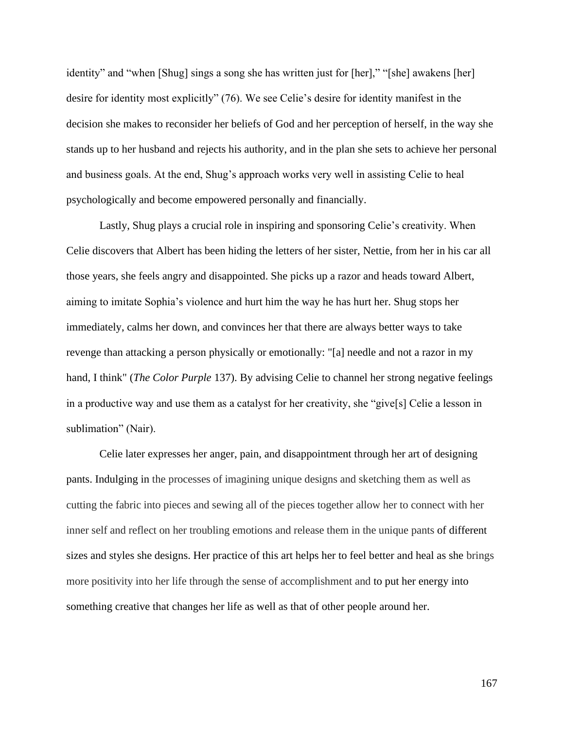identity" and "when [Shug] sings a song she has written just for [her]," "[she] awakens [her] desire for identity most explicitly" (76). We see Celie's desire for identity manifest in the decision she makes to reconsider her beliefs of God and her perception of herself, in the way she stands up to her husband and rejects his authority, and in the plan she sets to achieve her personal and business goals. At the end, Shug's approach works very well in assisting Celie to heal psychologically and become empowered personally and financially.

Lastly, Shug plays a crucial role in inspiring and sponsoring Celie's creativity. When Celie discovers that Albert has been hiding the letters of her sister, Nettie, from her in his car all those years, she feels angry and disappointed. She picks up a razor and heads toward Albert, aiming to imitate Sophia's violence and hurt him the way he has hurt her. Shug stops her immediately, calms her down, and convinces her that there are always better ways to take revenge than attacking a person physically or emotionally: "[a] needle and not a razor in my hand, I think" (*The Color Purple* 137). By advising Celie to channel her strong negative feelings in a productive way and use them as a catalyst for her creativity, she "give[s] Celie a lesson in sublimation" (Nair).

Celie later expresses her anger, pain, and disappointment through her art of designing pants. Indulging in the processes of imagining unique designs and sketching them as well as cutting the fabric into pieces and sewing all of the pieces together allow her to connect with her inner self and reflect on her troubling emotions and release them in the unique pants of different sizes and styles she designs. Her practice of this art helps her to feel better and heal as she brings more positivity into her life through the sense of accomplishment and to put her energy into something creative that changes her life as well as that of other people around her.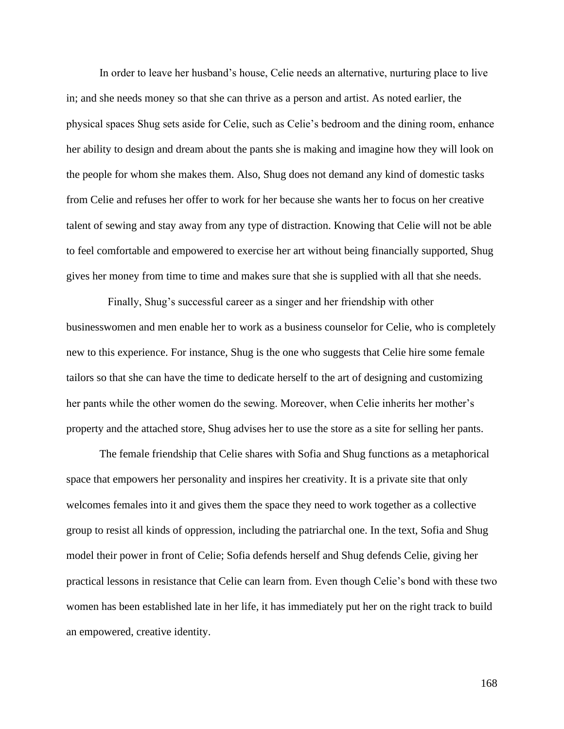In order to leave her husband's house, Celie needs an alternative, nurturing place to live in; and she needs money so that she can thrive as a person and artist. As noted earlier, the physical spaces Shug sets aside for Celie, such as Celie's bedroom and the dining room, enhance her ability to design and dream about the pants she is making and imagine how they will look on the people for whom she makes them. Also, Shug does not demand any kind of domestic tasks from Celie and refuses her offer to work for her because she wants her to focus on her creative talent of sewing and stay away from any type of distraction. Knowing that Celie will not be able to feel comfortable and empowered to exercise her art without being financially supported, Shug gives her money from time to time and makes sure that she is supplied with all that she needs.

Finally, Shug's successful career as a singer and her friendship with other businesswomen and men enable her to work as a business counselor for Celie, who is completely new to this experience. For instance, Shug is the one who suggests that Celie hire some female tailors so that she can have the time to dedicate herself to the art of designing and customizing her pants while the other women do the sewing. Moreover, when Celie inherits her mother's property and the attached store, Shug advises her to use the store as a site for selling her pants.

The female friendship that Celie shares with Sofia and Shug functions as a metaphorical space that empowers her personality and inspires her creativity. It is a private site that only welcomes females into it and gives them the space they need to work together as a collective group to resist all kinds of oppression, including the patriarchal one. In the text, Sofia and Shug model their power in front of Celie; Sofia defends herself and Shug defends Celie, giving her practical lessons in resistance that Celie can learn from. Even though Celie's bond with these two women has been established late in her life, it has immediately put her on the right track to build an empowered, creative identity.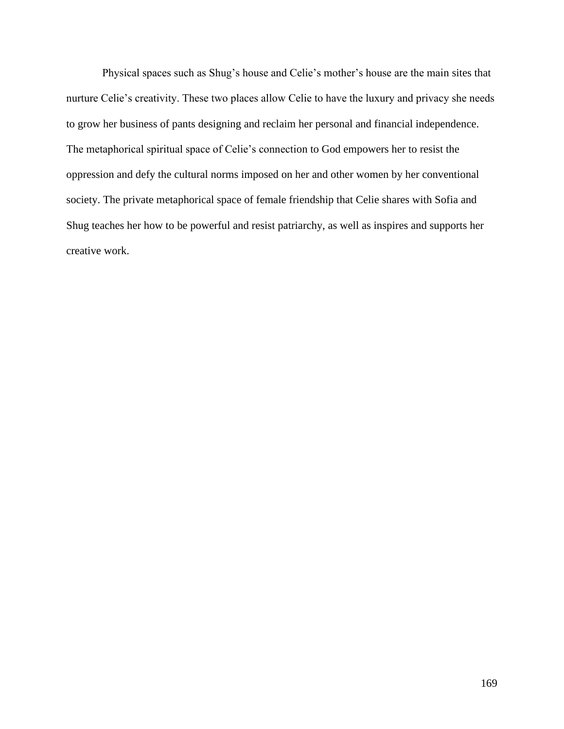Physical spaces such as Shug's house and Celie's mother's house are the main sites that nurture Celie's creativity. These two places allow Celie to have the luxury and privacy she needs to grow her business of pants designing and reclaim her personal and financial independence. The metaphorical spiritual space of Celie's connection to God empowers her to resist the oppression and defy the cultural norms imposed on her and other women by her conventional society. The private metaphorical space of female friendship that Celie shares with Sofia and Shug teaches her how to be powerful and resist patriarchy, as well as inspires and supports her creative work.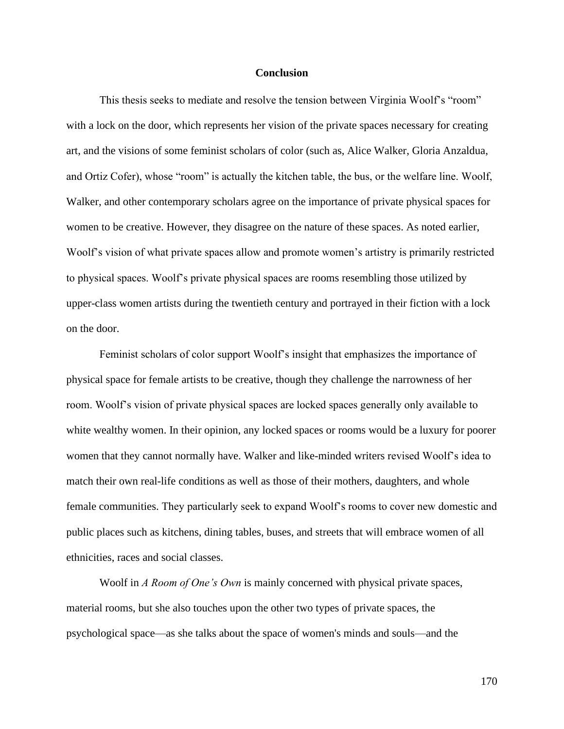## **Conclusion**

This thesis seeks to mediate and resolve the tension between Virginia Woolf's "room" with a lock on the door, which represents her vision of the private spaces necessary for creating art, and the visions of some feminist scholars of color (such as, Alice Walker, Gloria Anzaldua, and Ortiz Cofer), whose "room" is actually the kitchen table, the bus, or the welfare line. Woolf, Walker, and other contemporary scholars agree on the importance of private physical spaces for women to be creative. However, they disagree on the nature of these spaces. As noted earlier, Woolf's vision of what private spaces allow and promote women's artistry is primarily restricted to physical spaces. Woolf's private physical spaces are rooms resembling those utilized by upper-class women artists during the twentieth century and portrayed in their fiction with a lock on the door.

Feminist scholars of color support Woolf's insight that emphasizes the importance of physical space for female artists to be creative, though they challenge the narrowness of her room. Woolf's vision of private physical spaces are locked spaces generally only available to white wealthy women. In their opinion, any locked spaces or rooms would be a luxury for poorer women that they cannot normally have. Walker and like-minded writers revised Woolf's idea to match their own real-life conditions as well as those of their mothers, daughters, and whole female communities. They particularly seek to expand Woolf's rooms to cover new domestic and public places such as kitchens, dining tables, buses, and streets that will embrace women of all ethnicities, races and social classes.

Woolf in *A Room of One's Own* is mainly concerned with physical private spaces, material rooms, but she also touches upon the other two types of private spaces, the psychological space—as she talks about the space of women's minds and souls—and the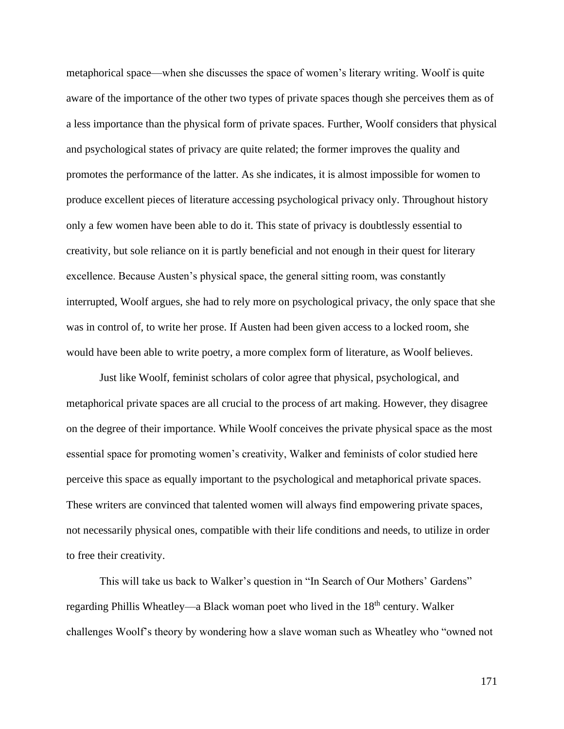metaphorical space—when she discusses the space of women's literary writing. Woolf is quite aware of the importance of the other two types of private spaces though she perceives them as of a less importance than the physical form of private spaces. Further, Woolf considers that physical and psychological states of privacy are quite related; the former improves the quality and promotes the performance of the latter. As she indicates, it is almost impossible for women to produce excellent pieces of literature accessing psychological privacy only. Throughout history only a few women have been able to do it. This state of privacy is doubtlessly essential to creativity, but sole reliance on it is partly beneficial and not enough in their quest for literary excellence. Because Austen's physical space, the general sitting room, was constantly interrupted, Woolf argues, she had to rely more on psychological privacy, the only space that she was in control of, to write her prose. If Austen had been given access to a locked room, she would have been able to write poetry, a more complex form of literature, as Woolf believes.

Just like Woolf, feminist scholars of color agree that physical, psychological, and metaphorical private spaces are all crucial to the process of art making. However, they disagree on the degree of their importance. While Woolf conceives the private physical space as the most essential space for promoting women's creativity, Walker and feminists of color studied here perceive this space as equally important to the psychological and metaphorical private spaces. These writers are convinced that talented women will always find empowering private spaces, not necessarily physical ones, compatible with their life conditions and needs, to utilize in order to free their creativity.

This will take us back to Walker's question in "In Search of Our Mothers' Gardens" regarding Phillis Wheatley—a Black woman poet who lived in the 18<sup>th</sup> century. Walker challenges Woolf's theory by wondering how a slave woman such as Wheatley who "owned not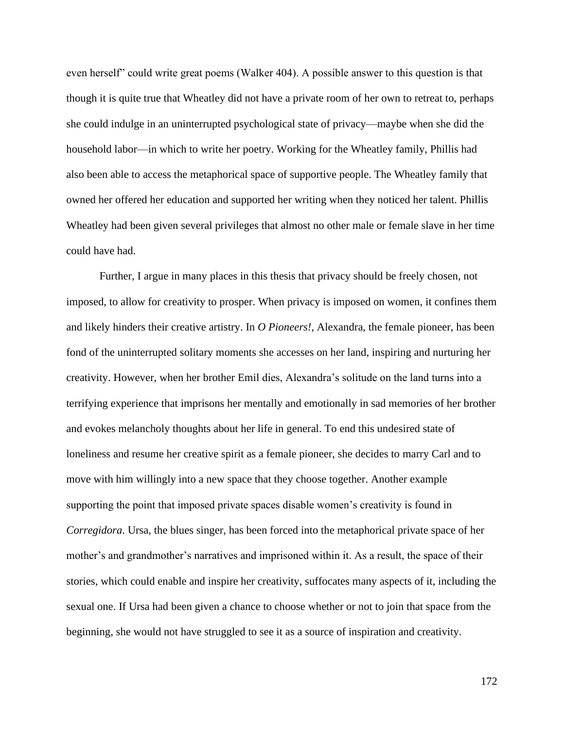even herself" could write great poems (Walker 404). A possible answer to this question is that though it is quite true that Wheatley did not have a private room of her own to retreat to, perhaps she could indulge in an uninterrupted psychological state of privacy—maybe when she did the household labor—in which to write her poetry. Working for the Wheatley family, Phillis had also been able to access the metaphorical space of supportive people. The Wheatley family that owned her offered her education and supported her writing when they noticed her talent. Phillis Wheatley had been given several privileges that almost no other male or female slave in her time could have had.

Further, I argue in many places in this thesis that privacy should be freely chosen, not imposed, to allow for creativity to prosper. When privacy is imposed on women, it confines them and likely hinders their creative artistry. In *O Pioneers!*, Alexandra, the female pioneer, has been fond of the uninterrupted solitary moments she accesses on her land, inspiring and nurturing her creativity. However, when her brother Emil dies, Alexandra's solitude on the land turns into a terrifying experience that imprisons her mentally and emotionally in sad memories of her brother and evokes melancholy thoughts about her life in general. To end this undesired state of loneliness and resume her creative spirit as a female pioneer, she decides to marry Carl and to move with him willingly into a new space that they choose together. Another example supporting the point that imposed private spaces disable women's creativity is found in *Corregidora*. Ursa, the blues singer, has been forced into the metaphorical private space of her mother's and grandmother's narratives and imprisoned within it. As a result, the space of their stories, which could enable and inspire her creativity, suffocates many aspects of it, including the sexual one. If Ursa had been given a chance to choose whether or not to join that space from the beginning, she would not have struggled to see it as a source of inspiration and creativity.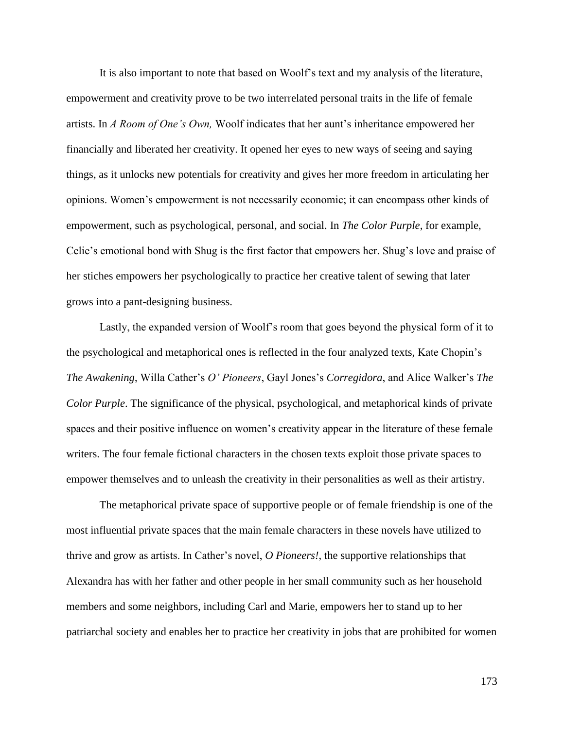It is also important to note that based on Woolf's text and my analysis of the literature, empowerment and creativity prove to be two interrelated personal traits in the life of female artists. In *A Room of One's Own,* Woolf indicates that her aunt's inheritance empowered her financially and liberated her creativity. It opened her eyes to new ways of seeing and saying things, as it unlocks new potentials for creativity and gives her more freedom in articulating her opinions. Women's empowerment is not necessarily economic; it can encompass other kinds of empowerment, such as psychological, personal, and social. In *The Color Purple*, for example, Celie's emotional bond with Shug is the first factor that empowers her. Shug's love and praise of her stiches empowers her psychologically to practice her creative talent of sewing that later grows into a pant-designing business.

Lastly, the expanded version of Woolf's room that goes beyond the physical form of it to the psychological and metaphorical ones is reflected in the four analyzed texts, Kate Chopin's *The Awakening*, Willa Cather's *O' Pioneers*, Gayl Jones's *Corregidora*, and Alice Walker's *The Color Purple*. The significance of the physical, psychological, and metaphorical kinds of private spaces and their positive influence on women's creativity appear in the literature of these female writers. The four female fictional characters in the chosen texts exploit those private spaces to empower themselves and to unleash the creativity in their personalities as well as their artistry.

The metaphorical private space of supportive people or of female friendship is one of the most influential private spaces that the main female characters in these novels have utilized to thrive and grow as artists. In Cather's novel, *O Pioneers!*, the supportive relationships that Alexandra has with her father and other people in her small community such as her household members and some neighbors, including Carl and Marie, empowers her to stand up to her patriarchal society and enables her to practice her creativity in jobs that are prohibited for women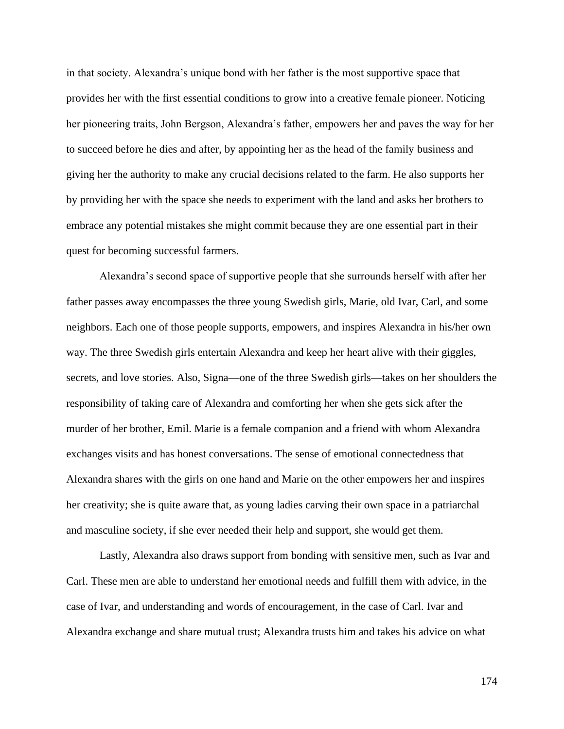in that society. Alexandra's unique bond with her father is the most supportive space that provides her with the first essential conditions to grow into a creative female pioneer. Noticing her pioneering traits, John Bergson, Alexandra's father, empowers her and paves the way for her to succeed before he dies and after, by appointing her as the head of the family business and giving her the authority to make any crucial decisions related to the farm. He also supports her by providing her with the space she needs to experiment with the land and asks her brothers to embrace any potential mistakes she might commit because they are one essential part in their quest for becoming successful farmers.

Alexandra's second space of supportive people that she surrounds herself with after her father passes away encompasses the three young Swedish girls, Marie, old Ivar, Carl, and some neighbors. Each one of those people supports, empowers, and inspires Alexandra in his/her own way. The three Swedish girls entertain Alexandra and keep her heart alive with their giggles, secrets, and love stories. Also, Signa—one of the three Swedish girls—takes on her shoulders the responsibility of taking care of Alexandra and comforting her when she gets sick after the murder of her brother, Emil. Marie is a female companion and a friend with whom Alexandra exchanges visits and has honest conversations. The sense of emotional connectedness that Alexandra shares with the girls on one hand and Marie on the other empowers her and inspires her creativity; she is quite aware that, as young ladies carving their own space in a patriarchal and masculine society, if she ever needed their help and support, she would get them.

Lastly, Alexandra also draws support from bonding with sensitive men, such as Ivar and Carl. These men are able to understand her emotional needs and fulfill them with advice, in the case of Ivar, and understanding and words of encouragement, in the case of Carl. Ivar and Alexandra exchange and share mutual trust; Alexandra trusts him and takes his advice on what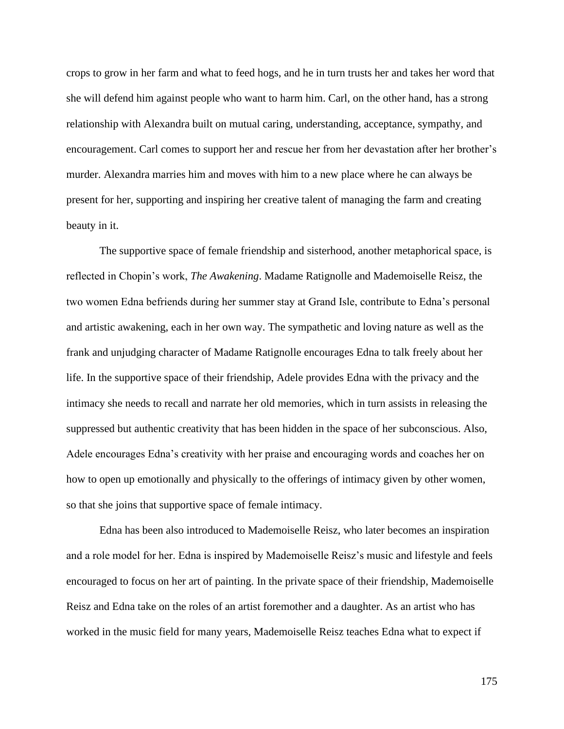crops to grow in her farm and what to feed hogs, and he in turn trusts her and takes her word that she will defend him against people who want to harm him. Carl, on the other hand, has a strong relationship with Alexandra built on mutual caring, understanding, acceptance, sympathy, and encouragement. Carl comes to support her and rescue her from her devastation after her brother's murder. Alexandra marries him and moves with him to a new place where he can always be present for her, supporting and inspiring her creative talent of managing the farm and creating beauty in it.

The supportive space of female friendship and sisterhood, another metaphorical space, is reflected in Chopin's work, *The Awakening*. Madame Ratignolle and Mademoiselle Reisz, the two women Edna befriends during her summer stay at Grand Isle, contribute to Edna's personal and artistic awakening, each in her own way. The sympathetic and loving nature as well as the frank and unjudging character of Madame Ratignolle encourages Edna to talk freely about her life. In the supportive space of their friendship, Adele provides Edna with the privacy and the intimacy she needs to recall and narrate her old memories, which in turn assists in releasing the suppressed but authentic creativity that has been hidden in the space of her subconscious. Also, Adele encourages Edna's creativity with her praise and encouraging words and coaches her on how to open up emotionally and physically to the offerings of intimacy given by other women, so that she joins that supportive space of female intimacy.

Edna has been also introduced to Mademoiselle Reisz, who later becomes an inspiration and a role model for her. Edna is inspired by Mademoiselle Reisz's music and lifestyle and feels encouraged to focus on her art of painting. In the private space of their friendship, Mademoiselle Reisz and Edna take on the roles of an artist foremother and a daughter. As an artist who has worked in the music field for many years, Mademoiselle Reisz teaches Edna what to expect if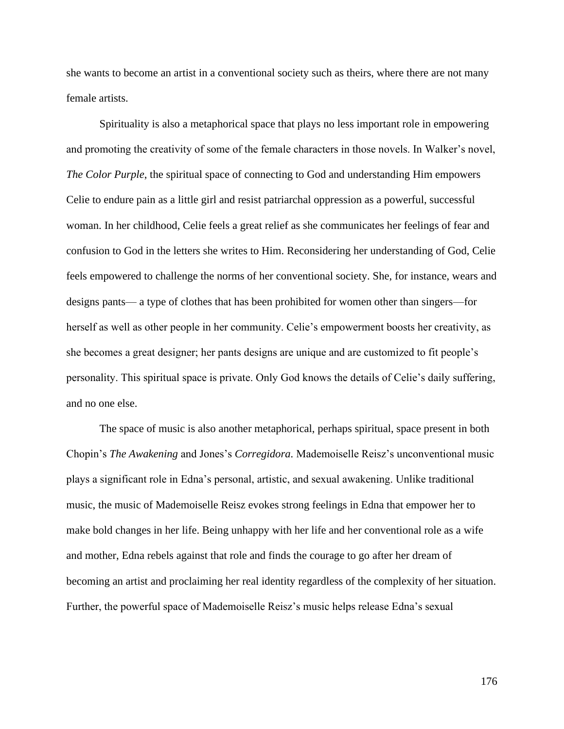she wants to become an artist in a conventional society such as theirs, where there are not many female artists.

Spirituality is also a metaphorical space that plays no less important role in empowering and promoting the creativity of some of the female characters in those novels. In Walker's novel, *The Color Purple*, the spiritual space of connecting to God and understanding Him empowers Celie to endure pain as a little girl and resist patriarchal oppression as a powerful, successful woman. In her childhood, Celie feels a great relief as she communicates her feelings of fear and confusion to God in the letters she writes to Him. Reconsidering her understanding of God, Celie feels empowered to challenge the norms of her conventional society. She, for instance, wears and designs pants— a type of clothes that has been prohibited for women other than singers—for herself as well as other people in her community. Celie's empowerment boosts her creativity, as she becomes a great designer; her pants designs are unique and are customized to fit people's personality. This spiritual space is private. Only God knows the details of Celie's daily suffering, and no one else.

The space of music is also another metaphorical, perhaps spiritual, space present in both Chopin's *The Awakening* and Jones's *Corregidora.* Mademoiselle Reisz's unconventional music plays a significant role in Edna's personal, artistic, and sexual awakening. Unlike traditional music, the music of Mademoiselle Reisz evokes strong feelings in Edna that empower her to make bold changes in her life. Being unhappy with her life and her conventional role as a wife and mother, Edna rebels against that role and finds the courage to go after her dream of becoming an artist and proclaiming her real identity regardless of the complexity of her situation. Further, the powerful space of Mademoiselle Reisz's music helps release Edna's sexual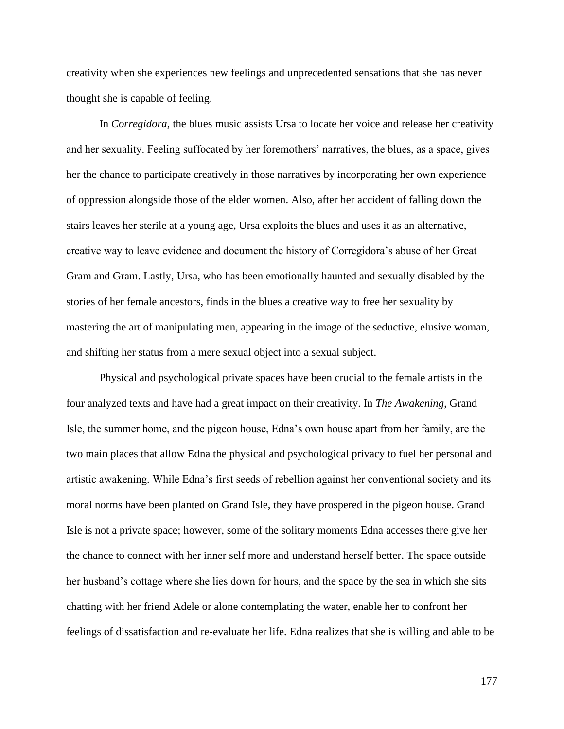creativity when she experiences new feelings and unprecedented sensations that she has never thought she is capable of feeling.

In *Corregidora,* the blues music assists Ursa to locate her voice and release her creativity and her sexuality. Feeling suffocated by her foremothers' narratives, the blues, as a space, gives her the chance to participate creatively in those narratives by incorporating her own experience of oppression alongside those of the elder women. Also, after her accident of falling down the stairs leaves her sterile at a young age, Ursa exploits the blues and uses it as an alternative, creative way to leave evidence and document the history of Corregidora's abuse of her Great Gram and Gram. Lastly, Ursa, who has been emotionally haunted and sexually disabled by the stories of her female ancestors, finds in the blues a creative way to free her sexuality by mastering the art of manipulating men, appearing in the image of the seductive, elusive woman, and shifting her status from a mere sexual object into a sexual subject.

Physical and psychological private spaces have been crucial to the female artists in the four analyzed texts and have had a great impact on their creativity. In *The Awakening*, Grand Isle, the summer home, and the pigeon house, Edna's own house apart from her family, are the two main places that allow Edna the physical and psychological privacy to fuel her personal and artistic awakening. While Edna's first seeds of rebellion against her conventional society and its moral norms have been planted on Grand Isle, they have prospered in the pigeon house. Grand Isle is not a private space; however, some of the solitary moments Edna accesses there give her the chance to connect with her inner self more and understand herself better. The space outside her husband's cottage where she lies down for hours, and the space by the sea in which she sits chatting with her friend Adele or alone contemplating the water, enable her to confront her feelings of dissatisfaction and re-evaluate her life. Edna realizes that she is willing and able to be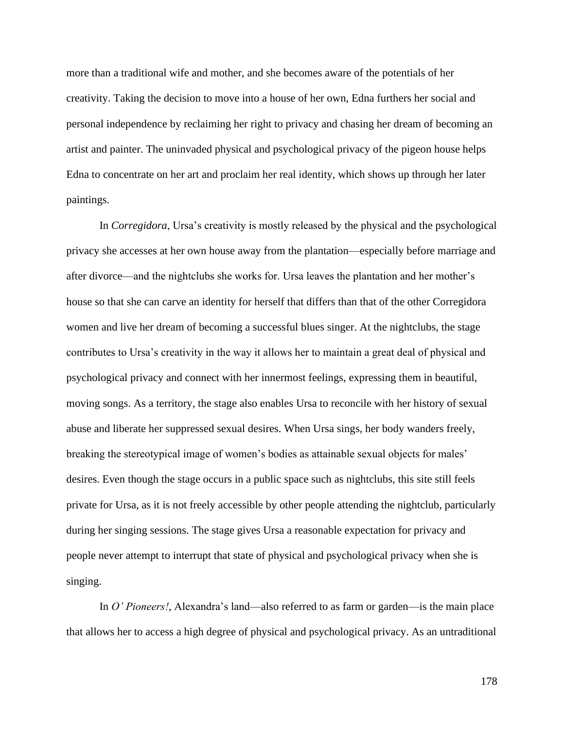more than a traditional wife and mother, and she becomes aware of the potentials of her creativity. Taking the decision to move into a house of her own, Edna furthers her social and personal independence by reclaiming her right to privacy and chasing her dream of becoming an artist and painter. The uninvaded physical and psychological privacy of the pigeon house helps Edna to concentrate on her art and proclaim her real identity, which shows up through her later paintings.

In *Corregidora*, Ursa's creativity is mostly released by the physical and the psychological privacy she accesses at her own house away from the plantation—especially before marriage and after divorce—and the nightclubs she works for. Ursa leaves the plantation and her mother's house so that she can carve an identity for herself that differs than that of the other Corregidora women and live her dream of becoming a successful blues singer. At the nightclubs, the stage contributes to Ursa's creativity in the way it allows her to maintain a great deal of physical and psychological privacy and connect with her innermost feelings, expressing them in beautiful, moving songs. As a territory, the stage also enables Ursa to reconcile with her history of sexual abuse and liberate her suppressed sexual desires. When Ursa sings, her body wanders freely, breaking the stereotypical image of women's bodies as attainable sexual objects for males' desires. Even though the stage occurs in a public space such as nightclubs, this site still feels private for Ursa, as it is not freely accessible by other people attending the nightclub, particularly during her singing sessions. The stage gives Ursa a reasonable expectation for privacy and people never attempt to interrupt that state of physical and psychological privacy when she is singing.

In *O' Pioneers!*, Alexandra's land—also referred to as farm or garden—is the main place that allows her to access a high degree of physical and psychological privacy. As an untraditional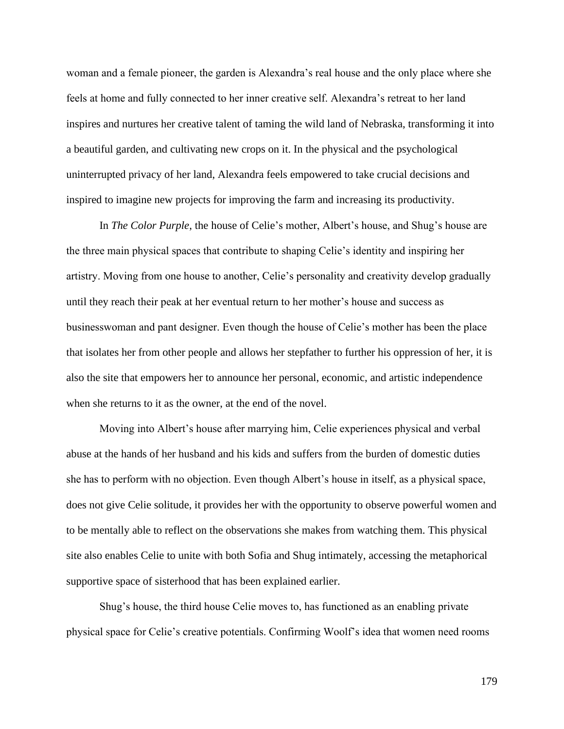woman and a female pioneer, the garden is Alexandra's real house and the only place where she feels at home and fully connected to her inner creative self. Alexandra's retreat to her land inspires and nurtures her creative talent of taming the wild land of Nebraska, transforming it into a beautiful garden, and cultivating new crops on it. In the physical and the psychological uninterrupted privacy of her land, Alexandra feels empowered to take crucial decisions and inspired to imagine new projects for improving the farm and increasing its productivity.

In *The Color Purple*, the house of Celie's mother, Albert's house, and Shug's house are the three main physical spaces that contribute to shaping Celie's identity and inspiring her artistry. Moving from one house to another, Celie's personality and creativity develop gradually until they reach their peak at her eventual return to her mother's house and success as businesswoman and pant designer. Even though the house of Celie's mother has been the place that isolates her from other people and allows her stepfather to further his oppression of her, it is also the site that empowers her to announce her personal, economic, and artistic independence when she returns to it as the owner, at the end of the novel.

Moving into Albert's house after marrying him, Celie experiences physical and verbal abuse at the hands of her husband and his kids and suffers from the burden of domestic duties she has to perform with no objection. Even though Albert's house in itself, as a physical space, does not give Celie solitude, it provides her with the opportunity to observe powerful women and to be mentally able to reflect on the observations she makes from watching them. This physical site also enables Celie to unite with both Sofia and Shug intimately, accessing the metaphorical supportive space of sisterhood that has been explained earlier.

Shug's house, the third house Celie moves to, has functioned as an enabling private physical space for Celie's creative potentials. Confirming Woolf's idea that women need rooms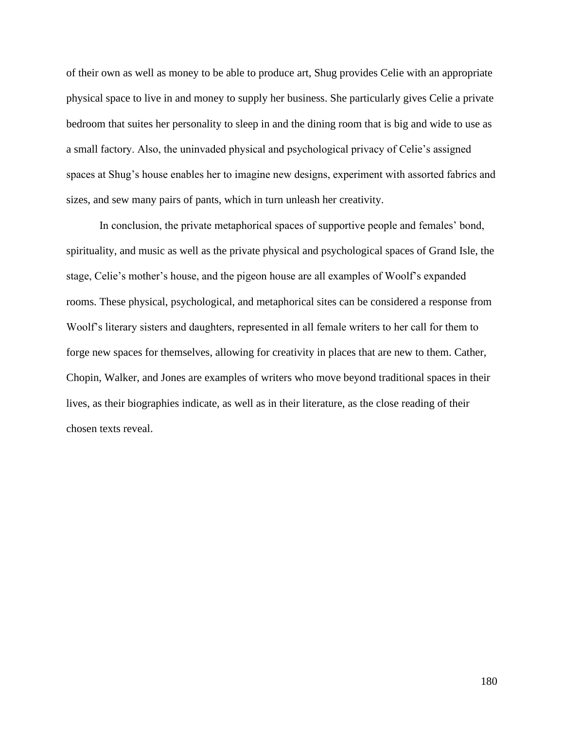of their own as well as money to be able to produce art, Shug provides Celie with an appropriate physical space to live in and money to supply her business. She particularly gives Celie a private bedroom that suites her personality to sleep in and the dining room that is big and wide to use as a small factory. Also, the uninvaded physical and psychological privacy of Celie's assigned spaces at Shug's house enables her to imagine new designs, experiment with assorted fabrics and sizes, and sew many pairs of pants, which in turn unleash her creativity.

In conclusion, the private metaphorical spaces of supportive people and females' bond, spirituality, and music as well as the private physical and psychological spaces of Grand Isle, the stage, Celie's mother's house, and the pigeon house are all examples of Woolf's expanded rooms. These physical, psychological, and metaphorical sites can be considered a response from Woolf's literary sisters and daughters, represented in all female writers to her call for them to forge new spaces for themselves, allowing for creativity in places that are new to them. Cather, Chopin, Walker, and Jones are examples of writers who move beyond traditional spaces in their lives, as their biographies indicate, as well as in their literature, as the close reading of their chosen texts reveal.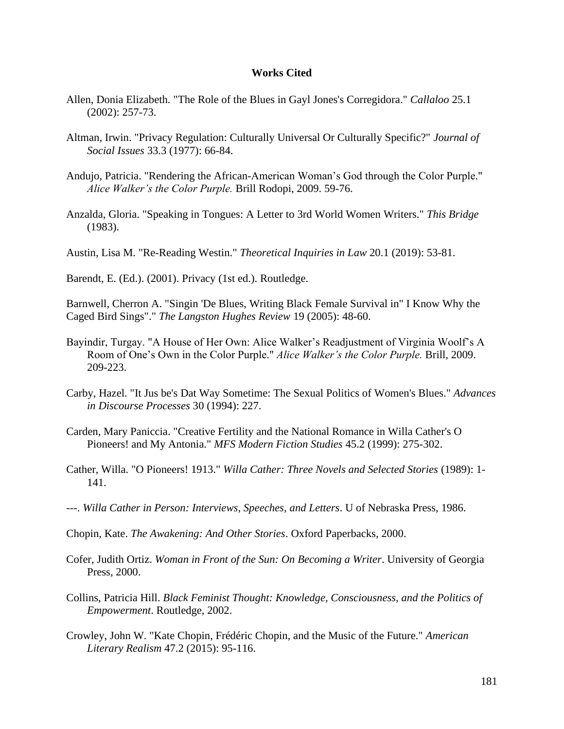## **Works Cited**

- Allen, Donia Elizabeth. "The Role of the Blues in Gayl Jones's Corregidora." *Callaloo* 25.1 (2002): 257-73.
- Altman, Irwin. "Privacy Regulation: Culturally Universal Or Culturally Specific?" *Journal of Social Issues* 33.3 (1977): 66-84.
- Andujo, Patricia. "Rendering the African-American Woman's God through the Color Purple." *Alice Walker's the Color Purple.* Brill Rodopi, 2009. 59-76.
- Anzalda, Gloria. "Speaking in Tongues: A Letter to 3rd World Women Writers." *This Bridge* (1983).
- Austin, Lisa M. "Re-Reading Westin." *Theoretical Inquiries in Law* 20.1 (2019): 53-81.

Barendt, E. (Ed.). (2001). Privacy (1st ed.). Routledge.

Barnwell, Cherron A. "Singin 'De Blues, Writing Black Female Survival in" I Know Why the Caged Bird Sings"." *The Langston Hughes Review* 19 (2005): 48-60.

- Bayindir, Turgay. "A House of Her Own: Alice Walker's Readjustment of Virginia Woolf's A Room of One's Own in the Color Purple." *Alice Walker's the Color Purple.* Brill, 2009. 209-223.
- Carby, Hazel. "It Jus be's Dat Way Sometime: The Sexual Politics of Women's Blues." *Advances in Discourse Processes* 30 (1994): 227.
- Carden, Mary Paniccia. "Creative Fertility and the National Romance in Willa Cather's O Pioneers! and My Antonia." *MFS Modern Fiction Studies* 45.2 (1999): 275-302.
- Cather, Willa. "O Pioneers! 1913." *Willa Cather: Three Novels and Selected Stories* (1989): 1- 141.
- ---. *Willa Cather in Person: Interviews, Speeches, and Letters*. U of Nebraska Press, 1986.
- Chopin, Kate. *The Awakening: And Other Stories*. Oxford Paperbacks, 2000.
- Cofer, Judith Ortiz. *Woman in Front of the Sun: On Becoming a Writer*. University of Georgia Press, 2000.
- Collins, Patricia Hill. *Black Feminist Thought: Knowledge, Consciousness, and the Politics of Empowerment*. Routledge, 2002.
- Crowley, John W. "Kate Chopin, Frédéric Chopin, and the Music of the Future." *American Literary Realism* 47.2 (2015): 95-116.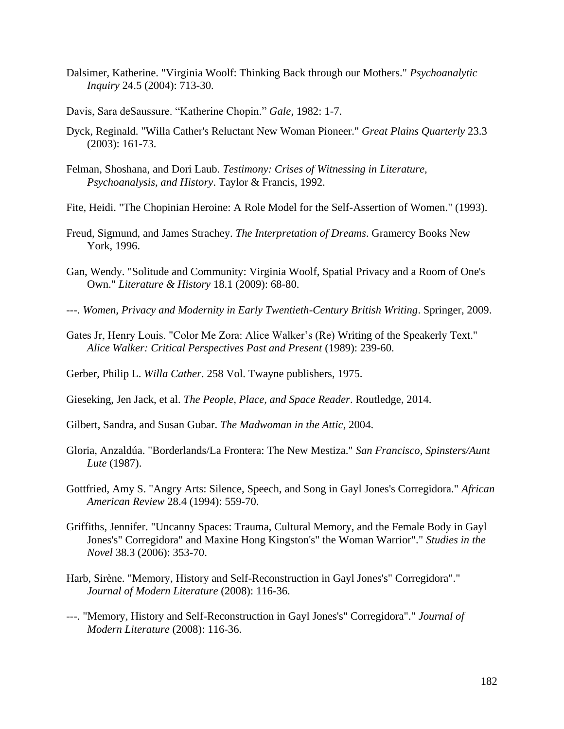- Dalsimer, Katherine. "Virginia Woolf: Thinking Back through our Mothers." *Psychoanalytic Inquiry* 24.5 (2004): 713-30.
- Davis, Sara deSaussure. "Katherine Chopin." *Gale*, 1982: 1-7.
- Dyck, Reginald. "Willa Cather's Reluctant New Woman Pioneer." *Great Plains Quarterly* 23.3 (2003): 161-73.
- Felman, Shoshana, and Dori Laub. *Testimony: Crises of Witnessing in Literature, Psychoanalysis, and History*. Taylor & Francis, 1992.
- Fite, Heidi. "The Chopinian Heroine: A Role Model for the Self-Assertion of Women." (1993).
- Freud, Sigmund, and James Strachey. *The Interpretation of Dreams*. Gramercy Books New York, 1996.
- Gan, Wendy. "Solitude and Community: Virginia Woolf, Spatial Privacy and a Room of One's Own." *Literature & History* 18.1 (2009): 68-80.
- ---. *Women, Privacy and Modernity in Early Twentieth-Century British Writing*. Springer, 2009.
- Gates Jr, Henry Louis. "Color Me Zora: Alice Walker's (Re) Writing of the Speakerly Text." *Alice Walker: Critical Perspectives Past and Present* (1989): 239-60.
- Gerber, Philip L. *Willa Cather*. 258 Vol. Twayne publishers, 1975.
- Gieseking, Jen Jack, et al. *The People, Place, and Space Reader*. Routledge, 2014.
- Gilbert, Sandra, and Susan Gubar. *The Madwoman in the Attic*, 2004.
- Gloria, Anzaldúa. "Borderlands/La Frontera: The New Mestiza." *San Francisco, Spinsters/Aunt Lute* (1987).
- Gottfried, Amy S. "Angry Arts: Silence, Speech, and Song in Gayl Jones's Corregidora." *African American Review* 28.4 (1994): 559-70.
- Griffiths, Jennifer. "Uncanny Spaces: Trauma, Cultural Memory, and the Female Body in Gayl Jones's" Corregidora" and Maxine Hong Kingston's" the Woman Warrior"." *Studies in the Novel* 38.3 (2006): 353-70.
- Harb, Sirène. "Memory, History and Self-Reconstruction in Gayl Jones's" Corregidora"." *Journal of Modern Literature* (2008): 116-36.
- ---. "Memory, History and Self-Reconstruction in Gayl Jones's" Corregidora"." *Journal of Modern Literature* (2008): 116-36.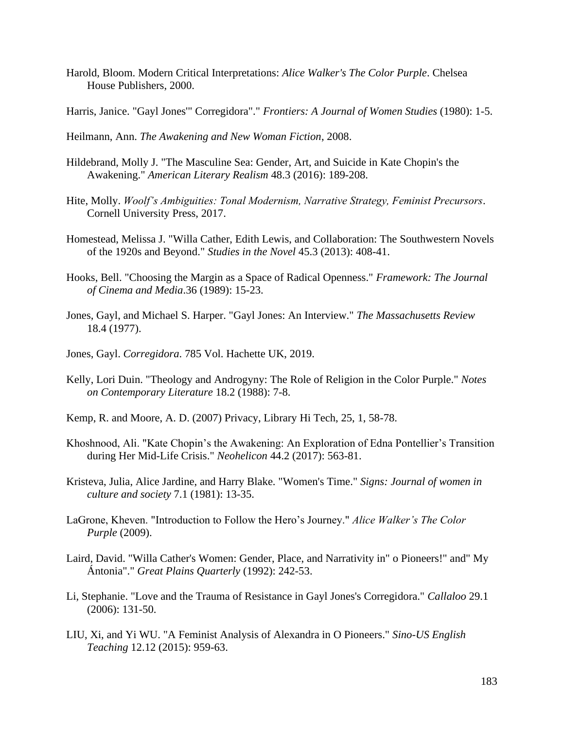- Harold, Bloom. Modern Critical Interpretations: *Alice Walker's The Color Purple*. Chelsea House Publishers, 2000.
- Harris, Janice. "Gayl Jones'" Corregidora"." *Frontiers: A Journal of Women Studies* (1980): 1-5.
- Heilmann, Ann. *The Awakening and New Woman Fiction*, 2008.
- Hildebrand, Molly J. "The Masculine Sea: Gender, Art, and Suicide in Kate Chopin's the Awakening." *American Literary Realism* 48.3 (2016): 189-208.
- Hite, Molly. *Woolf's Ambiguities: Tonal Modernism, Narrative Strategy, Feminist Precursors*. Cornell University Press, 2017.
- Homestead, Melissa J. "Willa Cather, Edith Lewis, and Collaboration: The Southwestern Novels of the 1920s and Beyond." *Studies in the Novel* 45.3 (2013): 408-41.
- Hooks, Bell. "Choosing the Margin as a Space of Radical Openness." *Framework: The Journal of Cinema and Media*.36 (1989): 15-23.
- Jones, Gayl, and Michael S. Harper. "Gayl Jones: An Interview." *The Massachusetts Review* 18.4 (1977).
- Jones, Gayl. *Corregidora*. 785 Vol. Hachette UK, 2019.
- Kelly, Lori Duin. "Theology and Androgyny: The Role of Religion in the Color Purple." *Notes on Contemporary Literature* 18.2 (1988): 7-8.
- Kemp, R. and Moore, A. D. (2007) Privacy, Library Hi Tech, 25, 1, 58-78.
- Khoshnood, Ali. "Kate Chopin's the Awakening: An Exploration of Edna Pontellier's Transition during Her Mid-Life Crisis." *Neohelicon* 44.2 (2017): 563-81.
- Kristeva, Julia, Alice Jardine, and Harry Blake. "Women's Time." *Signs: Journal of women in culture and society* 7.1 (1981): 13-35.
- LaGrone, Kheven. "Introduction to Follow the Hero's Journey." *Alice Walker's The Color Purple* (2009).
- Laird, David. "Willa Cather's Women: Gender, Place, and Narrativity in" o Pioneers!" and" My Ántonia"." *Great Plains Quarterly* (1992): 242-53.
- Li, Stephanie. "Love and the Trauma of Resistance in Gayl Jones's Corregidora." *Callaloo* 29.1 (2006): 131-50.
- LIU, Xi, and Yi WU. "A Feminist Analysis of Alexandra in O Pioneers." *Sino-US English Teaching* 12.12 (2015): 959-63.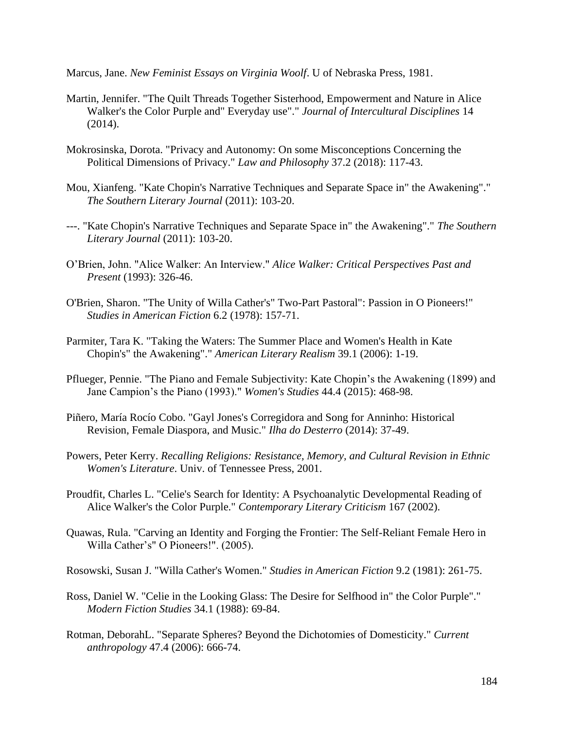Marcus, Jane. *New Feminist Essays on Virginia Woolf*. U of Nebraska Press, 1981.

- Martin, Jennifer. "The Quilt Threads Together Sisterhood, Empowerment and Nature in Alice Walker's the Color Purple and" Everyday use"." *Journal of Intercultural Disciplines* 14 (2014).
- Mokrosinska, Dorota. "Privacy and Autonomy: On some Misconceptions Concerning the Political Dimensions of Privacy." *Law and Philosophy* 37.2 (2018): 117-43.
- Mou, Xianfeng. "Kate Chopin's Narrative Techniques and Separate Space in" the Awakening"." *The Southern Literary Journal* (2011): 103-20.
- ---. "Kate Chopin's Narrative Techniques and Separate Space in" the Awakening"." *The Southern Literary Journal* (2011): 103-20.
- O'Brien, John. "Alice Walker: An Interview." *Alice Walker: Critical Perspectives Past and Present* (1993): 326-46.
- O'Brien, Sharon. "The Unity of Willa Cather's" Two-Part Pastoral": Passion in O Pioneers!" *Studies in American Fiction* 6.2 (1978): 157-71.
- Parmiter, Tara K. "Taking the Waters: The Summer Place and Women's Health in Kate Chopin's" the Awakening"." *American Literary Realism* 39.1 (2006): 1-19.
- Pflueger, Pennie. "The Piano and Female Subjectivity: Kate Chopin's the Awakening (1899) and Jane Campion's the Piano (1993)." *Women's Studies* 44.4 (2015): 468-98.
- Piñero, María Rocío Cobo. "Gayl Jones's Corregidora and Song for Anninho: Historical Revision, Female Diaspora, and Music." *Ilha do Desterro* (2014): 37-49.
- Powers, Peter Kerry. *Recalling Religions: Resistance, Memory, and Cultural Revision in Ethnic Women's Literature*. Univ. of Tennessee Press, 2001.
- Proudfit, Charles L. "Celie's Search for Identity: A Psychoanalytic Developmental Reading of Alice Walker's the Color Purple." *Contemporary Literary Criticism* 167 (2002).
- Quawas, Rula. "Carving an Identity and Forging the Frontier: The Self-Reliant Female Hero in Willa Cather's" O Pioneers!". (2005).

Rosowski, Susan J. "Willa Cather's Women." *Studies in American Fiction* 9.2 (1981): 261-75.

- Ross, Daniel W. "Celie in the Looking Glass: The Desire for Selfhood in" the Color Purple"." *Modern Fiction Studies* 34.1 (1988): 69-84.
- Rotman, DeborahL. "Separate Spheres? Beyond the Dichotomies of Domesticity." *Current anthropology* 47.4 (2006): 666-74.